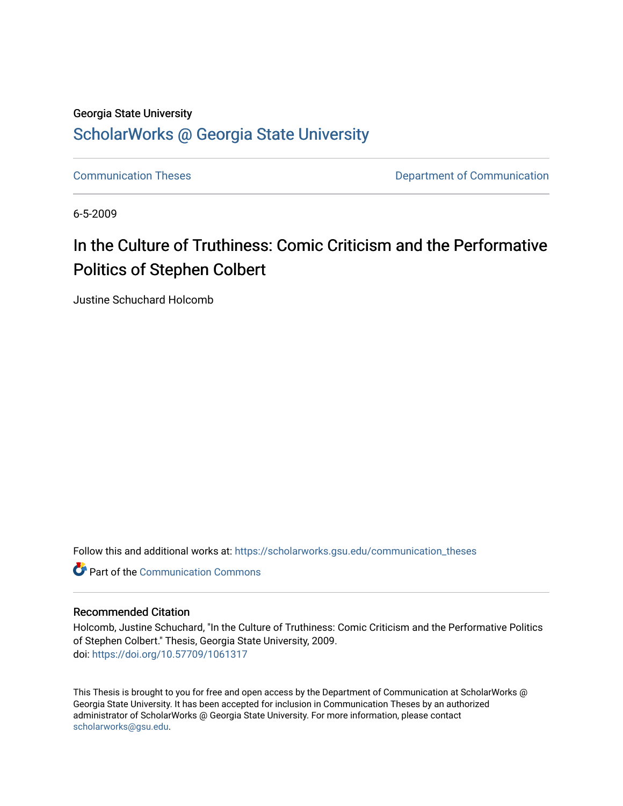# Georgia State University [ScholarWorks @ Georgia State University](https://scholarworks.gsu.edu/)

[Communication Theses](https://scholarworks.gsu.edu/communication_theses) **Communication Communication** 

6-5-2009

# In the Culture of Truthiness: Comic Criticism and the Performative Politics of Stephen Colbert

Justine Schuchard Holcomb

Follow this and additional works at: [https://scholarworks.gsu.edu/communication\\_theses](https://scholarworks.gsu.edu/communication_theses?utm_source=scholarworks.gsu.edu%2Fcommunication_theses%2F51&utm_medium=PDF&utm_campaign=PDFCoverPages) 

**C** Part of the Communication Commons

## Recommended Citation

Holcomb, Justine Schuchard, "In the Culture of Truthiness: Comic Criticism and the Performative Politics of Stephen Colbert." Thesis, Georgia State University, 2009. doi: <https://doi.org/10.57709/1061317>

This Thesis is brought to you for free and open access by the Department of Communication at ScholarWorks @ Georgia State University. It has been accepted for inclusion in Communication Theses by an authorized administrator of ScholarWorks @ Georgia State University. For more information, please contact [scholarworks@gsu.edu.](mailto:scholarworks@gsu.edu)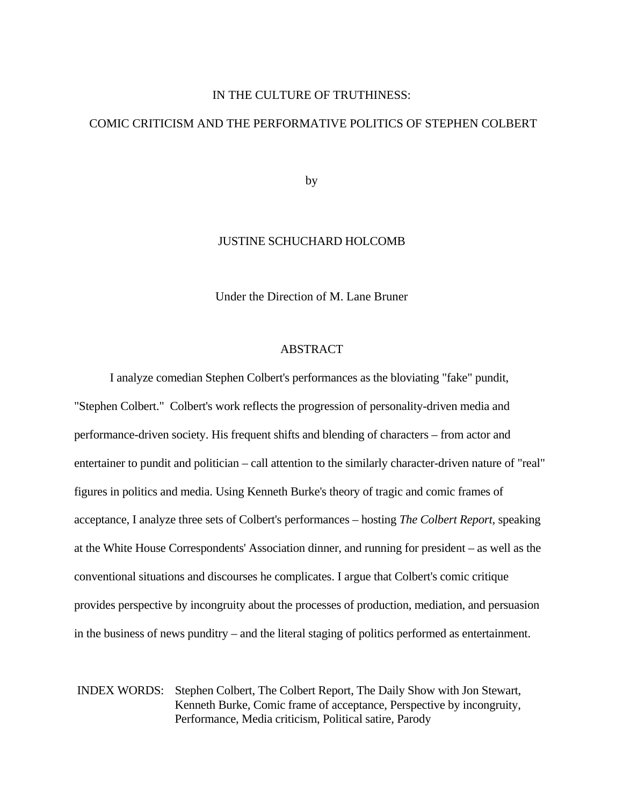## IN THE CULTURE OF TRUTHINESS:

# COMIC CRITICISM AND THE PERFORMATIVE POLITICS OF STEPHEN COLBERT

by

# JUSTINE SCHUCHARD HOLCOMB

Under the Direction of M. Lane Bruner

### ABSTRACT

I analyze comedian Stephen Colbert's performances as the bloviating "fake" pundit, "Stephen Colbert." Colbert's work reflects the progression of personality-driven media and performance-driven society. His frequent shifts and blending of characters – from actor and entertainer to pundit and politician – call attention to the similarly character-driven nature of "real" figures in politics and media. Using Kenneth Burke's theory of tragic and comic frames of acceptance, I analyze three sets of Colbert's performances – hosting *The Colbert Report,* speaking at the White House Correspondents' Association dinner, and running for president – as well as the conventional situations and discourses he complicates. I argue that Colbert's comic critique provides perspective by incongruity about the processes of production, mediation, and persuasion in the business of news punditry – and the literal staging of politics performed as entertainment.

INDEX WORDS: Stephen Colbert, The Colbert Report, The Daily Show with Jon Stewart, Kenneth Burke, Comic frame of acceptance, Perspective by incongruity, Performance, Media criticism, Political satire, Parody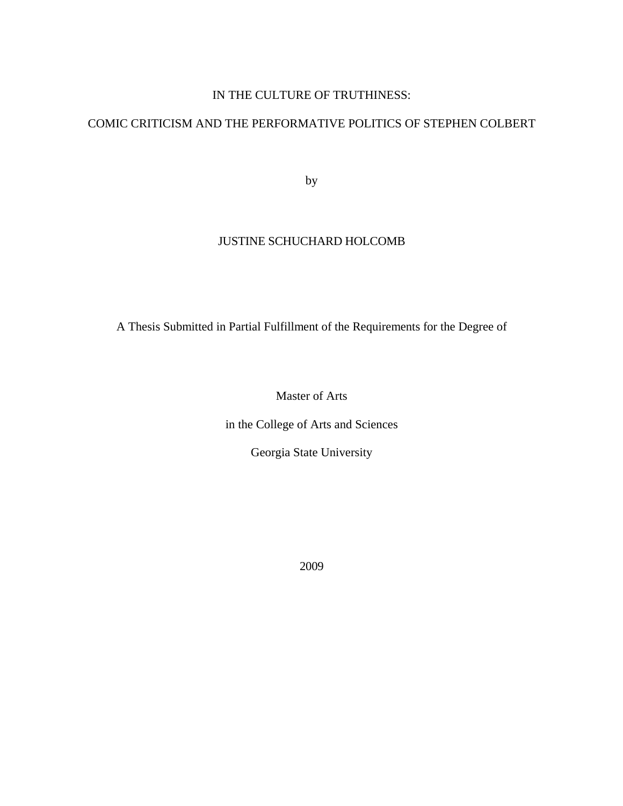# IN THE CULTURE OF TRUTHINESS:

# COMIC CRITICISM AND THE PERFORMATIVE POLITICS OF STEPHEN COLBERT

by

# JUSTINE SCHUCHARD HOLCOMB

A Thesis Submitted in Partial Fulfillment of the Requirements for the Degree of

Master of Arts

in the College of Arts and Sciences

Georgia State University

2009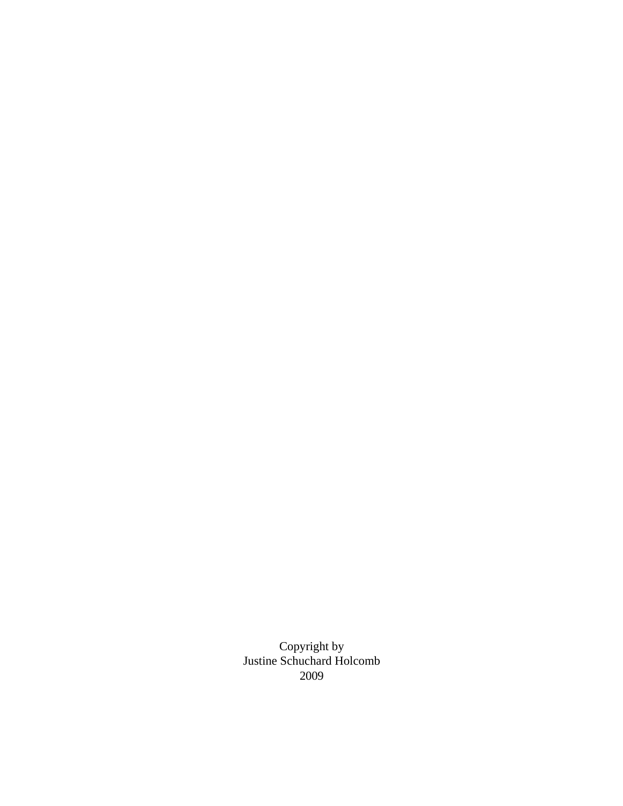Copyright by Justine Schuchard Holcomb 2009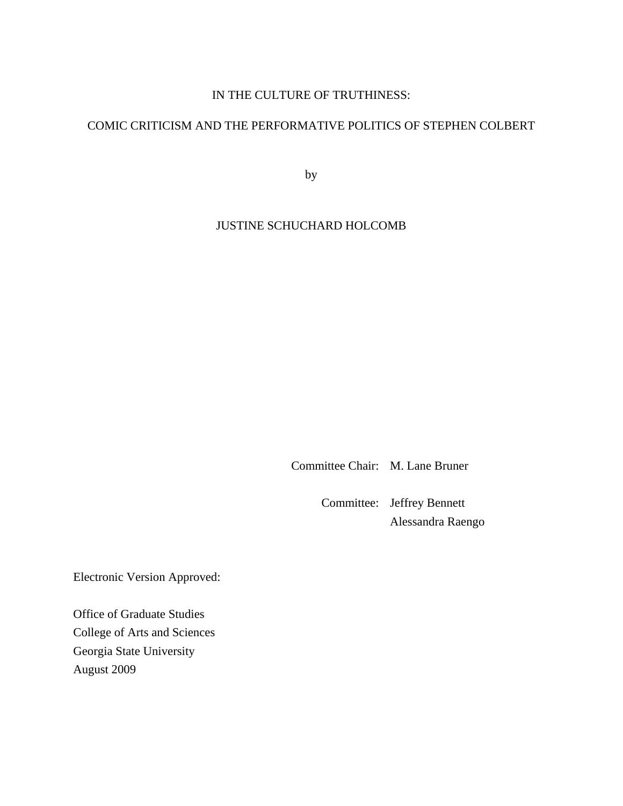# IN THE CULTURE OF TRUTHINESS:

# COMIC CRITICISM AND THE PERFORMATIVE POLITICS OF STEPHEN COLBERT

by

# JUSTINE SCHUCHARD HOLCOMB

Committee Chair: M. Lane Bruner

Committee: Jeffrey Bennett Alessandra Raengo

Electronic Version Approved:

Office of Graduate Studies College of Arts and Sciences Georgia State University August 2009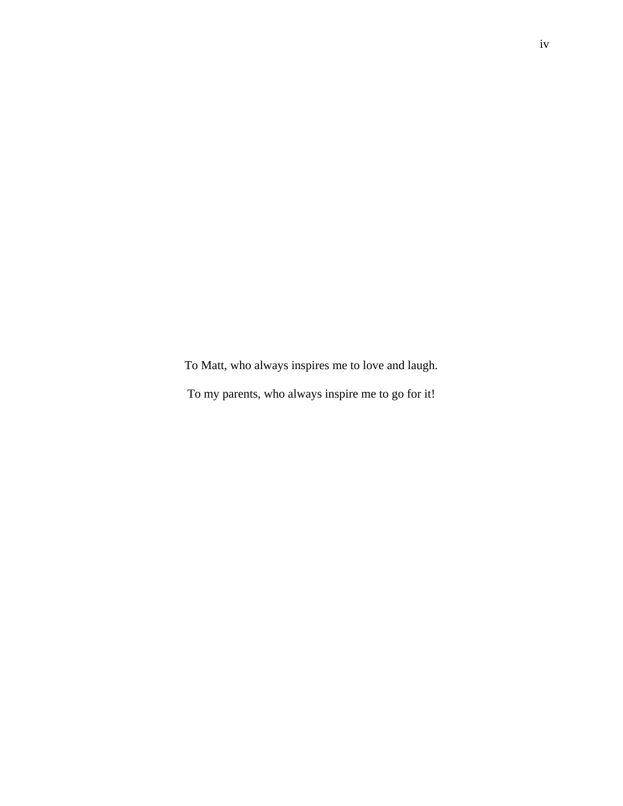To Matt, who always inspires me to love and laugh.

To my parents, who always inspire me to go for it!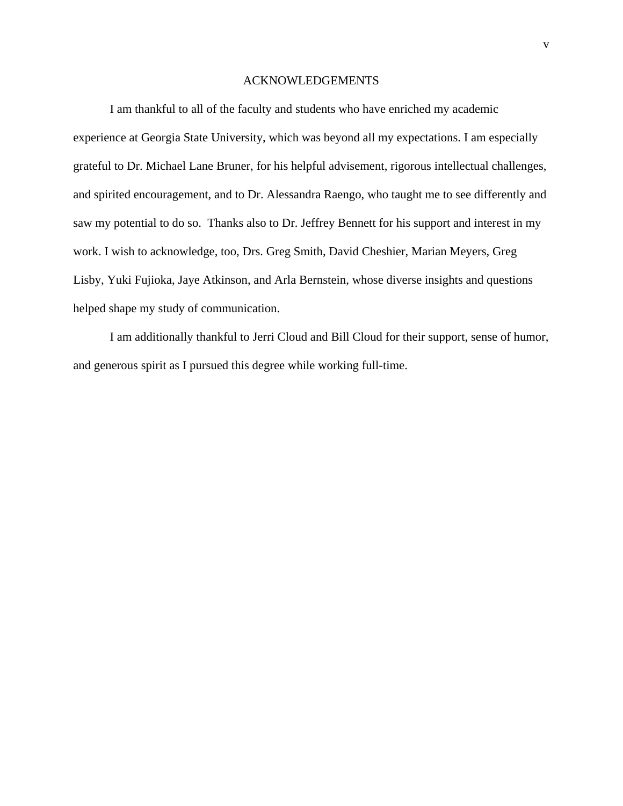#### ACKNOWLEDGEMENTS

I am thankful to all of the faculty and students who have enriched my academic experience at Georgia State University, which was beyond all my expectations. I am especially grateful to Dr. Michael Lane Bruner, for his helpful advisement, rigorous intellectual challenges, and spirited encouragement, and to Dr. Alessandra Raengo, who taught me to see differently and saw my potential to do so. Thanks also to Dr. Jeffrey Bennett for his support and interest in my work. I wish to acknowledge, too, Drs. Greg Smith, David Cheshier, Marian Meyers, Greg Lisby, Yuki Fujioka, Jaye Atkinson, and Arla Bernstein, whose diverse insights and questions helped shape my study of communication.

I am additionally thankful to Jerri Cloud and Bill Cloud for their support, sense of humor, and generous spirit as I pursued this degree while working full-time.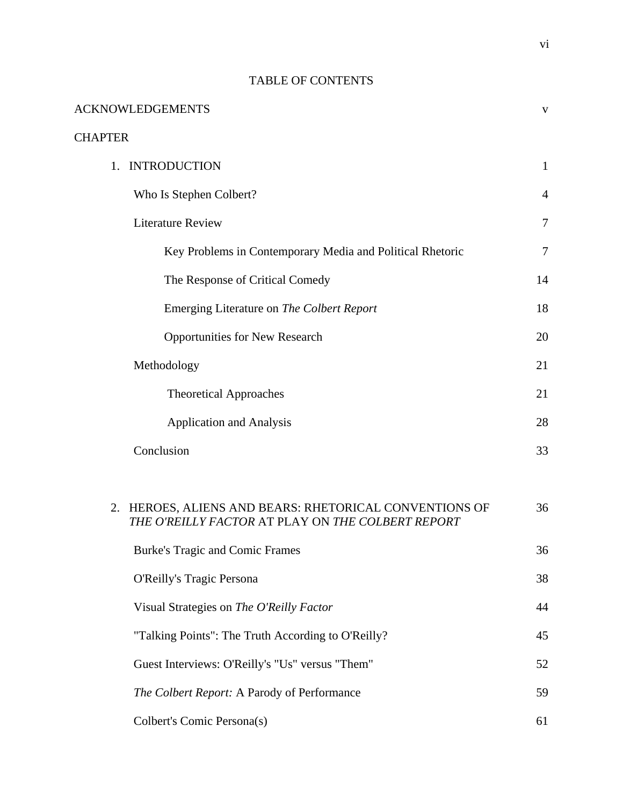# TABLE OF CONTENTS

| <b>ACKNOWLEDGEMENTS</b>                |                                                                                                             |                |
|----------------------------------------|-------------------------------------------------------------------------------------------------------------|----------------|
| <b>CHAPTER</b>                         |                                                                                                             |                |
| 1. INTRODUCTION                        |                                                                                                             | $\mathbf{1}$   |
| Who Is Stephen Colbert?                |                                                                                                             | $\overline{4}$ |
| <b>Literature Review</b>               |                                                                                                             | $\overline{7}$ |
|                                        | Key Problems in Contemporary Media and Political Rhetoric                                                   | 7              |
|                                        | The Response of Critical Comedy                                                                             | 14             |
|                                        | Emerging Literature on The Colbert Report                                                                   | 18             |
|                                        | <b>Opportunities for New Research</b>                                                                       | 20             |
| Methodology                            |                                                                                                             | 21             |
| <b>Theoretical Approaches</b>          |                                                                                                             | 21             |
| <b>Application and Analysis</b>        |                                                                                                             | 28             |
| Conclusion                             |                                                                                                             | 33             |
|                                        |                                                                                                             |                |
|                                        | 2. HEROES, ALIENS AND BEARS: RHETORICAL CONVENTIONS OF<br>THE O'REILLY FACTOR AT PLAY ON THE COLBERT REPORT | 36             |
| <b>Burke's Tragic and Comic Frames</b> |                                                                                                             | 36             |
| O'Reilly's Tragic Persona              |                                                                                                             | 38             |
|                                        | Visual Strategies on The O'Reilly Factor                                                                    | 44             |
|                                        | "Talking Points": The Truth According to O'Reilly?                                                          | 45             |
|                                        | Guest Interviews: O'Reilly's "Us" versus "Them"                                                             | 52             |
|                                        | The Colbert Report: A Parody of Performance                                                                 | 59             |
| Colbert's Comic Persona(s)             |                                                                                                             | 61             |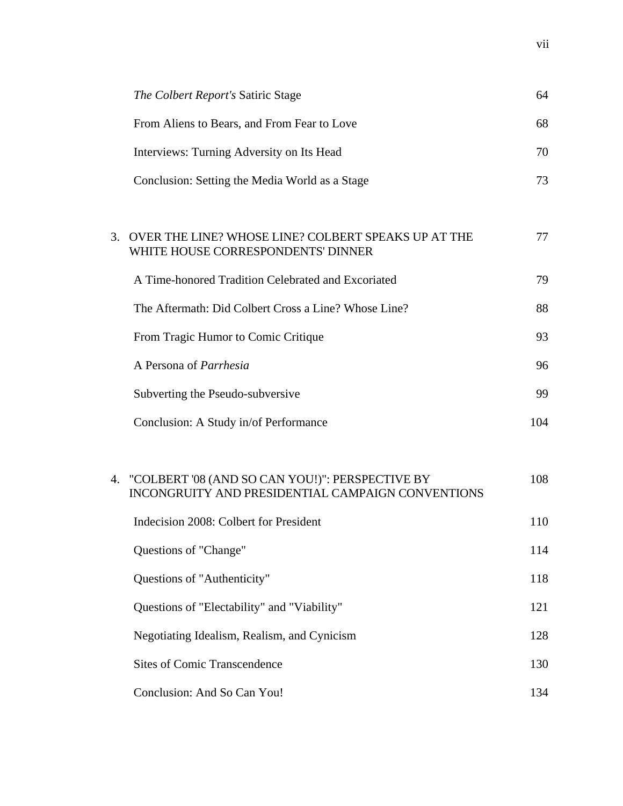|    | The Colbert Report's Satiric Stage                                                                   | 64  |
|----|------------------------------------------------------------------------------------------------------|-----|
|    | From Aliens to Bears, and From Fear to Love                                                          | 68  |
|    | Interviews: Turning Adversity on Its Head                                                            | 70  |
|    | Conclusion: Setting the Media World as a Stage                                                       | 73  |
|    | 3. OVER THE LINE? WHOSE LINE? COLBERT SPEAKS UP AT THE<br>WHITE HOUSE CORRESPONDENTS' DINNER         | 77  |
|    | A Time-honored Tradition Celebrated and Excoriated                                                   | 79  |
|    | The Aftermath: Did Colbert Cross a Line? Whose Line?                                                 | 88  |
|    | From Tragic Humor to Comic Critique                                                                  | 93  |
|    | A Persona of Parrhesia                                                                               | 96  |
|    | Subverting the Pseudo-subversive                                                                     | 99  |
|    | Conclusion: A Study in/of Performance                                                                | 104 |
| 4. | "COLBERT '08 (AND SO CAN YOU!)": PERSPECTIVE BY<br>INCONGRUITY AND PRESIDENTIAL CAMPAIGN CONVENTIONS | 108 |
|    | Indecision 2008: Colbert for President                                                               | 110 |
|    | Questions of "Change"                                                                                | 114 |
|    | Questions of "Authenticity"                                                                          | 118 |
|    | Questions of "Electability" and "Viability"                                                          | 121 |
|    | Negotiating Idealism, Realism, and Cynicism                                                          | 128 |
|    | <b>Sites of Comic Transcendence</b>                                                                  | 130 |
|    | Conclusion: And So Can You!                                                                          | 134 |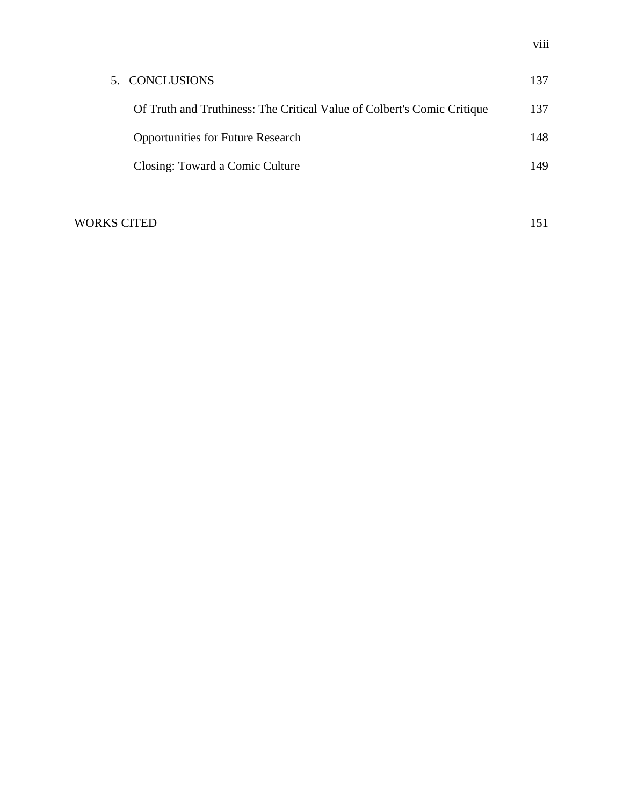| 5. CONCLUSIONS                                                          | 137 |
|-------------------------------------------------------------------------|-----|
| Of Truth and Truthiness: The Critical Value of Colbert's Comic Critique | 137 |
| <b>Opportunities for Future Research</b>                                | 148 |
| Closing: Toward a Comic Culture                                         | 149 |

# WORKS CITED 151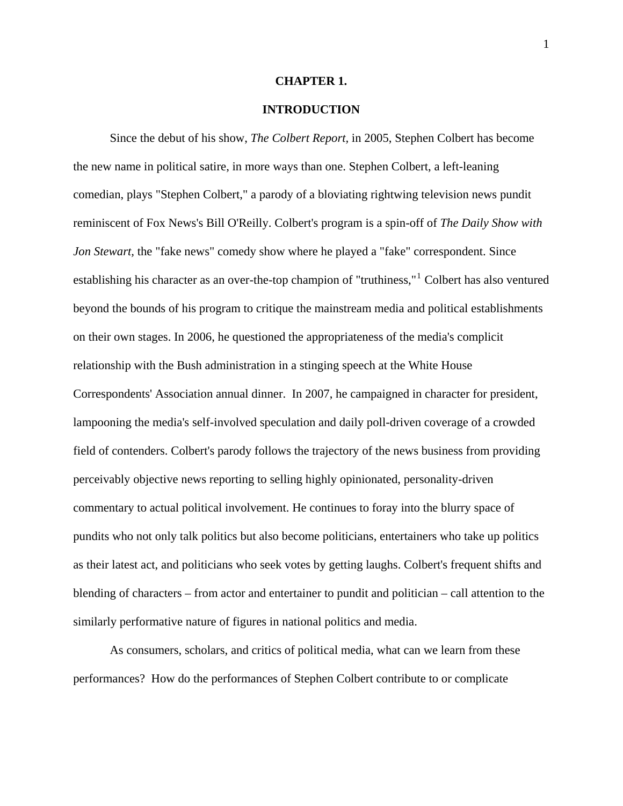#### **CHAPTER 1.**

### **INTRODUCTION**

Since the debut of his show, *The Colbert Report,* in 2005, Stephen Colbert has become the new name in political satire, in more ways than one. Stephen Colbert, a left-leaning comedian, plays "Stephen Colbert," a parody of a bloviating rightwing television news pundit reminiscent of Fox News's Bill O'Reilly. Colbert's program is a spin-off of *The Daily Show with Jon Stewart,* the "fake news" comedy show where he played a "fake" correspondent. Since establishing his character as an over-the-top champion of "truthiness,"<sup>[1](#page-44-0)</sup> Colbert has also ventured beyond the bounds of his program to critique the mainstream media and political establishments on their own stages. In 2006, he questioned the appropriateness of the media's complicit relationship with the Bush administration in a stinging speech at the White House Correspondents' Association annual dinner. In 2007, he campaigned in character for president, lampooning the media's self-involved speculation and daily poll-driven coverage of a crowded field of contenders. Colbert's parody follows the trajectory of the news business from providing perceivably objective news reporting to selling highly opinionated, personality-driven commentary to actual political involvement. He continues to foray into the blurry space of pundits who not only talk politics but also become politicians, entertainers who take up politics as their latest act, and politicians who seek votes by getting laughs. Colbert's frequent shifts and blending of characters – from actor and entertainer to pundit and politician – call attention to the similarly performative nature of figures in national politics and media.

 As consumers, scholars, and critics of political media, what can we learn from these performances? How do the performances of Stephen Colbert contribute to or complicate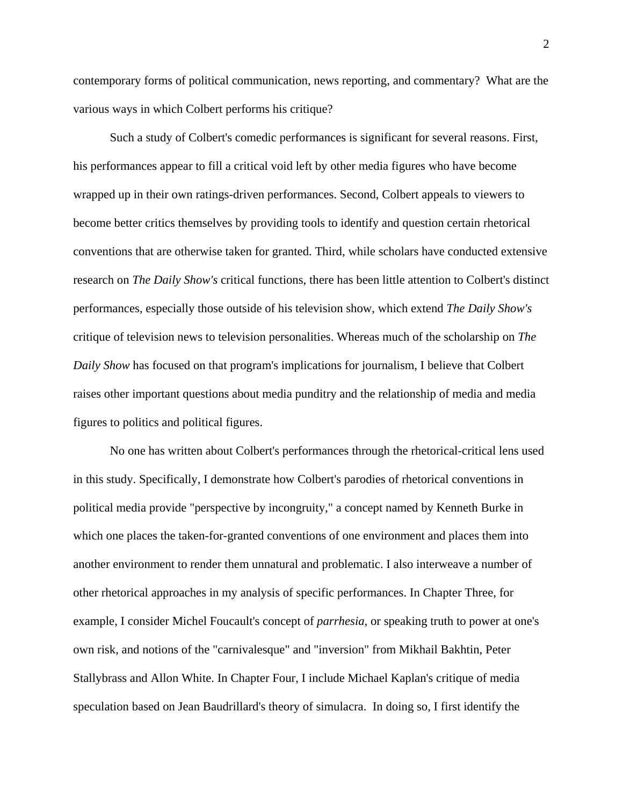contemporary forms of political communication, news reporting, and commentary? What are the various ways in which Colbert performs his critique?

Such a study of Colbert's comedic performances is significant for several reasons. First, his performances appear to fill a critical void left by other media figures who have become wrapped up in their own ratings-driven performances. Second, Colbert appeals to viewers to become better critics themselves by providing tools to identify and question certain rhetorical conventions that are otherwise taken for granted. Third, while scholars have conducted extensive research on *The Daily Show's* critical functions, there has been little attention to Colbert's distinct performances, especially those outside of his television show, which extend *The Daily Show's* critique of television news to television personalities. Whereas much of the scholarship on *The Daily Show* has focused on that program's implications for journalism, I believe that Colbert raises other important questions about media punditry and the relationship of media and media figures to politics and political figures.

No one has written about Colbert's performances through the rhetorical-critical lens used in this study. Specifically, I demonstrate how Colbert's parodies of rhetorical conventions in political media provide "perspective by incongruity," a concept named by Kenneth Burke in which one places the taken-for-granted conventions of one environment and places them into another environment to render them unnatural and problematic. I also interweave a number of other rhetorical approaches in my analysis of specific performances. In Chapter Three, for example, I consider Michel Foucault's concept of *parrhesia,* or speaking truth to power at one's own risk, and notions of the "carnivalesque" and "inversion" from Mikhail Bakhtin, Peter Stallybrass and Allon White. In Chapter Four, I include Michael Kaplan's critique of media speculation based on Jean Baudrillard's theory of simulacra. In doing so, I first identify the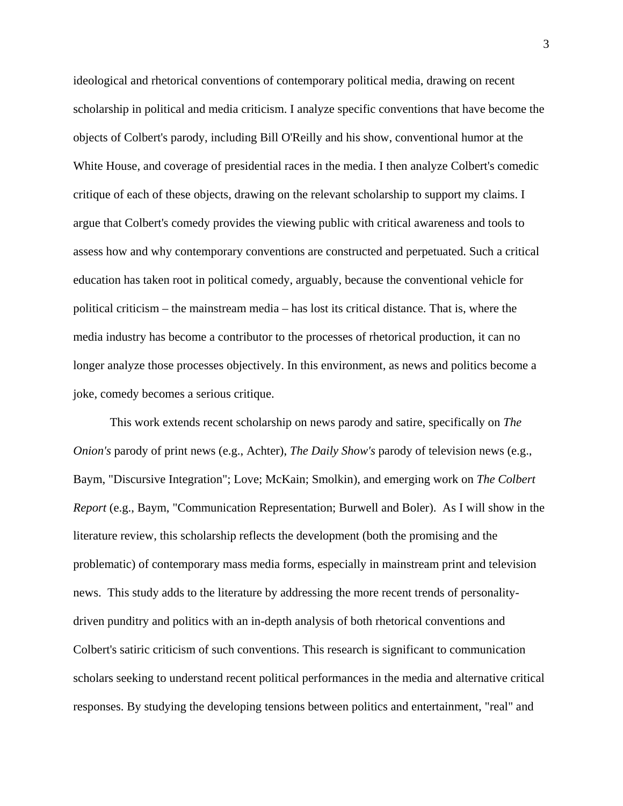ideological and rhetorical conventions of contemporary political media, drawing on recent scholarship in political and media criticism. I analyze specific conventions that have become the objects of Colbert's parody, including Bill O'Reilly and his show, conventional humor at the White House, and coverage of presidential races in the media. I then analyze Colbert's comedic critique of each of these objects, drawing on the relevant scholarship to support my claims. I argue that Colbert's comedy provides the viewing public with critical awareness and tools to assess how and why contemporary conventions are constructed and perpetuated. Such a critical education has taken root in political comedy, arguably, because the conventional vehicle for political criticism – the mainstream media – has lost its critical distance. That is, where the media industry has become a contributor to the processes of rhetorical production, it can no longer analyze those processes objectively. In this environment, as news and politics become a joke, comedy becomes a serious critique.

This work extends recent scholarship on news parody and satire, specifically on *The Onion's* parody of print news (e.g., Achter), *The Daily Show's* parody of television news (e.g., Baym, "Discursive Integration"; Love; McKain; Smolkin), and emerging work on *The Colbert Report* (e.g., Baym, "Communication Representation; Burwell and Boler). As I will show in the literature review, this scholarship reflects the development (both the promising and the problematic) of contemporary mass media forms, especially in mainstream print and television news. This study adds to the literature by addressing the more recent trends of personalitydriven punditry and politics with an in-depth analysis of both rhetorical conventions and Colbert's satiric criticism of such conventions. This research is significant to communication scholars seeking to understand recent political performances in the media and alternative critical responses. By studying the developing tensions between politics and entertainment, "real" and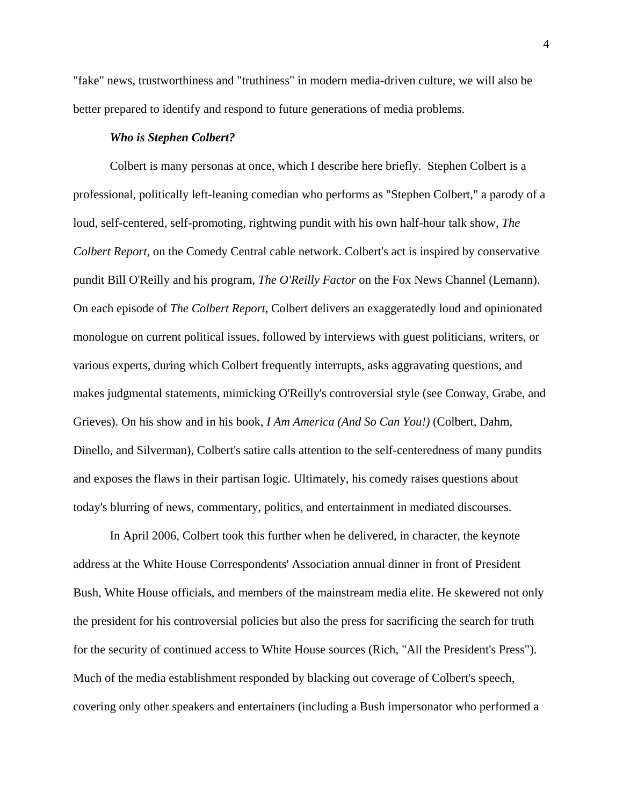"fake" news, trustworthiness and "truthiness" in modern media-driven culture, we will also be better prepared to identify and respond to future generations of media problems.

#### *Who is Stephen Colbert?*

Colbert is many personas at once, which I describe here briefly. Stephen Colbert is a professional, politically left-leaning comedian who performs as "Stephen Colbert," a parody of a loud, self-centered, self-promoting, rightwing pundit with his own half-hour talk show, *The Colbert Report,* on the Comedy Central cable network. Colbert's act is inspired by conservative pundit Bill O'Reilly and his program, *The O'Reilly Factor* on the Fox News Channel (Lemann). On each episode of *The Colbert Report,* Colbert delivers an exaggeratedly loud and opinionated monologue on current political issues, followed by interviews with guest politicians, writers, or various experts, during which Colbert frequently interrupts, asks aggravating questions, and makes judgmental statements, mimicking O'Reilly's controversial style (see Conway, Grabe, and Grieves). On his show and in his book, *I Am America (And So Can You!)* (Colbert, Dahm, Dinello, and Silverman), Colbert's satire calls attention to the self-centeredness of many pundits and exposes the flaws in their partisan logic. Ultimately, his comedy raises questions about today's blurring of news, commentary, politics, and entertainment in mediated discourses.

In April 2006, Colbert took this further when he delivered, in character, the keynote address at the White House Correspondents' Association annual dinner in front of President Bush, White House officials, and members of the mainstream media elite. He skewered not only the president for his controversial policies but also the press for sacrificing the search for truth for the security of continued access to White House sources (Rich, "All the President's Press"). Much of the media establishment responded by blacking out coverage of Colbert's speech, covering only other speakers and entertainers (including a Bush impersonator who performed a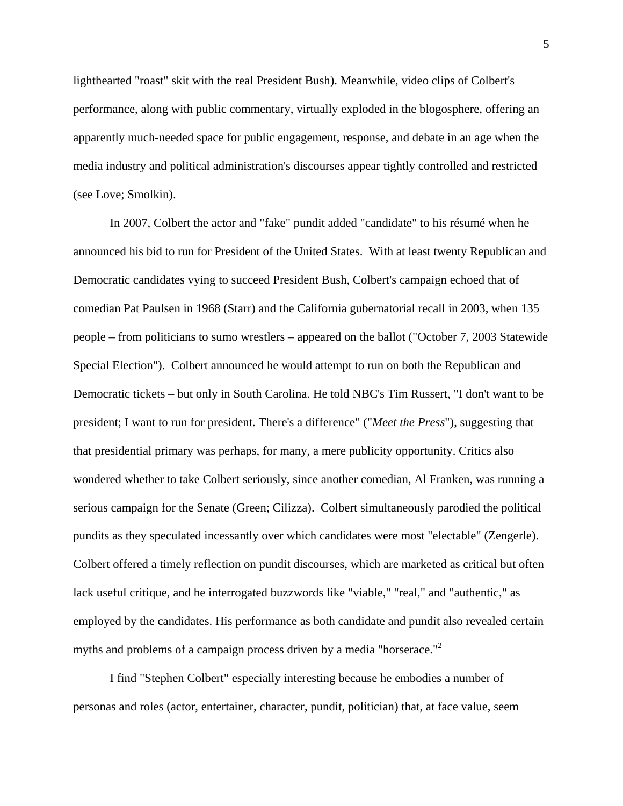lighthearted "roast" skit with the real President Bush). Meanwhile, video clips of Colbert's performance, along with public commentary, virtually exploded in the blogosphere, offering an apparently much-needed space for public engagement, response, and debate in an age when the media industry and political administration's discourses appear tightly controlled and restricted (see Love; Smolkin).

In 2007, Colbert the actor and "fake" pundit added "candidate" to his résumé when he announced his bid to run for President of the United States. With at least twenty Republican and Democratic candidates vying to succeed President Bush, Colbert's campaign echoed that of comedian Pat Paulsen in 1968 (Starr) and the California gubernatorial recall in 2003, when 135 people – from politicians to sumo wrestlers – appeared on the ballot ("October 7, 2003 Statewide Special Election"). Colbert announced he would attempt to run on both the Republican and Democratic tickets – but only in South Carolina. He told NBC's Tim Russert, "I don't want to be president; I want to run for president. There's a difference" ("*Meet the Press*"), suggesting that that presidential primary was perhaps, for many, a mere publicity opportunity. Critics also wondered whether to take Colbert seriously, since another comedian, Al Franken, was running a serious campaign for the Senate (Green; Cilizza). Colbert simultaneously parodied the political pundits as they speculated incessantly over which candidates were most "electable" (Zengerle). Colbert offered a timely reflection on pundit discourses, which are marketed as critical but often lack useful critique, and he interrogated buzzwords like "viable," "real," and "authentic," as employed by the candidates. His performance as both candidate and pundit also revealed certain myths and problems of a campaign process driven by a media "horserace."<sup>2</sup>

I find "Stephen Colbert" especially interesting because he embodies a number of personas and roles (actor, entertainer, character, pundit, politician) that, at face value, seem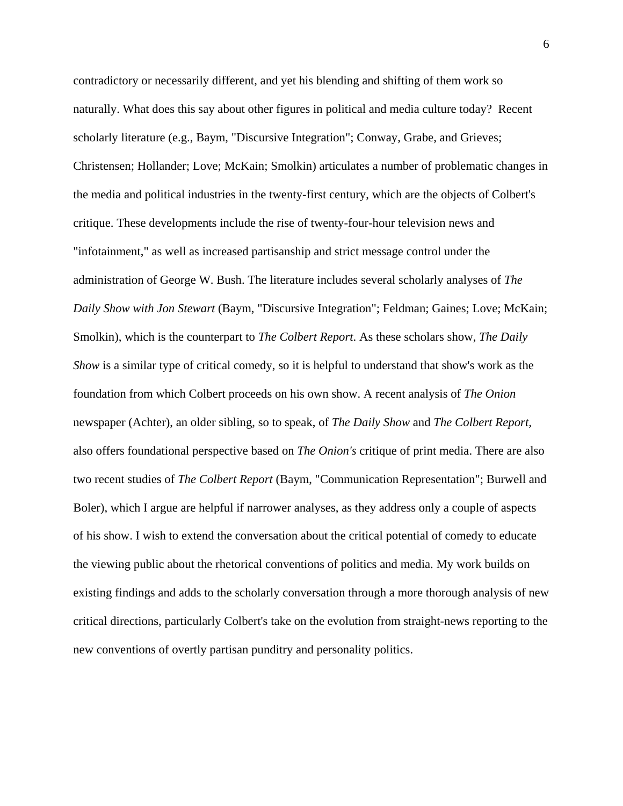contradictory or necessarily different, and yet his blending and shifting of them work so naturally. What does this say about other figures in political and media culture today? Recent scholarly literature (e.g., Baym, "Discursive Integration"; Conway, Grabe, and Grieves; Christensen; Hollander; Love; McKain; Smolkin) articulates a number of problematic changes in the media and political industries in the twenty-first century, which are the objects of Colbert's critique. These developments include the rise of twenty-four-hour television news and "infotainment," as well as increased partisanship and strict message control under the administration of George W. Bush. The literature includes several scholarly analyses of *The Daily Show with Jon Stewart* (Baym, "Discursive Integration"; Feldman; Gaines; Love; McKain; Smolkin), which is the counterpart to *The Colbert Report*. As these scholars show, *The Daily Show* is a similar type of critical comedy, so it is helpful to understand that show's work as the foundation from which Colbert proceeds on his own show. A recent analysis of *The Onion* newspaper (Achter), an older sibling, so to speak, of *The Daily Show* and *The Colbert Report,* also offers foundational perspective based on *The Onion's* critique of print media. There are also two recent studies of *The Colbert Report* (Baym, "Communication Representation"; Burwell and Boler), which I argue are helpful if narrower analyses, as they address only a couple of aspects of his show. I wish to extend the conversation about the critical potential of comedy to educate the viewing public about the rhetorical conventions of politics and media. My work builds on existing findings and adds to the scholarly conversation through a more thorough analysis of new critical directions, particularly Colbert's take on the evolution from straight-news reporting to the new conventions of overtly partisan punditry and personality politics.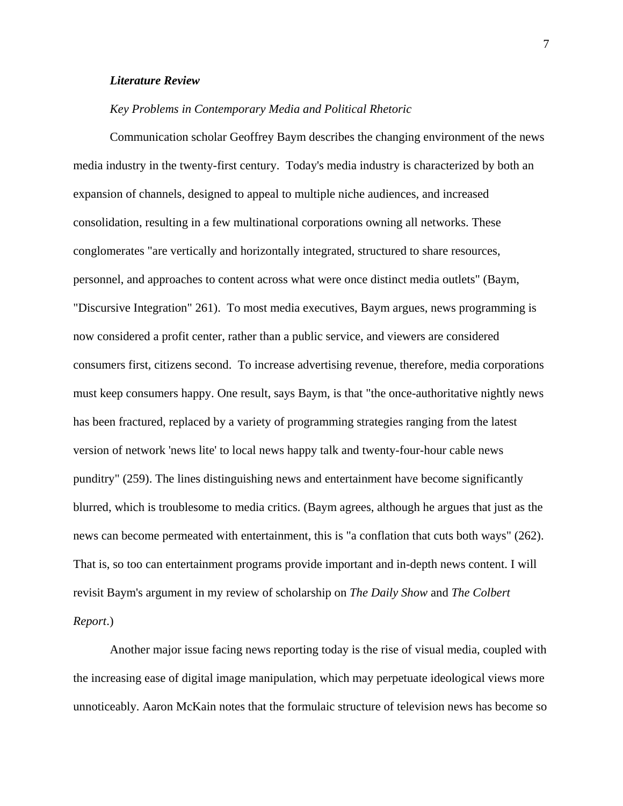### *Literature Review*

### *Key Problems in Contemporary Media and Political Rhetoric*

Communication scholar Geoffrey Baym describes the changing environment of the news media industry in the twenty-first century. Today's media industry is characterized by both an expansion of channels, designed to appeal to multiple niche audiences, and increased consolidation, resulting in a few multinational corporations owning all networks. These conglomerates "are vertically and horizontally integrated, structured to share resources, personnel, and approaches to content across what were once distinct media outlets" (Baym, "Discursive Integration" 261). To most media executives, Baym argues, news programming is now considered a profit center, rather than a public service, and viewers are considered consumers first, citizens second. To increase advertising revenue, therefore, media corporations must keep consumers happy. One result, says Baym, is that "the once-authoritative nightly news has been fractured, replaced by a variety of programming strategies ranging from the latest version of network 'news lite' to local news happy talk and twenty-four-hour cable news punditry" (259). The lines distinguishing news and entertainment have become significantly blurred, which is troublesome to media critics. (Baym agrees, although he argues that just as the news can become permeated with entertainment, this is "a conflation that cuts both ways" (262). That is, so too can entertainment programs provide important and in-depth news content. I will revisit Baym's argument in my review of scholarship on *The Daily Show* and *The Colbert Report*.)

Another major issue facing news reporting today is the rise of visual media, coupled with the increasing ease of digital image manipulation, which may perpetuate ideological views more unnoticeably. Aaron McKain notes that the formulaic structure of television news has become so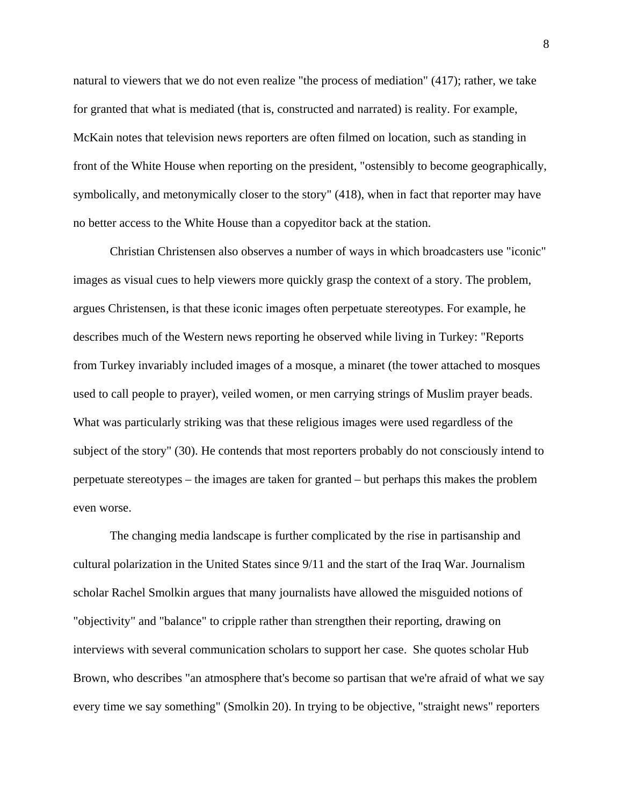natural to viewers that we do not even realize "the process of mediation" (417); rather, we take for granted that what is mediated (that is, constructed and narrated) is reality. For example, McKain notes that television news reporters are often filmed on location, such as standing in front of the White House when reporting on the president, "ostensibly to become geographically, symbolically, and metonymically closer to the story" (418), when in fact that reporter may have no better access to the White House than a copyeditor back at the station.

Christian Christensen also observes a number of ways in which broadcasters use "iconic" images as visual cues to help viewers more quickly grasp the context of a story. The problem, argues Christensen, is that these iconic images often perpetuate stereotypes. For example, he describes much of the Western news reporting he observed while living in Turkey: "Reports from Turkey invariably included images of a mosque, a minaret (the tower attached to mosques used to call people to prayer), veiled women, or men carrying strings of Muslim prayer beads. What was particularly striking was that these religious images were used regardless of the subject of the story" (30). He contends that most reporters probably do not consciously intend to perpetuate stereotypes – the images are taken for granted – but perhaps this makes the problem even worse.

 The changing media landscape is further complicated by the rise in partisanship and cultural polarization in the United States since 9/11 and the start of the Iraq War. Journalism scholar Rachel Smolkin argues that many journalists have allowed the misguided notions of "objectivity" and "balance" to cripple rather than strengthen their reporting, drawing on interviews with several communication scholars to support her case. She quotes scholar Hub Brown, who describes "an atmosphere that's become so partisan that we're afraid of what we say every time we say something" (Smolkin 20). In trying to be objective, "straight news" reporters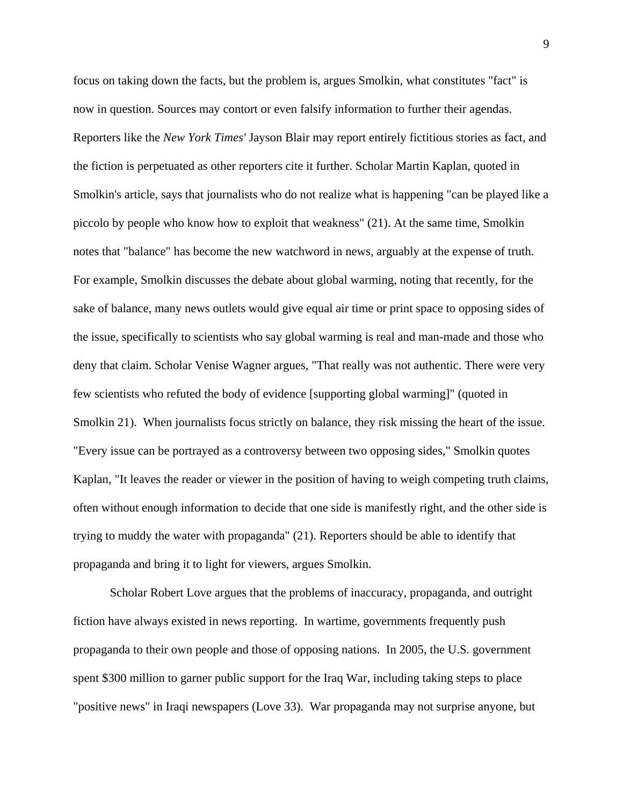focus on taking down the facts, but the problem is, argues Smolkin, what constitutes "fact" is now in question. Sources may contort or even falsify information to further their agendas. Reporters like the *New York Times'* Jayson Blair may report entirely fictitious stories as fact, and the fiction is perpetuated as other reporters cite it further. Scholar Martin Kaplan, quoted in Smolkin's article, says that journalists who do not realize what is happening "can be played like a piccolo by people who know how to exploit that weakness" (21). At the same time, Smolkin notes that "balance" has become the new watchword in news, arguably at the expense of truth. For example, Smolkin discusses the debate about global warming, noting that recently, for the sake of balance, many news outlets would give equal air time or print space to opposing sides of the issue, specifically to scientists who say global warming is real and man-made and those who deny that claim. Scholar Venise Wagner argues, "That really was not authentic. There were very few scientists who refuted the body of evidence [supporting global warming]" (quoted in Smolkin 21). When journalists focus strictly on balance, they risk missing the heart of the issue. "Every issue can be portrayed as a controversy between two opposing sides," Smolkin quotes Kaplan, "It leaves the reader or viewer in the position of having to weigh competing truth claims, often without enough information to decide that one side is manifestly right, and the other side is trying to muddy the water with propaganda" (21). Reporters should be able to identify that propaganda and bring it to light for viewers, argues Smolkin.

 Scholar Robert Love argues that the problems of inaccuracy, propaganda, and outright fiction have always existed in news reporting. In wartime, governments frequently push propaganda to their own people and those of opposing nations. In 2005, the U.S. government spent \$300 million to garner public support for the Iraq War, including taking steps to place "positive news" in Iraqi newspapers (Love 33). War propaganda may not surprise anyone, but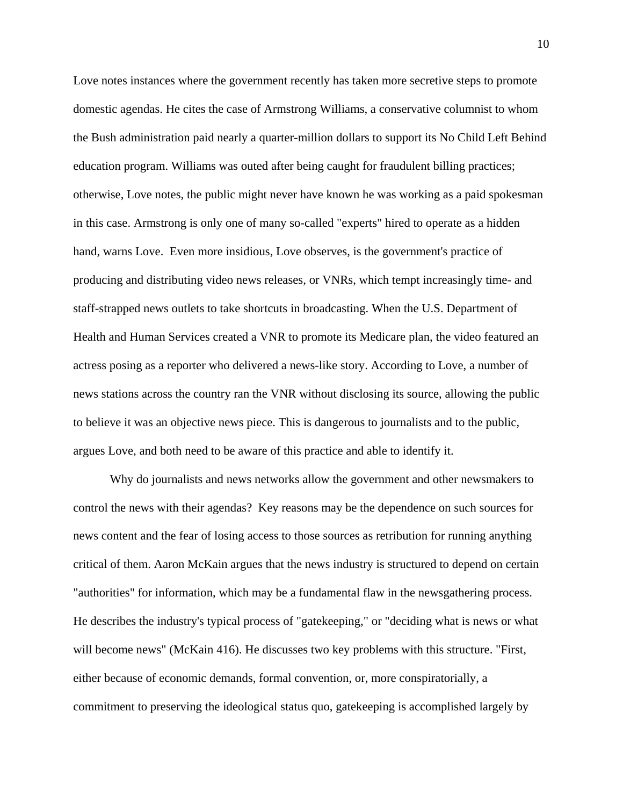Love notes instances where the government recently has taken more secretive steps to promote domestic agendas. He cites the case of Armstrong Williams, a conservative columnist to whom the Bush administration paid nearly a quarter-million dollars to support its No Child Left Behind education program. Williams was outed after being caught for fraudulent billing practices; otherwise, Love notes, the public might never have known he was working as a paid spokesman in this case. Armstrong is only one of many so-called "experts" hired to operate as a hidden hand, warns Love. Even more insidious, Love observes, is the government's practice of producing and distributing video news releases, or VNRs, which tempt increasingly time- and staff-strapped news outlets to take shortcuts in broadcasting. When the U.S. Department of Health and Human Services created a VNR to promote its Medicare plan, the video featured an actress posing as a reporter who delivered a news-like story. According to Love, a number of news stations across the country ran the VNR without disclosing its source, allowing the public to believe it was an objective news piece. This is dangerous to journalists and to the public, argues Love, and both need to be aware of this practice and able to identify it.

 Why do journalists and news networks allow the government and other newsmakers to control the news with their agendas? Key reasons may be the dependence on such sources for news content and the fear of losing access to those sources as retribution for running anything critical of them. Aaron McKain argues that the news industry is structured to depend on certain "authorities" for information, which may be a fundamental flaw in the newsgathering process. He describes the industry's typical process of "gatekeeping," or "deciding what is news or what will become news" (McKain 416). He discusses two key problems with this structure. "First, either because of economic demands, formal convention, or, more conspiratorially, a commitment to preserving the ideological status quo, gatekeeping is accomplished largely by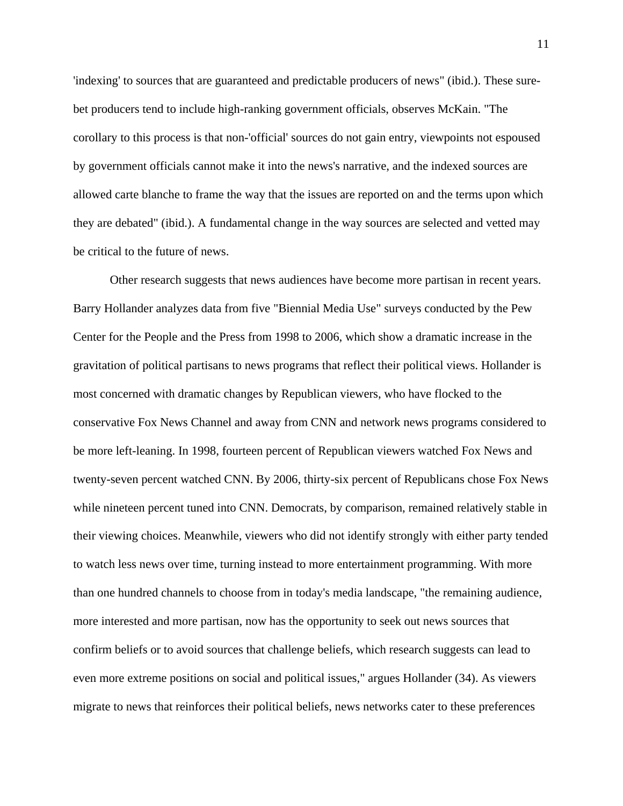'indexing' to sources that are guaranteed and predictable producers of news" (ibid.). These surebet producers tend to include high-ranking government officials, observes McKain. "The corollary to this process is that non-'official' sources do not gain entry, viewpoints not espoused by government officials cannot make it into the news's narrative, and the indexed sources are allowed carte blanche to frame the way that the issues are reported on and the terms upon which they are debated" (ibid.). A fundamental change in the way sources are selected and vetted may be critical to the future of news.

 Other research suggests that news audiences have become more partisan in recent years. Barry Hollander analyzes data from five "Biennial Media Use" surveys conducted by the Pew Center for the People and the Press from 1998 to 2006, which show a dramatic increase in the gravitation of political partisans to news programs that reflect their political views. Hollander is most concerned with dramatic changes by Republican viewers, who have flocked to the conservative Fox News Channel and away from CNN and network news programs considered to be more left-leaning. In 1998, fourteen percent of Republican viewers watched Fox News and twenty-seven percent watched CNN. By 2006, thirty-six percent of Republicans chose Fox News while nineteen percent tuned into CNN. Democrats, by comparison, remained relatively stable in their viewing choices. Meanwhile, viewers who did not identify strongly with either party tended to watch less news over time, turning instead to more entertainment programming. With more than one hundred channels to choose from in today's media landscape, "the remaining audience, more interested and more partisan, now has the opportunity to seek out news sources that confirm beliefs or to avoid sources that challenge beliefs, which research suggests can lead to even more extreme positions on social and political issues," argues Hollander (34). As viewers migrate to news that reinforces their political beliefs, news networks cater to these preferences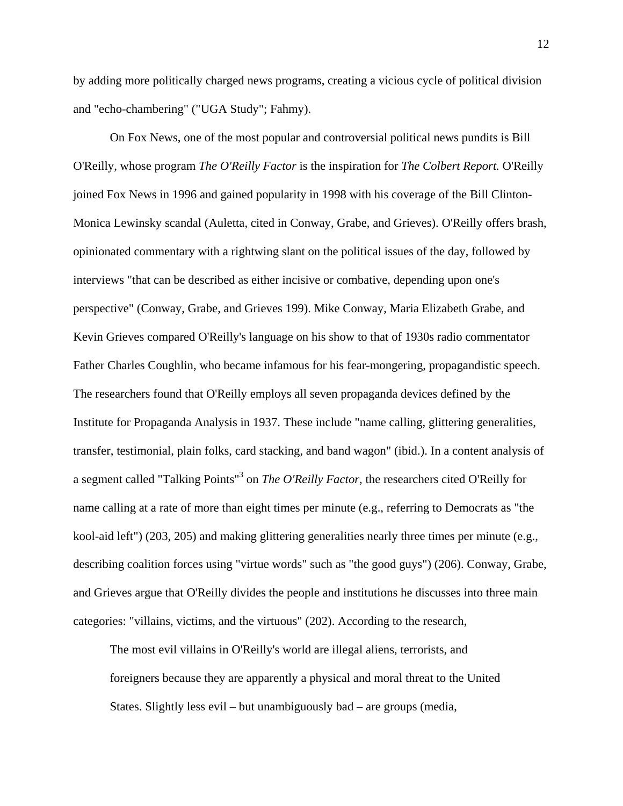by adding more politically charged news programs, creating a vicious cycle of political division and "echo-chambering" ("UGA Study"; Fahmy).

On Fox News, one of the most popular and controversial political news pundits is Bill O'Reilly, whose program *The O'Reilly Factor* is the inspiration for *The Colbert Report.* O'Reilly joined Fox News in 1996 and gained popularity in 1998 with his coverage of the Bill Clinton-Monica Lewinsky scandal (Auletta, cited in Conway, Grabe, and Grieves). O'Reilly offers brash, opinionated commentary with a rightwing slant on the political issues of the day, followed by interviews "that can be described as either incisive or combative, depending upon one's perspective" (Conway, Grabe, and Grieves 199). Mike Conway, Maria Elizabeth Grabe, and Kevin Grieves compared O'Reilly's language on his show to that of 1930s radio commentator Father Charles Coughlin, who became infamous for his fear-mongering, propagandistic speech. The researchers found that O'Reilly employs all seven propaganda devices defined by the Institute for Propaganda Analysis in 1937. These include "name calling, glittering generalities, transfer, testimonial, plain folks, card stacking, and band wagon" (ibid.). In a content analysis of a segment called "Talking Points"<sup>3</sup> on *The O'Reilly Factor*, the researchers cited O'Reilly for name calling at a rate of more than eight times per minute (e.g., referring to Democrats as "the kool-aid left") (203, 205) and making glittering generalities nearly three times per minute (e.g., describing coalition forces using "virtue words" such as "the good guys") (206). Conway, Grabe, and Grieves argue that O'Reilly divides the people and institutions he discusses into three main categories: "villains, victims, and the virtuous" (202). According to the research,

The most evil villains in O'Reilly's world are illegal aliens, terrorists, and foreigners because they are apparently a physical and moral threat to the United States. Slightly less evil – but unambiguously bad – are groups (media,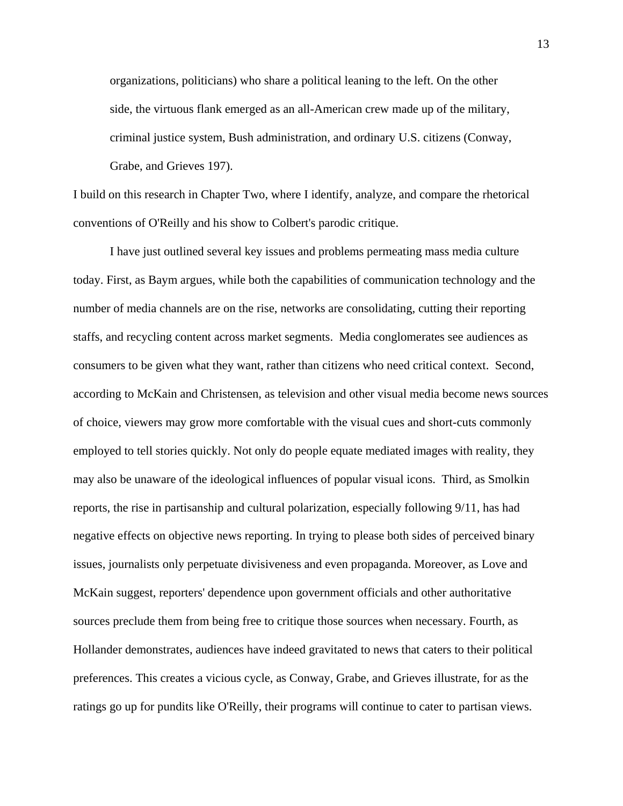organizations, politicians) who share a political leaning to the left. On the other side, the virtuous flank emerged as an all-American crew made up of the military, criminal justice system, Bush administration, and ordinary U.S. citizens (Conway, Grabe, and Grieves 197).

I build on this research in Chapter Two, where I identify, analyze, and compare the rhetorical conventions of O'Reilly and his show to Colbert's parodic critique.

 I have just outlined several key issues and problems permeating mass media culture today. First, as Baym argues, while both the capabilities of communication technology and the number of media channels are on the rise, networks are consolidating, cutting their reporting staffs, and recycling content across market segments. Media conglomerates see audiences as consumers to be given what they want, rather than citizens who need critical context. Second, according to McKain and Christensen, as television and other visual media become news sources of choice, viewers may grow more comfortable with the visual cues and short-cuts commonly employed to tell stories quickly. Not only do people equate mediated images with reality, they may also be unaware of the ideological influences of popular visual icons. Third, as Smolkin reports, the rise in partisanship and cultural polarization, especially following 9/11, has had negative effects on objective news reporting. In trying to please both sides of perceived binary issues, journalists only perpetuate divisiveness and even propaganda. Moreover, as Love and McKain suggest, reporters' dependence upon government officials and other authoritative sources preclude them from being free to critique those sources when necessary. Fourth, as Hollander demonstrates, audiences have indeed gravitated to news that caters to their political preferences. This creates a vicious cycle, as Conway, Grabe, and Grieves illustrate, for as the ratings go up for pundits like O'Reilly, their programs will continue to cater to partisan views.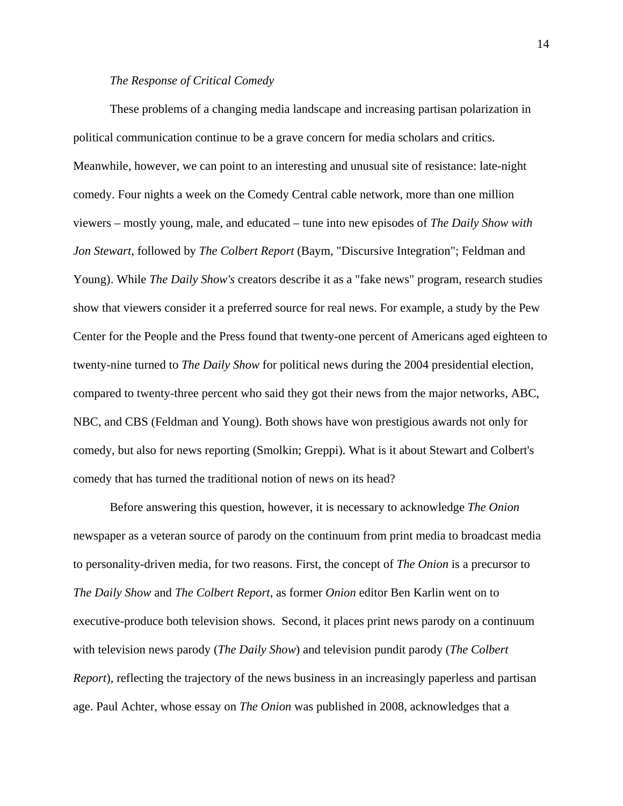### *The Response of Critical Comedy*

These problems of a changing media landscape and increasing partisan polarization in political communication continue to be a grave concern for media scholars and critics. Meanwhile, however, we can point to an interesting and unusual site of resistance: late-night comedy. Four nights a week on the Comedy Central cable network, more than one million viewers – mostly young, male, and educated – tune into new episodes of *The Daily Show with Jon Stewart,* followed by *The Colbert Report* (Baym, "Discursive Integration"; Feldman and Young). While *The Daily Show's* creators describe it as a "fake news" program, research studies show that viewers consider it a preferred source for real news. For example, a study by the Pew Center for the People and the Press found that twenty-one percent of Americans aged eighteen to twenty-nine turned to *The Daily Show* for political news during the 2004 presidential election, compared to twenty-three percent who said they got their news from the major networks, ABC, NBC, and CBS (Feldman and Young). Both shows have won prestigious awards not only for comedy, but also for news reporting (Smolkin; Greppi). What is it about Stewart and Colbert's comedy that has turned the traditional notion of news on its head?

Before answering this question, however, it is necessary to acknowledge *The Onion* newspaper as a veteran source of parody on the continuum from print media to broadcast media to personality-driven media, for two reasons. First, the concept of *The Onion* is a precursor to *The Daily Show* and *The Colbert Report,* as former *Onion* editor Ben Karlin went on to executive-produce both television shows. Second, it places print news parody on a continuum with television news parody (*The Daily Show*) and television pundit parody (*The Colbert Report*), reflecting the trajectory of the news business in an increasingly paperless and partisan age. Paul Achter, whose essay on *The Onion* was published in 2008, acknowledges that a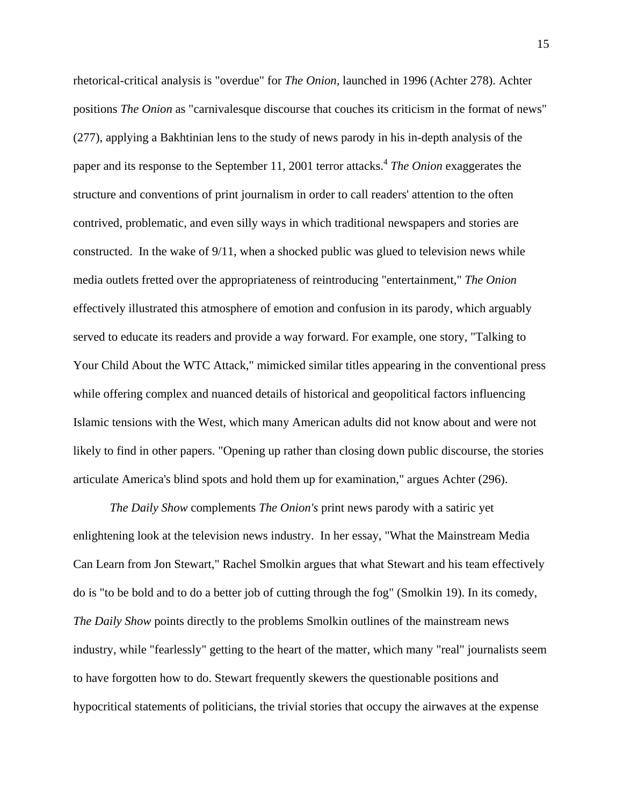rhetorical-critical analysis is "overdue" for *The Onion,* launched in 1996 (Achter 278). Achter positions *The Onion* as "carnivalesque discourse that couches its criticism in the format of news" (277), applying a Bakhtinian lens to the study of news parody in his in-depth analysis of the paper and its response to the September 11, 2001 terror attacks.<sup>4</sup> *The Onion* exaggerates the structure and conventions of print journalism in order to call readers' attention to the often contrived, problematic, and even silly ways in which traditional newspapers and stories are constructed. In the wake of 9/11, when a shocked public was glued to television news while media outlets fretted over the appropriateness of reintroducing "entertainment," *The Onion* effectively illustrated this atmosphere of emotion and confusion in its parody, which arguably served to educate its readers and provide a way forward. For example, one story, "Talking to Your Child About the WTC Attack," mimicked similar titles appearing in the conventional press while offering complex and nuanced details of historical and geopolitical factors influencing Islamic tensions with the West, which many American adults did not know about and were not likely to find in other papers. "Opening up rather than closing down public discourse, the stories articulate America's blind spots and hold them up for examination," argues Achter (296).

*The Daily Show* complements *The Onion's* print news parody with a satiric yet enlightening look at the television news industry. In her essay, "What the Mainstream Media Can Learn from Jon Stewart," Rachel Smolkin argues that what Stewart and his team effectively do is "to be bold and to do a better job of cutting through the fog" (Smolkin 19). In its comedy, *The Daily Show* points directly to the problems Smolkin outlines of the mainstream news industry, while "fearlessly" getting to the heart of the matter, which many "real" journalists seem to have forgotten how to do. Stewart frequently skewers the questionable positions and hypocritical statements of politicians, the trivial stories that occupy the airwaves at the expense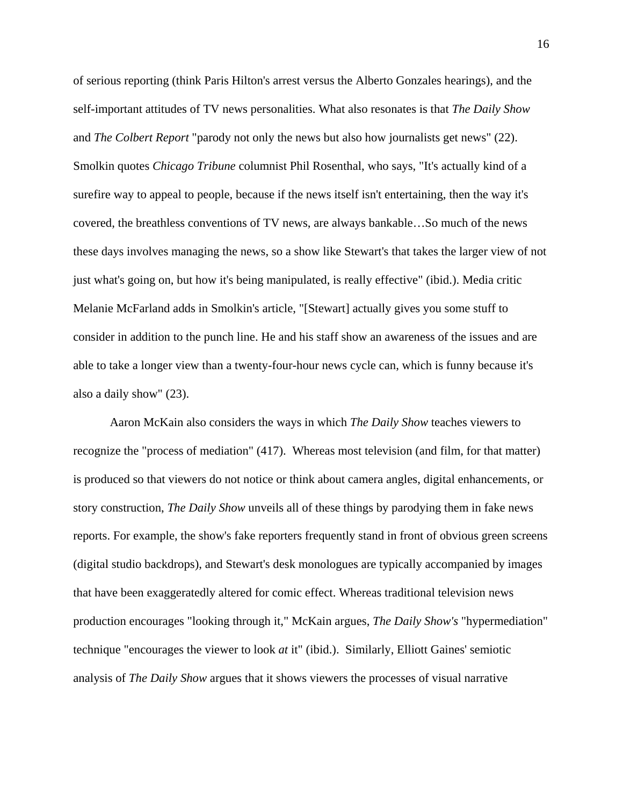of serious reporting (think Paris Hilton's arrest versus the Alberto Gonzales hearings), and the self-important attitudes of TV news personalities. What also resonates is that *The Daily Show*  and *The Colbert Report* "parody not only the news but also how journalists get news" (22). Smolkin quotes *Chicago Tribune* columnist Phil Rosenthal, who says, "It's actually kind of a surefire way to appeal to people, because if the news itself isn't entertaining, then the way it's covered, the breathless conventions of TV news, are always bankable…So much of the news these days involves managing the news, so a show like Stewart's that takes the larger view of not just what's going on, but how it's being manipulated, is really effective" (ibid.). Media critic Melanie McFarland adds in Smolkin's article, "[Stewart] actually gives you some stuff to consider in addition to the punch line. He and his staff show an awareness of the issues and are able to take a longer view than a twenty-four-hour news cycle can, which is funny because it's also a daily show" (23).

 Aaron McKain also considers the ways in which *The Daily Show* teaches viewers to recognize the "process of mediation" (417). Whereas most television (and film, for that matter) is produced so that viewers do not notice or think about camera angles, digital enhancements, or story construction, *The Daily Show* unveils all of these things by parodying them in fake news reports. For example, the show's fake reporters frequently stand in front of obvious green screens (digital studio backdrops), and Stewart's desk monologues are typically accompanied by images that have been exaggeratedly altered for comic effect. Whereas traditional television news production encourages "looking through it," McKain argues, *The Daily Show's* "hypermediation" technique "encourages the viewer to look *at* it" (ibid.). Similarly, Elliott Gaines' semiotic analysis of *The Daily Show* argues that it shows viewers the processes of visual narrative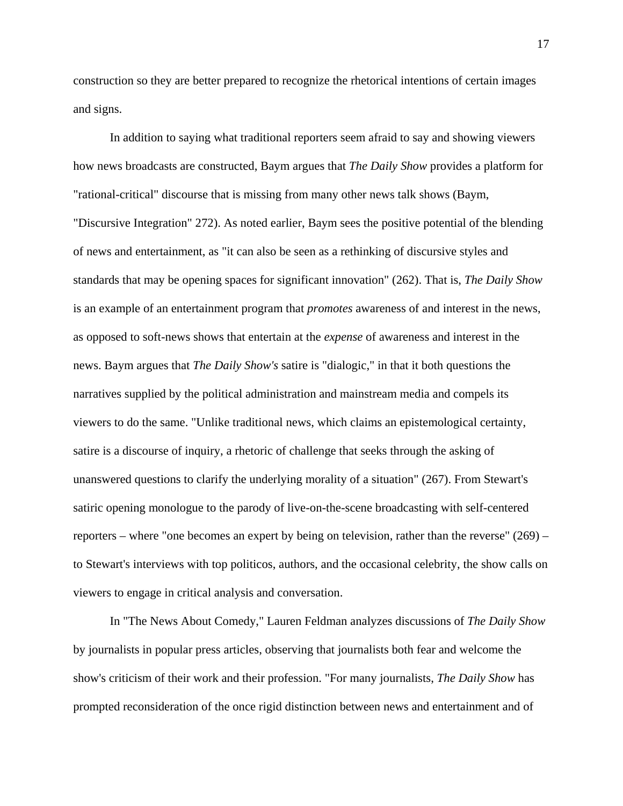construction so they are better prepared to recognize the rhetorical intentions of certain images and signs.

 In addition to saying what traditional reporters seem afraid to say and showing viewers how news broadcasts are constructed, Baym argues that *The Daily Show* provides a platform for "rational-critical" discourse that is missing from many other news talk shows (Baym, "Discursive Integration" 272). As noted earlier, Baym sees the positive potential of the blending of news and entertainment, as "it can also be seen as a rethinking of discursive styles and standards that may be opening spaces for significant innovation" (262). That is, *The Daily Show* is an example of an entertainment program that *promotes* awareness of and interest in the news, as opposed to soft-news shows that entertain at the *expense* of awareness and interest in the news. Baym argues that *The Daily Show's* satire is "dialogic," in that it both questions the narratives supplied by the political administration and mainstream media and compels its viewers to do the same. "Unlike traditional news, which claims an epistemological certainty, satire is a discourse of inquiry, a rhetoric of challenge that seeks through the asking of unanswered questions to clarify the underlying morality of a situation" (267). From Stewart's satiric opening monologue to the parody of live-on-the-scene broadcasting with self-centered reporters – where "one becomes an expert by being on television, rather than the reverse" (269) – to Stewart's interviews with top politicos, authors, and the occasional celebrity, the show calls on viewers to engage in critical analysis and conversation.

In "The News About Comedy," Lauren Feldman analyzes discussions of *The Daily Show* by journalists in popular press articles, observing that journalists both fear and welcome the show's criticism of their work and their profession. "For many journalists, *The Daily Show* has prompted reconsideration of the once rigid distinction between news and entertainment and of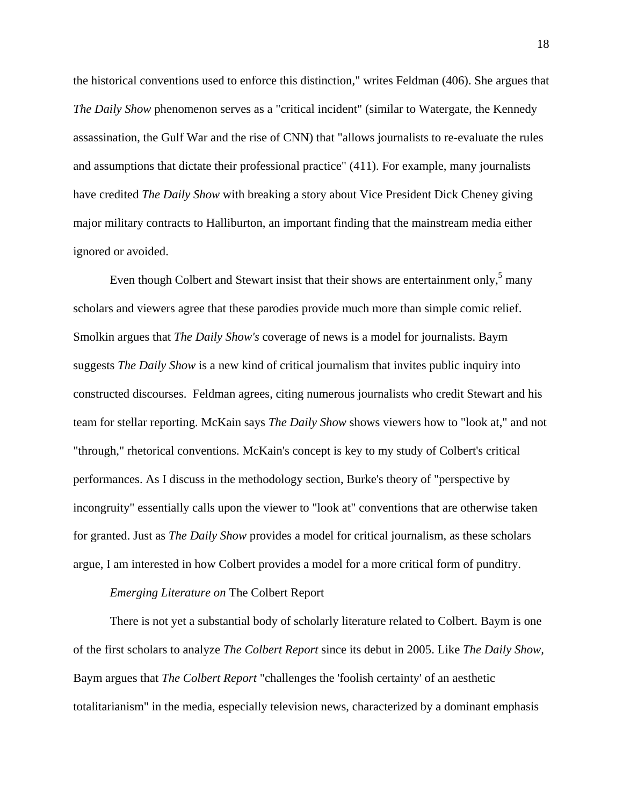the historical conventions used to enforce this distinction," writes Feldman (406). She argues that *The Daily Show* phenomenon serves as a "critical incident" (similar to Watergate, the Kennedy assassination, the Gulf War and the rise of CNN) that "allows journalists to re-evaluate the rules and assumptions that dictate their professional practice" (411). For example, many journalists have credited *The Daily Show* with breaking a story about Vice President Dick Cheney giving major military contracts to Halliburton, an important finding that the mainstream media either ignored or avoided.

Even though Colbert and Stewart insist that their shows are entertainment only, $5$  many scholars and viewers agree that these parodies provide much more than simple comic relief. Smolkin argues that *The Daily Show's* coverage of news is a model for journalists. Baym suggests *The Daily Show* is a new kind of critical journalism that invites public inquiry into constructed discourses. Feldman agrees, citing numerous journalists who credit Stewart and his team for stellar reporting. McKain says *The Daily Show* shows viewers how to "look at," and not "through," rhetorical conventions. McKain's concept is key to my study of Colbert's critical performances. As I discuss in the methodology section, Burke's theory of "perspective by incongruity" essentially calls upon the viewer to "look at" conventions that are otherwise taken for granted. Just as *The Daily Show* provides a model for critical journalism, as these scholars argue, I am interested in how Colbert provides a model for a more critical form of punditry.

#### *Emerging Literature on* The Colbert Report

 There is not yet a substantial body of scholarly literature related to Colbert. Baym is one of the first scholars to analyze *The Colbert Report* since its debut in 2005. Like *The Daily Show,* Baym argues that *The Colbert Report* "challenges the 'foolish certainty' of an aesthetic totalitarianism" in the media, especially television news, characterized by a dominant emphasis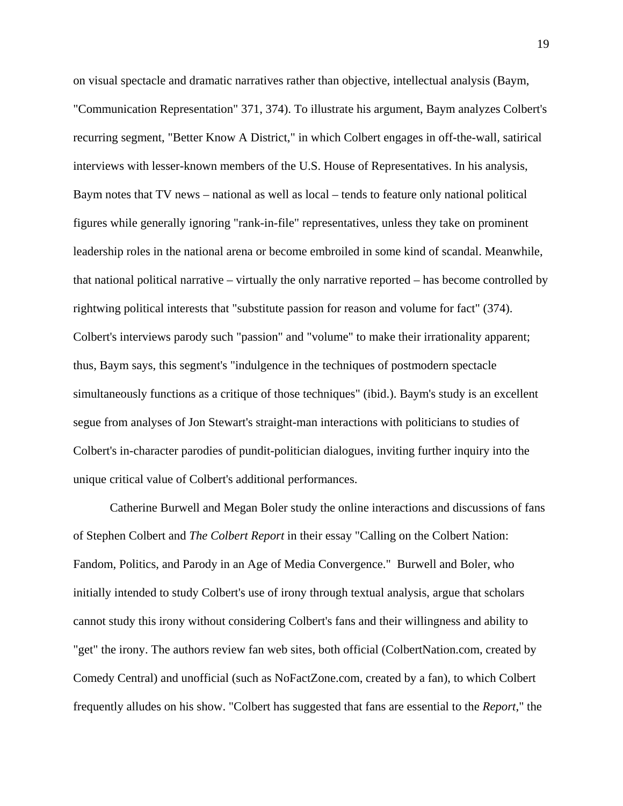on visual spectacle and dramatic narratives rather than objective, intellectual analysis (Baym, "Communication Representation" 371, 374). To illustrate his argument, Baym analyzes Colbert's recurring segment, "Better Know A District," in which Colbert engages in off-the-wall, satirical interviews with lesser-known members of the U.S. House of Representatives. In his analysis, Baym notes that TV news – national as well as local – tends to feature only national political figures while generally ignoring "rank-in-file" representatives, unless they take on prominent leadership roles in the national arena or become embroiled in some kind of scandal. Meanwhile, that national political narrative – virtually the only narrative reported – has become controlled by rightwing political interests that "substitute passion for reason and volume for fact" (374). Colbert's interviews parody such "passion" and "volume" to make their irrationality apparent; thus, Baym says, this segment's "indulgence in the techniques of postmodern spectacle simultaneously functions as a critique of those techniques" (ibid.). Baym's study is an excellent segue from analyses of Jon Stewart's straight-man interactions with politicians to studies of Colbert's in-character parodies of pundit-politician dialogues, inviting further inquiry into the unique critical value of Colbert's additional performances.

Catherine Burwell and Megan Boler study the online interactions and discussions of fans of Stephen Colbert and *The Colbert Report* in their essay "Calling on the Colbert Nation: Fandom, Politics, and Parody in an Age of Media Convergence." Burwell and Boler, who initially intended to study Colbert's use of irony through textual analysis, argue that scholars cannot study this irony without considering Colbert's fans and their willingness and ability to "get" the irony. The authors review fan web sites, both official (ColbertNation.com, created by Comedy Central) and unofficial (such as NoFactZone.com, created by a fan), to which Colbert frequently alludes on his show. "Colbert has suggested that fans are essential to the *Report*," the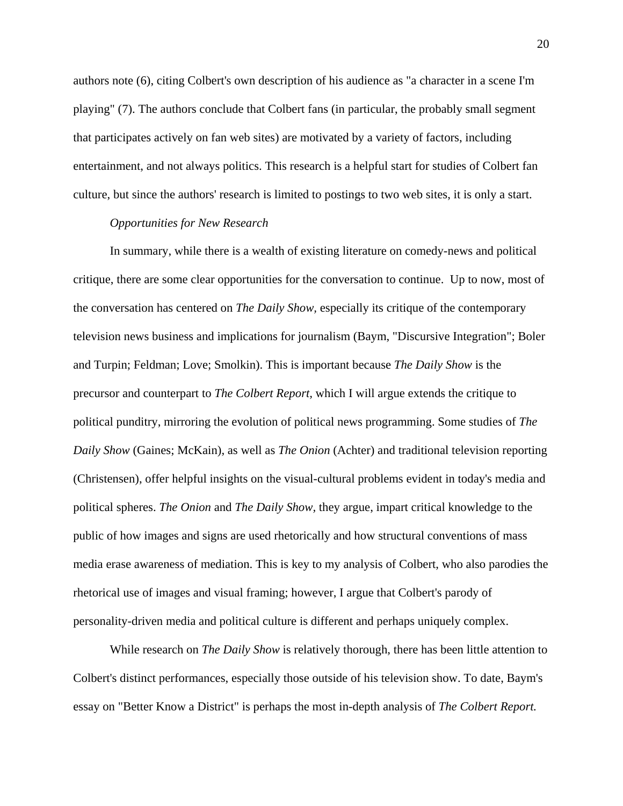authors note (6), citing Colbert's own description of his audience as "a character in a scene I'm playing" (7). The authors conclude that Colbert fans (in particular, the probably small segment that participates actively on fan web sites) are motivated by a variety of factors, including entertainment, and not always politics. This research is a helpful start for studies of Colbert fan culture, but since the authors' research is limited to postings to two web sites, it is only a start.

#### *Opportunities for New Research*

 In summary, while there is a wealth of existing literature on comedy-news and political critique, there are some clear opportunities for the conversation to continue. Up to now, most of the conversation has centered on *The Daily Show,* especially its critique of the contemporary television news business and implications for journalism (Baym, "Discursive Integration"; Boler and Turpin; Feldman; Love; Smolkin). This is important because *The Daily Show* is the precursor and counterpart to *The Colbert Report,* which I will argue extends the critique to political punditry, mirroring the evolution of political news programming. Some studies of *The Daily Show* (Gaines; McKain), as well as *The Onion* (Achter) and traditional television reporting (Christensen), offer helpful insights on the visual-cultural problems evident in today's media and political spheres. *The Onion* and *The Daily Show,* they argue, impart critical knowledge to the public of how images and signs are used rhetorically and how structural conventions of mass media erase awareness of mediation. This is key to my analysis of Colbert, who also parodies the rhetorical use of images and visual framing; however, I argue that Colbert's parody of personality-driven media and political culture is different and perhaps uniquely complex.

 While research on *The Daily Show* is relatively thorough, there has been little attention to Colbert's distinct performances, especially those outside of his television show. To date, Baym's essay on "Better Know a District" is perhaps the most in-depth analysis of *The Colbert Report.*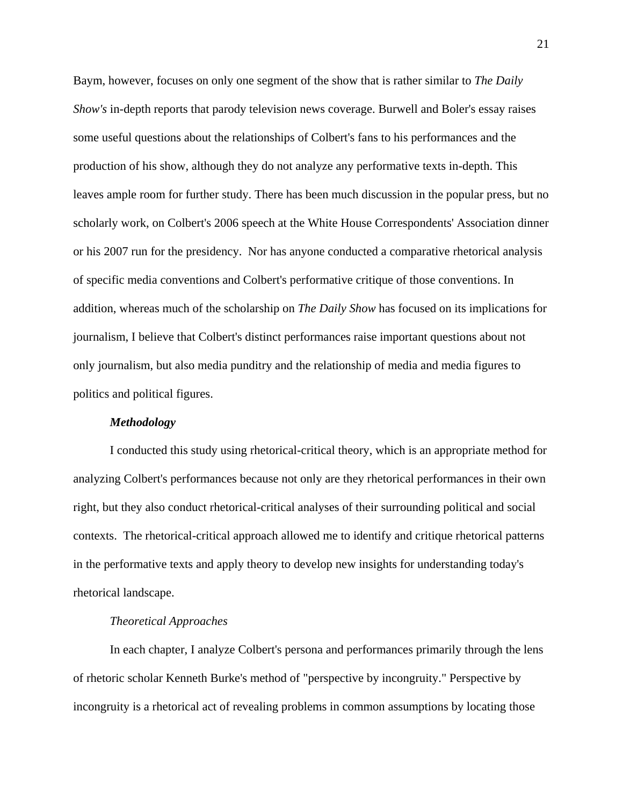Baym, however, focuses on only one segment of the show that is rather similar to *The Daily Show's* in-depth reports that parody television news coverage. Burwell and Boler's essay raises some useful questions about the relationships of Colbert's fans to his performances and the production of his show, although they do not analyze any performative texts in-depth. This leaves ample room for further study. There has been much discussion in the popular press, but no scholarly work, on Colbert's 2006 speech at the White House Correspondents' Association dinner or his 2007 run for the presidency. Nor has anyone conducted a comparative rhetorical analysis of specific media conventions and Colbert's performative critique of those conventions. In addition, whereas much of the scholarship on *The Daily Show* has focused on its implications for journalism, I believe that Colbert's distinct performances raise important questions about not only journalism, but also media punditry and the relationship of media and media figures to politics and political figures.

### *Methodology*

I conducted this study using rhetorical-critical theory, which is an appropriate method for analyzing Colbert's performances because not only are they rhetorical performances in their own right, but they also conduct rhetorical-critical analyses of their surrounding political and social contexts. The rhetorical-critical approach allowed me to identify and critique rhetorical patterns in the performative texts and apply theory to develop new insights for understanding today's rhetorical landscape.

### *Theoretical Approaches*

In each chapter, I analyze Colbert's persona and performances primarily through the lens of rhetoric scholar Kenneth Burke's method of "perspective by incongruity." Perspective by incongruity is a rhetorical act of revealing problems in common assumptions by locating those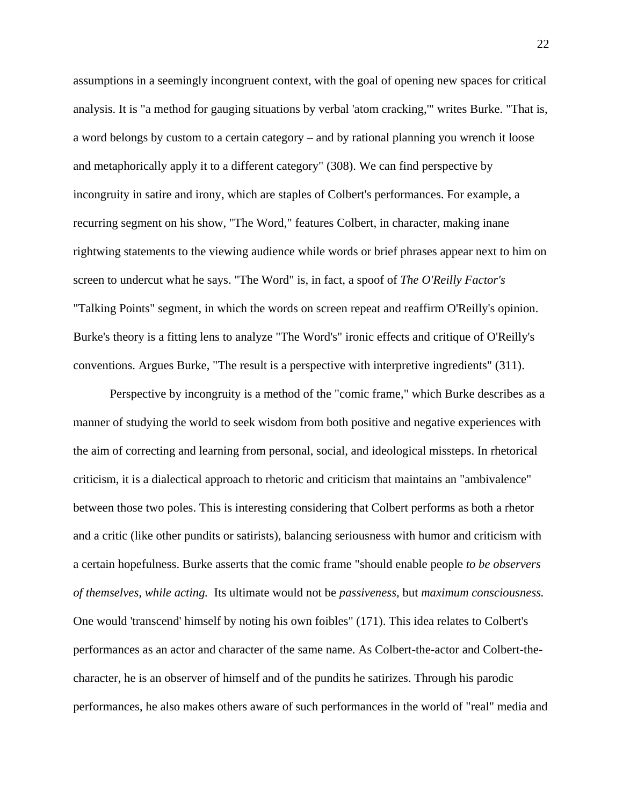assumptions in a seemingly incongruent context, with the goal of opening new spaces for critical analysis. It is "a method for gauging situations by verbal 'atom cracking,'" writes Burke. "That is, a word belongs by custom to a certain category – and by rational planning you wrench it loose and metaphorically apply it to a different category" (308). We can find perspective by incongruity in satire and irony, which are staples of Colbert's performances. For example, a recurring segment on his show, "The Word," features Colbert, in character, making inane rightwing statements to the viewing audience while words or brief phrases appear next to him on screen to undercut what he says. "The Word" is, in fact, a spoof of *The O'Reilly Factor's* "Talking Points" segment, in which the words on screen repeat and reaffirm O'Reilly's opinion. Burke's theory is a fitting lens to analyze "The Word's" ironic effects and critique of O'Reilly's conventions. Argues Burke, "The result is a perspective with interpretive ingredients" (311).

Perspective by incongruity is a method of the "comic frame," which Burke describes as a manner of studying the world to seek wisdom from both positive and negative experiences with the aim of correcting and learning from personal, social, and ideological missteps. In rhetorical criticism, it is a dialectical approach to rhetoric and criticism that maintains an "ambivalence" between those two poles. This is interesting considering that Colbert performs as both a rhetor and a critic (like other pundits or satirists), balancing seriousness with humor and criticism with a certain hopefulness. Burke asserts that the comic frame "should enable people *to be observers of themselves, while acting.* Its ultimate would not be *passiveness,* but *maximum consciousness.* One would 'transcend' himself by noting his own foibles" (171). This idea relates to Colbert's performances as an actor and character of the same name. As Colbert-the-actor and Colbert-thecharacter, he is an observer of himself and of the pundits he satirizes. Through his parodic performances, he also makes others aware of such performances in the world of "real" media and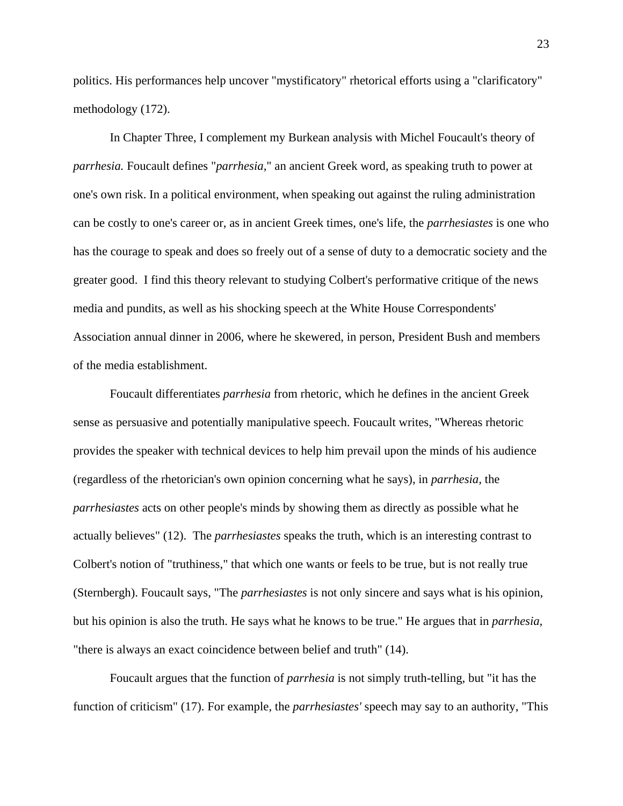politics. His performances help uncover "mystificatory" rhetorical efforts using a "clarificatory" methodology (172).

In Chapter Three, I complement my Burkean analysis with Michel Foucault's theory of *parrhesia.* Foucault defines "*parrhesia,*" an ancient Greek word, as speaking truth to power at one's own risk. In a political environment, when speaking out against the ruling administration can be costly to one's career or, as in ancient Greek times, one's life, the *parrhesiastes* is one who has the courage to speak and does so freely out of a sense of duty to a democratic society and the greater good. I find this theory relevant to studying Colbert's performative critique of the news media and pundits, as well as his shocking speech at the White House Correspondents' Association annual dinner in 2006, where he skewered, in person, President Bush and members of the media establishment.

Foucault differentiates *parrhesia* from rhetoric, which he defines in the ancient Greek sense as persuasive and potentially manipulative speech. Foucault writes, "Whereas rhetoric provides the speaker with technical devices to help him prevail upon the minds of his audience (regardless of the rhetorician's own opinion concerning what he says), in *parrhesia,* the *parrhesiastes* acts on other people's minds by showing them as directly as possible what he actually believes" (12). The *parrhesiastes* speaks the truth, which is an interesting contrast to Colbert's notion of "truthiness," that which one wants or feels to be true, but is not really true (Sternbergh). Foucault says, "The *parrhesiastes* is not only sincere and says what is his opinion, but his opinion is also the truth. He says what he knows to be true." He argues that in *parrhesia,*  "there is always an exact coincidence between belief and truth" (14).

Foucault argues that the function of *parrhesia* is not simply truth-telling, but "it has the function of criticism" (17). For example, the *parrhesiastes'* speech may say to an authority, "This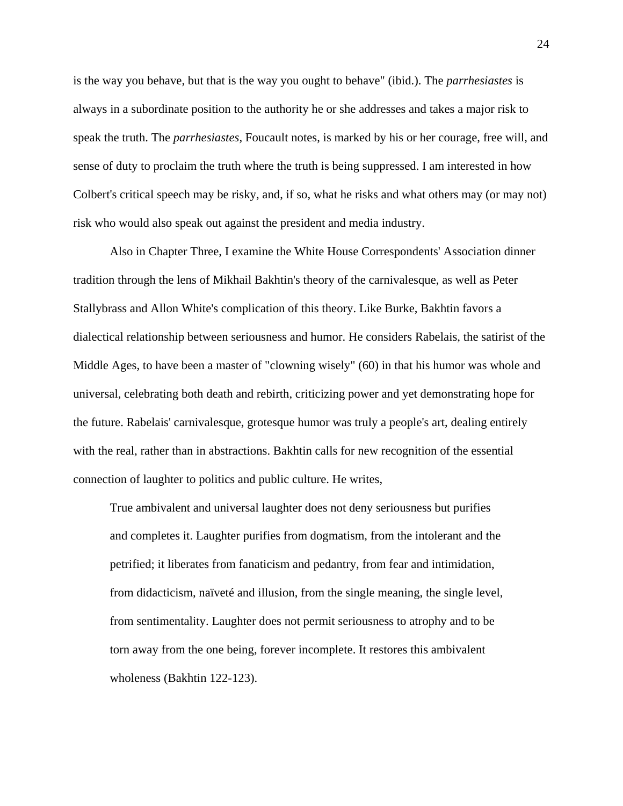is the way you behave, but that is the way you ought to behave" (ibid.). The *parrhesiastes* is always in a subordinate position to the authority he or she addresses and takes a major risk to speak the truth. The *parrhesiastes,* Foucault notes, is marked by his or her courage, free will, and sense of duty to proclaim the truth where the truth is being suppressed. I am interested in how Colbert's critical speech may be risky, and, if so, what he risks and what others may (or may not) risk who would also speak out against the president and media industry.

Also in Chapter Three, I examine the White House Correspondents' Association dinner tradition through the lens of Mikhail Bakhtin's theory of the carnivalesque, as well as Peter Stallybrass and Allon White's complication of this theory. Like Burke, Bakhtin favors a dialectical relationship between seriousness and humor. He considers Rabelais, the satirist of the Middle Ages, to have been a master of "clowning wisely" (60) in that his humor was whole and universal, celebrating both death and rebirth, criticizing power and yet demonstrating hope for the future. Rabelais' carnivalesque, grotesque humor was truly a people's art, dealing entirely with the real, rather than in abstractions. Bakhtin calls for new recognition of the essential connection of laughter to politics and public culture. He writes,

True ambivalent and universal laughter does not deny seriousness but purifies and completes it. Laughter purifies from dogmatism, from the intolerant and the petrified; it liberates from fanaticism and pedantry, from fear and intimidation, from didacticism, naïveté and illusion, from the single meaning, the single level, from sentimentality. Laughter does not permit seriousness to atrophy and to be torn away from the one being, forever incomplete. It restores this ambivalent wholeness (Bakhtin 122-123).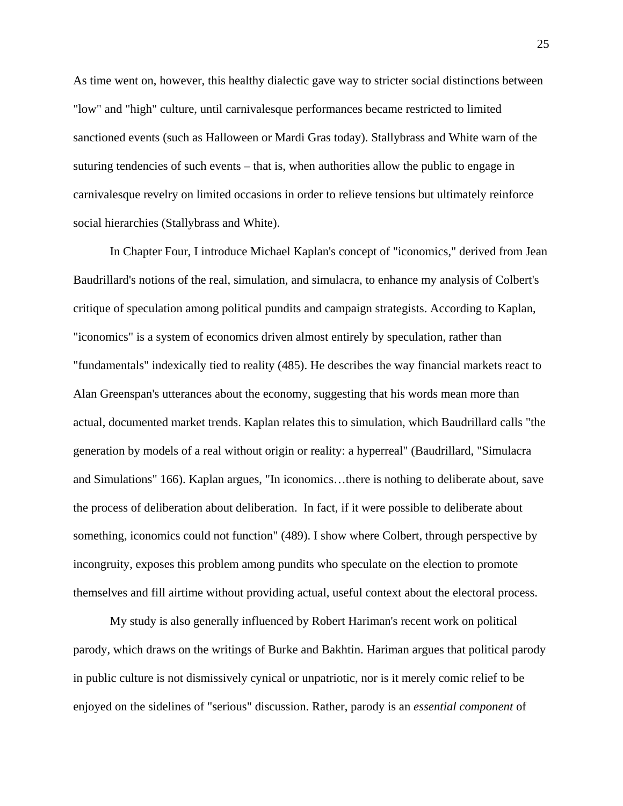As time went on, however, this healthy dialectic gave way to stricter social distinctions between "low" and "high" culture, until carnivalesque performances became restricted to limited sanctioned events (such as Halloween or Mardi Gras today). Stallybrass and White warn of the suturing tendencies of such events – that is, when authorities allow the public to engage in carnivalesque revelry on limited occasions in order to relieve tensions but ultimately reinforce social hierarchies (Stallybrass and White).

In Chapter Four, I introduce Michael Kaplan's concept of "iconomics," derived from Jean Baudrillard's notions of the real, simulation, and simulacra, to enhance my analysis of Colbert's critique of speculation among political pundits and campaign strategists. According to Kaplan, "iconomics" is a system of economics driven almost entirely by speculation, rather than "fundamentals" indexically tied to reality (485). He describes the way financial markets react to Alan Greenspan's utterances about the economy, suggesting that his words mean more than actual, documented market trends. Kaplan relates this to simulation, which Baudrillard calls "the generation by models of a real without origin or reality: a hyperreal" (Baudrillard, "Simulacra and Simulations" 166). Kaplan argues, "In iconomics…there is nothing to deliberate about, save the process of deliberation about deliberation. In fact, if it were possible to deliberate about something, iconomics could not function" (489). I show where Colbert, through perspective by incongruity, exposes this problem among pundits who speculate on the election to promote themselves and fill airtime without providing actual, useful context about the electoral process.

My study is also generally influenced by Robert Hariman's recent work on political parody, which draws on the writings of Burke and Bakhtin. Hariman argues that political parody in public culture is not dismissively cynical or unpatriotic, nor is it merely comic relief to be enjoyed on the sidelines of "serious" discussion. Rather, parody is an *essential component* of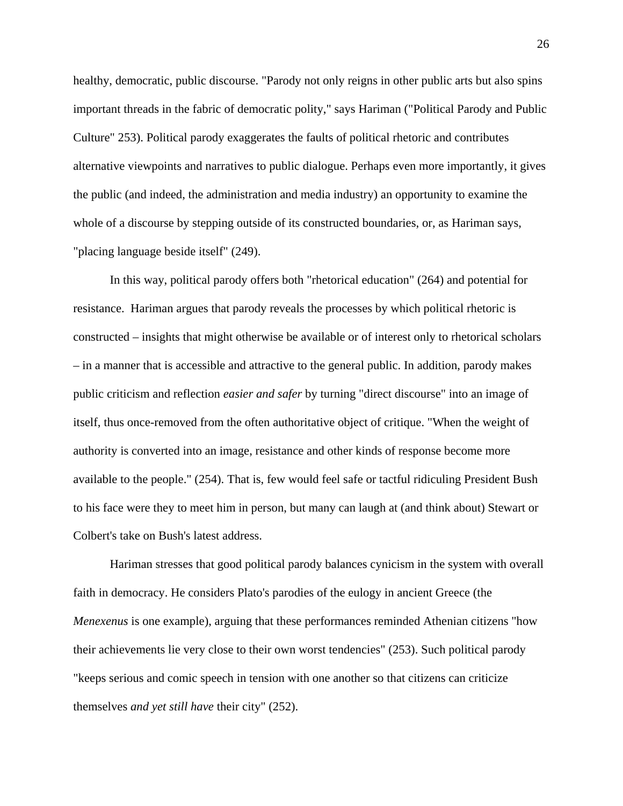healthy, democratic, public discourse. "Parody not only reigns in other public arts but also spins important threads in the fabric of democratic polity," says Hariman ("Political Parody and Public Culture" 253). Political parody exaggerates the faults of political rhetoric and contributes alternative viewpoints and narratives to public dialogue. Perhaps even more importantly, it gives the public (and indeed, the administration and media industry) an opportunity to examine the whole of a discourse by stepping outside of its constructed boundaries, or, as Hariman says, "placing language beside itself" (249).

In this way, political parody offers both "rhetorical education" (264) and potential for resistance. Hariman argues that parody reveals the processes by which political rhetoric is constructed – insights that might otherwise be available or of interest only to rhetorical scholars – in a manner that is accessible and attractive to the general public. In addition, parody makes public criticism and reflection *easier and safer* by turning "direct discourse" into an image of itself, thus once-removed from the often authoritative object of critique. "When the weight of authority is converted into an image, resistance and other kinds of response become more available to the people." (254). That is, few would feel safe or tactful ridiculing President Bush to his face were they to meet him in person, but many can laugh at (and think about) Stewart or Colbert's take on Bush's latest address.

Hariman stresses that good political parody balances cynicism in the system with overall faith in democracy. He considers Plato's parodies of the eulogy in ancient Greece (the *Menexenus* is one example), arguing that these performances reminded Athenian citizens "how their achievements lie very close to their own worst tendencies" (253). Such political parody "keeps serious and comic speech in tension with one another so that citizens can criticize themselves *and yet still have* their city" (252).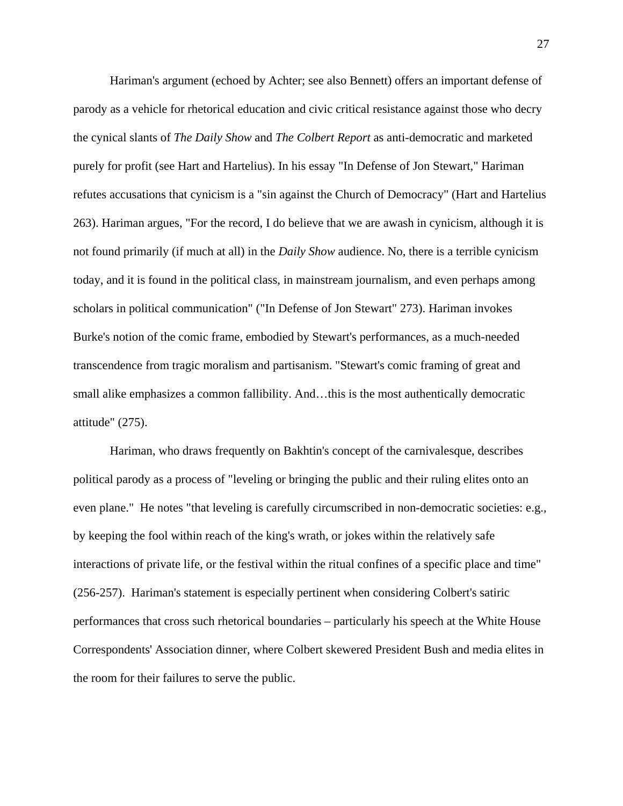Hariman's argument (echoed by Achter; see also Bennett) offers an important defense of parody as a vehicle for rhetorical education and civic critical resistance against those who decry the cynical slants of *The Daily Show* and *The Colbert Report* as anti-democratic and marketed purely for profit (see Hart and Hartelius). In his essay "In Defense of Jon Stewart," Hariman refutes accusations that cynicism is a "sin against the Church of Democracy" (Hart and Hartelius 263). Hariman argues, "For the record, I do believe that we are awash in cynicism, although it is not found primarily (if much at all) in the *Daily Show* audience. No, there is a terrible cynicism today, and it is found in the political class, in mainstream journalism, and even perhaps among scholars in political communication" ("In Defense of Jon Stewart" 273). Hariman invokes Burke's notion of the comic frame, embodied by Stewart's performances, as a much-needed transcendence from tragic moralism and partisanism. "Stewart's comic framing of great and small alike emphasizes a common fallibility. And...this is the most authentically democratic attitude" (275).

Hariman, who draws frequently on Bakhtin's concept of the carnivalesque, describes political parody as a process of "leveling or bringing the public and their ruling elites onto an even plane." He notes "that leveling is carefully circumscribed in non-democratic societies: e.g., by keeping the fool within reach of the king's wrath, or jokes within the relatively safe interactions of private life, or the festival within the ritual confines of a specific place and time" (256-257). Hariman's statement is especially pertinent when considering Colbert's satiric performances that cross such rhetorical boundaries – particularly his speech at the White House Correspondents' Association dinner, where Colbert skewered President Bush and media elites in the room for their failures to serve the public.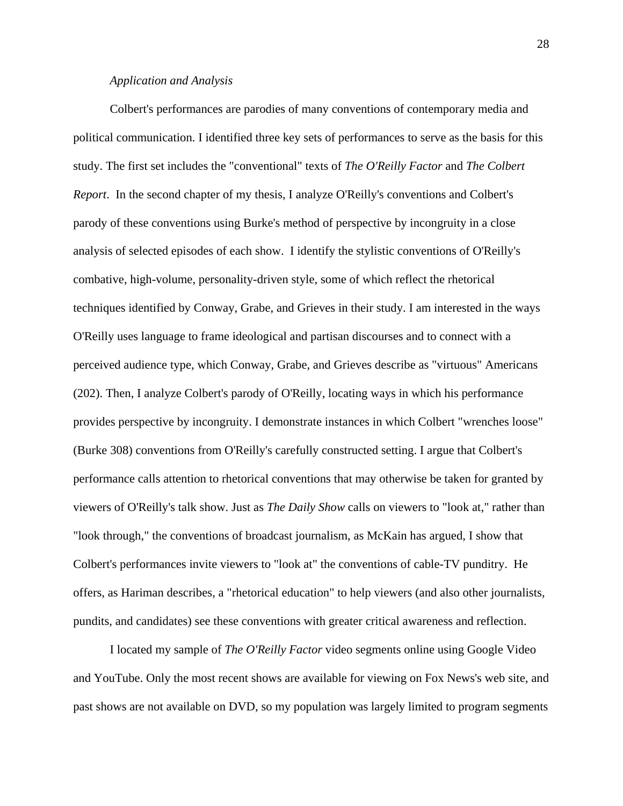## *Application and Analysis*

 Colbert's performances are parodies of many conventions of contemporary media and political communication. I identified three key sets of performances to serve as the basis for this study. The first set includes the "conventional" texts of *The O'Reilly Factor* and *The Colbert Report*. In the second chapter of my thesis, I analyze O'Reilly's conventions and Colbert's parody of these conventions using Burke's method of perspective by incongruity in a close analysis of selected episodes of each show. I identify the stylistic conventions of O'Reilly's combative, high-volume, personality-driven style, some of which reflect the rhetorical techniques identified by Conway, Grabe, and Grieves in their study. I am interested in the ways O'Reilly uses language to frame ideological and partisan discourses and to connect with a perceived audience type, which Conway, Grabe, and Grieves describe as "virtuous" Americans (202). Then, I analyze Colbert's parody of O'Reilly, locating ways in which his performance provides perspective by incongruity. I demonstrate instances in which Colbert "wrenches loose" (Burke 308) conventions from O'Reilly's carefully constructed setting. I argue that Colbert's performance calls attention to rhetorical conventions that may otherwise be taken for granted by viewers of O'Reilly's talk show. Just as *The Daily Show* calls on viewers to "look at," rather than "look through," the conventions of broadcast journalism, as McKain has argued, I show that Colbert's performances invite viewers to "look at" the conventions of cable-TV punditry. He offers, as Hariman describes, a "rhetorical education" to help viewers (and also other journalists, pundits, and candidates) see these conventions with greater critical awareness and reflection.

 I located my sample of *The O'Reilly Factor* video segments online using Google Video and YouTube. Only the most recent shows are available for viewing on Fox News's web site, and past shows are not available on DVD, so my population was largely limited to program segments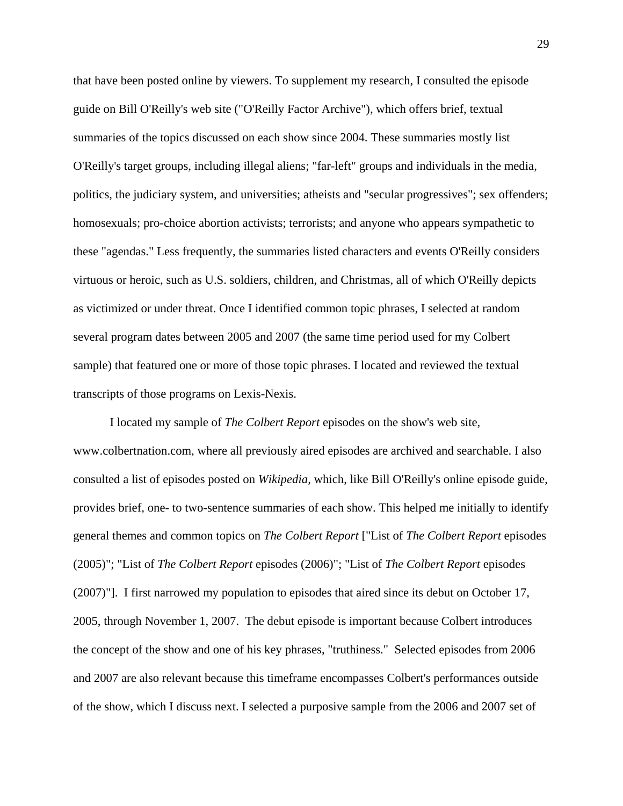that have been posted online by viewers. To supplement my research, I consulted the episode guide on Bill O'Reilly's web site ("O'Reilly Factor Archive"), which offers brief, textual summaries of the topics discussed on each show since 2004. These summaries mostly list O'Reilly's target groups, including illegal aliens; "far-left" groups and individuals in the media, politics, the judiciary system, and universities; atheists and "secular progressives"; sex offenders; homosexuals; pro-choice abortion activists; terrorists; and anyone who appears sympathetic to these "agendas." Less frequently, the summaries listed characters and events O'Reilly considers virtuous or heroic, such as U.S. soldiers, children, and Christmas, all of which O'Reilly depicts as victimized or under threat. Once I identified common topic phrases, I selected at random several program dates between 2005 and 2007 (the same time period used for my Colbert sample) that featured one or more of those topic phrases. I located and reviewed the textual transcripts of those programs on Lexis-Nexis.

I located my sample of *The Colbert Report* episodes on the show's web site, www.colbertnation.com, where all previously aired episodes are archived and searchable. I also consulted a list of episodes posted on *Wikipedia,* which, like Bill O'Reilly's online episode guide, provides brief, one- to two-sentence summaries of each show. This helped me initially to identify general themes and common topics on *The Colbert Report* ["List of *The Colbert Report* episodes (2005)"; "List of *The Colbert Report* episodes (2006)"; "List of *The Colbert Report* episodes (2007)"]. I first narrowed my population to episodes that aired since its debut on October 17, 2005, through November 1, 2007. The debut episode is important because Colbert introduces the concept of the show and one of his key phrases, "truthiness." Selected episodes from 2006 and 2007 are also relevant because this timeframe encompasses Colbert's performances outside of the show, which I discuss next. I selected a purposive sample from the 2006 and 2007 set of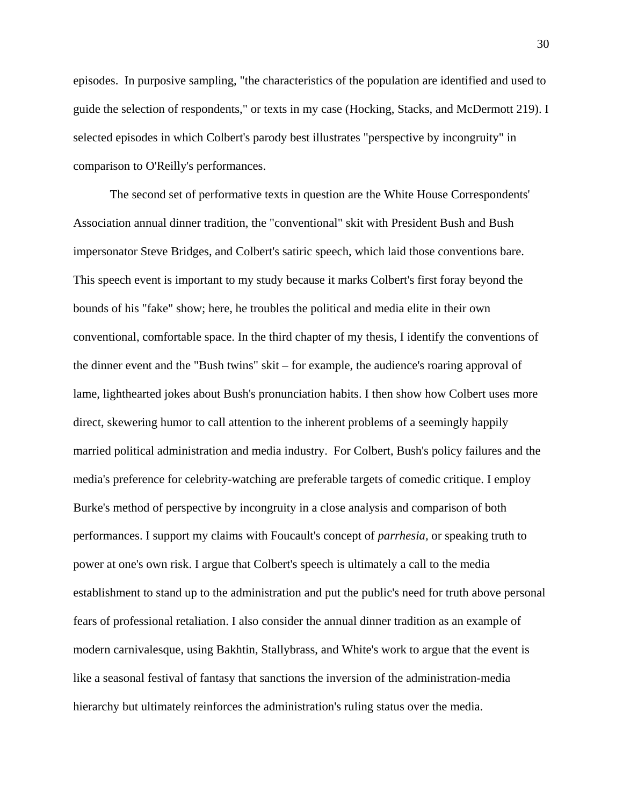episodes. In purposive sampling, "the characteristics of the population are identified and used to guide the selection of respondents," or texts in my case (Hocking, Stacks, and McDermott 219). I selected episodes in which Colbert's parody best illustrates "perspective by incongruity" in comparison to O'Reilly's performances.

The second set of performative texts in question are the White House Correspondents' Association annual dinner tradition, the "conventional" skit with President Bush and Bush impersonator Steve Bridges, and Colbert's satiric speech, which laid those conventions bare. This speech event is important to my study because it marks Colbert's first foray beyond the bounds of his "fake" show; here, he troubles the political and media elite in their own conventional, comfortable space. In the third chapter of my thesis, I identify the conventions of the dinner event and the "Bush twins" skit – for example, the audience's roaring approval of lame, lighthearted jokes about Bush's pronunciation habits. I then show how Colbert uses more direct, skewering humor to call attention to the inherent problems of a seemingly happily married political administration and media industry. For Colbert, Bush's policy failures and the media's preference for celebrity-watching are preferable targets of comedic critique. I employ Burke's method of perspective by incongruity in a close analysis and comparison of both performances. I support my claims with Foucault's concept of *parrhesia,* or speaking truth to power at one's own risk. I argue that Colbert's speech is ultimately a call to the media establishment to stand up to the administration and put the public's need for truth above personal fears of professional retaliation. I also consider the annual dinner tradition as an example of modern carnivalesque, using Bakhtin, Stallybrass, and White's work to argue that the event is like a seasonal festival of fantasy that sanctions the inversion of the administration-media hierarchy but ultimately reinforces the administration's ruling status over the media.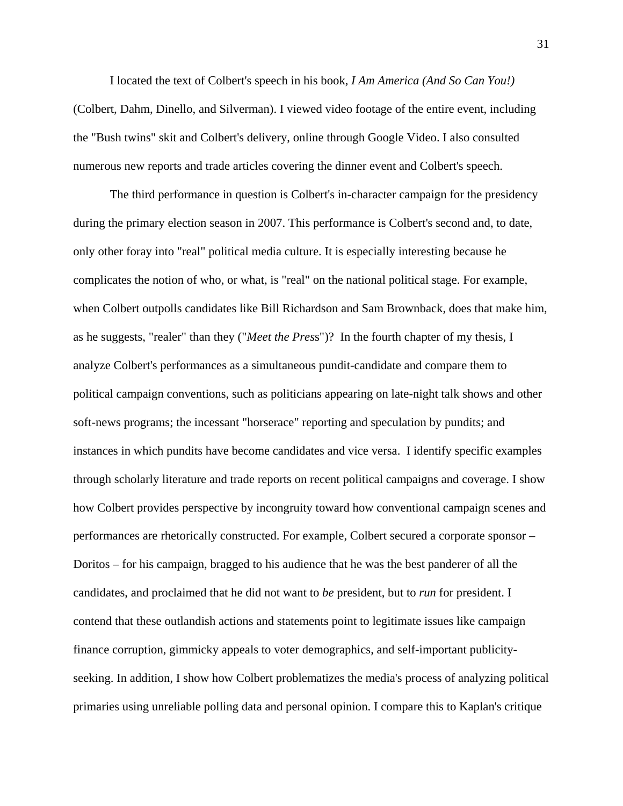I located the text of Colbert's speech in his book, *I Am America (And So Can You!)* (Colbert, Dahm, Dinello, and Silverman). I viewed video footage of the entire event, including the "Bush twins" skit and Colbert's delivery, online through Google Video. I also consulted numerous new reports and trade articles covering the dinner event and Colbert's speech.

The third performance in question is Colbert's in-character campaign for the presidency during the primary election season in 2007. This performance is Colbert's second and, to date, only other foray into "real" political media culture. It is especially interesting because he complicates the notion of who, or what, is "real" on the national political stage. For example, when Colbert outpolls candidates like Bill Richardson and Sam Brownback, does that make him, as he suggests, "realer" than they ("*Meet the Pres*s")? In the fourth chapter of my thesis, I analyze Colbert's performances as a simultaneous pundit-candidate and compare them to political campaign conventions, such as politicians appearing on late-night talk shows and other soft-news programs; the incessant "horserace" reporting and speculation by pundits; and instances in which pundits have become candidates and vice versa. I identify specific examples through scholarly literature and trade reports on recent political campaigns and coverage. I show how Colbert provides perspective by incongruity toward how conventional campaign scenes and performances are rhetorically constructed. For example, Colbert secured a corporate sponsor – Doritos – for his campaign, bragged to his audience that he was the best panderer of all the candidates, and proclaimed that he did not want to *be* president, but to *run* for president. I contend that these outlandish actions and statements point to legitimate issues like campaign finance corruption, gimmicky appeals to voter demographics, and self-important publicityseeking. In addition, I show how Colbert problematizes the media's process of analyzing political primaries using unreliable polling data and personal opinion. I compare this to Kaplan's critique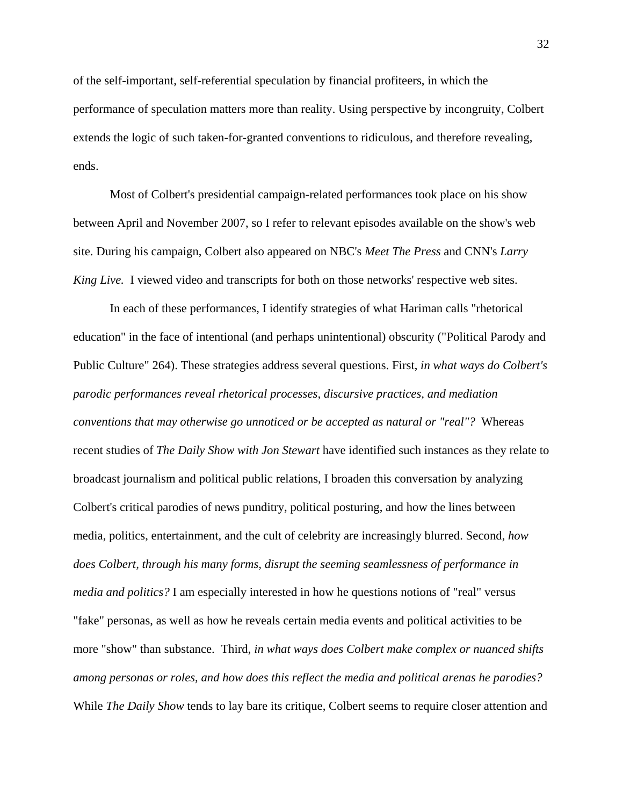of the self-important, self-referential speculation by financial profiteers, in which the performance of speculation matters more than reality. Using perspective by incongruity, Colbert extends the logic of such taken-for-granted conventions to ridiculous, and therefore revealing, ends.

Most of Colbert's presidential campaign-related performances took place on his show between April and November 2007, so I refer to relevant episodes available on the show's web site. During his campaign, Colbert also appeared on NBC's *Meet The Press* and CNN's *Larry King Live.* I viewed video and transcripts for both on those networks' respective web sites.

In each of these performances, I identify strategies of what Hariman calls "rhetorical education" in the face of intentional (and perhaps unintentional) obscurity ("Political Parody and Public Culture" 264). These strategies address several questions. First, *in what ways do Colbert's parodic performances reveal rhetorical processes, discursive practices, and mediation conventions that may otherwise go unnoticed or be accepted as natural or "real"?* Whereas recent studies of *The Daily Show with Jon Stewart* have identified such instances as they relate to broadcast journalism and political public relations, I broaden this conversation by analyzing Colbert's critical parodies of news punditry, political posturing, and how the lines between media, politics, entertainment, and the cult of celebrity are increasingly blurred. Second, *how does Colbert, through his many forms, disrupt the seeming seamlessness of performance in media and politics?* I am especially interested in how he questions notions of "real" versus "fake" personas, as well as how he reveals certain media events and political activities to be more "show" than substance. Third, *in what ways does Colbert make complex or nuanced shifts among personas or roles, and how does this reflect the media and political arenas he parodies?*  While *The Daily Show* tends to lay bare its critique, Colbert seems to require closer attention and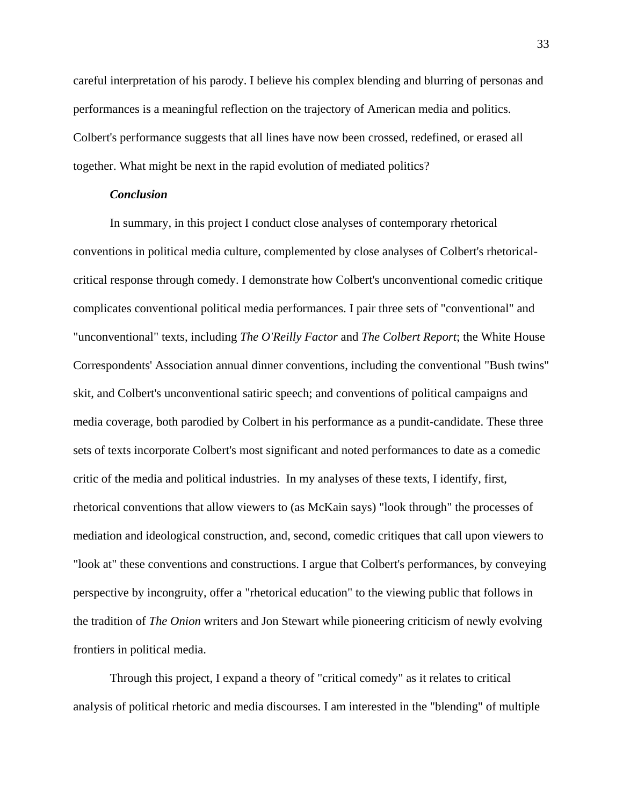careful interpretation of his parody. I believe his complex blending and blurring of personas and performances is a meaningful reflection on the trajectory of American media and politics. Colbert's performance suggests that all lines have now been crossed, redefined, or erased all together. What might be next in the rapid evolution of mediated politics?

## *Conclusion*

In summary, in this project I conduct close analyses of contemporary rhetorical conventions in political media culture, complemented by close analyses of Colbert's rhetoricalcritical response through comedy. I demonstrate how Colbert's unconventional comedic critique complicates conventional political media performances. I pair three sets of "conventional" and "unconventional" texts, including *The O'Reilly Factor* and *The Colbert Report*; the White House Correspondents' Association annual dinner conventions, including the conventional "Bush twins" skit, and Colbert's unconventional satiric speech; and conventions of political campaigns and media coverage, both parodied by Colbert in his performance as a pundit-candidate. These three sets of texts incorporate Colbert's most significant and noted performances to date as a comedic critic of the media and political industries. In my analyses of these texts, I identify, first, rhetorical conventions that allow viewers to (as McKain says) "look through" the processes of mediation and ideological construction, and, second, comedic critiques that call upon viewers to "look at" these conventions and constructions. I argue that Colbert's performances, by conveying perspective by incongruity, offer a "rhetorical education" to the viewing public that follows in the tradition of *The Onion* writers and Jon Stewart while pioneering criticism of newly evolving frontiers in political media.

Through this project, I expand a theory of "critical comedy" as it relates to critical analysis of political rhetoric and media discourses. I am interested in the "blending" of multiple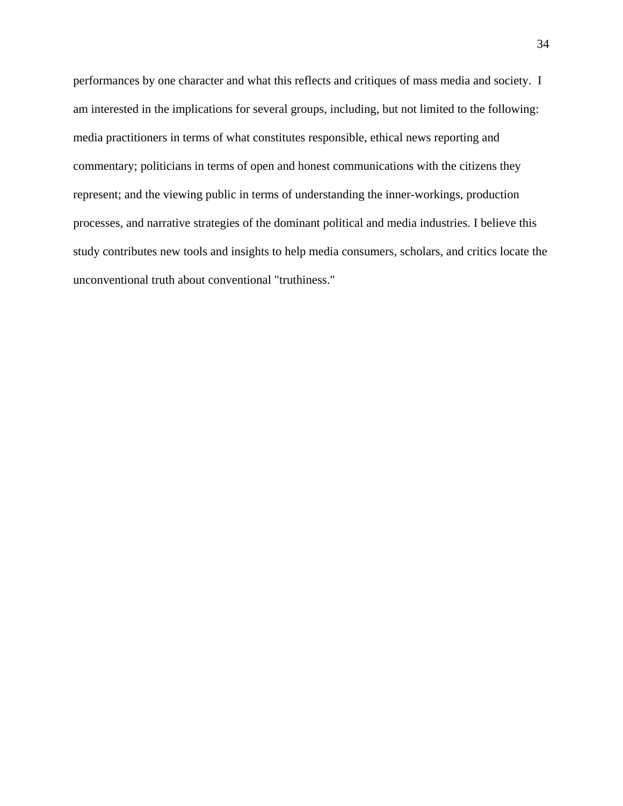performances by one character and what this reflects and critiques of mass media and society. I am interested in the implications for several groups, including, but not limited to the following: media practitioners in terms of what constitutes responsible, ethical news reporting and commentary; politicians in terms of open and honest communications with the citizens they represent; and the viewing public in terms of understanding the inner-workings, production processes, and narrative strategies of the dominant political and media industries. I believe this study contributes new tools and insights to help media consumers, scholars, and critics locate the unconventional truth about conventional "truthiness."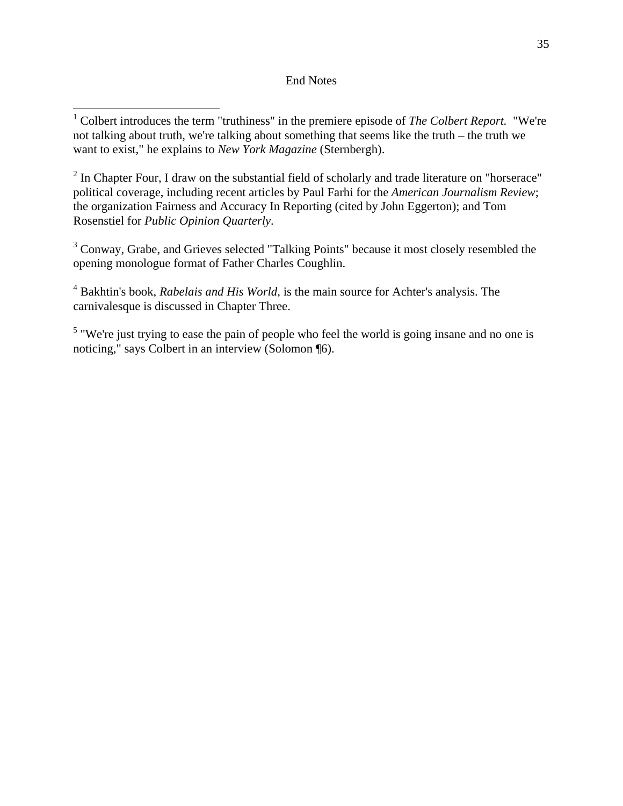# End Notes

 1 Colbert introduces the term "truthiness" in the premiere episode of *The Colbert Report.* "We're not talking about truth, we're talking about something that seems like the truth – the truth we want to exist," he explains to *New York Magazine* (Sternbergh).

 $2$  In Chapter Four, I draw on the substantial field of scholarly and trade literature on "horserace" political coverage, including recent articles by Paul Farhi for the *American Journalism Review*; the organization Fairness and Accuracy In Reporting (cited by John Eggerton); and Tom Rosenstiel for *Public Opinion Quarterly*.

<sup>3</sup> Conway, Grabe, and Grieves selected "Talking Points" because it most closely resembled the opening monologue format of Father Charles Coughlin.

<sup>4</sup> Bakhtin's book, *Rabelais and His World*, is the main source for Achter's analysis. The carnivalesque is discussed in Chapter Three.

 $<sup>5</sup>$  "We're just trying to ease the pain of people who feel the world is going insane and no one is</sup> noticing," says Colbert in an interview (Solomon ¶6).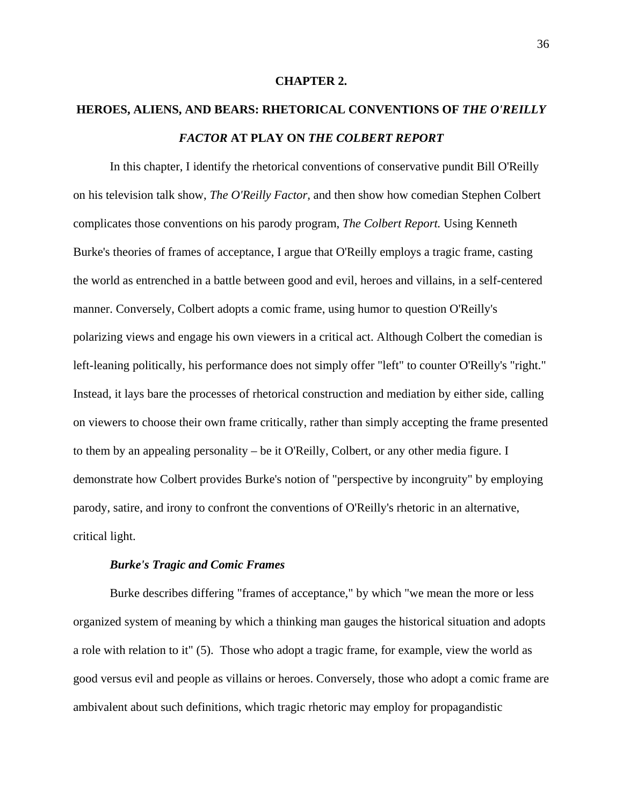## **CHAPTER 2.**

# **HEROES, ALIENS, AND BEARS: RHETORICAL CONVENTIONS OF** *THE O'REILLY FACTOR* **AT PLAY ON** *THE COLBERT REPORT*

 In this chapter, I identify the rhetorical conventions of conservative pundit Bill O'Reilly on his television talk show, *The O'Reilly Factor,* and then show how comedian Stephen Colbert complicates those conventions on his parody program, *The Colbert Report.* Using Kenneth Burke's theories of frames of acceptance, I argue that O'Reilly employs a tragic frame, casting the world as entrenched in a battle between good and evil, heroes and villains, in a self-centered manner. Conversely, Colbert adopts a comic frame, using humor to question O'Reilly's polarizing views and engage his own viewers in a critical act. Although Colbert the comedian is left-leaning politically, his performance does not simply offer "left" to counter O'Reilly's "right." Instead, it lays bare the processes of rhetorical construction and mediation by either side, calling on viewers to choose their own frame critically, rather than simply accepting the frame presented to them by an appealing personality – be it O'Reilly, Colbert, or any other media figure. I demonstrate how Colbert provides Burke's notion of "perspective by incongruity" by employing parody, satire, and irony to confront the conventions of O'Reilly's rhetoric in an alternative, critical light.

### *Burke's Tragic and Comic Frames*

Burke describes differing "frames of acceptance," by which "we mean the more or less organized system of meaning by which a thinking man gauges the historical situation and adopts a role with relation to it" (5). Those who adopt a tragic frame, for example, view the world as good versus evil and people as villains or heroes. Conversely, those who adopt a comic frame are ambivalent about such definitions, which tragic rhetoric may employ for propagandistic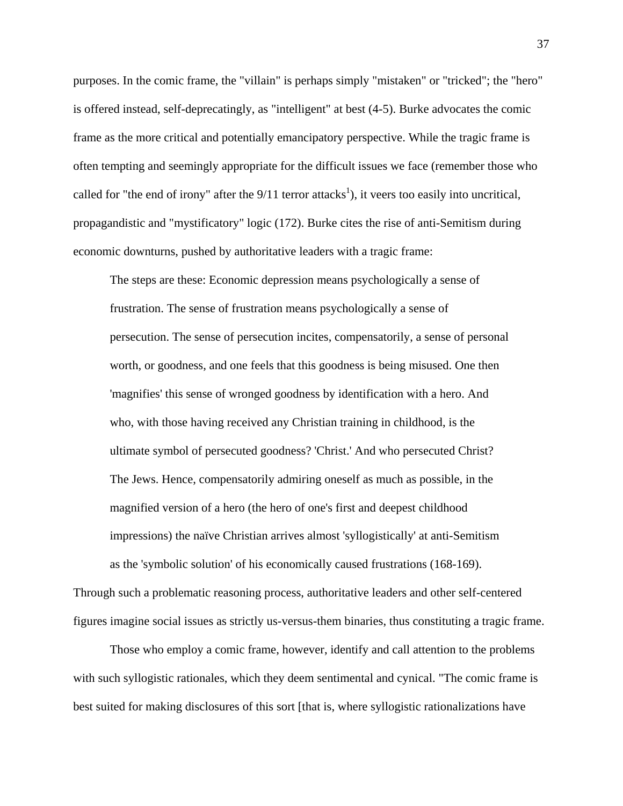purposes. In the comic frame, the "villain" is perhaps simply "mistaken" or "tricked"; the "hero" is offered instead, self-deprecatingly, as "intelligent" at best (4-5). Burke advocates the comic frame as the more critical and potentially emancipatory perspective. While the tragic frame is often tempting and seemingly appropriate for the difficult issues we face (remember those who called for "the end of irony" after the  $9/11$  terror attacks<sup>1</sup>), it veers too easily into uncritical, propagandistic and "mystificatory" logic (172). Burke cites the rise of anti-Semitism during economic downturns, pushed by authoritative leaders with a tragic frame:

The steps are these: Economic depression means psychologically a sense of frustration. The sense of frustration means psychologically a sense of persecution. The sense of persecution incites, compensatorily, a sense of personal worth, or goodness, and one feels that this goodness is being misused. One then 'magnifies' this sense of wronged goodness by identification with a hero. And who, with those having received any Christian training in childhood, is the ultimate symbol of persecuted goodness? 'Christ.' And who persecuted Christ? The Jews. Hence, compensatorily admiring oneself as much as possible, in the magnified version of a hero (the hero of one's first and deepest childhood impressions) the naïve Christian arrives almost 'syllogistically' at anti-Semitism as the 'symbolic solution' of his economically caused frustrations (168-169).

Through such a problematic reasoning process, authoritative leaders and other self-centered figures imagine social issues as strictly us-versus-them binaries, thus constituting a tragic frame.

Those who employ a comic frame, however, identify and call attention to the problems with such syllogistic rationales, which they deem sentimental and cynical. "The comic frame is best suited for making disclosures of this sort [that is, where syllogistic rationalizations have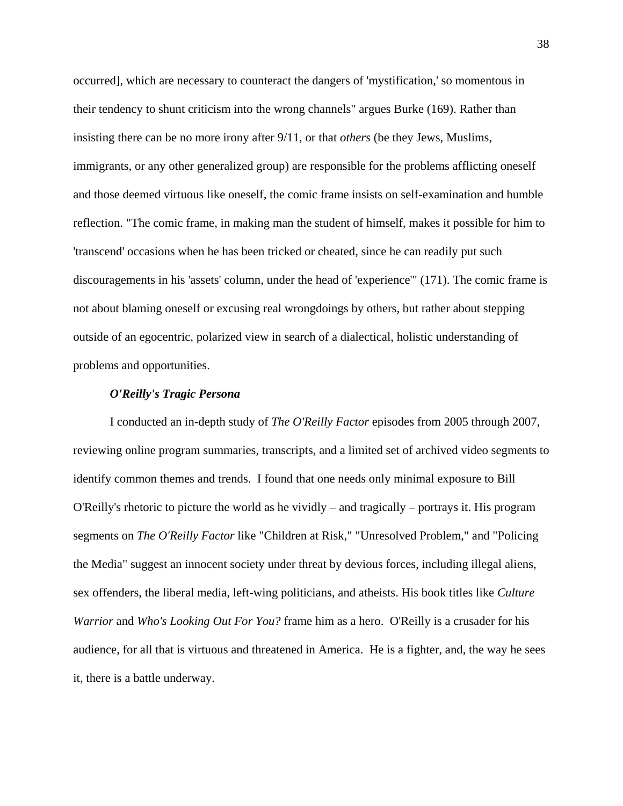occurred], which are necessary to counteract the dangers of 'mystification,' so momentous in their tendency to shunt criticism into the wrong channels" argues Burke (169). Rather than insisting there can be no more irony after 9/11, or that *others* (be they Jews, Muslims, immigrants, or any other generalized group) are responsible for the problems afflicting oneself and those deemed virtuous like oneself, the comic frame insists on self-examination and humble reflection. "The comic frame, in making man the student of himself, makes it possible for him to 'transcend' occasions when he has been tricked or cheated, since he can readily put such discouragements in his 'assets' column, under the head of 'experience'" (171). The comic frame is not about blaming oneself or excusing real wrongdoings by others, but rather about stepping outside of an egocentric, polarized view in search of a dialectical, holistic understanding of problems and opportunities.

## *O'Reilly's Tragic Persona*

 I conducted an in-depth study of *The O'Reilly Factor* episodes from 2005 through 2007, reviewing online program summaries, transcripts, and a limited set of archived video segments to identify common themes and trends. I found that one needs only minimal exposure to Bill O'Reilly's rhetoric to picture the world as he vividly – and tragically – portrays it. His program segments on *The O'Reilly Factor* like "Children at Risk," "Unresolved Problem," and "Policing the Media" suggest an innocent society under threat by devious forces, including illegal aliens, sex offenders, the liberal media, left-wing politicians, and atheists. His book titles like *Culture Warrior* and *Who's Looking Out For You?* frame him as a hero. O'Reilly is a crusader for his audience, for all that is virtuous and threatened in America. He is a fighter, and, the way he sees it, there is a battle underway.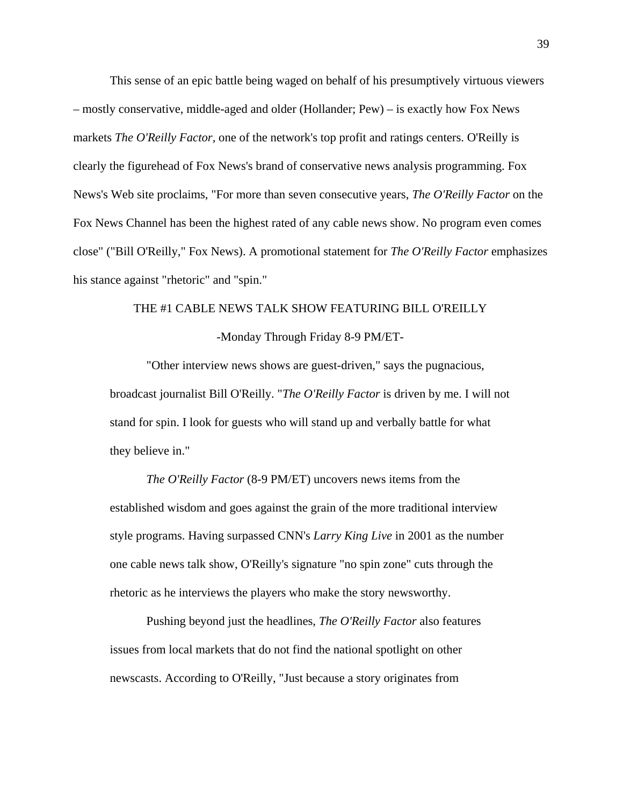This sense of an epic battle being waged on behalf of his presumptively virtuous viewers – mostly conservative, middle-aged and older (Hollander; Pew) – is exactly how Fox News markets *The O'Reilly Factor,* one of the network's top profit and ratings centers. O'Reilly is clearly the figurehead of Fox News's brand of conservative news analysis programming. Fox News's Web site proclaims, "For more than seven consecutive years, *The O'Reilly Factor* on the Fox News Channel has been the highest rated of any cable news show. No program even comes close" ("Bill O'Reilly," Fox News). A promotional statement for *The O'Reilly Factor* emphasizes his stance against "rhetoric" and "spin."

# THE #1 CABLE NEWS TALK SHOW FEATURING BILL O'REILLY

-Monday Through Friday 8-9 PM/ET-

"Other interview news shows are guest-driven," says the pugnacious, broadcast journalist Bill O'Reilly. "*The O'Reilly Factor* is driven by me. I will not stand for spin. I look for guests who will stand up and verbally battle for what they believe in."

*The O'Reilly Factor* (8-9 PM/ET) uncovers news items from the established wisdom and goes against the grain of the more traditional interview style programs. Having surpassed CNN's *Larry King Live* in 2001 as the number one cable news talk show, O'Reilly's signature "no spin zone" cuts through the rhetoric as he interviews the players who make the story newsworthy.

Pushing beyond just the headlines, *The O'Reilly Factor* also features issues from local markets that do not find the national spotlight on other newscasts. According to O'Reilly, "Just because a story originates from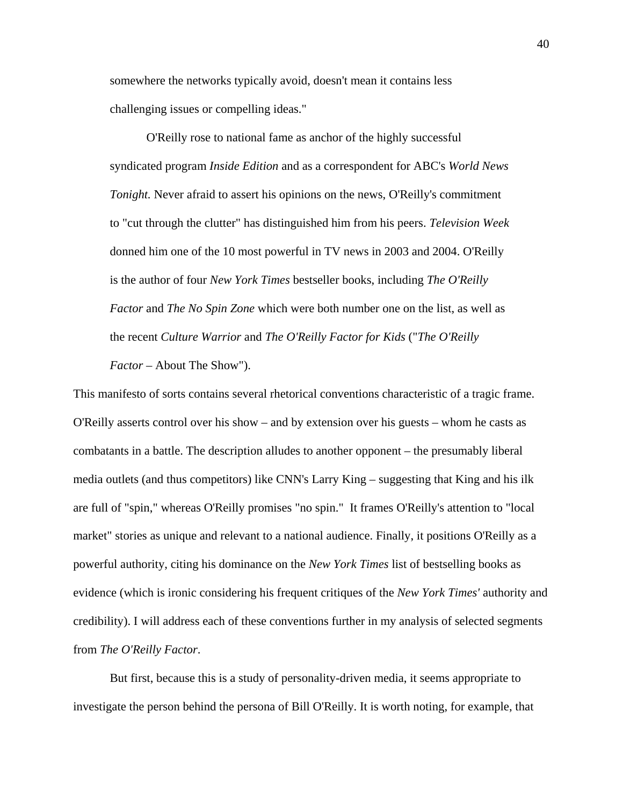somewhere the networks typically avoid, doesn't mean it contains less challenging issues or compelling ideas."

 O'Reilly rose to national fame as anchor of the highly successful syndicated program *Inside Edition* and as a correspondent for ABC's *World News Tonight.* Never afraid to assert his opinions on the news, O'Reilly's commitment to "cut through the clutter" has distinguished him from his peers. *Television Week* donned him one of the 10 most powerful in TV news in 2003 and 2004. O'Reilly is the author of four *New York Times* bestseller books, including *The O'Reilly Factor* and *The No Spin Zone* which were both number one on the list, as well as the recent *Culture Warrior* and *The O'Reilly Factor for Kids* ("*The O'Reilly Factor* – About The Show").

This manifesto of sorts contains several rhetorical conventions characteristic of a tragic frame. O'Reilly asserts control over his show – and by extension over his guests – whom he casts as combatants in a battle. The description alludes to another opponent – the presumably liberal media outlets (and thus competitors) like CNN's Larry King – suggesting that King and his ilk are full of "spin," whereas O'Reilly promises "no spin." It frames O'Reilly's attention to "local market" stories as unique and relevant to a national audience. Finally, it positions O'Reilly as a powerful authority, citing his dominance on the *New York Times* list of bestselling books as evidence (which is ironic considering his frequent critiques of the *New York Times'* authority and credibility). I will address each of these conventions further in my analysis of selected segments from *The O'Reilly Factor*.

 But first, because this is a study of personality-driven media, it seems appropriate to investigate the person behind the persona of Bill O'Reilly. It is worth noting, for example, that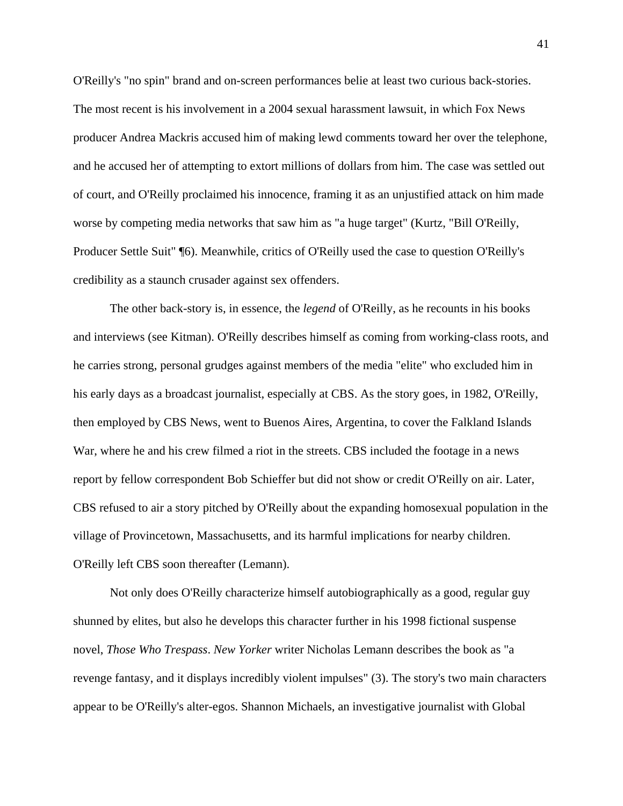O'Reilly's "no spin" brand and on-screen performances belie at least two curious back-stories. The most recent is his involvement in a 2004 sexual harassment lawsuit, in which Fox News producer Andrea Mackris accused him of making lewd comments toward her over the telephone, and he accused her of attempting to extort millions of dollars from him. The case was settled out of court, and O'Reilly proclaimed his innocence, framing it as an unjustified attack on him made worse by competing media networks that saw him as "a huge target" (Kurtz, "Bill O'Reilly, Producer Settle Suit" ¶6). Meanwhile, critics of O'Reilly used the case to question O'Reilly's credibility as a staunch crusader against sex offenders.

 The other back-story is, in essence, the *legend* of O'Reilly, as he recounts in his books and interviews (see Kitman). O'Reilly describes himself as coming from working-class roots, and he carries strong, personal grudges against members of the media "elite" who excluded him in his early days as a broadcast journalist, especially at CBS. As the story goes, in 1982, O'Reilly, then employed by CBS News, went to Buenos Aires, Argentina, to cover the Falkland Islands War, where he and his crew filmed a riot in the streets. CBS included the footage in a news report by fellow correspondent Bob Schieffer but did not show or credit O'Reilly on air. Later, CBS refused to air a story pitched by O'Reilly about the expanding homosexual population in the village of Provincetown, Massachusetts, and its harmful implications for nearby children. O'Reilly left CBS soon thereafter (Lemann).

 Not only does O'Reilly characterize himself autobiographically as a good, regular guy shunned by elites, but also he develops this character further in his 1998 fictional suspense novel, *Those Who Trespass*. *New Yorker* writer Nicholas Lemann describes the book as "a revenge fantasy, and it displays incredibly violent impulses" (3). The story's two main characters appear to be O'Reilly's alter-egos. Shannon Michaels, an investigative journalist with Global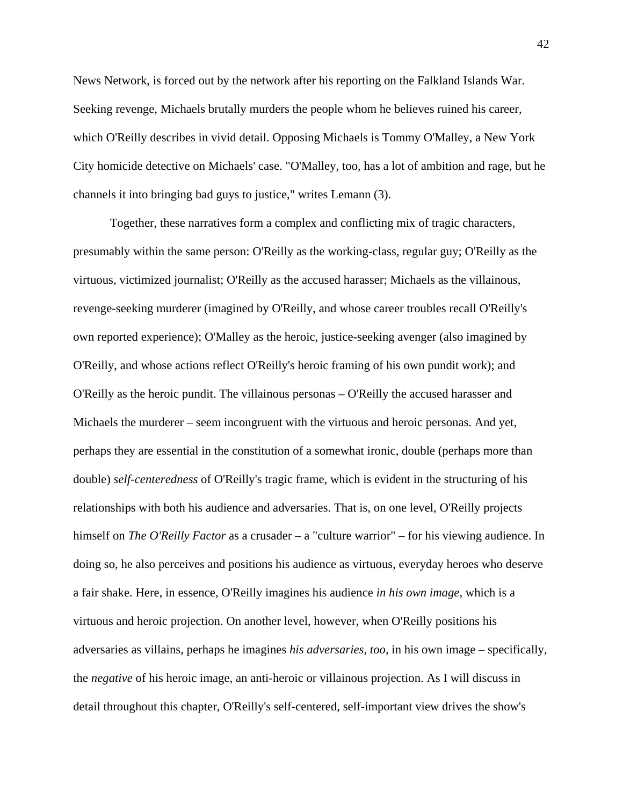News Network, is forced out by the network after his reporting on the Falkland Islands War. Seeking revenge, Michaels brutally murders the people whom he believes ruined his career, which O'Reilly describes in vivid detail. Opposing Michaels is Tommy O'Malley, a New York City homicide detective on Michaels' case. "O'Malley, too, has a lot of ambition and rage, but he channels it into bringing bad guys to justice," writes Lemann (3).

 Together, these narratives form a complex and conflicting mix of tragic characters, presumably within the same person: O'Reilly as the working-class, regular guy; O'Reilly as the virtuous, victimized journalist; O'Reilly as the accused harasser; Michaels as the villainous, revenge-seeking murderer (imagined by O'Reilly, and whose career troubles recall O'Reilly's own reported experience); O'Malley as the heroic, justice-seeking avenger (also imagined by O'Reilly, and whose actions reflect O'Reilly's heroic framing of his own pundit work); and O'Reilly as the heroic pundit. The villainous personas – O'Reilly the accused harasser and Michaels the murderer – seem incongruent with the virtuous and heroic personas. And yet, perhaps they are essential in the constitution of a somewhat ironic, double (perhaps more than double) *self-centeredness* of O'Reilly's tragic frame, which is evident in the structuring of his relationships with both his audience and adversaries. That is, on one level, O'Reilly projects himself on *The O'Reilly Factor* as a crusader – a "culture warrior" – for his viewing audience. In doing so, he also perceives and positions his audience as virtuous, everyday heroes who deserve a fair shake. Here, in essence, O'Reilly imagines his audience *in his own image,* which is a virtuous and heroic projection. On another level, however, when O'Reilly positions his adversaries as villains, perhaps he imagines *his adversaries, too,* in his own image – specifically, the *negative* of his heroic image, an anti-heroic or villainous projection. As I will discuss in detail throughout this chapter, O'Reilly's self-centered, self-important view drives the show's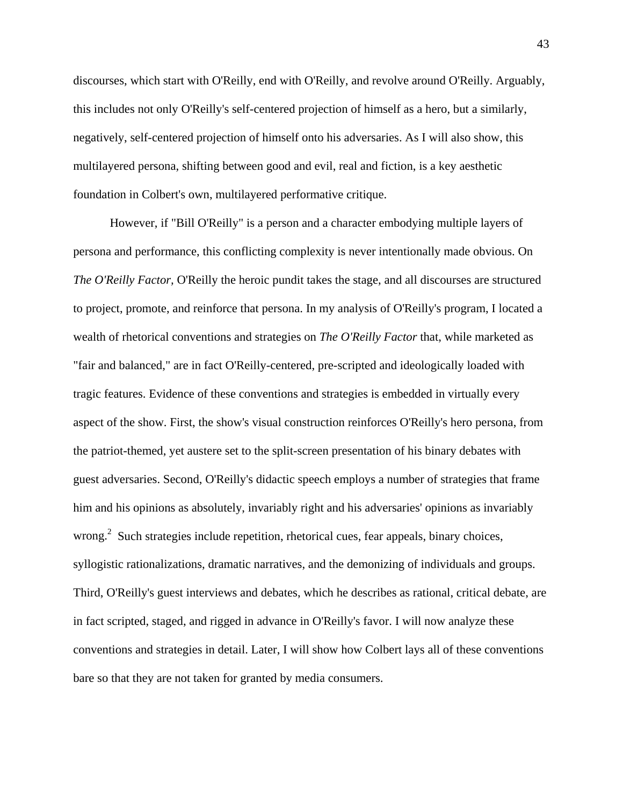discourses, which start with O'Reilly, end with O'Reilly, and revolve around O'Reilly. Arguably, this includes not only O'Reilly's self-centered projection of himself as a hero, but a similarly, negatively, self-centered projection of himself onto his adversaries. As I will also show, this multilayered persona, shifting between good and evil, real and fiction, is a key aesthetic foundation in Colbert's own, multilayered performative critique.

 However, if "Bill O'Reilly" is a person and a character embodying multiple layers of persona and performance, this conflicting complexity is never intentionally made obvious. On *The O'Reilly Factor,* O'Reilly the heroic pundit takes the stage, and all discourses are structured to project, promote, and reinforce that persona. In my analysis of O'Reilly's program, I located a wealth of rhetorical conventions and strategies on *The O'Reilly Factor* that, while marketed as "fair and balanced," are in fact O'Reilly-centered, pre-scripted and ideologically loaded with tragic features. Evidence of these conventions and strategies is embedded in virtually every aspect of the show. First, the show's visual construction reinforces O'Reilly's hero persona, from the patriot-themed, yet austere set to the split-screen presentation of his binary debates with guest adversaries. Second, O'Reilly's didactic speech employs a number of strategies that frame him and his opinions as absolutely, invariably right and his adversaries' opinions as invariably wrong.<sup>2</sup> Such strategies include repetition, rhetorical cues, fear appeals, binary choices, syllogistic rationalizations, dramatic narratives, and the demonizing of individuals and groups. Third, O'Reilly's guest interviews and debates, which he describes as rational, critical debate, are in fact scripted, staged, and rigged in advance in O'Reilly's favor. I will now analyze these conventions and strategies in detail. Later, I will show how Colbert lays all of these conventions bare so that they are not taken for granted by media consumers.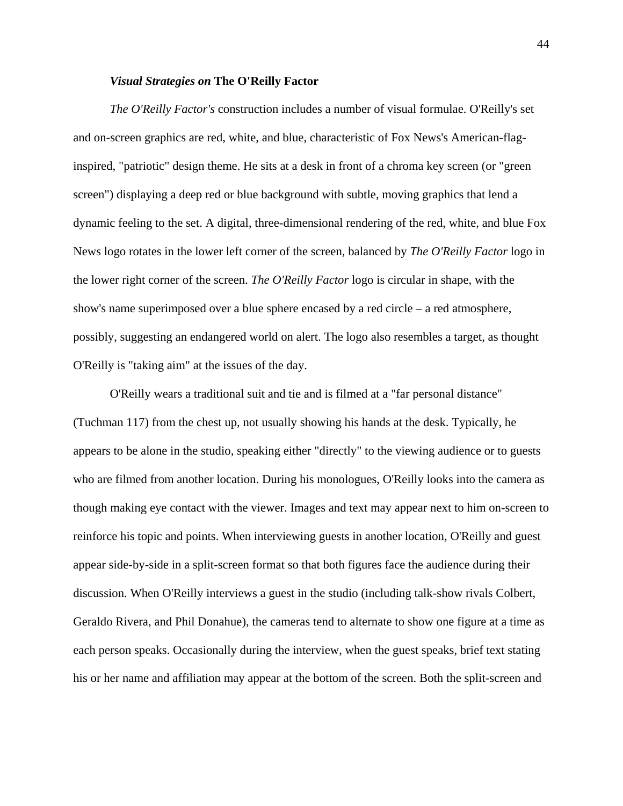#### *Visual Strategies on* **The O'Reilly Factor**

*The O'Reilly Factor's* construction includes a number of visual formulae. O'Reilly's set and on-screen graphics are red, white, and blue, characteristic of Fox News's American-flaginspired, "patriotic" design theme. He sits at a desk in front of a chroma key screen (or "green screen") displaying a deep red or blue background with subtle, moving graphics that lend a dynamic feeling to the set. A digital, three-dimensional rendering of the red, white, and blue Fox News logo rotates in the lower left corner of the screen, balanced by *The O'Reilly Factor* logo in the lower right corner of the screen. *The O'Reilly Factor* logo is circular in shape, with the show's name superimposed over a blue sphere encased by a red circle – a red atmosphere, possibly, suggesting an endangered world on alert. The logo also resembles a target, as thought O'Reilly is "taking aim" at the issues of the day.

O'Reilly wears a traditional suit and tie and is filmed at a "far personal distance" (Tuchman 117) from the chest up, not usually showing his hands at the desk. Typically, he appears to be alone in the studio, speaking either "directly" to the viewing audience or to guests who are filmed from another location. During his monologues, O'Reilly looks into the camera as though making eye contact with the viewer. Images and text may appear next to him on-screen to reinforce his topic and points. When interviewing guests in another location, O'Reilly and guest appear side-by-side in a split-screen format so that both figures face the audience during their discussion. When O'Reilly interviews a guest in the studio (including talk-show rivals Colbert, Geraldo Rivera, and Phil Donahue), the cameras tend to alternate to show one figure at a time as each person speaks. Occasionally during the interview, when the guest speaks, brief text stating his or her name and affiliation may appear at the bottom of the screen. Both the split-screen and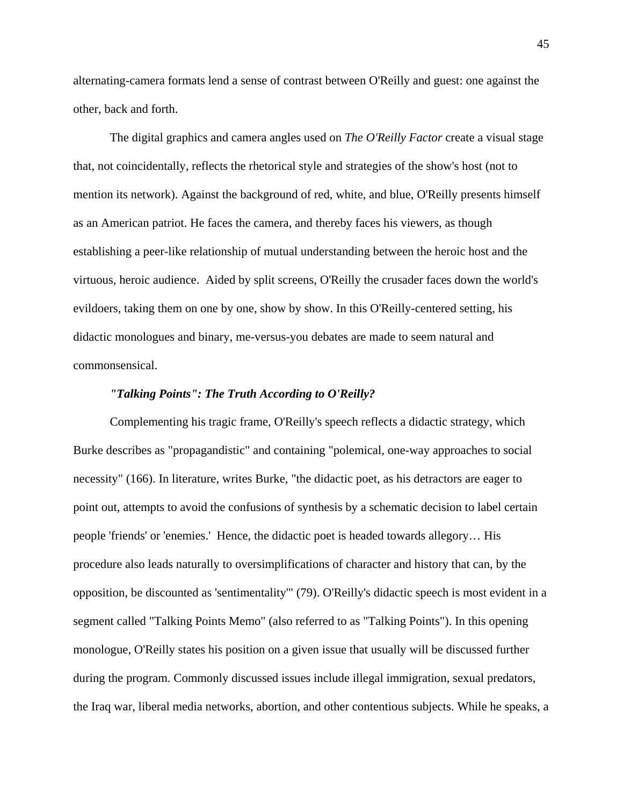alternating-camera formats lend a sense of contrast between O'Reilly and guest: one against the other, back and forth.

The digital graphics and camera angles used on *The O'Reilly Factor* create a visual stage that, not coincidentally, reflects the rhetorical style and strategies of the show's host (not to mention its network). Against the background of red, white, and blue, O'Reilly presents himself as an American patriot. He faces the camera, and thereby faces his viewers, as though establishing a peer-like relationship of mutual understanding between the heroic host and the virtuous, heroic audience. Aided by split screens, O'Reilly the crusader faces down the world's evildoers, taking them on one by one, show by show. In this O'Reilly-centered setting, his didactic monologues and binary, me-versus-you debates are made to seem natural and commonsensical.

## *"Talking Points": The Truth According to O'Reilly?*

Complementing his tragic frame, O'Reilly's speech reflects a didactic strategy, which Burke describes as "propagandistic" and containing "polemical, one-way approaches to social necessity" (166). In literature, writes Burke, "the didactic poet, as his detractors are eager to point out, attempts to avoid the confusions of synthesis by a schematic decision to label certain people 'friends' or 'enemies.' Hence, the didactic poet is headed towards allegory… His procedure also leads naturally to oversimplifications of character and history that can, by the opposition, be discounted as 'sentimentality'" (79). O'Reilly's didactic speech is most evident in a segment called "Talking Points Memo" (also referred to as "Talking Points"). In this opening monologue, O'Reilly states his position on a given issue that usually will be discussed further during the program. Commonly discussed issues include illegal immigration, sexual predators, the Iraq war, liberal media networks, abortion, and other contentious subjects. While he speaks, a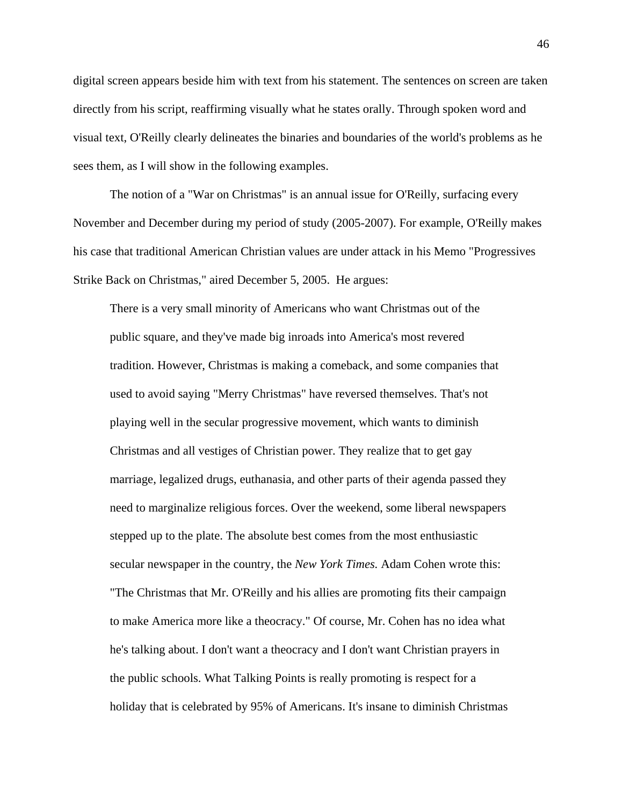digital screen appears beside him with text from his statement. The sentences on screen are taken directly from his script, reaffirming visually what he states orally. Through spoken word and visual text, O'Reilly clearly delineates the binaries and boundaries of the world's problems as he sees them, as I will show in the following examples.

The notion of a "War on Christmas" is an annual issue for O'Reilly, surfacing every November and December during my period of study (2005-2007). For example, O'Reilly makes his case that traditional American Christian values are under attack in his Memo "Progressives Strike Back on Christmas," aired December 5, 2005. He argues:

There is a very small minority of Americans who want Christmas out of the public square, and they've made big inroads into America's most revered tradition. However, Christmas is making a comeback, and some companies that used to avoid saying "Merry Christmas" have reversed themselves. That's not playing well in the secular progressive movement, which wants to diminish Christmas and all vestiges of Christian power. They realize that to get gay marriage, legalized drugs, euthanasia, and other parts of their agenda passed they need to marginalize religious forces. Over the weekend, some liberal newspapers stepped up to the plate. The absolute best comes from the most enthusiastic secular newspaper in the country, the *New York Times.* Adam Cohen wrote this: "The Christmas that Mr. O'Reilly and his allies are promoting fits their campaign to make America more like a theocracy." Of course, Mr. Cohen has no idea what he's talking about. I don't want a theocracy and I don't want Christian prayers in the public schools. What Talking Points is really promoting is respect for a holiday that is celebrated by 95% of Americans. It's insane to diminish Christmas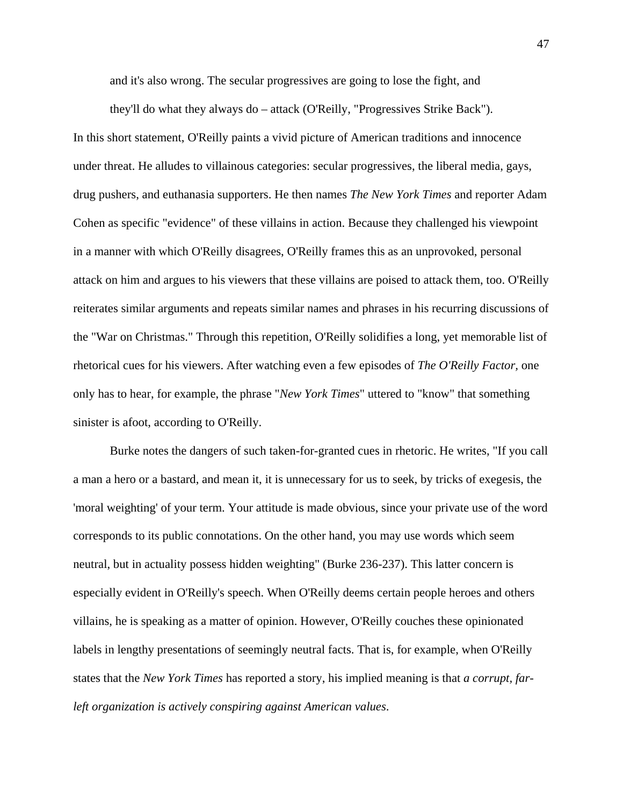and it's also wrong. The secular progressives are going to lose the fight, and

they'll do what they always do – attack (O'Reilly, "Progressives Strike Back"). In this short statement, O'Reilly paints a vivid picture of American traditions and innocence under threat. He alludes to villainous categories: secular progressives, the liberal media, gays, drug pushers, and euthanasia supporters. He then names *The New York Times* and reporter Adam Cohen as specific "evidence" of these villains in action. Because they challenged his viewpoint in a manner with which O'Reilly disagrees, O'Reilly frames this as an unprovoked, personal attack on him and argues to his viewers that these villains are poised to attack them, too. O'Reilly reiterates similar arguments and repeats similar names and phrases in his recurring discussions of the "War on Christmas." Through this repetition, O'Reilly solidifies a long, yet memorable list of rhetorical cues for his viewers. After watching even a few episodes of *The O'Reilly Factor,* one only has to hear, for example, the phrase "*New York Times*" uttered to "know" that something sinister is afoot, according to O'Reilly.

Burke notes the dangers of such taken-for-granted cues in rhetoric. He writes, "If you call a man a hero or a bastard, and mean it, it is unnecessary for us to seek, by tricks of exegesis, the 'moral weighting' of your term. Your attitude is made obvious, since your private use of the word corresponds to its public connotations. On the other hand, you may use words which seem neutral, but in actuality possess hidden weighting" (Burke 236-237). This latter concern is especially evident in O'Reilly's speech. When O'Reilly deems certain people heroes and others villains, he is speaking as a matter of opinion. However, O'Reilly couches these opinionated labels in lengthy presentations of seemingly neutral facts. That is, for example, when O'Reilly states that the *New York Times* has reported a story, his implied meaning is that *a corrupt, farleft organization is actively conspiring against American values*.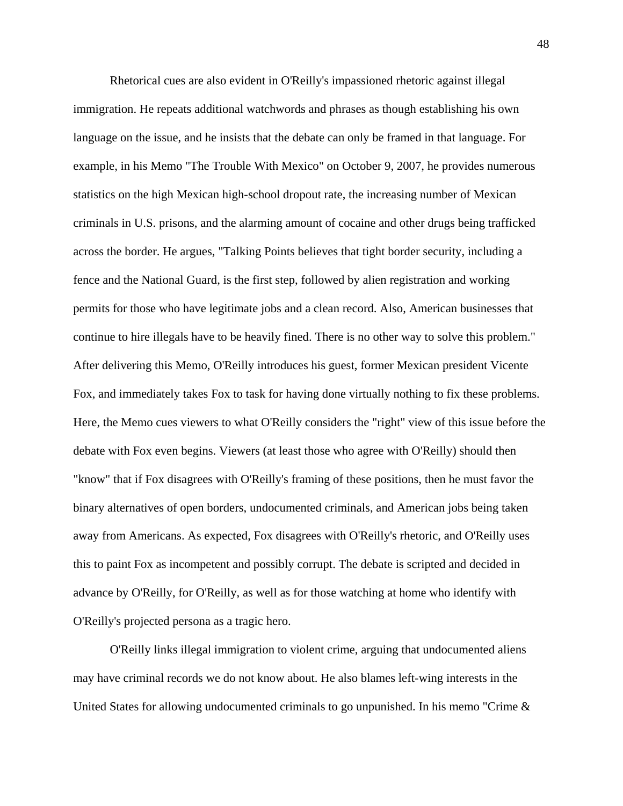Rhetorical cues are also evident in O'Reilly's impassioned rhetoric against illegal immigration. He repeats additional watchwords and phrases as though establishing his own language on the issue, and he insists that the debate can only be framed in that language. For example, in his Memo "The Trouble With Mexico" on October 9, 2007, he provides numerous statistics on the high Mexican high-school dropout rate, the increasing number of Mexican criminals in U.S. prisons, and the alarming amount of cocaine and other drugs being trafficked across the border. He argues, "Talking Points believes that tight border security, including a fence and the National Guard, is the first step, followed by alien registration and working permits for those who have legitimate jobs and a clean record. Also, American businesses that continue to hire illegals have to be heavily fined. There is no other way to solve this problem." After delivering this Memo, O'Reilly introduces his guest, former Mexican president Vicente Fox, and immediately takes Fox to task for having done virtually nothing to fix these problems. Here, the Memo cues viewers to what O'Reilly considers the "right" view of this issue before the debate with Fox even begins. Viewers (at least those who agree with O'Reilly) should then "know" that if Fox disagrees with O'Reilly's framing of these positions, then he must favor the binary alternatives of open borders, undocumented criminals, and American jobs being taken away from Americans. As expected, Fox disagrees with O'Reilly's rhetoric, and O'Reilly uses this to paint Fox as incompetent and possibly corrupt. The debate is scripted and decided in advance by O'Reilly, for O'Reilly, as well as for those watching at home who identify with O'Reilly's projected persona as a tragic hero.

 O'Reilly links illegal immigration to violent crime, arguing that undocumented aliens may have criminal records we do not know about. He also blames left-wing interests in the United States for allowing undocumented criminals to go unpunished. In his memo "Crime &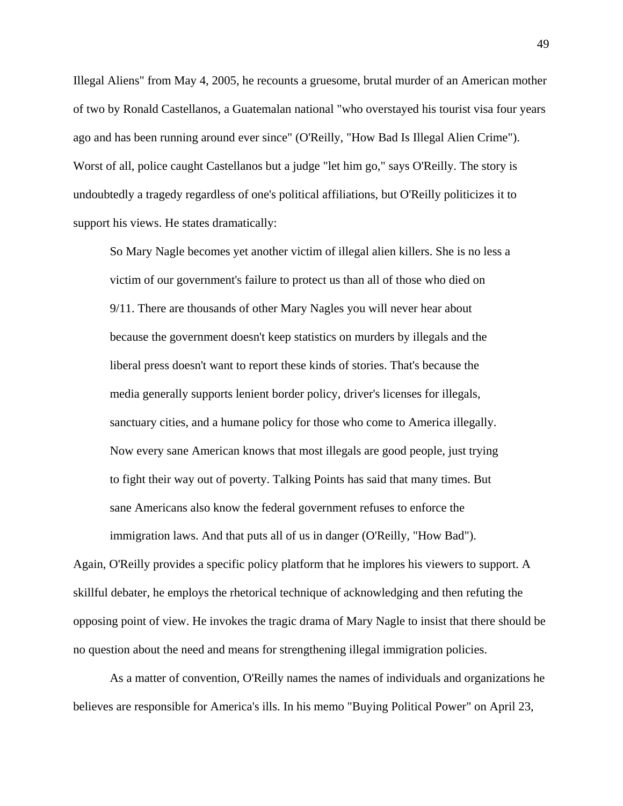Illegal Aliens" from May 4, 2005, he recounts a gruesome, brutal murder of an American mother of two by Ronald Castellanos, a Guatemalan national "who overstayed his tourist visa four years ago and has been running around ever since" (O'Reilly, "How Bad Is Illegal Alien Crime"). Worst of all, police caught Castellanos but a judge "let him go," says O'Reilly. The story is undoubtedly a tragedy regardless of one's political affiliations, but O'Reilly politicizes it to support his views. He states dramatically:

So Mary Nagle becomes yet another victim of illegal alien killers. She is no less a victim of our government's failure to protect us than all of those who died on 9/11. There are thousands of other Mary Nagles you will never hear about because the government doesn't keep statistics on murders by illegals and the liberal press doesn't want to report these kinds of stories. That's because the media generally supports lenient border policy, driver's licenses for illegals, sanctuary cities, and a humane policy for those who come to America illegally. Now every sane American knows that most illegals are good people, just trying to fight their way out of poverty. Talking Points has said that many times. But sane Americans also know the federal government refuses to enforce the

immigration laws. And that puts all of us in danger (O'Reilly, "How Bad").

Again, O'Reilly provides a specific policy platform that he implores his viewers to support. A skillful debater, he employs the rhetorical technique of acknowledging and then refuting the opposing point of view. He invokes the tragic drama of Mary Nagle to insist that there should be no question about the need and means for strengthening illegal immigration policies.

 As a matter of convention, O'Reilly names the names of individuals and organizations he believes are responsible for America's ills. In his memo "Buying Political Power" on April 23,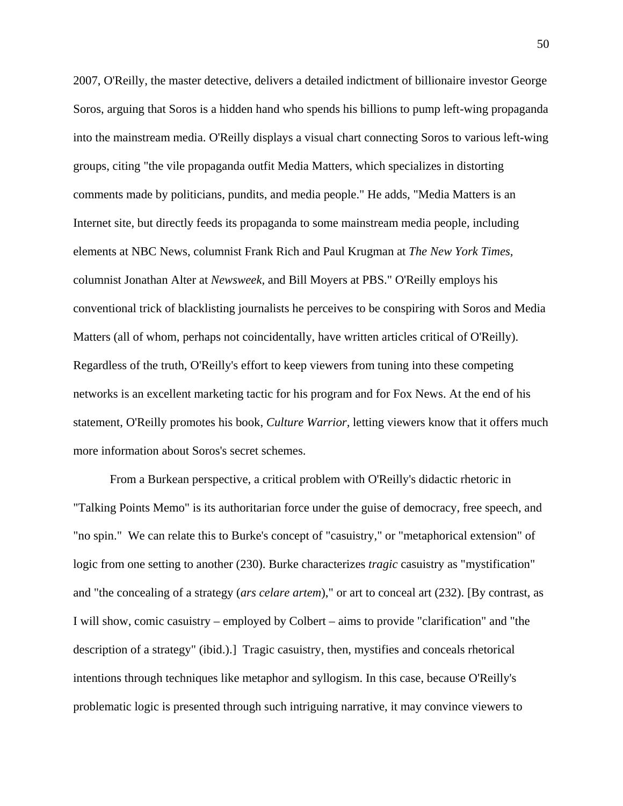2007, O'Reilly, the master detective, delivers a detailed indictment of billionaire investor George Soros, arguing that Soros is a hidden hand who spends his billions to pump left-wing propaganda into the mainstream media. O'Reilly displays a visual chart connecting Soros to various left-wing groups, citing "the vile propaganda outfit Media Matters, which specializes in distorting comments made by politicians, pundits, and media people." He adds, "Media Matters is an Internet site, but directly feeds its propaganda to some mainstream media people, including elements at NBC News, columnist Frank Rich and Paul Krugman at *The New York Times,*  columnist Jonathan Alter at *Newsweek,* and Bill Moyers at PBS." O'Reilly employs his conventional trick of blacklisting journalists he perceives to be conspiring with Soros and Media Matters (all of whom, perhaps not coincidentally, have written articles critical of O'Reilly). Regardless of the truth, O'Reilly's effort to keep viewers from tuning into these competing networks is an excellent marketing tactic for his program and for Fox News. At the end of his statement, O'Reilly promotes his book, *Culture Warrior,* letting viewers know that it offers much more information about Soros's secret schemes.

 From a Burkean perspective, a critical problem with O'Reilly's didactic rhetoric in "Talking Points Memo" is its authoritarian force under the guise of democracy, free speech, and "no spin." We can relate this to Burke's concept of "casuistry," or "metaphorical extension" of logic from one setting to another (230). Burke characterizes *tragic* casuistry as "mystification" and "the concealing of a strategy (*ars celare artem*)," or art to conceal art (232). [By contrast, as I will show, comic casuistry – employed by Colbert – aims to provide "clarification" and "the description of a strategy" (ibid.).] Tragic casuistry, then, mystifies and conceals rhetorical intentions through techniques like metaphor and syllogism. In this case, because O'Reilly's problematic logic is presented through such intriguing narrative, it may convince viewers to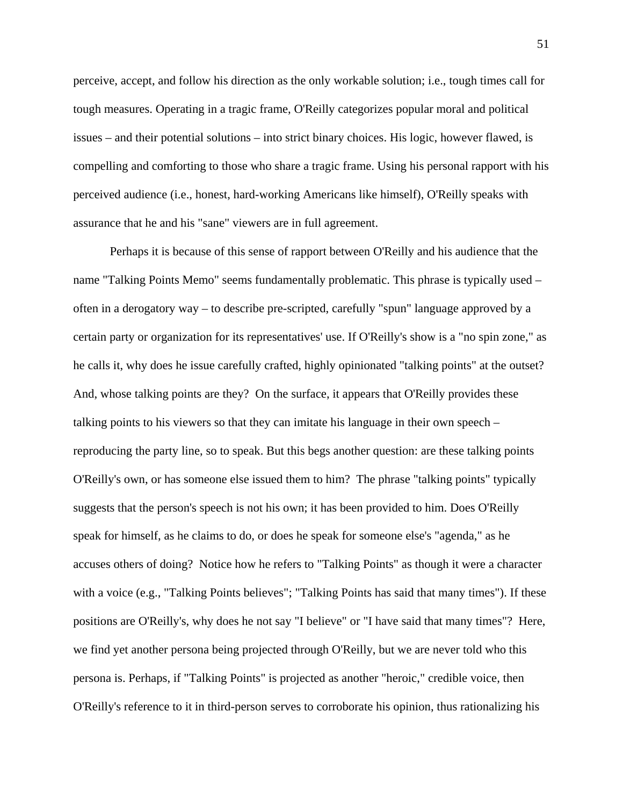perceive, accept, and follow his direction as the only workable solution; i.e., tough times call for tough measures. Operating in a tragic frame, O'Reilly categorizes popular moral and political issues – and their potential solutions – into strict binary choices. His logic, however flawed, is compelling and comforting to those who share a tragic frame. Using his personal rapport with his perceived audience (i.e., honest, hard-working Americans like himself), O'Reilly speaks with assurance that he and his "sane" viewers are in full agreement.

 Perhaps it is because of this sense of rapport between O'Reilly and his audience that the name "Talking Points Memo" seems fundamentally problematic. This phrase is typically used – often in a derogatory way – to describe pre-scripted, carefully "spun" language approved by a certain party or organization for its representatives' use. If O'Reilly's show is a "no spin zone," as he calls it, why does he issue carefully crafted, highly opinionated "talking points" at the outset? And, whose talking points are they? On the surface, it appears that O'Reilly provides these talking points to his viewers so that they can imitate his language in their own speech – reproducing the party line, so to speak. But this begs another question: are these talking points O'Reilly's own, or has someone else issued them to him? The phrase "talking points" typically suggests that the person's speech is not his own; it has been provided to him. Does O'Reilly speak for himself, as he claims to do, or does he speak for someone else's "agenda," as he accuses others of doing? Notice how he refers to "Talking Points" as though it were a character with a voice (e.g., "Talking Points believes"; "Talking Points has said that many times"). If these positions are O'Reilly's, why does he not say "I believe" or "I have said that many times"? Here, we find yet another persona being projected through O'Reilly, but we are never told who this persona is. Perhaps, if "Talking Points" is projected as another "heroic," credible voice, then O'Reilly's reference to it in third-person serves to corroborate his opinion, thus rationalizing his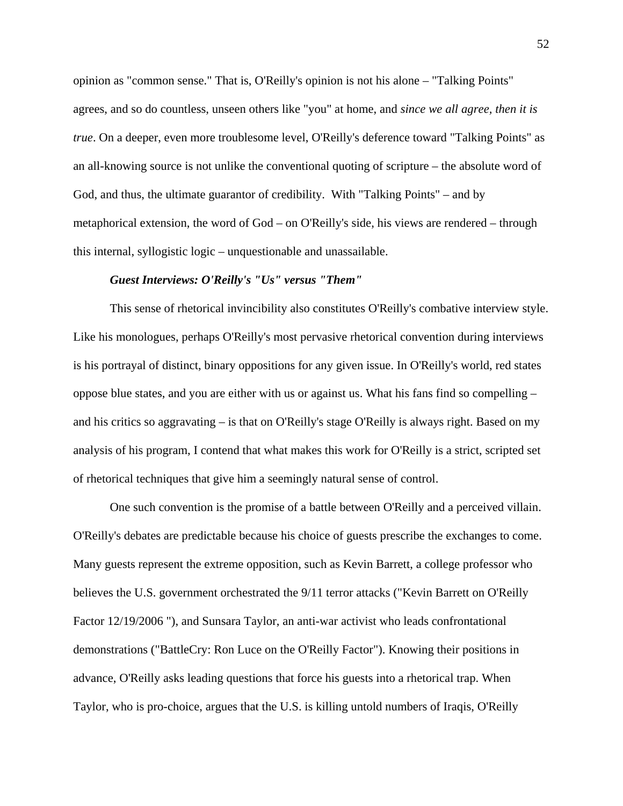opinion as "common sense." That is, O'Reilly's opinion is not his alone – "Talking Points" agrees, and so do countless, unseen others like "you" at home, and *since we all agree, then it is true*. On a deeper, even more troublesome level, O'Reilly's deference toward "Talking Points" as an all-knowing source is not unlike the conventional quoting of scripture – the absolute word of God, and thus, the ultimate guarantor of credibility. With "Talking Points" – and by metaphorical extension, the word of God – on O'Reilly's side, his views are rendered – through this internal, syllogistic logic – unquestionable and unassailable.

# *Guest Interviews: O'Reilly's "Us" versus "Them"*

This sense of rhetorical invincibility also constitutes O'Reilly's combative interview style. Like his monologues, perhaps O'Reilly's most pervasive rhetorical convention during interviews is his portrayal of distinct, binary oppositions for any given issue. In O'Reilly's world, red states oppose blue states, and you are either with us or against us. What his fans find so compelling – and his critics so aggravating – is that on O'Reilly's stage O'Reilly is always right. Based on my analysis of his program, I contend that what makes this work for O'Reilly is a strict, scripted set of rhetorical techniques that give him a seemingly natural sense of control.

One such convention is the promise of a battle between O'Reilly and a perceived villain. O'Reilly's debates are predictable because his choice of guests prescribe the exchanges to come. Many guests represent the extreme opposition, such as Kevin Barrett, a college professor who believes the U.S. government orchestrated the 9/11 terror attacks ("Kevin Barrett on O'Reilly Factor 12/19/2006 "), and Sunsara Taylor, an anti-war activist who leads confrontational demonstrations ("BattleCry: Ron Luce on the O'Reilly Factor"). Knowing their positions in advance, O'Reilly asks leading questions that force his guests into a rhetorical trap. When Taylor, who is pro-choice, argues that the U.S. is killing untold numbers of Iraqis, O'Reilly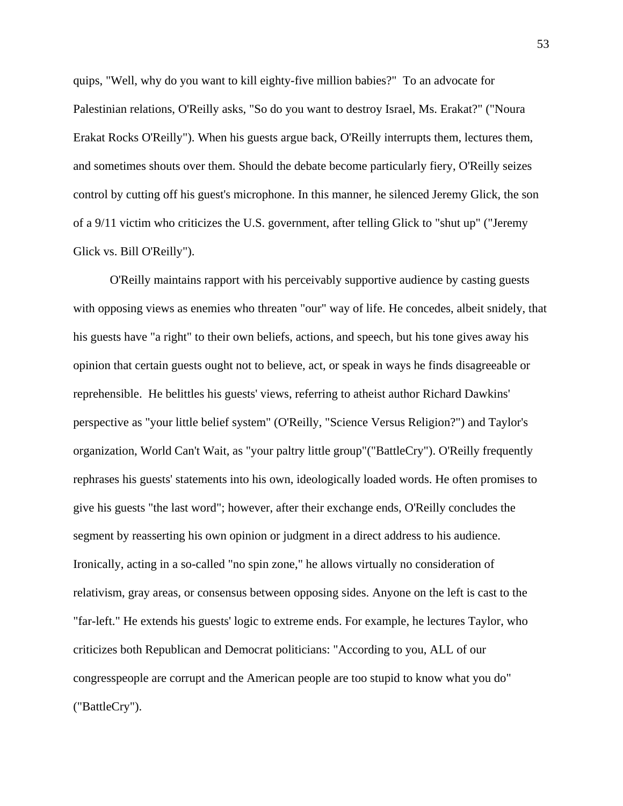quips, "Well, why do you want to kill eighty-five million babies?" To an advocate for Palestinian relations, O'Reilly asks, "So do you want to destroy Israel, Ms. Erakat?" ("Noura Erakat Rocks O'Reilly"). When his guests argue back, O'Reilly interrupts them, lectures them, and sometimes shouts over them. Should the debate become particularly fiery, O'Reilly seizes control by cutting off his guest's microphone. In this manner, he silenced Jeremy Glick, the son of a 9/11 victim who criticizes the U.S. government, after telling Glick to "shut up" ("Jeremy Glick vs. Bill O'Reilly").

O'Reilly maintains rapport with his perceivably supportive audience by casting guests with opposing views as enemies who threaten "our" way of life. He concedes, albeit snidely, that his guests have "a right" to their own beliefs, actions, and speech, but his tone gives away his opinion that certain guests ought not to believe, act, or speak in ways he finds disagreeable or reprehensible. He belittles his guests' views, referring to atheist author Richard Dawkins' perspective as "your little belief system" (O'Reilly, "Science Versus Religion?") and Taylor's organization, World Can't Wait, as "your paltry little group"("BattleCry"). O'Reilly frequently rephrases his guests' statements into his own, ideologically loaded words. He often promises to give his guests "the last word"; however, after their exchange ends, O'Reilly concludes the segment by reasserting his own opinion or judgment in a direct address to his audience. Ironically, acting in a so-called "no spin zone," he allows virtually no consideration of relativism, gray areas, or consensus between opposing sides. Anyone on the left is cast to the "far-left." He extends his guests' logic to extreme ends. For example, he lectures Taylor, who criticizes both Republican and Democrat politicians: "According to you, ALL of our congresspeople are corrupt and the American people are too stupid to know what you do" ("BattleCry").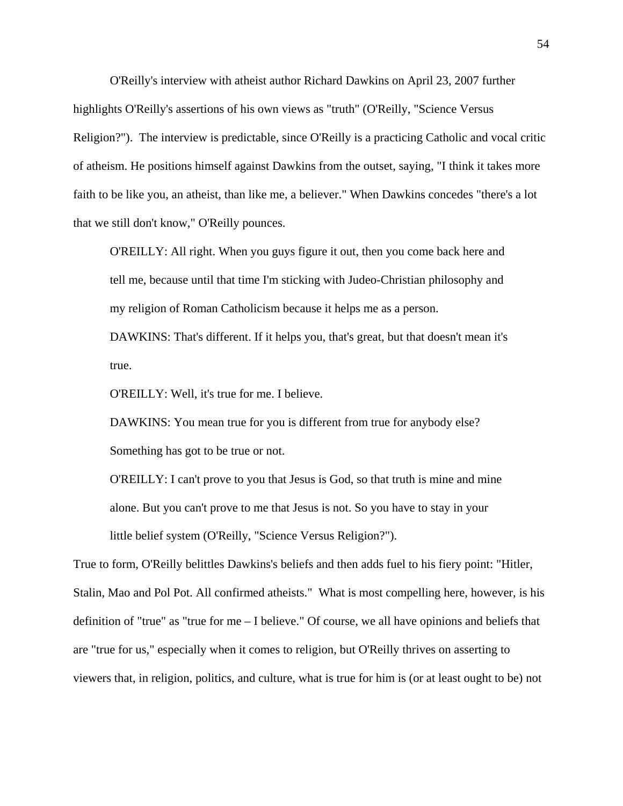O'Reilly's interview with atheist author Richard Dawkins on April 23, 2007 further highlights O'Reilly's assertions of his own views as "truth" (O'Reilly, "Science Versus Religion?"). The interview is predictable, since O'Reilly is a practicing Catholic and vocal critic of atheism. He positions himself against Dawkins from the outset, saying, "I think it takes more faith to be like you, an atheist, than like me, a believer." When Dawkins concedes "there's a lot that we still don't know," O'Reilly pounces.

O'REILLY: All right. When you guys figure it out, then you come back here and tell me, because until that time I'm sticking with Judeo-Christian philosophy and my religion of Roman Catholicism because it helps me as a person.

DAWKINS: That's different. If it helps you, that's great, but that doesn't mean it's true.

O'REILLY: Well, it's true for me. I believe.

DAWKINS: You mean true for you is different from true for anybody else? Something has got to be true or not.

O'REILLY: I can't prove to you that Jesus is God, so that truth is mine and mine alone. But you can't prove to me that Jesus is not. So you have to stay in your little belief system (O'Reilly, "Science Versus Religion?").

True to form, O'Reilly belittles Dawkins's beliefs and then adds fuel to his fiery point: "Hitler, Stalin, Mao and Pol Pot. All confirmed atheists." What is most compelling here, however, is his definition of "true" as "true for me – I believe." Of course, we all have opinions and beliefs that are "true for us," especially when it comes to religion, but O'Reilly thrives on asserting to viewers that, in religion, politics, and culture, what is true for him is (or at least ought to be) not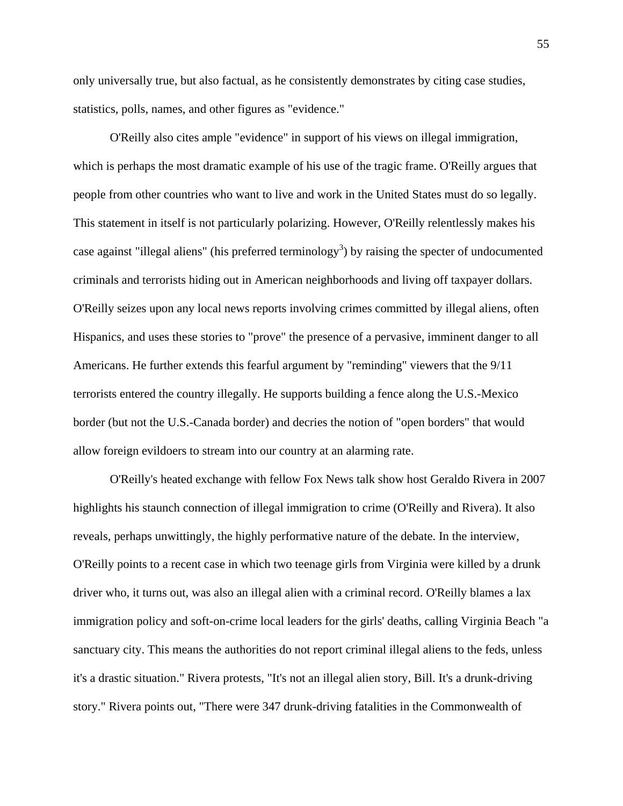only universally true, but also factual, as he consistently demonstrates by citing case studies, statistics, polls, names, and other figures as "evidence."

 O'Reilly also cites ample "evidence" in support of his views on illegal immigration, which is perhaps the most dramatic example of his use of the tragic frame. O'Reilly argues that people from other countries who want to live and work in the United States must do so legally. This statement in itself is not particularly polarizing. However, O'Reilly relentlessly makes his case against "illegal aliens" (his preferred terminology<sup>3</sup>) by raising the specter of undocumented criminals and terrorists hiding out in American neighborhoods and living off taxpayer dollars. O'Reilly seizes upon any local news reports involving crimes committed by illegal aliens, often Hispanics, and uses these stories to "prove" the presence of a pervasive, imminent danger to all Americans. He further extends this fearful argument by "reminding" viewers that the 9/11 terrorists entered the country illegally. He supports building a fence along the U.S.-Mexico border (but not the U.S.-Canada border) and decries the notion of "open borders" that would allow foreign evildoers to stream into our country at an alarming rate.

 O'Reilly's heated exchange with fellow Fox News talk show host Geraldo Rivera in 2007 highlights his staunch connection of illegal immigration to crime (O'Reilly and Rivera). It also reveals, perhaps unwittingly, the highly performative nature of the debate. In the interview, O'Reilly points to a recent case in which two teenage girls from Virginia were killed by a drunk driver who, it turns out, was also an illegal alien with a criminal record. O'Reilly blames a lax immigration policy and soft-on-crime local leaders for the girls' deaths, calling Virginia Beach "a sanctuary city. This means the authorities do not report criminal illegal aliens to the feds, unless it's a drastic situation." Rivera protests, "It's not an illegal alien story, Bill. It's a drunk-driving story." Rivera points out, "There were 347 drunk-driving fatalities in the Commonwealth of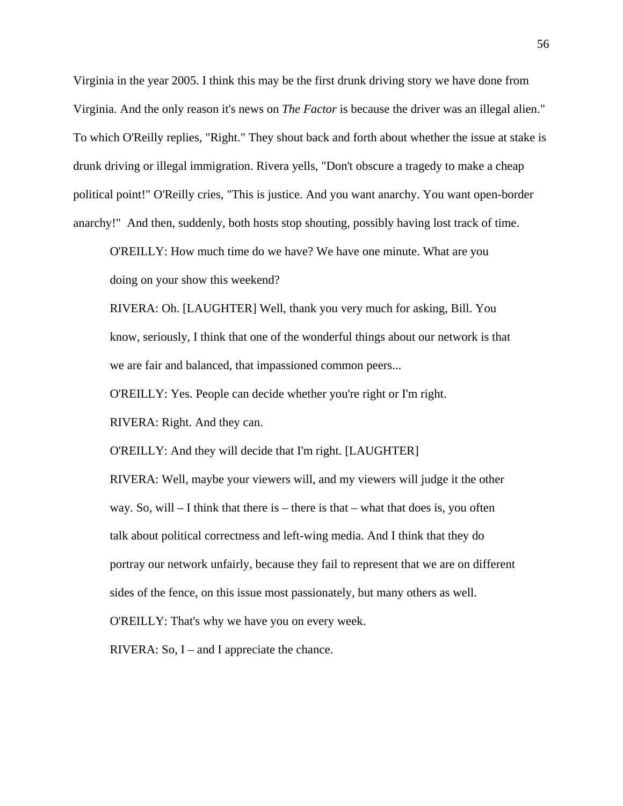Virginia in the year 2005. I think this may be the first drunk driving story we have done from Virginia. And the only reason it's news on *The Factor* is because the driver was an illegal alien." To which O'Reilly replies, "Right." They shout back and forth about whether the issue at stake is drunk driving or illegal immigration. Rivera yells, "Don't obscure a tragedy to make a cheap political point!" O'Reilly cries, "This is justice. And you want anarchy. You want open-border anarchy!" And then, suddenly, both hosts stop shouting, possibly having lost track of time.

O'REILLY: How much time do we have? We have one minute. What are you doing on your show this weekend?

RIVERA: Oh. [LAUGHTER] Well, thank you very much for asking, Bill. You know, seriously, I think that one of the wonderful things about our network is that we are fair and balanced, that impassioned common peers...

O'REILLY: Yes. People can decide whether you're right or I'm right.

RIVERA: Right. And they can.

O'REILLY: And they will decide that I'm right. [LAUGHTER]

RIVERA: Well, maybe your viewers will, and my viewers will judge it the other way. So, will  $-I$  think that there is  $-$  there is that  $-$  what that does is, you often talk about political correctness and left-wing media. And I think that they do portray our network unfairly, because they fail to represent that we are on different sides of the fence, on this issue most passionately, but many others as well.

O'REILLY: That's why we have you on every week.

RIVERA: So, I – and I appreciate the chance.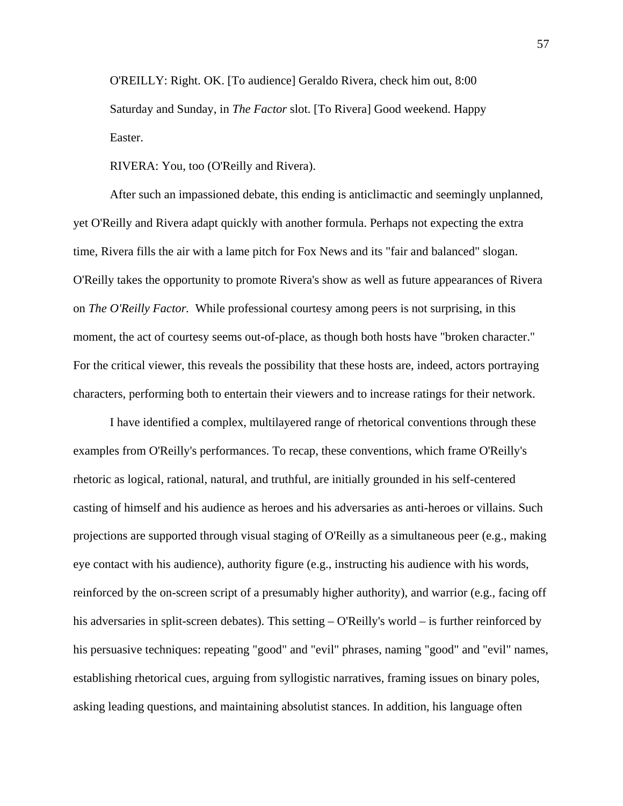O'REILLY: Right. OK. [To audience] Geraldo Rivera, check him out, 8:00 Saturday and Sunday, in *The Factor* slot. [To Rivera] Good weekend. Happy Easter.

RIVERA: You, too (O'Reilly and Rivera).

After such an impassioned debate, this ending is anticlimactic and seemingly unplanned, yet O'Reilly and Rivera adapt quickly with another formula. Perhaps not expecting the extra time, Rivera fills the air with a lame pitch for Fox News and its "fair and balanced" slogan. O'Reilly takes the opportunity to promote Rivera's show as well as future appearances of Rivera on *The O'Reilly Factor.* While professional courtesy among peers is not surprising, in this moment, the act of courtesy seems out-of-place, as though both hosts have "broken character." For the critical viewer, this reveals the possibility that these hosts are, indeed, actors portraying characters, performing both to entertain their viewers and to increase ratings for their network.

I have identified a complex, multilayered range of rhetorical conventions through these examples from O'Reilly's performances. To recap, these conventions, which frame O'Reilly's rhetoric as logical, rational, natural, and truthful, are initially grounded in his self-centered casting of himself and his audience as heroes and his adversaries as anti-heroes or villains. Such projections are supported through visual staging of O'Reilly as a simultaneous peer (e.g., making eye contact with his audience), authority figure (e.g., instructing his audience with his words, reinforced by the on-screen script of a presumably higher authority), and warrior (e.g., facing off his adversaries in split-screen debates). This setting – O'Reilly's world – is further reinforced by his persuasive techniques: repeating "good" and "evil" phrases, naming "good" and "evil" names, establishing rhetorical cues, arguing from syllogistic narratives, framing issues on binary poles, asking leading questions, and maintaining absolutist stances. In addition, his language often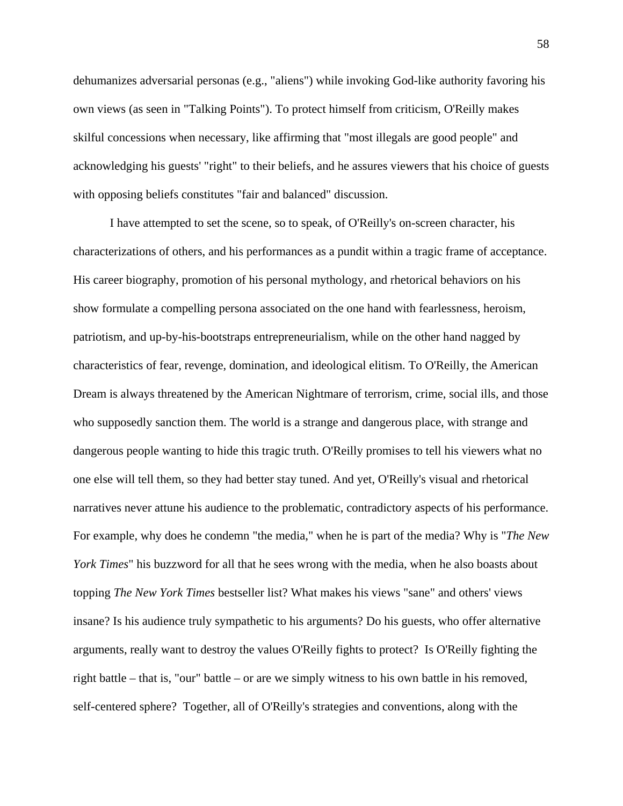dehumanizes adversarial personas (e.g., "aliens") while invoking God-like authority favoring his own views (as seen in "Talking Points"). To protect himself from criticism, O'Reilly makes skilful concessions when necessary, like affirming that "most illegals are good people" and acknowledging his guests' "right" to their beliefs, and he assures viewers that his choice of guests with opposing beliefs constitutes "fair and balanced" discussion.

I have attempted to set the scene, so to speak, of O'Reilly's on-screen character, his characterizations of others, and his performances as a pundit within a tragic frame of acceptance. His career biography, promotion of his personal mythology, and rhetorical behaviors on his show formulate a compelling persona associated on the one hand with fearlessness, heroism, patriotism, and up-by-his-bootstraps entrepreneurialism, while on the other hand nagged by characteristics of fear, revenge, domination, and ideological elitism. To O'Reilly, the American Dream is always threatened by the American Nightmare of terrorism, crime, social ills, and those who supposedly sanction them. The world is a strange and dangerous place, with strange and dangerous people wanting to hide this tragic truth. O'Reilly promises to tell his viewers what no one else will tell them, so they had better stay tuned. And yet, O'Reilly's visual and rhetorical narratives never attune his audience to the problematic, contradictory aspects of his performance. For example, why does he condemn "the media," when he is part of the media? Why is "*The New York Times*" his buzzword for all that he sees wrong with the media, when he also boasts about topping *The New York Times* bestseller list? What makes his views "sane" and others' views insane? Is his audience truly sympathetic to his arguments? Do his guests, who offer alternative arguments, really want to destroy the values O'Reilly fights to protect? Is O'Reilly fighting the right battle – that is, "our" battle – or are we simply witness to his own battle in his removed, self-centered sphere? Together, all of O'Reilly's strategies and conventions, along with the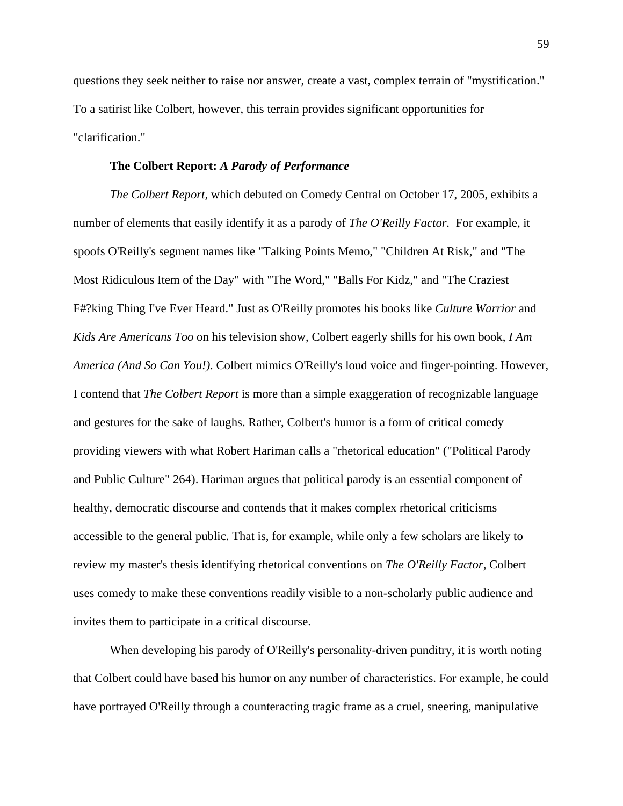questions they seek neither to raise nor answer, create a vast, complex terrain of "mystification." To a satirist like Colbert, however, this terrain provides significant opportunities for "clarification."

### **The Colbert Report:** *A Parody of Performance*

*The Colbert Report,* which debuted on Comedy Central on October 17, 2005, exhibits a number of elements that easily identify it as a parody of *The O'Reilly Factor.* For example, it spoofs O'Reilly's segment names like "Talking Points Memo," "Children At Risk," and "The Most Ridiculous Item of the Day" with "The Word," "Balls For Kidz," and "The Craziest F#?king Thing I've Ever Heard." Just as O'Reilly promotes his books like *Culture Warrior* and *Kids Are Americans Too* on his television show, Colbert eagerly shills for his own book, *I Am America (And So Can You!)*. Colbert mimics O'Reilly's loud voice and finger-pointing. However, I contend that *The Colbert Report* is more than a simple exaggeration of recognizable language and gestures for the sake of laughs. Rather, Colbert's humor is a form of critical comedy providing viewers with what Robert Hariman calls a "rhetorical education" ("Political Parody and Public Culture" 264). Hariman argues that political parody is an essential component of healthy, democratic discourse and contends that it makes complex rhetorical criticisms accessible to the general public. That is, for example, while only a few scholars are likely to review my master's thesis identifying rhetorical conventions on *The O'Reilly Factor,* Colbert uses comedy to make these conventions readily visible to a non-scholarly public audience and invites them to participate in a critical discourse.

When developing his parody of O'Reilly's personality-driven punditry, it is worth noting that Colbert could have based his humor on any number of characteristics. For example, he could have portrayed O'Reilly through a counteracting tragic frame as a cruel, sneering, manipulative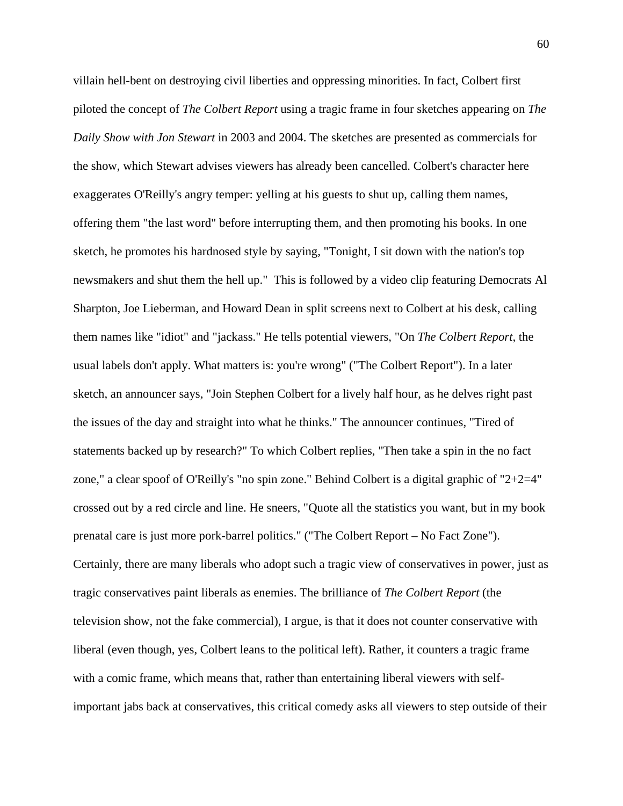villain hell-bent on destroying civil liberties and oppressing minorities. In fact, Colbert first piloted the concept of *The Colbert Report* using a tragic frame in four sketches appearing on *The Daily Show with Jon Stewart* in 2003 and 2004. The sketches are presented as commercials for the show, which Stewart advises viewers has already been cancelled. Colbert's character here exaggerates O'Reilly's angry temper: yelling at his guests to shut up, calling them names, offering them "the last word" before interrupting them, and then promoting his books. In one sketch, he promotes his hardnosed style by saying, "Tonight, I sit down with the nation's top newsmakers and shut them the hell up." This is followed by a video clip featuring Democrats Al Sharpton, Joe Lieberman, and Howard Dean in split screens next to Colbert at his desk, calling them names like "idiot" and "jackass." He tells potential viewers, "On *The Colbert Report,* the usual labels don't apply. What matters is: you're wrong" ("The Colbert Report"). In a later sketch, an announcer says, "Join Stephen Colbert for a lively half hour, as he delves right past the issues of the day and straight into what he thinks." The announcer continues, "Tired of statements backed up by research?" To which Colbert replies, "Then take a spin in the no fact zone," a clear spoof of O'Reilly's "no spin zone." Behind Colbert is a digital graphic of "2+2=4" crossed out by a red circle and line. He sneers, "Quote all the statistics you want, but in my book prenatal care is just more pork-barrel politics." ("The Colbert Report – No Fact Zone"). Certainly, there are many liberals who adopt such a tragic view of conservatives in power, just as tragic conservatives paint liberals as enemies. The brilliance of *The Colbert Report* (the television show, not the fake commercial), I argue, is that it does not counter conservative with liberal (even though, yes, Colbert leans to the political left). Rather, it counters a tragic frame with a comic frame, which means that, rather than entertaining liberal viewers with selfimportant jabs back at conservatives, this critical comedy asks all viewers to step outside of their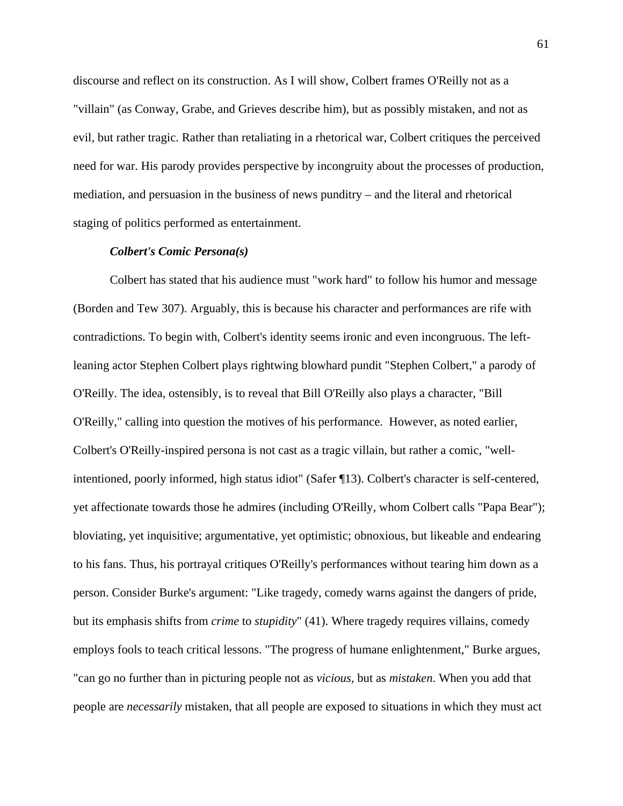discourse and reflect on its construction. As I will show, Colbert frames O'Reilly not as a "villain" (as Conway, Grabe, and Grieves describe him), but as possibly mistaken, and not as evil, but rather tragic. Rather than retaliating in a rhetorical war, Colbert critiques the perceived need for war. His parody provides perspective by incongruity about the processes of production, mediation, and persuasion in the business of news punditry – and the literal and rhetorical staging of politics performed as entertainment.

# *Colbert's Comic Persona(s)*

Colbert has stated that his audience must "work hard" to follow his humor and message (Borden and Tew 307). Arguably, this is because his character and performances are rife with contradictions. To begin with, Colbert's identity seems ironic and even incongruous. The leftleaning actor Stephen Colbert plays rightwing blowhard pundit "Stephen Colbert," a parody of O'Reilly. The idea, ostensibly, is to reveal that Bill O'Reilly also plays a character, "Bill O'Reilly," calling into question the motives of his performance. However, as noted earlier, Colbert's O'Reilly-inspired persona is not cast as a tragic villain, but rather a comic, "wellintentioned, poorly informed, high status idiot" (Safer ¶13). Colbert's character is self-centered, yet affectionate towards those he admires (including O'Reilly, whom Colbert calls "Papa Bear"); bloviating, yet inquisitive; argumentative, yet optimistic; obnoxious, but likeable and endearing to his fans. Thus, his portrayal critiques O'Reilly's performances without tearing him down as a person. Consider Burke's argument: "Like tragedy, comedy warns against the dangers of pride, but its emphasis shifts from *crime* to *stupidity*" (41). Where tragedy requires villains, comedy employs fools to teach critical lessons. "The progress of humane enlightenment," Burke argues, "can go no further than in picturing people not as *vicious,* but as *mistaken*. When you add that people are *necessarily* mistaken, that all people are exposed to situations in which they must act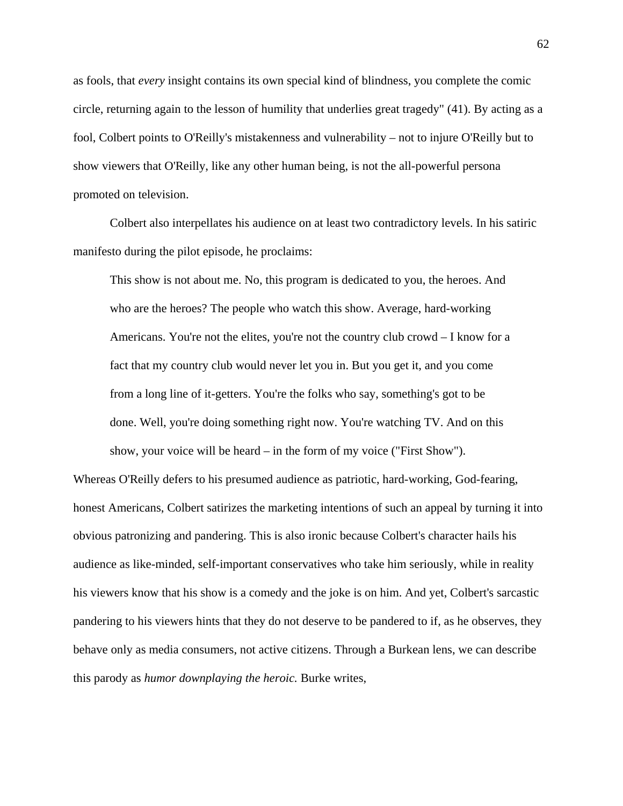as fools, that *every* insight contains its own special kind of blindness, you complete the comic circle, returning again to the lesson of humility that underlies great tragedy" (41). By acting as a fool, Colbert points to O'Reilly's mistakenness and vulnerability – not to injure O'Reilly but to show viewers that O'Reilly, like any other human being, is not the all-powerful persona promoted on television.

Colbert also interpellates his audience on at least two contradictory levels. In his satiric manifesto during the pilot episode, he proclaims:

This show is not about me. No, this program is dedicated to you, the heroes. And who are the heroes? The people who watch this show. Average, hard-working Americans. You're not the elites, you're not the country club crowd  $-I$  know for a fact that my country club would never let you in. But you get it, and you come from a long line of it-getters. You're the folks who say, something's got to be done. Well, you're doing something right now. You're watching TV. And on this show, your voice will be heard – in the form of my voice ("First Show").

Whereas O'Reilly defers to his presumed audience as patriotic, hard-working, God-fearing, honest Americans, Colbert satirizes the marketing intentions of such an appeal by turning it into obvious patronizing and pandering. This is also ironic because Colbert's character hails his audience as like-minded, self-important conservatives who take him seriously, while in reality his viewers know that his show is a comedy and the joke is on him. And yet, Colbert's sarcastic pandering to his viewers hints that they do not deserve to be pandered to if, as he observes, they behave only as media consumers, not active citizens. Through a Burkean lens, we can describe this parody as *humor downplaying the heroic.* Burke writes,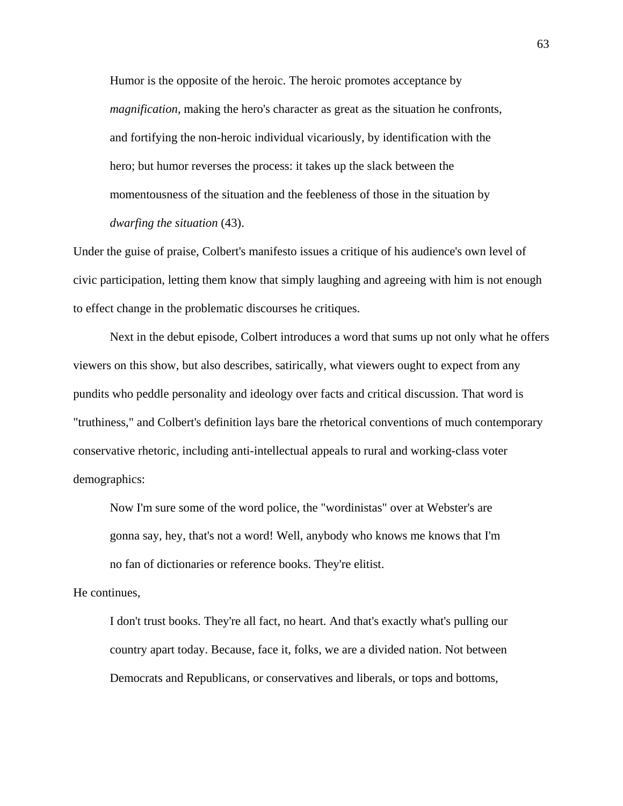Humor is the opposite of the heroic. The heroic promotes acceptance by *magnification,* making the hero's character as great as the situation he confronts, and fortifying the non-heroic individual vicariously, by identification with the hero; but humor reverses the process: it takes up the slack between the momentousness of the situation and the feebleness of those in the situation by *dwarfing the situation* (43).

Under the guise of praise, Colbert's manifesto issues a critique of his audience's own level of civic participation, letting them know that simply laughing and agreeing with him is not enough to effect change in the problematic discourses he critiques.

 Next in the debut episode, Colbert introduces a word that sums up not only what he offers viewers on this show, but also describes, satirically, what viewers ought to expect from any pundits who peddle personality and ideology over facts and critical discussion. That word is "truthiness," and Colbert's definition lays bare the rhetorical conventions of much contemporary conservative rhetoric, including anti-intellectual appeals to rural and working-class voter demographics:

Now I'm sure some of the word police, the "wordinistas" over at Webster's are gonna say, hey, that's not a word! Well, anybody who knows me knows that I'm no fan of dictionaries or reference books. They're elitist.

# He continues,

I don't trust books. They're all fact, no heart. And that's exactly what's pulling our country apart today. Because, face it, folks, we are a divided nation. Not between Democrats and Republicans, or conservatives and liberals, or tops and bottoms,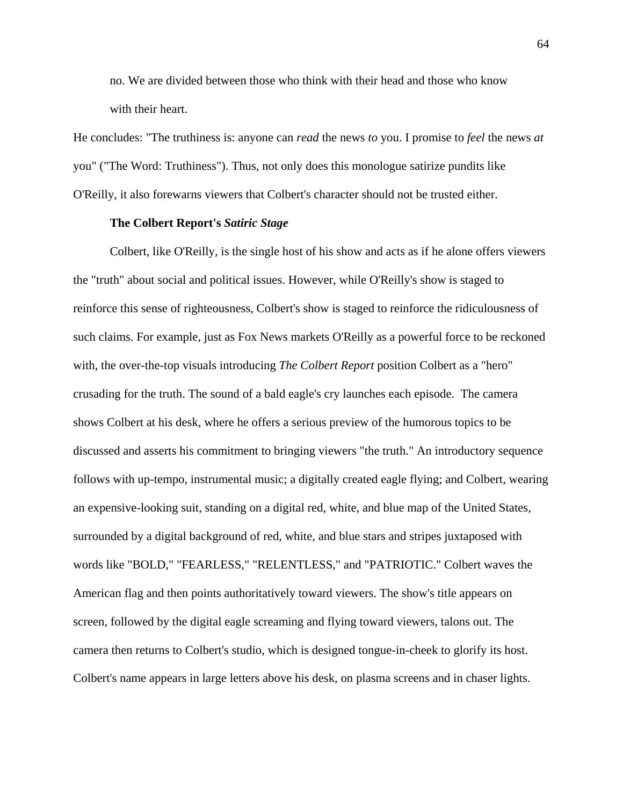no. We are divided between those who think with their head and those who know with their heart.

He concludes: "The truthiness is: anyone can *read* the news *to* you. I promise to *feel* the news *at* you" ("The Word: Truthiness"). Thus, not only does this monologue satirize pundits like O'Reilly, it also forewarns viewers that Colbert's character should not be trusted either.

# **The Colbert Report's** *Satiric Stage*

Colbert, like O'Reilly, is the single host of his show and acts as if he alone offers viewers the "truth" about social and political issues. However, while O'Reilly's show is staged to reinforce this sense of righteousness, Colbert's show is staged to reinforce the ridiculousness of such claims. For example, just as Fox News markets O'Reilly as a powerful force to be reckoned with, the over-the-top visuals introducing *The Colbert Report* position Colbert as a "hero" crusading for the truth. The sound of a bald eagle's cry launches each episode. The camera shows Colbert at his desk, where he offers a serious preview of the humorous topics to be discussed and asserts his commitment to bringing viewers "the truth." An introductory sequence follows with up-tempo, instrumental music; a digitally created eagle flying; and Colbert, wearing an expensive-looking suit, standing on a digital red, white, and blue map of the United States, surrounded by a digital background of red, white, and blue stars and stripes juxtaposed with words like "BOLD," "FEARLESS," "RELENTLESS," and "PATRIOTIC." Colbert waves the American flag and then points authoritatively toward viewers. The show's title appears on screen, followed by the digital eagle screaming and flying toward viewers, talons out. The camera then returns to Colbert's studio, which is designed tongue-in-cheek to glorify its host. Colbert's name appears in large letters above his desk, on plasma screens and in chaser lights.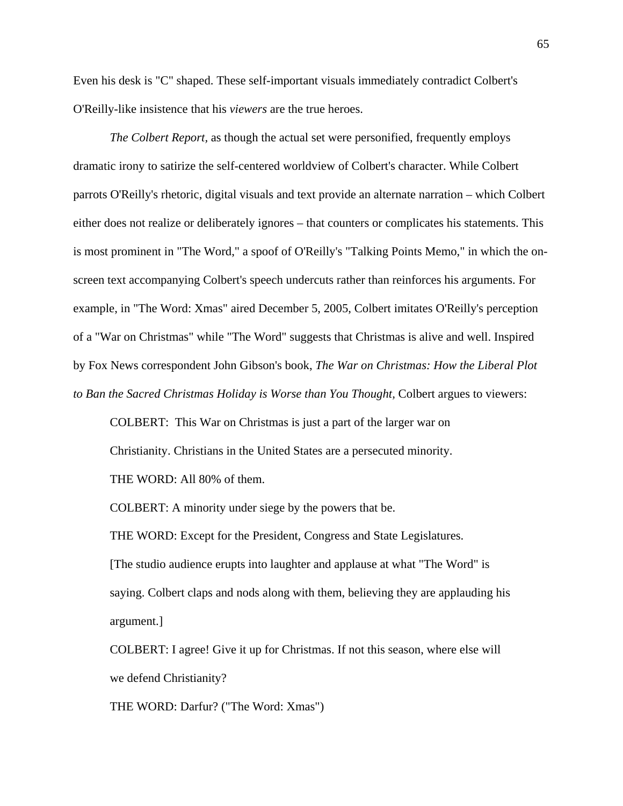Even his desk is "C" shaped. These self-important visuals immediately contradict Colbert's O'Reilly-like insistence that his *viewers* are the true heroes.

*The Colbert Report,* as though the actual set were personified, frequently employs dramatic irony to satirize the self-centered worldview of Colbert's character. While Colbert parrots O'Reilly's rhetoric, digital visuals and text provide an alternate narration – which Colbert either does not realize or deliberately ignores – that counters or complicates his statements. This is most prominent in "The Word," a spoof of O'Reilly's "Talking Points Memo," in which the onscreen text accompanying Colbert's speech undercuts rather than reinforces his arguments. For example, in "The Word: Xmas" aired December 5, 2005, Colbert imitates O'Reilly's perception of a "War on Christmas" while "The Word" suggests that Christmas is alive and well. Inspired by Fox News correspondent John Gibson's book, *The War on Christmas: How the Liberal Plot to Ban the Sacred Christmas Holiday is Worse than You Thought,* Colbert argues to viewers:

COLBERT: This War on Christmas is just a part of the larger war on

Christianity. Christians in the United States are a persecuted minority.

THE WORD: All 80% of them.

COLBERT: A minority under siege by the powers that be.

THE WORD: Except for the President, Congress and State Legislatures.

[The studio audience erupts into laughter and applause at what "The Word" is saying. Colbert claps and nods along with them, believing they are applauding his argument.]

COLBERT: I agree! Give it up for Christmas. If not this season, where else will we defend Christianity?

THE WORD: Darfur? ("The Word: Xmas")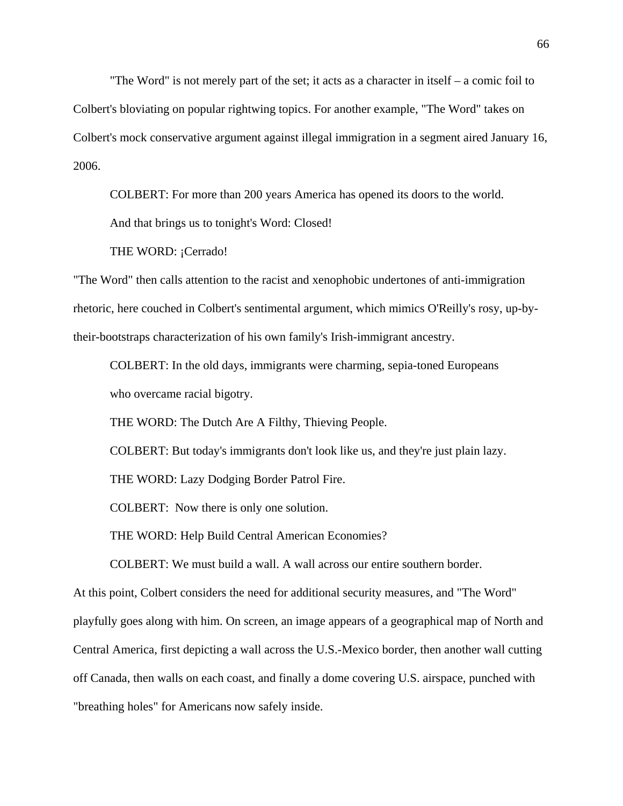"The Word" is not merely part of the set; it acts as a character in itself – a comic foil to Colbert's bloviating on popular rightwing topics. For another example, "The Word" takes on Colbert's mock conservative argument against illegal immigration in a segment aired January 16, 2006.

COLBERT: For more than 200 years America has opened its doors to the world.

And that brings us to tonight's Word: Closed!

THE WORD: ¡Cerrado!

"The Word" then calls attention to the racist and xenophobic undertones of anti-immigration rhetoric, here couched in Colbert's sentimental argument, which mimics O'Reilly's rosy, up-bytheir-bootstraps characterization of his own family's Irish-immigrant ancestry.

COLBERT: In the old days, immigrants were charming, sepia-toned Europeans who overcame racial bigotry.

THE WORD: The Dutch Are A Filthy, Thieving People.

COLBERT: But today's immigrants don't look like us, and they're just plain lazy.

THE WORD: Lazy Dodging Border Patrol Fire.

COLBERT: Now there is only one solution.

THE WORD: Help Build Central American Economies?

COLBERT: We must build a wall. A wall across our entire southern border.

At this point, Colbert considers the need for additional security measures, and "The Word" playfully goes along with him. On screen, an image appears of a geographical map of North and Central America, first depicting a wall across the U.S.-Mexico border, then another wall cutting off Canada, then walls on each coast, and finally a dome covering U.S. airspace, punched with "breathing holes" for Americans now safely inside.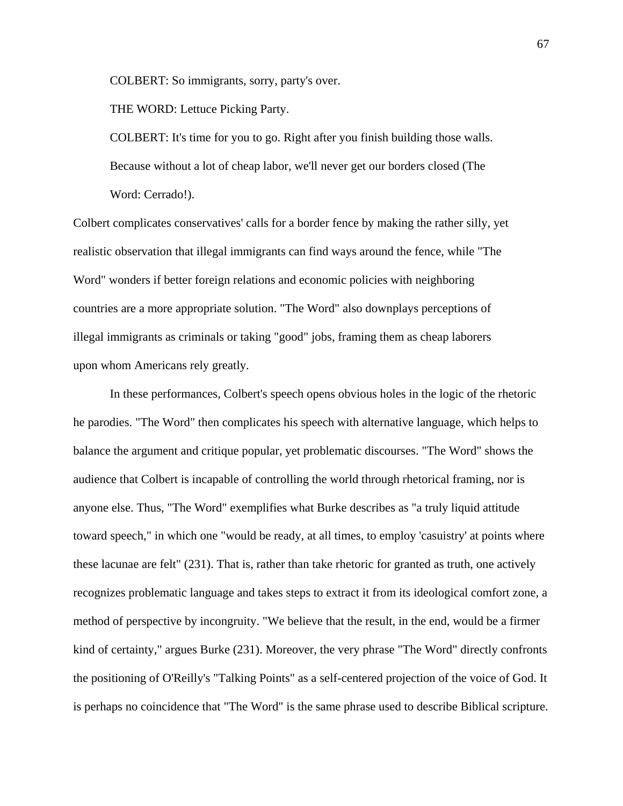COLBERT: So immigrants, sorry, party's over.

THE WORD: Lettuce Picking Party.

COLBERT: It's time for you to go. Right after you finish building those walls. Because without a lot of cheap labor, we'll never get our borders closed (The Word: Cerrado!).

Colbert complicates conservatives' calls for a border fence by making the rather silly, yet realistic observation that illegal immigrants can find ways around the fence, while "The Word" wonders if better foreign relations and economic policies with neighboring countries are a more appropriate solution. "The Word" also downplays perceptions of illegal immigrants as criminals or taking "good" jobs, framing them as cheap laborers upon whom Americans rely greatly.

In these performances, Colbert's speech opens obvious holes in the logic of the rhetoric he parodies. "The Word" then complicates his speech with alternative language, which helps to balance the argument and critique popular, yet problematic discourses. "The Word" shows the audience that Colbert is incapable of controlling the world through rhetorical framing, nor is anyone else. Thus, "The Word" exemplifies what Burke describes as "a truly liquid attitude toward speech," in which one "would be ready, at all times, to employ 'casuistry' at points where these lacunae are felt" (231). That is, rather than take rhetoric for granted as truth, one actively recognizes problematic language and takes steps to extract it from its ideological comfort zone, a method of perspective by incongruity. "We believe that the result, in the end, would be a firmer kind of certainty," argues Burke (231). Moreover, the very phrase "The Word" directly confronts the positioning of O'Reilly's "Talking Points" as a self-centered projection of the voice of God. It is perhaps no coincidence that "The Word" is the same phrase used to describe Biblical scripture.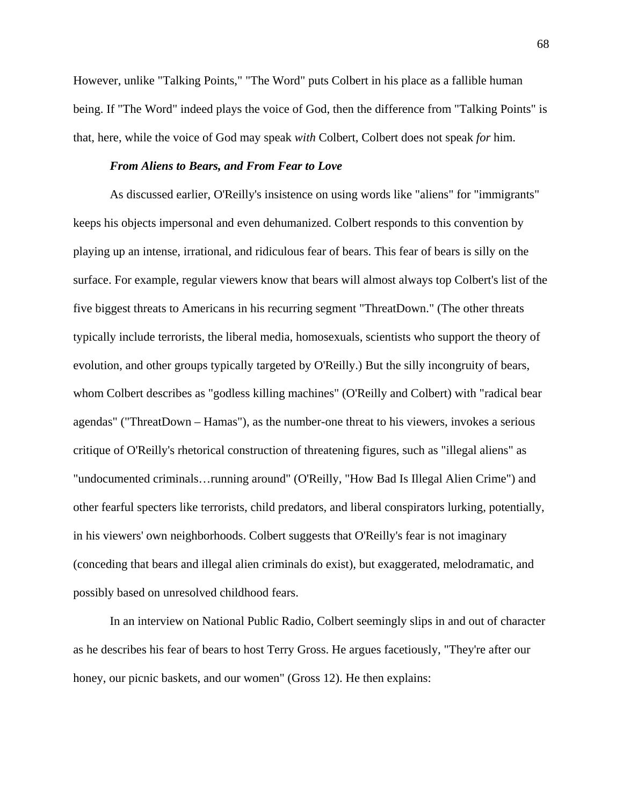However, unlike "Talking Points," "The Word" puts Colbert in his place as a fallible human being. If "The Word" indeed plays the voice of God, then the difference from "Talking Points" is that, here, while the voice of God may speak *with* Colbert, Colbert does not speak *for* him.

#### *From Aliens to Bears, and From Fear to Love*

As discussed earlier, O'Reilly's insistence on using words like "aliens" for "immigrants" keeps his objects impersonal and even dehumanized. Colbert responds to this convention by playing up an intense, irrational, and ridiculous fear of bears. This fear of bears is silly on the surface. For example, regular viewers know that bears will almost always top Colbert's list of the five biggest threats to Americans in his recurring segment "ThreatDown." (The other threats typically include terrorists, the liberal media, homosexuals, scientists who support the theory of evolution, and other groups typically targeted by O'Reilly.) But the silly incongruity of bears, whom Colbert describes as "godless killing machines" (O'Reilly and Colbert) with "radical bear agendas" ("ThreatDown – Hamas"), as the number-one threat to his viewers, invokes a serious critique of O'Reilly's rhetorical construction of threatening figures, such as "illegal aliens" as "undocumented criminals…running around" (O'Reilly, "How Bad Is Illegal Alien Crime") and other fearful specters like terrorists, child predators, and liberal conspirators lurking, potentially, in his viewers' own neighborhoods. Colbert suggests that O'Reilly's fear is not imaginary (conceding that bears and illegal alien criminals do exist), but exaggerated, melodramatic, and possibly based on unresolved childhood fears.

In an interview on National Public Radio, Colbert seemingly slips in and out of character as he describes his fear of bears to host Terry Gross. He argues facetiously, "They're after our honey, our picnic baskets, and our women" (Gross 12). He then explains: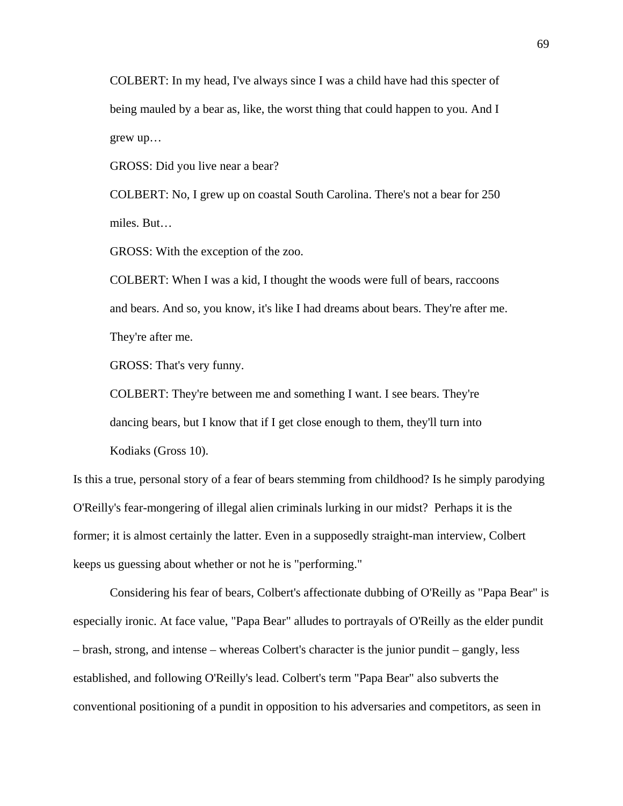COLBERT: In my head, I've always since I was a child have had this specter of being mauled by a bear as, like, the worst thing that could happen to you. And I grew up…

GROSS: Did you live near a bear?

COLBERT: No, I grew up on coastal South Carolina. There's not a bear for 250 miles. But…

GROSS: With the exception of the zoo.

COLBERT: When I was a kid, I thought the woods were full of bears, raccoons and bears. And so, you know, it's like I had dreams about bears. They're after me. They're after me.

GROSS: That's very funny.

COLBERT: They're between me and something I want. I see bears. They're dancing bears, but I know that if I get close enough to them, they'll turn into Kodiaks (Gross 10).

Is this a true, personal story of a fear of bears stemming from childhood? Is he simply parodying O'Reilly's fear-mongering of illegal alien criminals lurking in our midst? Perhaps it is the former; it is almost certainly the latter. Even in a supposedly straight-man interview, Colbert keeps us guessing about whether or not he is "performing."

Considering his fear of bears, Colbert's affectionate dubbing of O'Reilly as "Papa Bear" is especially ironic. At face value, "Papa Bear" alludes to portrayals of O'Reilly as the elder pundit – brash, strong, and intense – whereas Colbert's character is the junior pundit – gangly, less established, and following O'Reilly's lead. Colbert's term "Papa Bear" also subverts the conventional positioning of a pundit in opposition to his adversaries and competitors, as seen in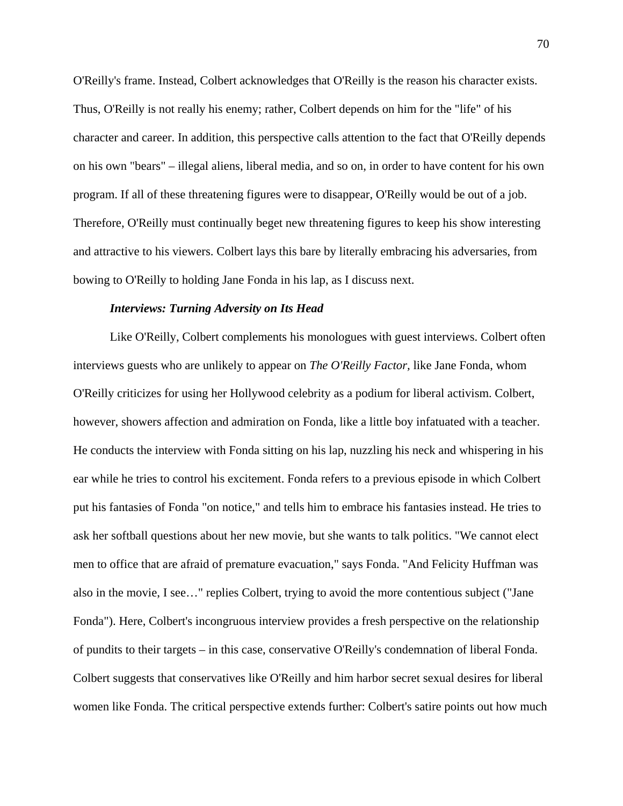O'Reilly's frame. Instead, Colbert acknowledges that O'Reilly is the reason his character exists. Thus, O'Reilly is not really his enemy; rather, Colbert depends on him for the "life" of his character and career. In addition, this perspective calls attention to the fact that O'Reilly depends on his own "bears" – illegal aliens, liberal media, and so on, in order to have content for his own program. If all of these threatening figures were to disappear, O'Reilly would be out of a job. Therefore, O'Reilly must continually beget new threatening figures to keep his show interesting and attractive to his viewers. Colbert lays this bare by literally embracing his adversaries, from bowing to O'Reilly to holding Jane Fonda in his lap, as I discuss next.

#### *Interviews: Turning Adversity on Its Head*

Like O'Reilly, Colbert complements his monologues with guest interviews. Colbert often interviews guests who are unlikely to appear on *The O'Reilly Factor,* like Jane Fonda, whom O'Reilly criticizes for using her Hollywood celebrity as a podium for liberal activism. Colbert, however, showers affection and admiration on Fonda, like a little boy infatuated with a teacher. He conducts the interview with Fonda sitting on his lap, nuzzling his neck and whispering in his ear while he tries to control his excitement. Fonda refers to a previous episode in which Colbert put his fantasies of Fonda "on notice," and tells him to embrace his fantasies instead. He tries to ask her softball questions about her new movie, but she wants to talk politics. "We cannot elect men to office that are afraid of premature evacuation," says Fonda. "And Felicity Huffman was also in the movie, I see…" replies Colbert, trying to avoid the more contentious subject ("Jane Fonda"). Here, Colbert's incongruous interview provides a fresh perspective on the relationship of pundits to their targets – in this case, conservative O'Reilly's condemnation of liberal Fonda. Colbert suggests that conservatives like O'Reilly and him harbor secret sexual desires for liberal women like Fonda. The critical perspective extends further: Colbert's satire points out how much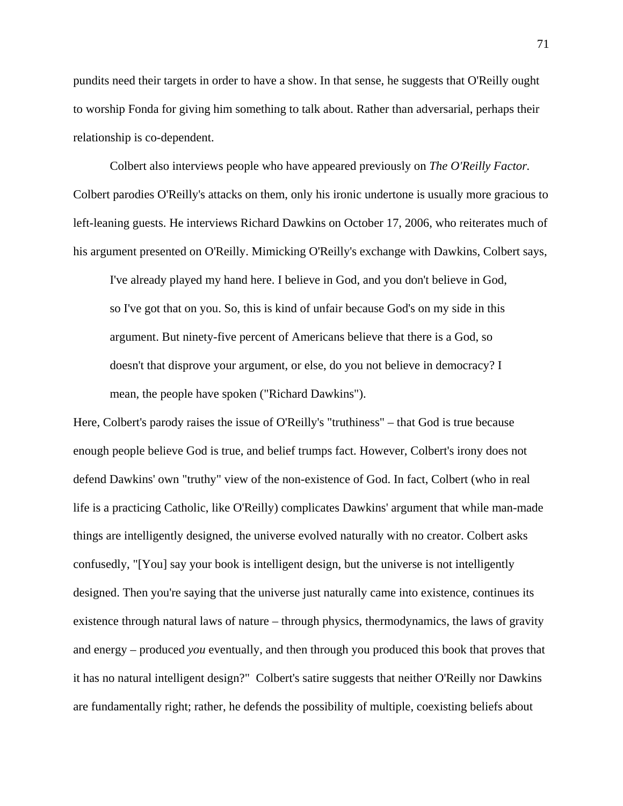pundits need their targets in order to have a show. In that sense, he suggests that O'Reilly ought to worship Fonda for giving him something to talk about. Rather than adversarial, perhaps their relationship is co-dependent.

Colbert also interviews people who have appeared previously on *The O'Reilly Factor.* Colbert parodies O'Reilly's attacks on them, only his ironic undertone is usually more gracious to left-leaning guests. He interviews Richard Dawkins on October 17, 2006, who reiterates much of his argument presented on O'Reilly. Mimicking O'Reilly's exchange with Dawkins, Colbert says,

I've already played my hand here. I believe in God, and you don't believe in God, so I've got that on you. So, this is kind of unfair because God's on my side in this argument. But ninety-five percent of Americans believe that there is a God, so doesn't that disprove your argument, or else, do you not believe in democracy? I mean, the people have spoken ("Richard Dawkins").

Here, Colbert's parody raises the issue of O'Reilly's "truthiness" – that God is true because enough people believe God is true, and belief trumps fact. However, Colbert's irony does not defend Dawkins' own "truthy" view of the non-existence of God. In fact, Colbert (who in real life is a practicing Catholic, like O'Reilly) complicates Dawkins' argument that while man-made things are intelligently designed, the universe evolved naturally with no creator. Colbert asks confusedly, "[You] say your book is intelligent design, but the universe is not intelligently designed. Then you're saying that the universe just naturally came into existence, continues its existence through natural laws of nature – through physics, thermodynamics, the laws of gravity and energy – produced *you* eventually, and then through you produced this book that proves that it has no natural intelligent design?" Colbert's satire suggests that neither O'Reilly nor Dawkins are fundamentally right; rather, he defends the possibility of multiple, coexisting beliefs about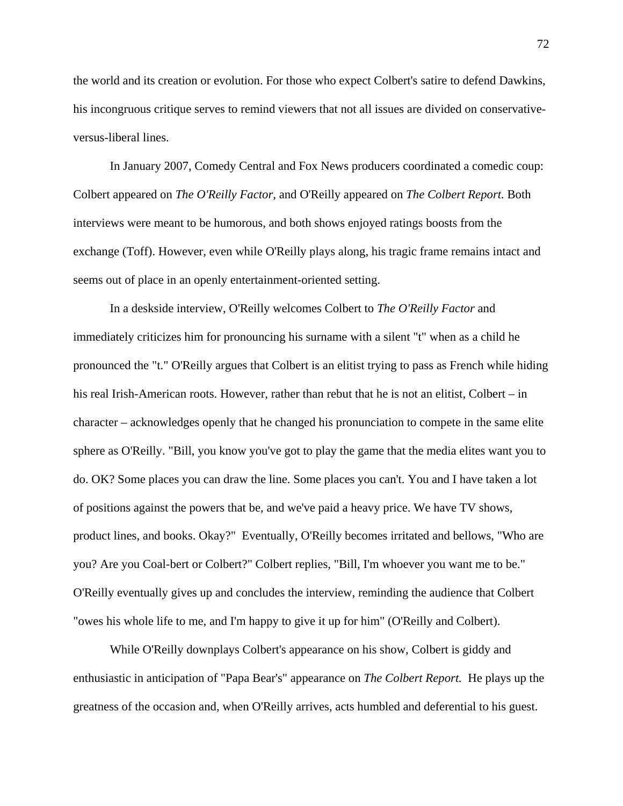the world and its creation or evolution. For those who expect Colbert's satire to defend Dawkins, his incongruous critique serves to remind viewers that not all issues are divided on conservativeversus-liberal lines.

In January 2007, Comedy Central and Fox News producers coordinated a comedic coup: Colbert appeared on *The O'Reilly Factor,* and O'Reilly appeared on *The Colbert Report.* Both interviews were meant to be humorous, and both shows enjoyed ratings boosts from the exchange (Toff). However, even while O'Reilly plays along, his tragic frame remains intact and seems out of place in an openly entertainment-oriented setting.

In a deskside interview, O'Reilly welcomes Colbert to *The O'Reilly Factor* and immediately criticizes him for pronouncing his surname with a silent "t" when as a child he pronounced the "t." O'Reilly argues that Colbert is an elitist trying to pass as French while hiding his real Irish-American roots. However, rather than rebut that he is not an elitist, Colbert – in character – acknowledges openly that he changed his pronunciation to compete in the same elite sphere as O'Reilly. "Bill, you know you've got to play the game that the media elites want you to do. OK? Some places you can draw the line. Some places you can't. You and I have taken a lot of positions against the powers that be, and we've paid a heavy price. We have TV shows, product lines, and books. Okay?" Eventually, O'Reilly becomes irritated and bellows, "Who are you? Are you Coal-bert or Colbert?" Colbert replies, "Bill, I'm whoever you want me to be." O'Reilly eventually gives up and concludes the interview, reminding the audience that Colbert "owes his whole life to me, and I'm happy to give it up for him" (O'Reilly and Colbert).

While O'Reilly downplays Colbert's appearance on his show, Colbert is giddy and enthusiastic in anticipation of "Papa Bear's" appearance on *The Colbert Report.* He plays up the greatness of the occasion and, when O'Reilly arrives, acts humbled and deferential to his guest.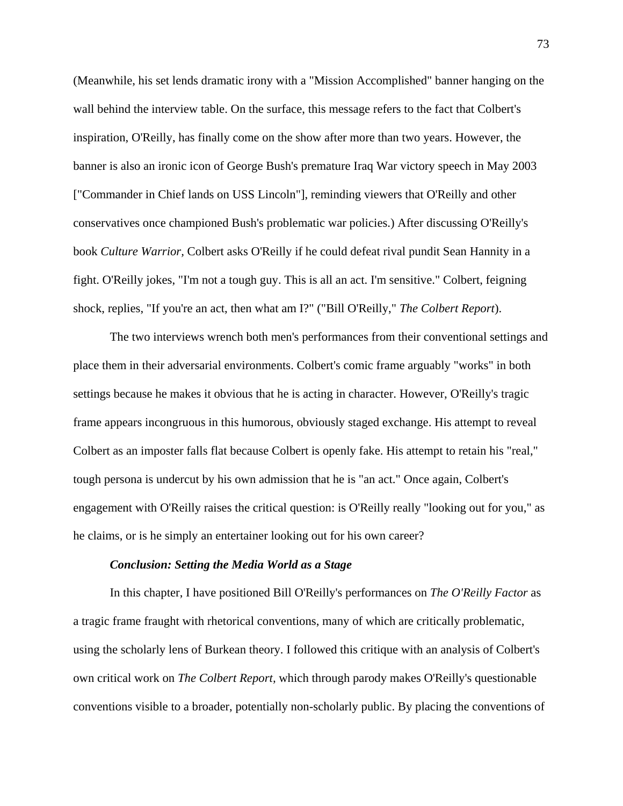(Meanwhile, his set lends dramatic irony with a "Mission Accomplished" banner hanging on the wall behind the interview table. On the surface, this message refers to the fact that Colbert's inspiration, O'Reilly, has finally come on the show after more than two years. However, the banner is also an ironic icon of George Bush's premature Iraq War victory speech in May 2003 ["Commander in Chief lands on USS Lincoln"], reminding viewers that O'Reilly and other conservatives once championed Bush's problematic war policies.) After discussing O'Reilly's book *Culture Warrior,* Colbert asks O'Reilly if he could defeat rival pundit Sean Hannity in a fight. O'Reilly jokes, "I'm not a tough guy. This is all an act. I'm sensitive." Colbert, feigning shock, replies, "If you're an act, then what am I?" ("Bill O'Reilly," *The Colbert Report*).

 The two interviews wrench both men's performances from their conventional settings and place them in their adversarial environments. Colbert's comic frame arguably "works" in both settings because he makes it obvious that he is acting in character. However, O'Reilly's tragic frame appears incongruous in this humorous, obviously staged exchange. His attempt to reveal Colbert as an imposter falls flat because Colbert is openly fake. His attempt to retain his "real," tough persona is undercut by his own admission that he is "an act." Once again, Colbert's engagement with O'Reilly raises the critical question: is O'Reilly really "looking out for you," as he claims, or is he simply an entertainer looking out for his own career?

### *Conclusion: Setting the Media World as a Stage*

In this chapter, I have positioned Bill O'Reilly's performances on *The O'Reilly Factor* as a tragic frame fraught with rhetorical conventions, many of which are critically problematic, using the scholarly lens of Burkean theory. I followed this critique with an analysis of Colbert's own critical work on *The Colbert Report,* which through parody makes O'Reilly's questionable conventions visible to a broader, potentially non-scholarly public. By placing the conventions of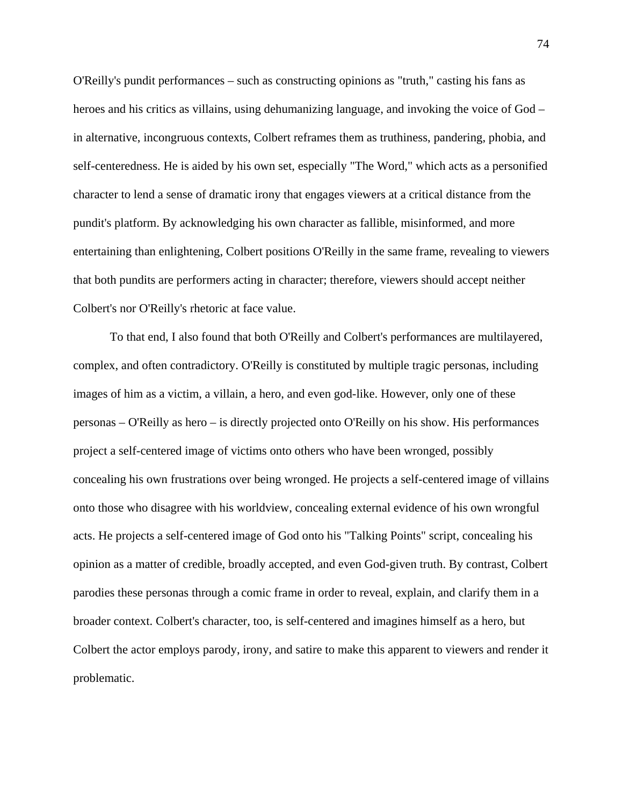O'Reilly's pundit performances – such as constructing opinions as "truth," casting his fans as heroes and his critics as villains, using dehumanizing language, and invoking the voice of God – in alternative, incongruous contexts, Colbert reframes them as truthiness, pandering, phobia, and self-centeredness. He is aided by his own set, especially "The Word," which acts as a personified character to lend a sense of dramatic irony that engages viewers at a critical distance from the pundit's platform. By acknowledging his own character as fallible, misinformed, and more entertaining than enlightening, Colbert positions O'Reilly in the same frame, revealing to viewers that both pundits are performers acting in character; therefore, viewers should accept neither Colbert's nor O'Reilly's rhetoric at face value.

To that end, I also found that both O'Reilly and Colbert's performances are multilayered, complex, and often contradictory. O'Reilly is constituted by multiple tragic personas, including images of him as a victim, a villain, a hero, and even god-like. However, only one of these personas – O'Reilly as hero – is directly projected onto O'Reilly on his show. His performances project a self-centered image of victims onto others who have been wronged, possibly concealing his own frustrations over being wronged. He projects a self-centered image of villains onto those who disagree with his worldview, concealing external evidence of his own wrongful acts. He projects a self-centered image of God onto his "Talking Points" script, concealing his opinion as a matter of credible, broadly accepted, and even God-given truth. By contrast, Colbert parodies these personas through a comic frame in order to reveal, explain, and clarify them in a broader context. Colbert's character, too, is self-centered and imagines himself as a hero, but Colbert the actor employs parody, irony, and satire to make this apparent to viewers and render it problematic.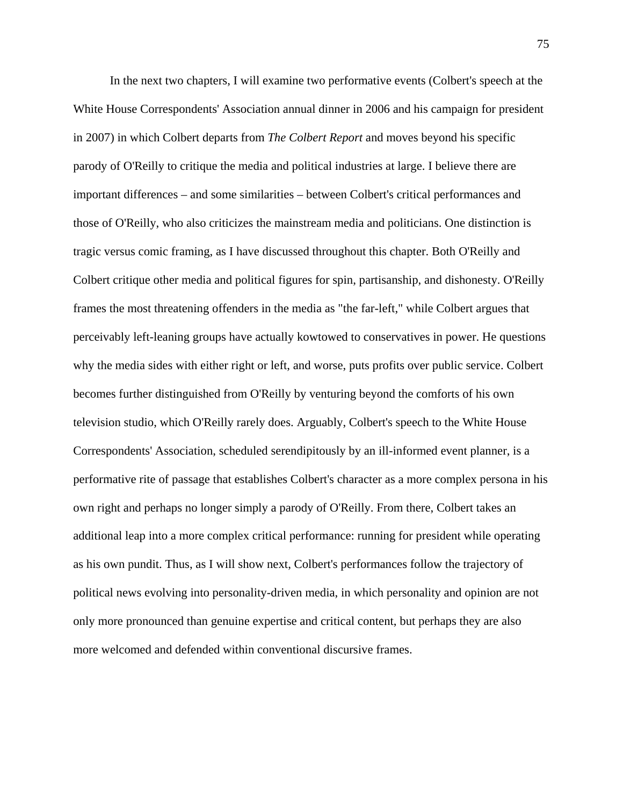In the next two chapters, I will examine two performative events (Colbert's speech at the White House Correspondents' Association annual dinner in 2006 and his campaign for president in 2007) in which Colbert departs from *The Colbert Report* and moves beyond his specific parody of O'Reilly to critique the media and political industries at large. I believe there are important differences – and some similarities – between Colbert's critical performances and those of O'Reilly, who also criticizes the mainstream media and politicians. One distinction is tragic versus comic framing, as I have discussed throughout this chapter. Both O'Reilly and Colbert critique other media and political figures for spin, partisanship, and dishonesty. O'Reilly frames the most threatening offenders in the media as "the far-left," while Colbert argues that perceivably left-leaning groups have actually kowtowed to conservatives in power. He questions why the media sides with either right or left, and worse, puts profits over public service. Colbert becomes further distinguished from O'Reilly by venturing beyond the comforts of his own television studio, which O'Reilly rarely does. Arguably, Colbert's speech to the White House Correspondents' Association, scheduled serendipitously by an ill-informed event planner, is a performative rite of passage that establishes Colbert's character as a more complex persona in his own right and perhaps no longer simply a parody of O'Reilly. From there, Colbert takes an additional leap into a more complex critical performance: running for president while operating as his own pundit. Thus, as I will show next, Colbert's performances follow the trajectory of political news evolving into personality-driven media, in which personality and opinion are not only more pronounced than genuine expertise and critical content, but perhaps they are also more welcomed and defended within conventional discursive frames.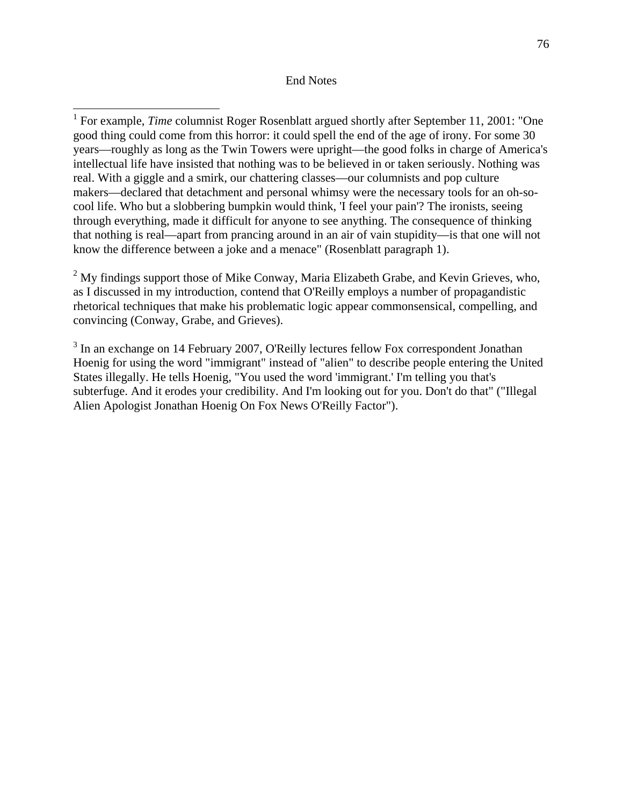## End Notes

 $2^2$  My findings support those of Mike Conway, Maria Elizabeth Grabe, and Kevin Grieves, who, as I discussed in my introduction, contend that O'Reilly employs a number of propagandistic rhetorical techniques that make his problematic logic appear commonsensical, compelling, and convincing (Conway, Grabe, and Grieves).

<sup>3</sup> In an exchange on 14 February 2007, O'Reilly lectures fellow Fox correspondent Jonathan Hoenig for using the word "immigrant" instead of "alien" to describe people entering the United States illegally. He tells Hoenig, "You used the word 'immigrant.' I'm telling you that's subterfuge. And it erodes your credibility. And I'm looking out for you. Don't do that" ("Illegal Alien Apologist Jonathan Hoenig On Fox News O'Reilly Factor").

<sup>&</sup>lt;sup>1</sup> For example, *Time* columnist Roger Rosenblatt argued shortly after September 11, 2001: "One good thing could come from this horror: it could spell the end of the age of irony. For some 30 years—roughly as long as the Twin Towers were upright—the good folks in charge of America's intellectual life have insisted that nothing was to be believed in or taken seriously. Nothing was real. With a giggle and a smirk, our chattering classes—our columnists and pop culture makers—declared that detachment and personal whimsy were the necessary tools for an oh-socool life. Who but a slobbering bumpkin would think, 'I feel your pain'? The ironists, seeing through everything, made it difficult for anyone to see anything. The consequence of thinking that nothing is real—apart from prancing around in an air of vain stupidity—is that one will not know the difference between a joke and a menace" (Rosenblatt paragraph 1).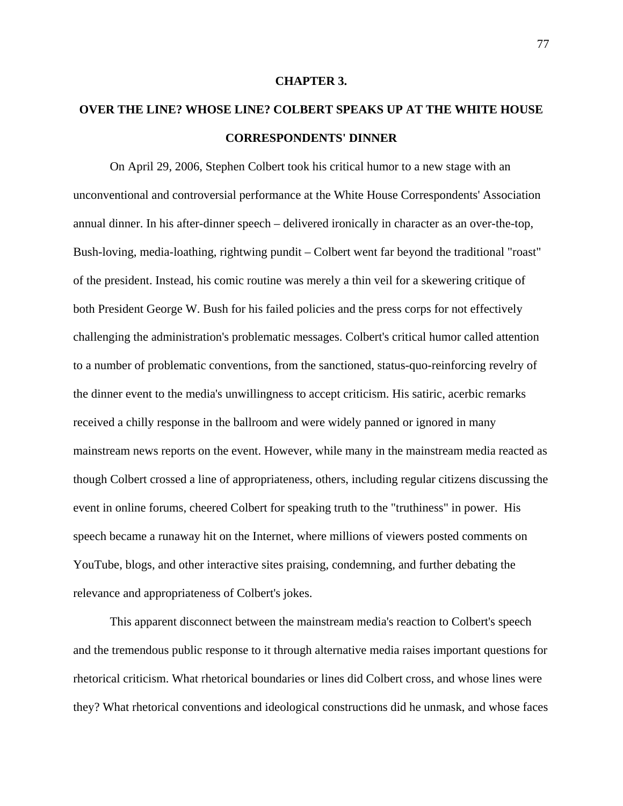#### **CHAPTER 3.**

# **OVER THE LINE? WHOSE LINE? COLBERT SPEAKS UP AT THE WHITE HOUSE CORRESPONDENTS' DINNER**

On April 29, 2006, Stephen Colbert took his critical humor to a new stage with an unconventional and controversial performance at the White House Correspondents' Association annual dinner. In his after-dinner speech – delivered ironically in character as an over-the-top, Bush-loving, media-loathing, rightwing pundit – Colbert went far beyond the traditional "roast" of the president. Instead, his comic routine was merely a thin veil for a skewering critique of both President George W. Bush for his failed policies and the press corps for not effectively challenging the administration's problematic messages. Colbert's critical humor called attention to a number of problematic conventions, from the sanctioned, status-quo-reinforcing revelry of the dinner event to the media's unwillingness to accept criticism. His satiric, acerbic remarks received a chilly response in the ballroom and were widely panned or ignored in many mainstream news reports on the event. However, while many in the mainstream media reacted as though Colbert crossed a line of appropriateness, others, including regular citizens discussing the event in online forums, cheered Colbert for speaking truth to the "truthiness" in power. His speech became a runaway hit on the Internet, where millions of viewers posted comments on YouTube, blogs, and other interactive sites praising, condemning, and further debating the relevance and appropriateness of Colbert's jokes.

This apparent disconnect between the mainstream media's reaction to Colbert's speech and the tremendous public response to it through alternative media raises important questions for rhetorical criticism. What rhetorical boundaries or lines did Colbert cross, and whose lines were they? What rhetorical conventions and ideological constructions did he unmask, and whose faces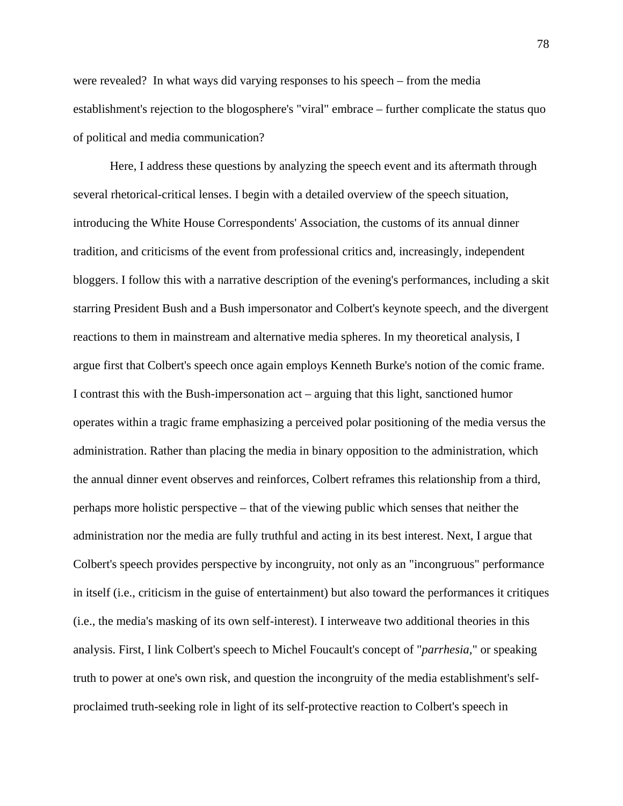were revealed? In what ways did varying responses to his speech – from the media establishment's rejection to the blogosphere's "viral" embrace – further complicate the status quo of political and media communication?

Here, I address these questions by analyzing the speech event and its aftermath through several rhetorical-critical lenses. I begin with a detailed overview of the speech situation, introducing the White House Correspondents' Association, the customs of its annual dinner tradition, and criticisms of the event from professional critics and, increasingly, independent bloggers. I follow this with a narrative description of the evening's performances, including a skit starring President Bush and a Bush impersonator and Colbert's keynote speech, and the divergent reactions to them in mainstream and alternative media spheres. In my theoretical analysis, I argue first that Colbert's speech once again employs Kenneth Burke's notion of the comic frame. I contrast this with the Bush-impersonation act – arguing that this light, sanctioned humor operates within a tragic frame emphasizing a perceived polar positioning of the media versus the administration. Rather than placing the media in binary opposition to the administration, which the annual dinner event observes and reinforces, Colbert reframes this relationship from a third, perhaps more holistic perspective – that of the viewing public which senses that neither the administration nor the media are fully truthful and acting in its best interest. Next, I argue that Colbert's speech provides perspective by incongruity, not only as an "incongruous" performance in itself (i.e., criticism in the guise of entertainment) but also toward the performances it critiques (i.e., the media's masking of its own self-interest). I interweave two additional theories in this analysis. First, I link Colbert's speech to Michel Foucault's concept of "*parrhesia,*" or speaking truth to power at one's own risk, and question the incongruity of the media establishment's selfproclaimed truth-seeking role in light of its self-protective reaction to Colbert's speech in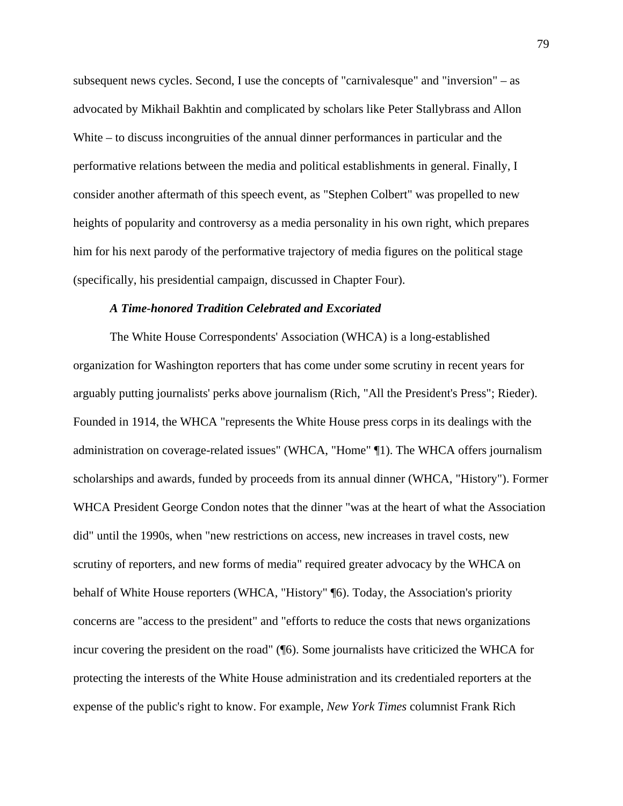subsequent news cycles. Second, I use the concepts of "carnivalesque" and "inversion" – as advocated by Mikhail Bakhtin and complicated by scholars like Peter Stallybrass and Allon White – to discuss incongruities of the annual dinner performances in particular and the performative relations between the media and political establishments in general. Finally, I consider another aftermath of this speech event, as "Stephen Colbert" was propelled to new heights of popularity and controversy as a media personality in his own right, which prepares him for his next parody of the performative trajectory of media figures on the political stage (specifically, his presidential campaign, discussed in Chapter Four).

#### *A Time-honored Tradition Celebrated and Excoriated*

The White House Correspondents' Association (WHCA) is a long-established organization for Washington reporters that has come under some scrutiny in recent years for arguably putting journalists' perks above journalism (Rich, "All the President's Press"; Rieder). Founded in 1914, the WHCA "represents the White House press corps in its dealings with the administration on coverage-related issues" (WHCA, "Home" ¶1). The WHCA offers journalism scholarships and awards, funded by proceeds from its annual dinner (WHCA, "History"). Former WHCA President George Condon notes that the dinner "was at the heart of what the Association did" until the 1990s, when "new restrictions on access, new increases in travel costs, new scrutiny of reporters, and new forms of media" required greater advocacy by the WHCA on behalf of White House reporters (WHCA, "History" ¶6). Today, the Association's priority concerns are "access to the president" and "efforts to reduce the costs that news organizations incur covering the president on the road" (¶6). Some journalists have criticized the WHCA for protecting the interests of the White House administration and its credentialed reporters at the expense of the public's right to know. For example, *New York Times* columnist Frank Rich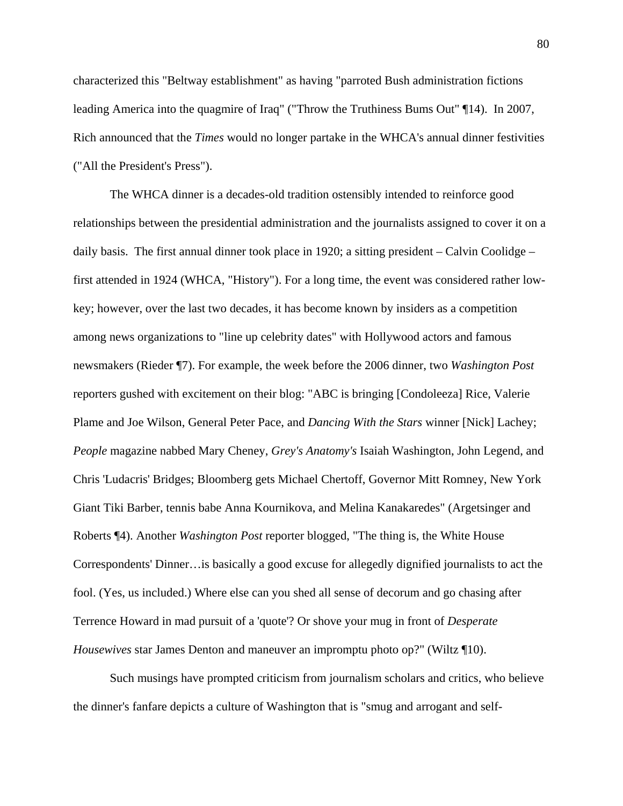characterized this "Beltway establishment" as having "parroted Bush administration fictions leading America into the quagmire of Iraq" ("Throw the Truthiness Bums Out" ¶14). In 2007, Rich announced that the *Times* would no longer partake in the WHCA's annual dinner festivities ("All the President's Press").

The WHCA dinner is a decades-old tradition ostensibly intended to reinforce good relationships between the presidential administration and the journalists assigned to cover it on a daily basis. The first annual dinner took place in 1920; a sitting president – Calvin Coolidge – first attended in 1924 (WHCA, "History"). For a long time, the event was considered rather lowkey; however, over the last two decades, it has become known by insiders as a competition among news organizations to "line up celebrity dates" with Hollywood actors and famous newsmakers (Rieder ¶7). For example, the week before the 2006 dinner, two *Washington Post*  reporters gushed with excitement on their blog: "ABC is bringing [Condoleeza] Rice, Valerie Plame and Joe Wilson, General Peter Pace, and *Dancing With the Stars* winner [Nick] Lachey; *People* magazine nabbed Mary Cheney, *Grey's Anatomy's* Isaiah Washington, John Legend, and Chris 'Ludacris' Bridges; Bloomberg gets Michael Chertoff, Governor Mitt Romney, New York Giant Tiki Barber, tennis babe Anna Kournikova, and Melina Kanakaredes" (Argetsinger and Roberts ¶4). Another *Washington Post* reporter blogged, "The thing is, the White House Correspondents' Dinner…is basically a good excuse for allegedly dignified journalists to act the fool. (Yes, us included.) Where else can you shed all sense of decorum and go chasing after Terrence Howard in mad pursuit of a 'quote'? Or shove your mug in front of *Desperate Housewives* star James Denton and maneuver an impromptu photo op?" (Wiltz ¶10).

Such musings have prompted criticism from journalism scholars and critics, who believe the dinner's fanfare depicts a culture of Washington that is "smug and arrogant and self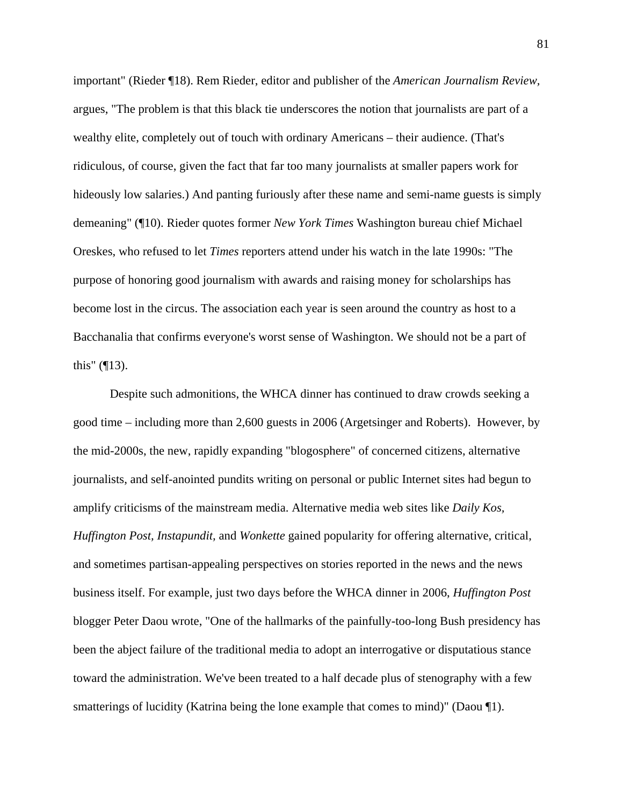important" (Rieder ¶18). Rem Rieder, editor and publisher of the *American Journalism Review,*  argues, "The problem is that this black tie underscores the notion that journalists are part of a wealthy elite, completely out of touch with ordinary Americans – their audience. (That's ridiculous, of course, given the fact that far too many journalists at smaller papers work for hideously low salaries.) And panting furiously after these name and semi-name guests is simply demeaning" (¶10). Rieder quotes former *New York Times* Washington bureau chief Michael Oreskes, who refused to let *Times* reporters attend under his watch in the late 1990s: "The purpose of honoring good journalism with awards and raising money for scholarships has become lost in the circus. The association each year is seen around the country as host to a Bacchanalia that confirms everyone's worst sense of Washington. We should not be a part of this" (¶13).

Despite such admonitions, the WHCA dinner has continued to draw crowds seeking a good time – including more than 2,600 guests in 2006 (Argetsinger and Roberts). However, by the mid-2000s, the new, rapidly expanding "blogosphere" of concerned citizens, alternative journalists, and self-anointed pundits writing on personal or public Internet sites had begun to amplify criticisms of the mainstream media. Alternative media web sites like *Daily Kos, Huffington Post, Instapundit,* and *Wonkette* gained popularity for offering alternative, critical, and sometimes partisan-appealing perspectives on stories reported in the news and the news business itself. For example, just two days before the WHCA dinner in 2006, *Huffington Post*  blogger Peter Daou wrote, "One of the hallmarks of the painfully-too-long Bush presidency has been the abject failure of the traditional media to adopt an interrogative or disputatious stance toward the administration. We've been treated to a half decade plus of stenography with a few smatterings of lucidity (Katrina being the lone example that comes to mind)" (Daou 11).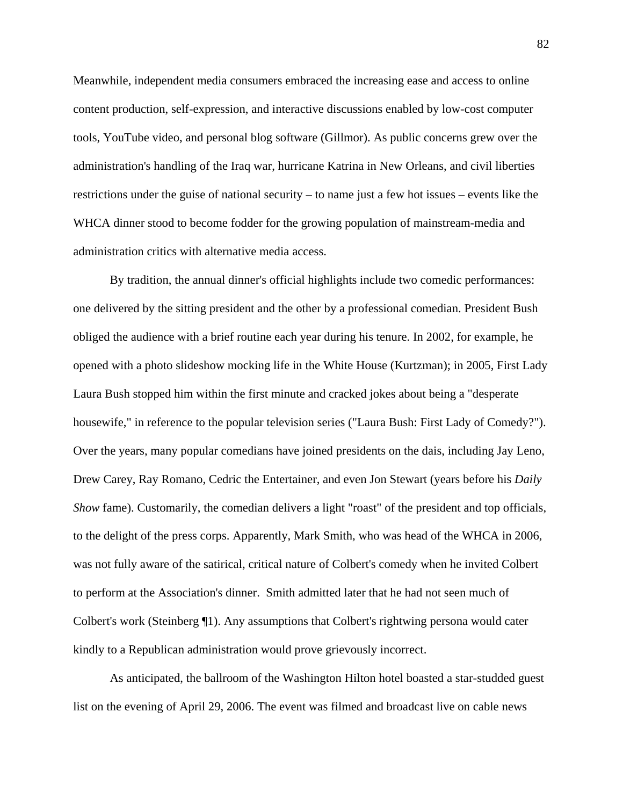Meanwhile, independent media consumers embraced the increasing ease and access to online content production, self-expression, and interactive discussions enabled by low-cost computer tools, YouTube video, and personal blog software (Gillmor). As public concerns grew over the administration's handling of the Iraq war, hurricane Katrina in New Orleans, and civil liberties restrictions under the guise of national security – to name just a few hot issues – events like the WHCA dinner stood to become fodder for the growing population of mainstream-media and administration critics with alternative media access.

By tradition, the annual dinner's official highlights include two comedic performances: one delivered by the sitting president and the other by a professional comedian. President Bush obliged the audience with a brief routine each year during his tenure. In 2002, for example, he opened with a photo slideshow mocking life in the White House (Kurtzman); in 2005, First Lady Laura Bush stopped him within the first minute and cracked jokes about being a "desperate housewife," in reference to the popular television series ("Laura Bush: First Lady of Comedy?"). Over the years, many popular comedians have joined presidents on the dais, including Jay Leno, Drew Carey, Ray Romano, Cedric the Entertainer, and even Jon Stewart (years before his *Daily Show* fame). Customarily, the comedian delivers a light "roast" of the president and top officials, to the delight of the press corps. Apparently, Mark Smith, who was head of the WHCA in 2006, was not fully aware of the satirical, critical nature of Colbert's comedy when he invited Colbert to perform at the Association's dinner. Smith admitted later that he had not seen much of Colbert's work (Steinberg ¶1). Any assumptions that Colbert's rightwing persona would cater kindly to a Republican administration would prove grievously incorrect.

As anticipated, the ballroom of the Washington Hilton hotel boasted a star-studded guest list on the evening of April 29, 2006. The event was filmed and broadcast live on cable news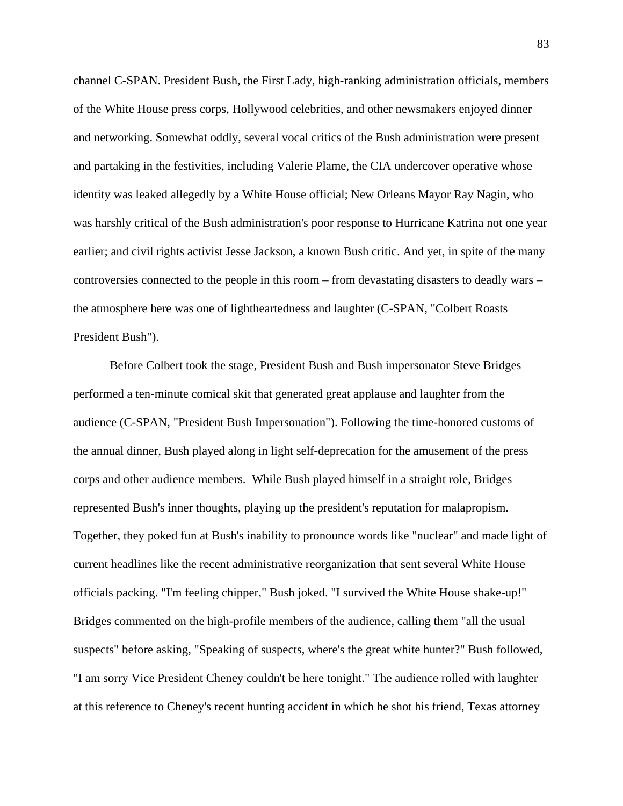channel C-SPAN. President Bush, the First Lady, high-ranking administration officials, members of the White House press corps, Hollywood celebrities, and other newsmakers enjoyed dinner and networking. Somewhat oddly, several vocal critics of the Bush administration were present and partaking in the festivities, including Valerie Plame, the CIA undercover operative whose identity was leaked allegedly by a White House official; New Orleans Mayor Ray Nagin, who was harshly critical of the Bush administration's poor response to Hurricane Katrina not one year earlier; and civil rights activist Jesse Jackson, a known Bush critic. And yet, in spite of the many controversies connected to the people in this room – from devastating disasters to deadly wars – the atmosphere here was one of lightheartedness and laughter (C-SPAN, "Colbert Roasts President Bush").

Before Colbert took the stage, President Bush and Bush impersonator Steve Bridges performed a ten-minute comical skit that generated great applause and laughter from the audience (C-SPAN, "President Bush Impersonation"). Following the time-honored customs of the annual dinner, Bush played along in light self-deprecation for the amusement of the press corps and other audience members. While Bush played himself in a straight role, Bridges represented Bush's inner thoughts, playing up the president's reputation for malapropism. Together, they poked fun at Bush's inability to pronounce words like "nuclear" and made light of current headlines like the recent administrative reorganization that sent several White House officials packing. "I'm feeling chipper," Bush joked. "I survived the White House shake-up!" Bridges commented on the high-profile members of the audience, calling them "all the usual suspects" before asking, "Speaking of suspects, where's the great white hunter?" Bush followed, "I am sorry Vice President Cheney couldn't be here tonight." The audience rolled with laughter at this reference to Cheney's recent hunting accident in which he shot his friend, Texas attorney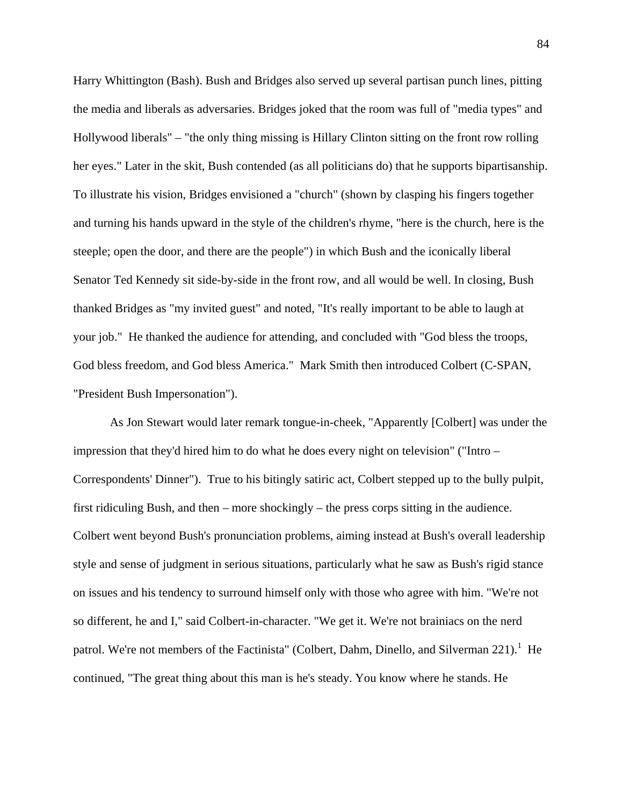Harry Whittington (Bash). Bush and Bridges also served up several partisan punch lines, pitting the media and liberals as adversaries. Bridges joked that the room was full of "media types" and Hollywood liberals" – "the only thing missing is Hillary Clinton sitting on the front row rolling her eyes." Later in the skit, Bush contended (as all politicians do) that he supports bipartisanship. To illustrate his vision, Bridges envisioned a "church" (shown by clasping his fingers together and turning his hands upward in the style of the children's rhyme, "here is the church, here is the steeple; open the door, and there are the people") in which Bush and the iconically liberal Senator Ted Kennedy sit side-by-side in the front row, and all would be well. In closing, Bush thanked Bridges as "my invited guest" and noted, "It's really important to be able to laugh at your job." He thanked the audience for attending, and concluded with "God bless the troops, God bless freedom, and God bless America." Mark Smith then introduced Colbert (C-SPAN, "President Bush Impersonation").

As Jon Stewart would later remark tongue-in-cheek, "Apparently [Colbert] was under the impression that they'd hired him to do what he does every night on television" ("Intro – Correspondents' Dinner"). True to his bitingly satiric act, Colbert stepped up to the bully pulpit, first ridiculing Bush, and then – more shockingly – the press corps sitting in the audience. Colbert went beyond Bush's pronunciation problems, aiming instead at Bush's overall leadership style and sense of judgment in serious situations, particularly what he saw as Bush's rigid stance on issues and his tendency to surround himself only with those who agree with him. "We're not so different, he and I," said Colbert-in-character. "We get it. We're not brainiacs on the nerd patrol. We're not members of the Factinista" (Colbert, Dahm, Dinello, and Silverman 221).<sup>1</sup> He continued, "The great thing about this man is he's steady. You know where he stands. He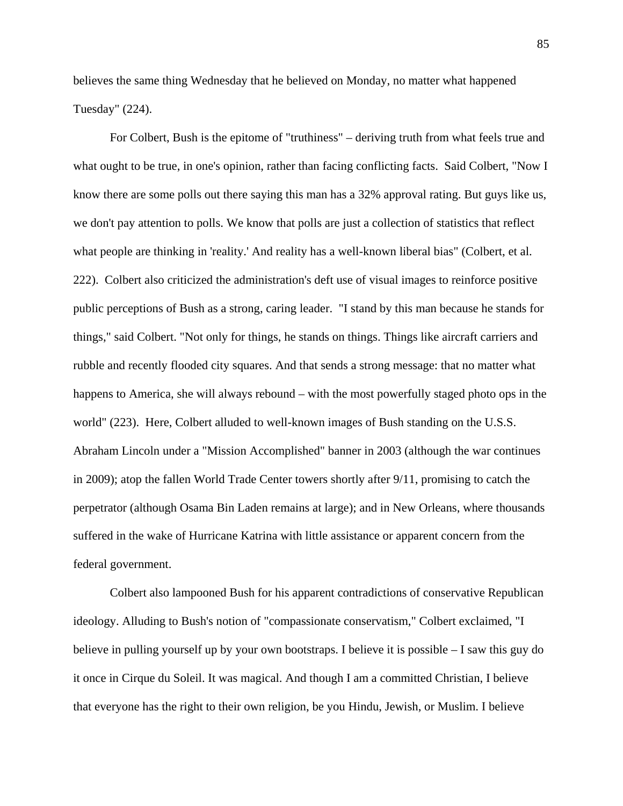believes the same thing Wednesday that he believed on Monday, no matter what happened Tuesday" (224).

For Colbert, Bush is the epitome of "truthiness" – deriving truth from what feels true and what ought to be true, in one's opinion, rather than facing conflicting facts. Said Colbert, "Now I know there are some polls out there saying this man has a 32% approval rating. But guys like us, we don't pay attention to polls. We know that polls are just a collection of statistics that reflect what people are thinking in 'reality.' And reality has a well-known liberal bias" (Colbert, et al. 222). Colbert also criticized the administration's deft use of visual images to reinforce positive public perceptions of Bush as a strong, caring leader. "I stand by this man because he stands for things," said Colbert. "Not only for things, he stands on things. Things like aircraft carriers and rubble and recently flooded city squares. And that sends a strong message: that no matter what happens to America, she will always rebound – with the most powerfully staged photo ops in the world" (223). Here, Colbert alluded to well-known images of Bush standing on the U.S.S. Abraham Lincoln under a "Mission Accomplished" banner in 2003 (although the war continues in 2009); atop the fallen World Trade Center towers shortly after 9/11, promising to catch the perpetrator (although Osama Bin Laden remains at large); and in New Orleans, where thousands suffered in the wake of Hurricane Katrina with little assistance or apparent concern from the federal government.

 Colbert also lampooned Bush for his apparent contradictions of conservative Republican ideology. Alluding to Bush's notion of "compassionate conservatism," Colbert exclaimed, "I believe in pulling yourself up by your own bootstraps. I believe it is possible – I saw this guy do it once in Cirque du Soleil. It was magical. And though I am a committed Christian, I believe that everyone has the right to their own religion, be you Hindu, Jewish, or Muslim. I believe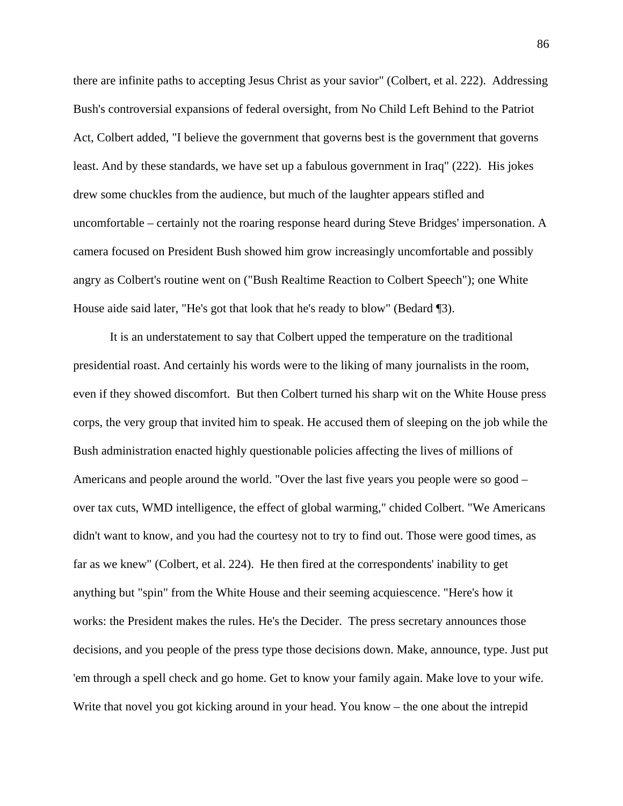there are infinite paths to accepting Jesus Christ as your savior" (Colbert, et al. 222). Addressing Bush's controversial expansions of federal oversight, from No Child Left Behind to the Patriot Act, Colbert added, "I believe the government that governs best is the government that governs least. And by these standards, we have set up a fabulous government in Iraq" (222). His jokes drew some chuckles from the audience, but much of the laughter appears stifled and uncomfortable – certainly not the roaring response heard during Steve Bridges' impersonation. A camera focused on President Bush showed him grow increasingly uncomfortable and possibly angry as Colbert's routine went on ("Bush Realtime Reaction to Colbert Speech"); one White House aide said later, "He's got that look that he's ready to blow" (Bedard ¶3).

 It is an understatement to say that Colbert upped the temperature on the traditional presidential roast. And certainly his words were to the liking of many journalists in the room, even if they showed discomfort. But then Colbert turned his sharp wit on the White House press corps, the very group that invited him to speak. He accused them of sleeping on the job while the Bush administration enacted highly questionable policies affecting the lives of millions of Americans and people around the world. "Over the last five years you people were so good – over tax cuts, WMD intelligence, the effect of global warming," chided Colbert. "We Americans didn't want to know, and you had the courtesy not to try to find out. Those were good times, as far as we knew" (Colbert, et al. 224). He then fired at the correspondents' inability to get anything but "spin" from the White House and their seeming acquiescence. "Here's how it works: the President makes the rules. He's the Decider. The press secretary announces those decisions, and you people of the press type those decisions down. Make, announce, type. Just put 'em through a spell check and go home. Get to know your family again. Make love to your wife. Write that novel you got kicking around in your head. You know – the one about the intrepid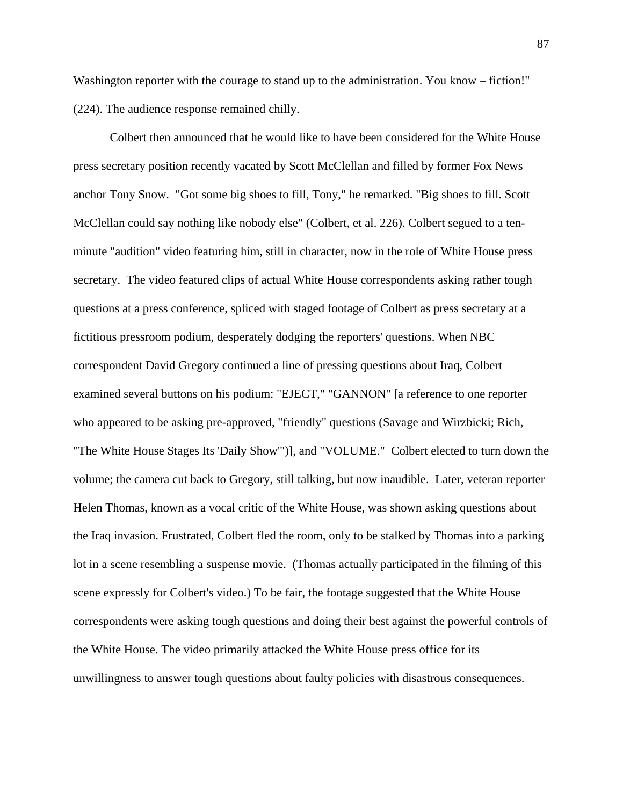Washington reporter with the courage to stand up to the administration. You know – fiction!" (224). The audience response remained chilly.

Colbert then announced that he would like to have been considered for the White House press secretary position recently vacated by Scott McClellan and filled by former Fox News anchor Tony Snow. "Got some big shoes to fill, Tony," he remarked. "Big shoes to fill. Scott McClellan could say nothing like nobody else" (Colbert, et al. 226). Colbert segued to a tenminute "audition" video featuring him, still in character, now in the role of White House press secretary. The video featured clips of actual White House correspondents asking rather tough questions at a press conference, spliced with staged footage of Colbert as press secretary at a fictitious pressroom podium, desperately dodging the reporters' questions. When NBC correspondent David Gregory continued a line of pressing questions about Iraq, Colbert examined several buttons on his podium: "EJECT," "GANNON" [a reference to one reporter who appeared to be asking pre-approved, "friendly" questions (Savage and Wirzbicki; Rich, "The White House Stages Its 'Daily Show'")], and "VOLUME." Colbert elected to turn down the volume; the camera cut back to Gregory, still talking, but now inaudible. Later, veteran reporter Helen Thomas, known as a vocal critic of the White House, was shown asking questions about the Iraq invasion. Frustrated, Colbert fled the room, only to be stalked by Thomas into a parking lot in a scene resembling a suspense movie. (Thomas actually participated in the filming of this scene expressly for Colbert's video.) To be fair, the footage suggested that the White House correspondents were asking tough questions and doing their best against the powerful controls of the White House. The video primarily attacked the White House press office for its unwillingness to answer tough questions about faulty policies with disastrous consequences.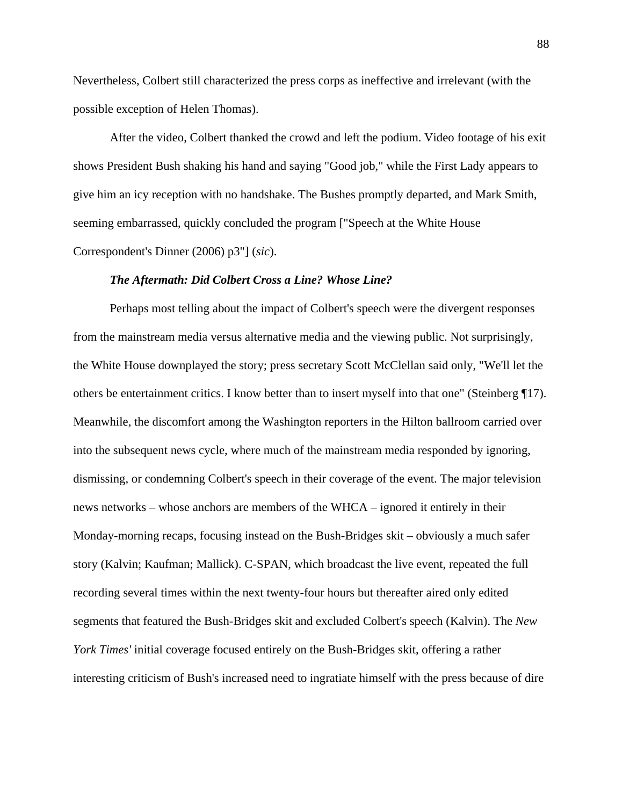Nevertheless, Colbert still characterized the press corps as ineffective and irrelevant (with the possible exception of Helen Thomas).

After the video, Colbert thanked the crowd and left the podium. Video footage of his exit shows President Bush shaking his hand and saying "Good job," while the First Lady appears to give him an icy reception with no handshake. The Bushes promptly departed, and Mark Smith, seeming embarrassed, quickly concluded the program ["Speech at the White House Correspondent's Dinner (2006) p3"] (*sic*).

#### *The Aftermath: Did Colbert Cross a Line? Whose Line?*

Perhaps most telling about the impact of Colbert's speech were the divergent responses from the mainstream media versus alternative media and the viewing public. Not surprisingly, the White House downplayed the story; press secretary Scott McClellan said only, "We'll let the others be entertainment critics. I know better than to insert myself into that one" (Steinberg ¶17). Meanwhile, the discomfort among the Washington reporters in the Hilton ballroom carried over into the subsequent news cycle, where much of the mainstream media responded by ignoring, dismissing, or condemning Colbert's speech in their coverage of the event. The major television news networks – whose anchors are members of the WHCA – ignored it entirely in their Monday-morning recaps, focusing instead on the Bush-Bridges skit – obviously a much safer story (Kalvin; Kaufman; Mallick). C-SPAN, which broadcast the live event, repeated the full recording several times within the next twenty-four hours but thereafter aired only edited segments that featured the Bush-Bridges skit and excluded Colbert's speech (Kalvin). The *New York Times'* initial coverage focused entirely on the Bush-Bridges skit, offering a rather interesting criticism of Bush's increased need to ingratiate himself with the press because of dire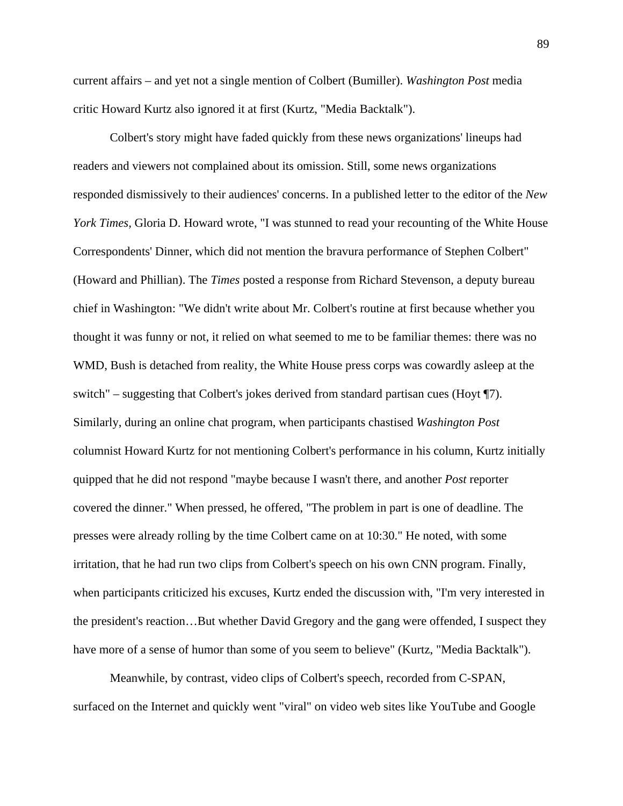current affairs – and yet not a single mention of Colbert (Bumiller). *Washington Post* media critic Howard Kurtz also ignored it at first (Kurtz, "Media Backtalk").

Colbert's story might have faded quickly from these news organizations' lineups had readers and viewers not complained about its omission. Still, some news organizations responded dismissively to their audiences' concerns. In a published letter to the editor of the *New York Times,* Gloria D. Howard wrote, "I was stunned to read your recounting of the White House Correspondents' Dinner, which did not mention the bravura performance of Stephen Colbert" (Howard and Phillian). The *Times* posted a response from Richard Stevenson, a deputy bureau chief in Washington: "We didn't write about Mr. Colbert's routine at first because whether you thought it was funny or not, it relied on what seemed to me to be familiar themes: there was no WMD, Bush is detached from reality, the White House press corps was cowardly asleep at the switch" – suggesting that Colbert's jokes derived from standard partisan cues (Hoyt ¶7). Similarly, during an online chat program, when participants chastised *Washington Post* columnist Howard Kurtz for not mentioning Colbert's performance in his column, Kurtz initially quipped that he did not respond "maybe because I wasn't there, and another *Post* reporter covered the dinner." When pressed, he offered, "The problem in part is one of deadline. The presses were already rolling by the time Colbert came on at 10:30." He noted, with some irritation, that he had run two clips from Colbert's speech on his own CNN program. Finally, when participants criticized his excuses, Kurtz ended the discussion with, "I'm very interested in the president's reaction…But whether David Gregory and the gang were offended, I suspect they have more of a sense of humor than some of you seem to believe" (Kurtz, "Media Backtalk").

Meanwhile, by contrast, video clips of Colbert's speech, recorded from C-SPAN, surfaced on the Internet and quickly went "viral" on video web sites like YouTube and Google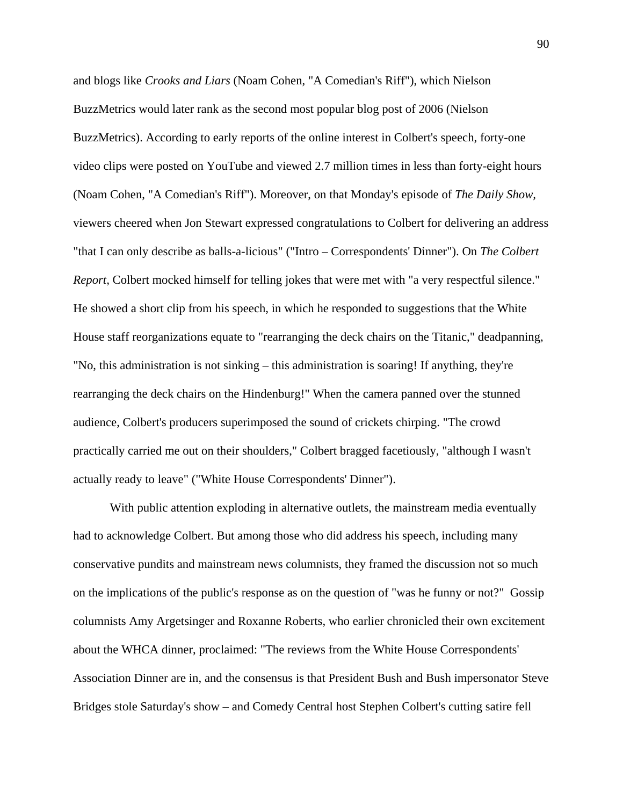and blogs like *Crooks and Liars* (Noam Cohen, "A Comedian's Riff"), which Nielson BuzzMetrics would later rank as the second most popular blog post of 2006 (Nielson BuzzMetrics). According to early reports of the online interest in Colbert's speech, forty-one video clips were posted on YouTube and viewed 2.7 million times in less than forty-eight hours (Noam Cohen, "A Comedian's Riff"). Moreover, on that Monday's episode of *The Daily Show,*  viewers cheered when Jon Stewart expressed congratulations to Colbert for delivering an address "that I can only describe as balls-a-licious" ("Intro – Correspondents' Dinner"). On *The Colbert Report,* Colbert mocked himself for telling jokes that were met with "a very respectful silence." He showed a short clip from his speech, in which he responded to suggestions that the White House staff reorganizations equate to "rearranging the deck chairs on the Titanic," deadpanning, "No, this administration is not sinking – this administration is soaring! If anything, they're rearranging the deck chairs on the Hindenburg!" When the camera panned over the stunned audience, Colbert's producers superimposed the sound of crickets chirping. "The crowd practically carried me out on their shoulders," Colbert bragged facetiously, "although I wasn't actually ready to leave" ("White House Correspondents' Dinner").

With public attention exploding in alternative outlets, the mainstream media eventually had to acknowledge Colbert. But among those who did address his speech, including many conservative pundits and mainstream news columnists, they framed the discussion not so much on the implications of the public's response as on the question of "was he funny or not?" Gossip columnists Amy Argetsinger and Roxanne Roberts, who earlier chronicled their own excitement about the WHCA dinner, proclaimed: "The reviews from the White House Correspondents' Association Dinner are in, and the consensus is that President Bush and Bush impersonator Steve Bridges stole Saturday's show – and Comedy Central host Stephen Colbert's cutting satire fell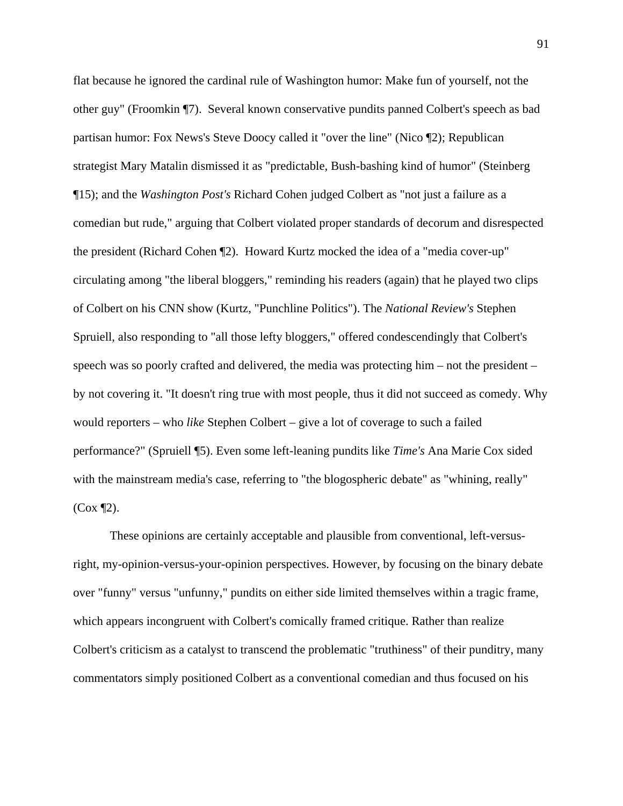flat because he ignored the cardinal rule of Washington humor: Make fun of yourself, not the other guy" (Froomkin ¶7). Several known conservative pundits panned Colbert's speech as bad partisan humor: Fox News's Steve Doocy called it "over the line" (Nico ¶2); Republican strategist Mary Matalin dismissed it as "predictable, Bush-bashing kind of humor" (Steinberg ¶15); and the *Washington Post's* Richard Cohen judged Colbert as "not just a failure as a comedian but rude," arguing that Colbert violated proper standards of decorum and disrespected the president (Richard Cohen ¶2). Howard Kurtz mocked the idea of a "media cover-up" circulating among "the liberal bloggers," reminding his readers (again) that he played two clips of Colbert on his CNN show (Kurtz, "Punchline Politics"). The *National Review's* Stephen Spruiell, also responding to "all those lefty bloggers," offered condescendingly that Colbert's speech was so poorly crafted and delivered, the media was protecting him – not the president – by not covering it. "It doesn't ring true with most people, thus it did not succeed as comedy. Why would reporters – who *like* Stephen Colbert – give a lot of coverage to such a failed performance?" (Spruiell ¶5). Even some left-leaning pundits like *Time's* Ana Marie Cox sided with the mainstream media's case, referring to "the blogospheric debate" as "whining, really"  $(Cox \P2)$ .

These opinions are certainly acceptable and plausible from conventional, left-versusright, my-opinion-versus-your-opinion perspectives. However, by focusing on the binary debate over "funny" versus "unfunny," pundits on either side limited themselves within a tragic frame, which appears incongruent with Colbert's comically framed critique. Rather than realize Colbert's criticism as a catalyst to transcend the problematic "truthiness" of their punditry, many commentators simply positioned Colbert as a conventional comedian and thus focused on his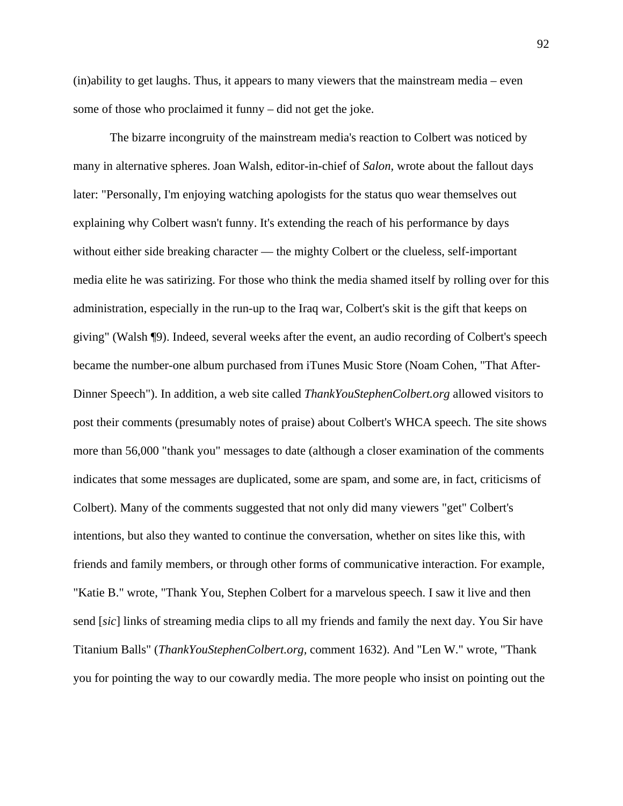$(in)$ ability to get laughs. Thus, it appears to many viewers that the mainstream media – even some of those who proclaimed it funny – did not get the joke.

The bizarre incongruity of the mainstream media's reaction to Colbert was noticed by many in alternative spheres. Joan Walsh, editor-in-chief of *Salon,* wrote about the fallout days later: "Personally, I'm enjoying watching apologists for the status quo wear themselves out explaining why Colbert wasn't funny. It's extending the reach of his performance by days without either side breaking character — the mighty Colbert or the clueless, self-important media elite he was satirizing. For those who think the media shamed itself by rolling over for this administration, especially in the run-up to the Iraq war, Colbert's skit is the gift that keeps on giving" (Walsh ¶9). Indeed, several weeks after the event, an audio recording of Colbert's speech became the number-one album purchased from iTunes Music Store (Noam Cohen, "That After-Dinner Speech"). In addition, a web site called *ThankYouStephenColbert.org* allowed visitors to post their comments (presumably notes of praise) about Colbert's WHCA speech. The site shows more than 56,000 "thank you" messages to date (although a closer examination of the comments indicates that some messages are duplicated, some are spam, and some are, in fact, criticisms of Colbert). Many of the comments suggested that not only did many viewers "get" Colbert's intentions, but also they wanted to continue the conversation, whether on sites like this, with friends and family members, or through other forms of communicative interaction. For example, "Katie B." wrote, "Thank You, Stephen Colbert for a marvelous speech. I saw it live and then send [*sic*] links of streaming media clips to all my friends and family the next day. You Sir have Titanium Balls" (*ThankYouStephenColbert.org,* comment 1632). And "Len W." wrote, "Thank you for pointing the way to our cowardly media. The more people who insist on pointing out the

92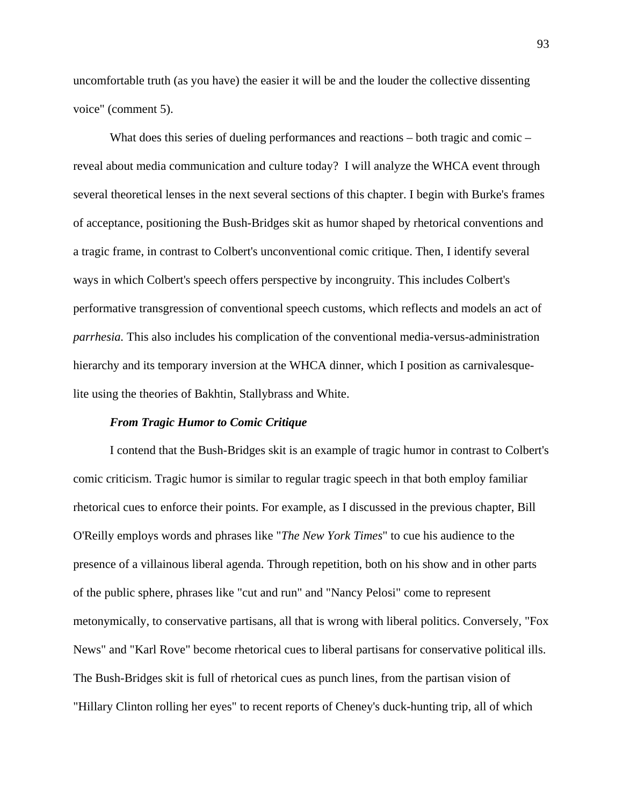uncomfortable truth (as you have) the easier it will be and the louder the collective dissenting voice" (comment 5).

What does this series of dueling performances and reactions – both tragic and comic – reveal about media communication and culture today? I will analyze the WHCA event through several theoretical lenses in the next several sections of this chapter. I begin with Burke's frames of acceptance, positioning the Bush-Bridges skit as humor shaped by rhetorical conventions and a tragic frame, in contrast to Colbert's unconventional comic critique. Then, I identify several ways in which Colbert's speech offers perspective by incongruity. This includes Colbert's performative transgression of conventional speech customs, which reflects and models an act of *parrhesia.* This also includes his complication of the conventional media-versus-administration hierarchy and its temporary inversion at the WHCA dinner, which I position as carnivalesquelite using the theories of Bakhtin, Stallybrass and White.

#### *From Tragic Humor to Comic Critique*

I contend that the Bush-Bridges skit is an example of tragic humor in contrast to Colbert's comic criticism. Tragic humor is similar to regular tragic speech in that both employ familiar rhetorical cues to enforce their points. For example, as I discussed in the previous chapter, Bill O'Reilly employs words and phrases like "*The New York Times*" to cue his audience to the presence of a villainous liberal agenda. Through repetition, both on his show and in other parts of the public sphere, phrases like "cut and run" and "Nancy Pelosi" come to represent metonymically, to conservative partisans, all that is wrong with liberal politics. Conversely, "Fox News" and "Karl Rove" become rhetorical cues to liberal partisans for conservative political ills. The Bush-Bridges skit is full of rhetorical cues as punch lines, from the partisan vision of "Hillary Clinton rolling her eyes" to recent reports of Cheney's duck-hunting trip, all of which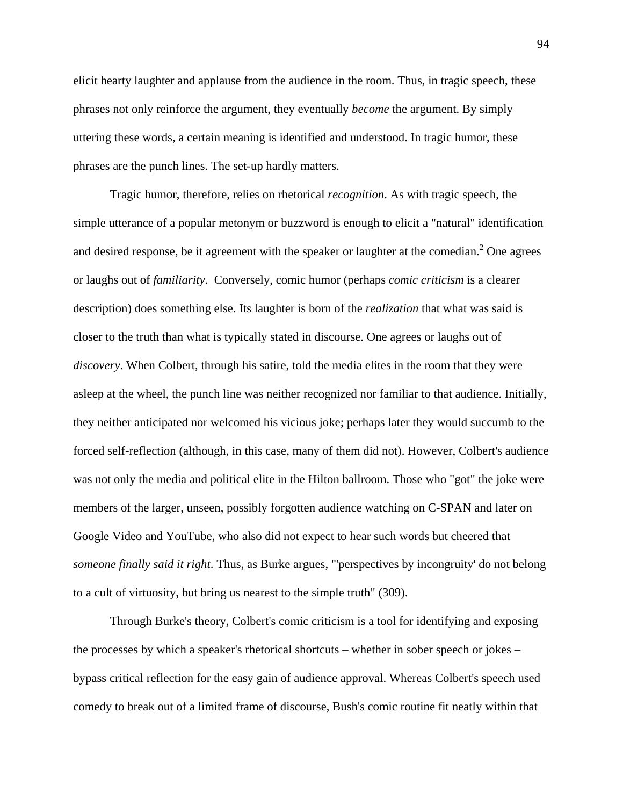elicit hearty laughter and applause from the audience in the room. Thus, in tragic speech, these phrases not only reinforce the argument, they eventually *become* the argument. By simply uttering these words, a certain meaning is identified and understood. In tragic humor, these phrases are the punch lines. The set-up hardly matters.

Tragic humor, therefore, relies on rhetorical *recognition*. As with tragic speech, the simple utterance of a popular metonym or buzzword is enough to elicit a "natural" identification and desired response, be it agreement with the speaker or laughter at the comedian.<sup>2</sup> One agrees or laughs out of *familiarity*. Conversely, comic humor (perhaps *comic criticism* is a clearer description) does something else. Its laughter is born of the *realization* that what was said is closer to the truth than what is typically stated in discourse. One agrees or laughs out of *discovery*. When Colbert, through his satire, told the media elites in the room that they were asleep at the wheel, the punch line was neither recognized nor familiar to that audience. Initially, they neither anticipated nor welcomed his vicious joke; perhaps later they would succumb to the forced self-reflection (although, in this case, many of them did not). However, Colbert's audience was not only the media and political elite in the Hilton ballroom. Those who "got" the joke were members of the larger, unseen, possibly forgotten audience watching on C-SPAN and later on Google Video and YouTube, who also did not expect to hear such words but cheered that *someone finally said it right*. Thus, as Burke argues, "'perspectives by incongruity' do not belong to a cult of virtuosity, but bring us nearest to the simple truth" (309).

Through Burke's theory, Colbert's comic criticism is a tool for identifying and exposing the processes by which a speaker's rhetorical shortcuts – whether in sober speech or jokes – bypass critical reflection for the easy gain of audience approval. Whereas Colbert's speech used comedy to break out of a limited frame of discourse, Bush's comic routine fit neatly within that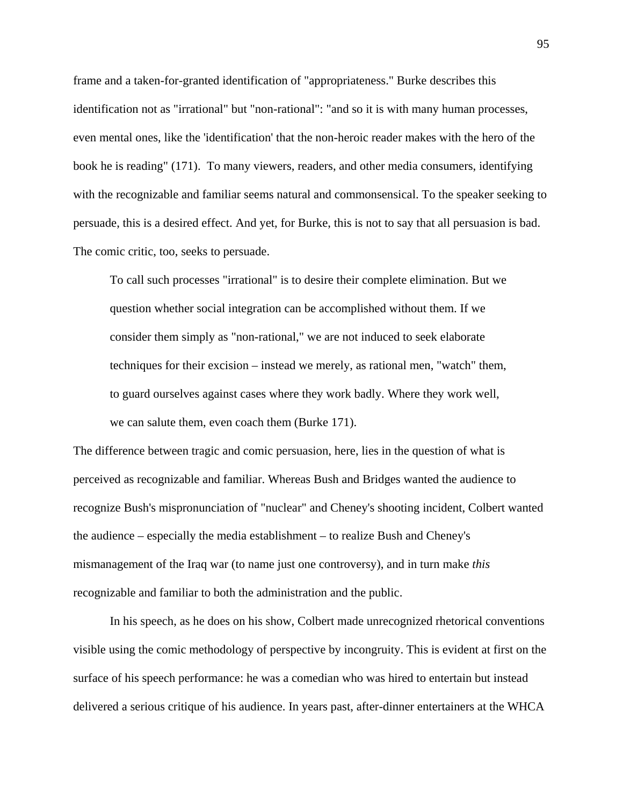frame and a taken-for-granted identification of "appropriateness." Burke describes this identification not as "irrational" but "non-rational": "and so it is with many human processes, even mental ones, like the 'identification' that the non-heroic reader makes with the hero of the book he is reading" (171). To many viewers, readers, and other media consumers, identifying with the recognizable and familiar seems natural and commonsensical. To the speaker seeking to persuade, this is a desired effect. And yet, for Burke, this is not to say that all persuasion is bad. The comic critic, too, seeks to persuade.

To call such processes "irrational" is to desire their complete elimination. But we question whether social integration can be accomplished without them. If we consider them simply as "non-rational," we are not induced to seek elaborate techniques for their excision – instead we merely, as rational men, "watch" them, to guard ourselves against cases where they work badly. Where they work well, we can salute them, even coach them (Burke 171).

The difference between tragic and comic persuasion, here, lies in the question of what is perceived as recognizable and familiar. Whereas Bush and Bridges wanted the audience to recognize Bush's mispronunciation of "nuclear" and Cheney's shooting incident, Colbert wanted the audience – especially the media establishment – to realize Bush and Cheney's mismanagement of the Iraq war (to name just one controversy), and in turn make *this*  recognizable and familiar to both the administration and the public.

 In his speech, as he does on his show, Colbert made unrecognized rhetorical conventions visible using the comic methodology of perspective by incongruity. This is evident at first on the surface of his speech performance: he was a comedian who was hired to entertain but instead delivered a serious critique of his audience. In years past, after-dinner entertainers at the WHCA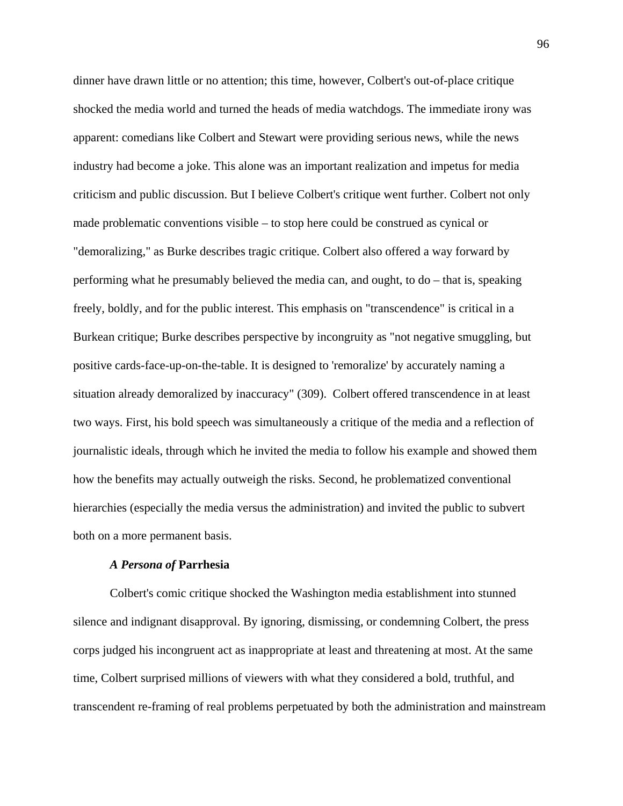dinner have drawn little or no attention; this time, however, Colbert's out-of-place critique shocked the media world and turned the heads of media watchdogs. The immediate irony was apparent: comedians like Colbert and Stewart were providing serious news, while the news industry had become a joke. This alone was an important realization and impetus for media criticism and public discussion. But I believe Colbert's critique went further. Colbert not only made problematic conventions visible – to stop here could be construed as cynical or "demoralizing," as Burke describes tragic critique. Colbert also offered a way forward by performing what he presumably believed the media can, and ought, to do – that is, speaking freely, boldly, and for the public interest. This emphasis on "transcendence" is critical in a Burkean critique; Burke describes perspective by incongruity as "not negative smuggling, but positive cards-face-up-on-the-table. It is designed to 'remoralize' by accurately naming a situation already demoralized by inaccuracy" (309). Colbert offered transcendence in at least two ways. First, his bold speech was simultaneously a critique of the media and a reflection of journalistic ideals, through which he invited the media to follow his example and showed them how the benefits may actually outweigh the risks. Second, he problematized conventional hierarchies (especially the media versus the administration) and invited the public to subvert both on a more permanent basis.

## *A Persona of* **Parrhesia**

Colbert's comic critique shocked the Washington media establishment into stunned silence and indignant disapproval. By ignoring, dismissing, or condemning Colbert, the press corps judged his incongruent act as inappropriate at least and threatening at most. At the same time, Colbert surprised millions of viewers with what they considered a bold, truthful, and transcendent re-framing of real problems perpetuated by both the administration and mainstream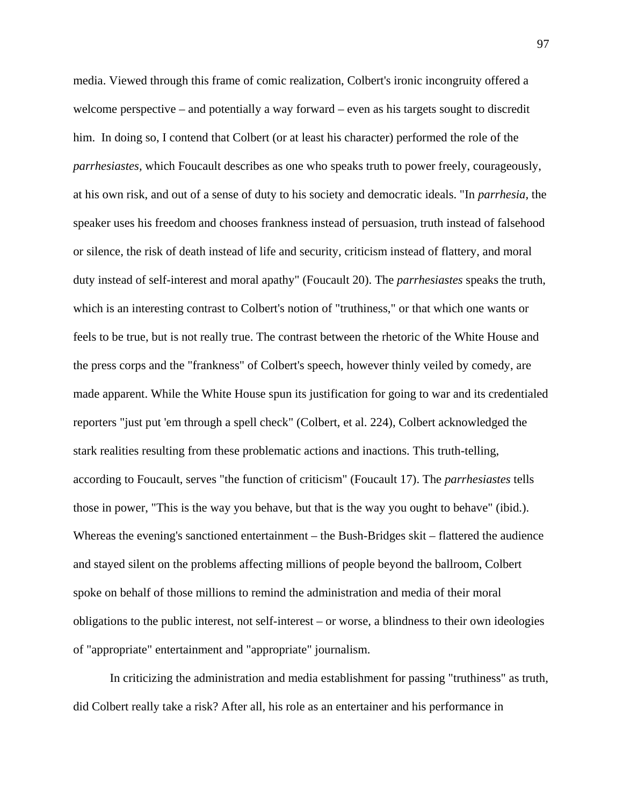media. Viewed through this frame of comic realization, Colbert's ironic incongruity offered a welcome perspective – and potentially a way forward – even as his targets sought to discredit him. In doing so, I contend that Colbert (or at least his character) performed the role of the *parrhesiastes,* which Foucault describes as one who speaks truth to power freely, courageously, at his own risk, and out of a sense of duty to his society and democratic ideals. "In *parrhesia,* the speaker uses his freedom and chooses frankness instead of persuasion, truth instead of falsehood or silence, the risk of death instead of life and security, criticism instead of flattery, and moral duty instead of self-interest and moral apathy" (Foucault 20). The *parrhesiastes* speaks the truth, which is an interesting contrast to Colbert's notion of "truthiness," or that which one wants or feels to be true, but is not really true. The contrast between the rhetoric of the White House and the press corps and the "frankness" of Colbert's speech, however thinly veiled by comedy, are made apparent. While the White House spun its justification for going to war and its credentialed reporters "just put 'em through a spell check" (Colbert, et al. 224), Colbert acknowledged the stark realities resulting from these problematic actions and inactions. This truth-telling, according to Foucault, serves "the function of criticism" (Foucault 17). The *parrhesiastes* tells those in power, "This is the way you behave, but that is the way you ought to behave" (ibid.). Whereas the evening's sanctioned entertainment – the Bush-Bridges skit – flattered the audience and stayed silent on the problems affecting millions of people beyond the ballroom, Colbert spoke on behalf of those millions to remind the administration and media of their moral obligations to the public interest, not self-interest – or worse, a blindness to their own ideologies of "appropriate" entertainment and "appropriate" journalism.

In criticizing the administration and media establishment for passing "truthiness" as truth, did Colbert really take a risk? After all, his role as an entertainer and his performance in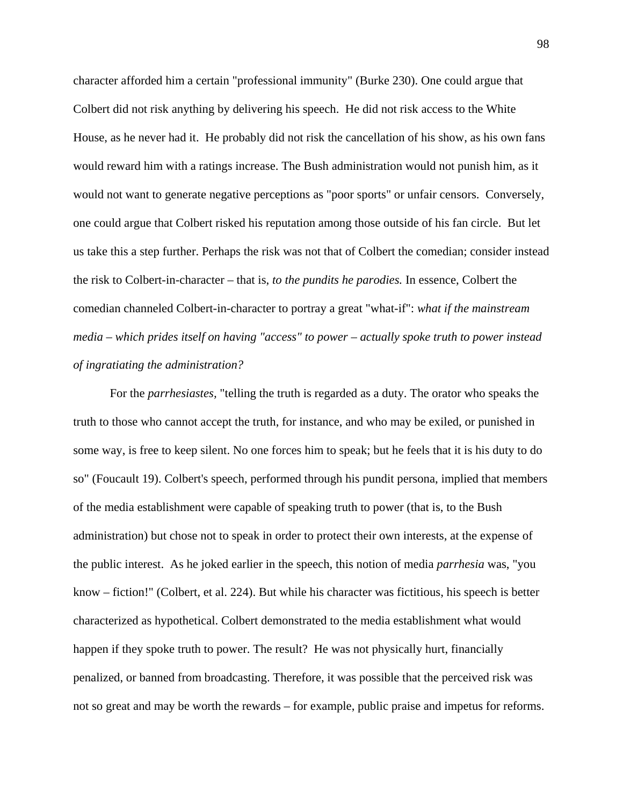character afforded him a certain "professional immunity" (Burke 230). One could argue that Colbert did not risk anything by delivering his speech. He did not risk access to the White House, as he never had it. He probably did not risk the cancellation of his show, as his own fans would reward him with a ratings increase. The Bush administration would not punish him, as it would not want to generate negative perceptions as "poor sports" or unfair censors. Conversely, one could argue that Colbert risked his reputation among those outside of his fan circle. But let us take this a step further. Perhaps the risk was not that of Colbert the comedian; consider instead the risk to Colbert-in-character – that is, *to the pundits he parodies.* In essence, Colbert the comedian channeled Colbert-in-character to portray a great "what-if": *what if the mainstream media – which prides itself on having "access" to power – actually spoke truth to power instead of ingratiating the administration?* 

For the *parrhesiastes,* "telling the truth is regarded as a duty. The orator who speaks the truth to those who cannot accept the truth, for instance, and who may be exiled, or punished in some way, is free to keep silent. No one forces him to speak; but he feels that it is his duty to do so" (Foucault 19). Colbert's speech, performed through his pundit persona, implied that members of the media establishment were capable of speaking truth to power (that is, to the Bush administration) but chose not to speak in order to protect their own interests, at the expense of the public interest. As he joked earlier in the speech, this notion of media *parrhesia* was, "you know – fiction!" (Colbert, et al. 224). But while his character was fictitious, his speech is better characterized as hypothetical. Colbert demonstrated to the media establishment what would happen if they spoke truth to power. The result? He was not physically hurt, financially penalized, or banned from broadcasting. Therefore, it was possible that the perceived risk was not so great and may be worth the rewards – for example, public praise and impetus for reforms.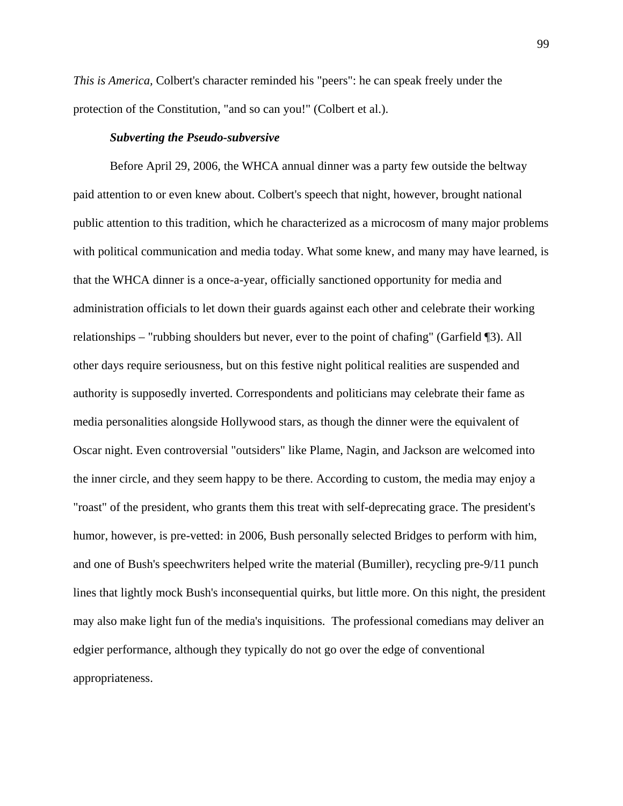*This is America,* Colbert's character reminded his "peers": he can speak freely under the protection of the Constitution, "and so can you!" (Colbert et al.).

#### *Subverting the Pseudo-subversive*

Before April 29, 2006, the WHCA annual dinner was a party few outside the beltway paid attention to or even knew about. Colbert's speech that night, however, brought national public attention to this tradition, which he characterized as a microcosm of many major problems with political communication and media today. What some knew, and many may have learned, is that the WHCA dinner is a once-a-year, officially sanctioned opportunity for media and administration officials to let down their guards against each other and celebrate their working relationships – "rubbing shoulders but never, ever to the point of chafing" (Garfield ¶3). All other days require seriousness, but on this festive night political realities are suspended and authority is supposedly inverted. Correspondents and politicians may celebrate their fame as media personalities alongside Hollywood stars, as though the dinner were the equivalent of Oscar night. Even controversial "outsiders" like Plame, Nagin, and Jackson are welcomed into the inner circle, and they seem happy to be there. According to custom, the media may enjoy a "roast" of the president, who grants them this treat with self-deprecating grace. The president's humor, however, is pre-vetted: in 2006, Bush personally selected Bridges to perform with him, and one of Bush's speechwriters helped write the material (Bumiller), recycling pre-9/11 punch lines that lightly mock Bush's inconsequential quirks, but little more. On this night, the president may also make light fun of the media's inquisitions. The professional comedians may deliver an edgier performance, although they typically do not go over the edge of conventional appropriateness.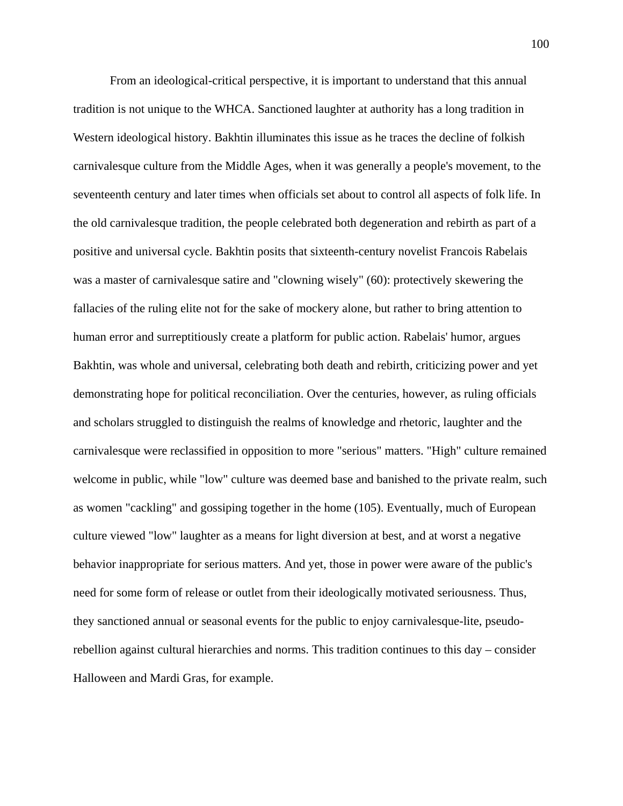From an ideological-critical perspective, it is important to understand that this annual tradition is not unique to the WHCA. Sanctioned laughter at authority has a long tradition in Western ideological history. Bakhtin illuminates this issue as he traces the decline of folkish carnivalesque culture from the Middle Ages, when it was generally a people's movement, to the seventeenth century and later times when officials set about to control all aspects of folk life. In the old carnivalesque tradition, the people celebrated both degeneration and rebirth as part of a positive and universal cycle. Bakhtin posits that sixteenth-century novelist Francois Rabelais was a master of carnivalesque satire and "clowning wisely" (60): protectively skewering the fallacies of the ruling elite not for the sake of mockery alone, but rather to bring attention to human error and surreptitiously create a platform for public action. Rabelais' humor, argues Bakhtin, was whole and universal, celebrating both death and rebirth, criticizing power and yet demonstrating hope for political reconciliation. Over the centuries, however, as ruling officials and scholars struggled to distinguish the realms of knowledge and rhetoric, laughter and the carnivalesque were reclassified in opposition to more "serious" matters. "High" culture remained welcome in public, while "low" culture was deemed base and banished to the private realm, such as women "cackling" and gossiping together in the home (105). Eventually, much of European culture viewed "low" laughter as a means for light diversion at best, and at worst a negative behavior inappropriate for serious matters. And yet, those in power were aware of the public's need for some form of release or outlet from their ideologically motivated seriousness. Thus, they sanctioned annual or seasonal events for the public to enjoy carnivalesque-lite, pseudorebellion against cultural hierarchies and norms. This tradition continues to this day – consider Halloween and Mardi Gras, for example.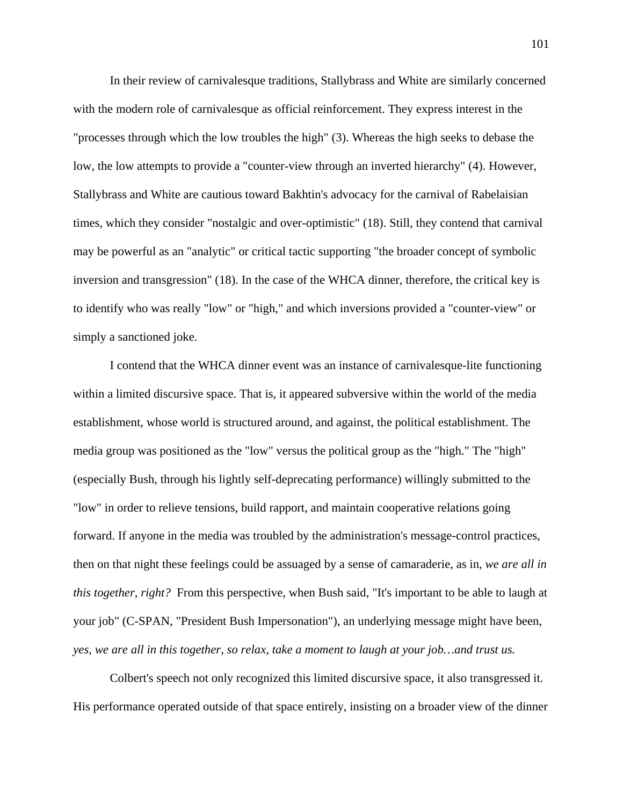In their review of carnivalesque traditions, Stallybrass and White are similarly concerned with the modern role of carnivalesque as official reinforcement. They express interest in the "processes through which the low troubles the high" (3). Whereas the high seeks to debase the low, the low attempts to provide a "counter-view through an inverted hierarchy" (4). However, Stallybrass and White are cautious toward Bakhtin's advocacy for the carnival of Rabelaisian times, which they consider "nostalgic and over-optimistic" (18). Still, they contend that carnival may be powerful as an "analytic" or critical tactic supporting "the broader concept of symbolic inversion and transgression" (18). In the case of the WHCA dinner, therefore, the critical key is to identify who was really "low" or "high," and which inversions provided a "counter-view" or simply a sanctioned joke.

I contend that the WHCA dinner event was an instance of carnivalesque-lite functioning within a limited discursive space. That is, it appeared subversive within the world of the media establishment, whose world is structured around, and against, the political establishment. The media group was positioned as the "low" versus the political group as the "high." The "high" (especially Bush, through his lightly self-deprecating performance) willingly submitted to the "low" in order to relieve tensions, build rapport, and maintain cooperative relations going forward. If anyone in the media was troubled by the administration's message-control practices, then on that night these feelings could be assuaged by a sense of camaraderie, as in, *we are all in this together, right?* From this perspective, when Bush said, "It's important to be able to laugh at your job" (C-SPAN, "President Bush Impersonation"), an underlying message might have been, *yes, we are all in this together, so relax, take a moment to laugh at your job…and trust us.* 

Colbert's speech not only recognized this limited discursive space, it also transgressed it. His performance operated outside of that space entirely, insisting on a broader view of the dinner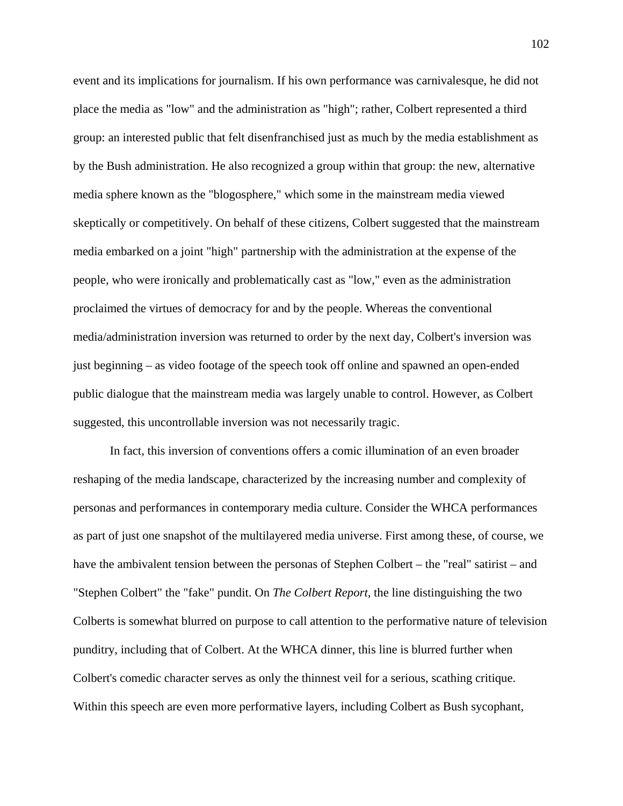event and its implications for journalism. If his own performance was carnivalesque, he did not place the media as "low" and the administration as "high"; rather, Colbert represented a third group: an interested public that felt disenfranchised just as much by the media establishment as by the Bush administration. He also recognized a group within that group: the new, alternative media sphere known as the "blogosphere," which some in the mainstream media viewed skeptically or competitively. On behalf of these citizens, Colbert suggested that the mainstream media embarked on a joint "high" partnership with the administration at the expense of the people, who were ironically and problematically cast as "low," even as the administration proclaimed the virtues of democracy for and by the people. Whereas the conventional media/administration inversion was returned to order by the next day, Colbert's inversion was just beginning – as video footage of the speech took off online and spawned an open-ended public dialogue that the mainstream media was largely unable to control. However, as Colbert suggested, this uncontrollable inversion was not necessarily tragic.

In fact, this inversion of conventions offers a comic illumination of an even broader reshaping of the media landscape, characterized by the increasing number and complexity of personas and performances in contemporary media culture. Consider the WHCA performances as part of just one snapshot of the multilayered media universe. First among these, of course, we have the ambivalent tension between the personas of Stephen Colbert – the "real" satirist – and "Stephen Colbert" the "fake" pundit. On *The Colbert Report,* the line distinguishing the two Colberts is somewhat blurred on purpose to call attention to the performative nature of television punditry, including that of Colbert. At the WHCA dinner, this line is blurred further when Colbert's comedic character serves as only the thinnest veil for a serious, scathing critique. Within this speech are even more performative layers, including Colbert as Bush sycophant,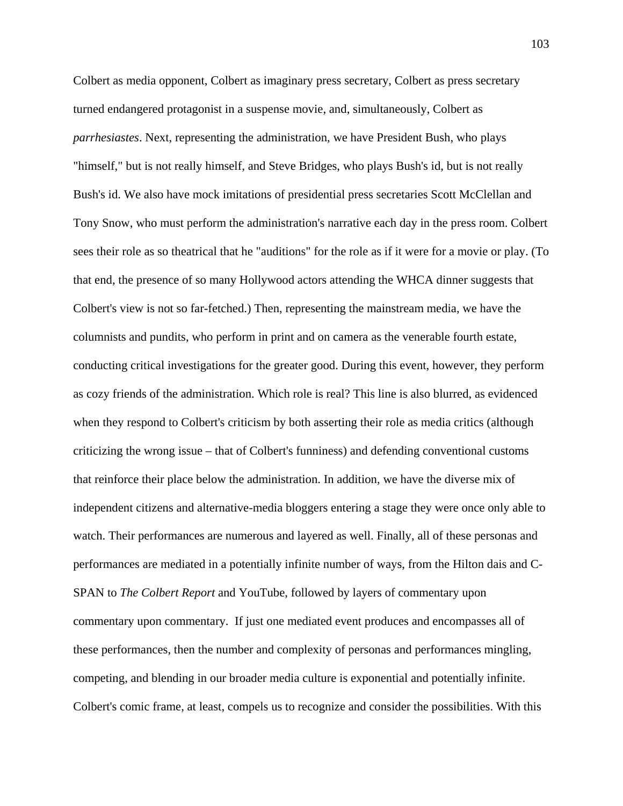Colbert as media opponent, Colbert as imaginary press secretary, Colbert as press secretary turned endangered protagonist in a suspense movie, and, simultaneously, Colbert as *parrhesiastes*. Next, representing the administration, we have President Bush, who plays "himself," but is not really himself, and Steve Bridges, who plays Bush's id, but is not really Bush's id. We also have mock imitations of presidential press secretaries Scott McClellan and Tony Snow, who must perform the administration's narrative each day in the press room. Colbert sees their role as so theatrical that he "auditions" for the role as if it were for a movie or play. (To that end, the presence of so many Hollywood actors attending the WHCA dinner suggests that Colbert's view is not so far-fetched.) Then, representing the mainstream media, we have the columnists and pundits, who perform in print and on camera as the venerable fourth estate, conducting critical investigations for the greater good. During this event, however, they perform as cozy friends of the administration. Which role is real? This line is also blurred, as evidenced when they respond to Colbert's criticism by both asserting their role as media critics (although criticizing the wrong issue – that of Colbert's funniness) and defending conventional customs that reinforce their place below the administration. In addition, we have the diverse mix of independent citizens and alternative-media bloggers entering a stage they were once only able to watch. Their performances are numerous and layered as well. Finally, all of these personas and performances are mediated in a potentially infinite number of ways, from the Hilton dais and C-SPAN to *The Colbert Report* and YouTube, followed by layers of commentary upon commentary upon commentary. If just one mediated event produces and encompasses all of these performances, then the number and complexity of personas and performances mingling, competing, and blending in our broader media culture is exponential and potentially infinite. Colbert's comic frame, at least, compels us to recognize and consider the possibilities. With this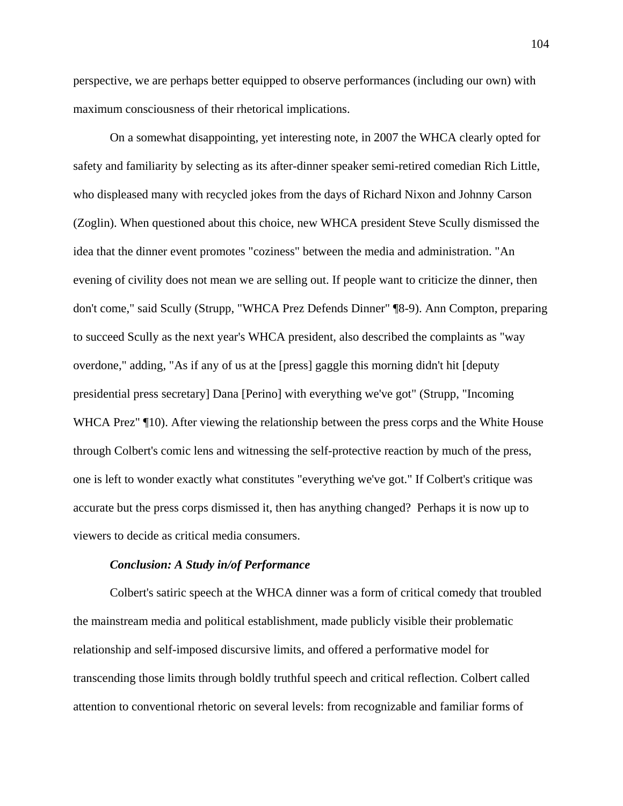perspective, we are perhaps better equipped to observe performances (including our own) with maximum consciousness of their rhetorical implications.

On a somewhat disappointing, yet interesting note, in 2007 the WHCA clearly opted for safety and familiarity by selecting as its after-dinner speaker semi-retired comedian Rich Little, who displeased many with recycled jokes from the days of Richard Nixon and Johnny Carson (Zoglin). When questioned about this choice, new WHCA president Steve Scully dismissed the idea that the dinner event promotes "coziness" between the media and administration. "An evening of civility does not mean we are selling out. If people want to criticize the dinner, then don't come," said Scully (Strupp, "WHCA Prez Defends Dinner" ¶8-9). Ann Compton, preparing to succeed Scully as the next year's WHCA president, also described the complaints as "way overdone," adding, "As if any of us at the [press] gaggle this morning didn't hit [deputy presidential press secretary] Dana [Perino] with everything we've got" (Strupp, "Incoming WHCA Prez" ¶10). After viewing the relationship between the press corps and the White House through Colbert's comic lens and witnessing the self-protective reaction by much of the press, one is left to wonder exactly what constitutes "everything we've got." If Colbert's critique was accurate but the press corps dismissed it, then has anything changed? Perhaps it is now up to viewers to decide as critical media consumers.

## *Conclusion: A Study in/of Performance*

Colbert's satiric speech at the WHCA dinner was a form of critical comedy that troubled the mainstream media and political establishment, made publicly visible their problematic relationship and self-imposed discursive limits, and offered a performative model for transcending those limits through boldly truthful speech and critical reflection. Colbert called attention to conventional rhetoric on several levels: from recognizable and familiar forms of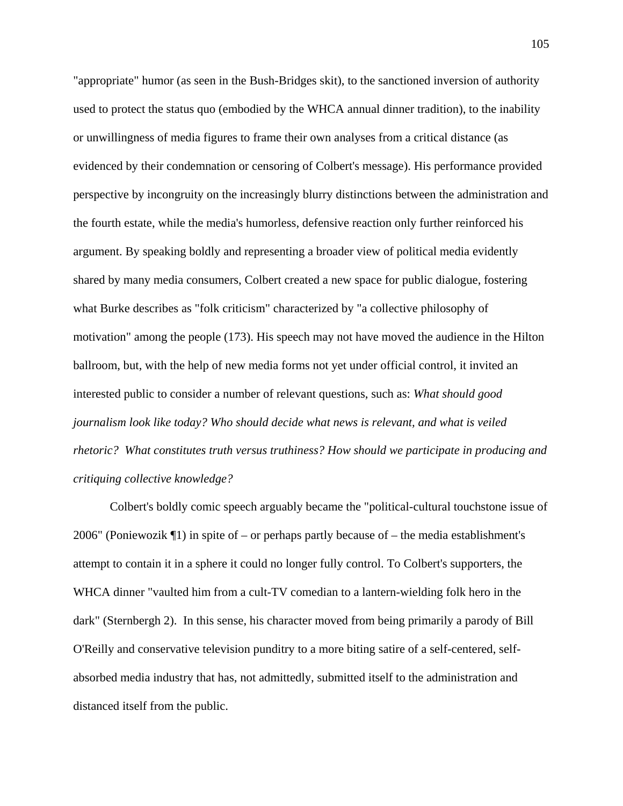"appropriate" humor (as seen in the Bush-Bridges skit), to the sanctioned inversion of authority used to protect the status quo (embodied by the WHCA annual dinner tradition), to the inability or unwillingness of media figures to frame their own analyses from a critical distance (as evidenced by their condemnation or censoring of Colbert's message). His performance provided perspective by incongruity on the increasingly blurry distinctions between the administration and the fourth estate, while the media's humorless, defensive reaction only further reinforced his argument. By speaking boldly and representing a broader view of political media evidently shared by many media consumers, Colbert created a new space for public dialogue, fostering what Burke describes as "folk criticism" characterized by "a collective philosophy of motivation" among the people (173). His speech may not have moved the audience in the Hilton ballroom, but, with the help of new media forms not yet under official control, it invited an interested public to consider a number of relevant questions, such as: *What should good journalism look like today? Who should decide what news is relevant, and what is veiled rhetoric? What constitutes truth versus truthiness? How should we participate in producing and critiquing collective knowledge?*

Colbert's boldly comic speech arguably became the "political-cultural touchstone issue of 2006" (Poniewozik  $\P$ 1) in spite of – or perhaps partly because of – the media establishment's attempt to contain it in a sphere it could no longer fully control. To Colbert's supporters, the WHCA dinner "vaulted him from a cult-TV comedian to a lantern-wielding folk hero in the dark" (Sternbergh 2). In this sense, his character moved from being primarily a parody of Bill O'Reilly and conservative television punditry to a more biting satire of a self-centered, selfabsorbed media industry that has, not admittedly, submitted itself to the administration and distanced itself from the public.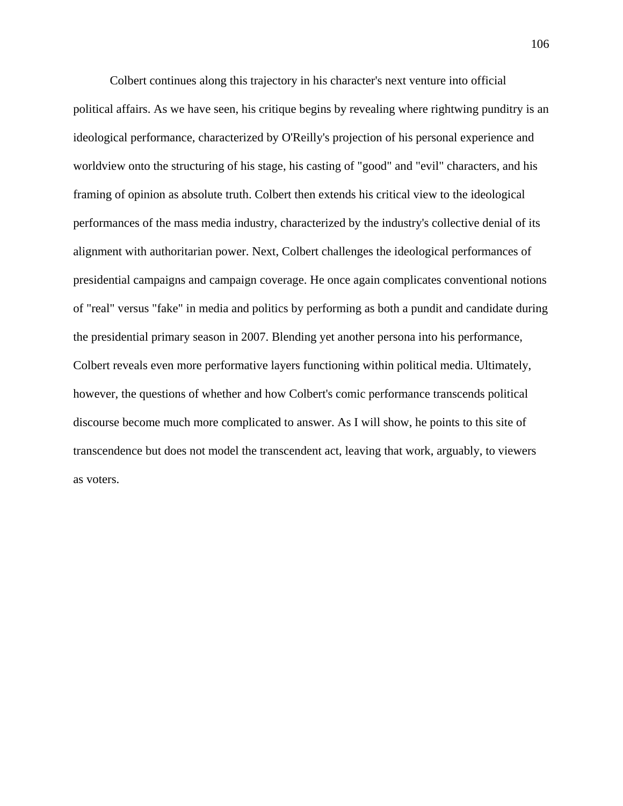Colbert continues along this trajectory in his character's next venture into official political affairs. As we have seen, his critique begins by revealing where rightwing punditry is an ideological performance, characterized by O'Reilly's projection of his personal experience and worldview onto the structuring of his stage, his casting of "good" and "evil" characters, and his framing of opinion as absolute truth. Colbert then extends his critical view to the ideological performances of the mass media industry, characterized by the industry's collective denial of its alignment with authoritarian power. Next, Colbert challenges the ideological performances of presidential campaigns and campaign coverage. He once again complicates conventional notions of "real" versus "fake" in media and politics by performing as both a pundit and candidate during the presidential primary season in 2007. Blending yet another persona into his performance, Colbert reveals even more performative layers functioning within political media. Ultimately, however, the questions of whether and how Colbert's comic performance transcends political discourse become much more complicated to answer. As I will show, he points to this site of transcendence but does not model the transcendent act, leaving that work, arguably, to viewers as voters.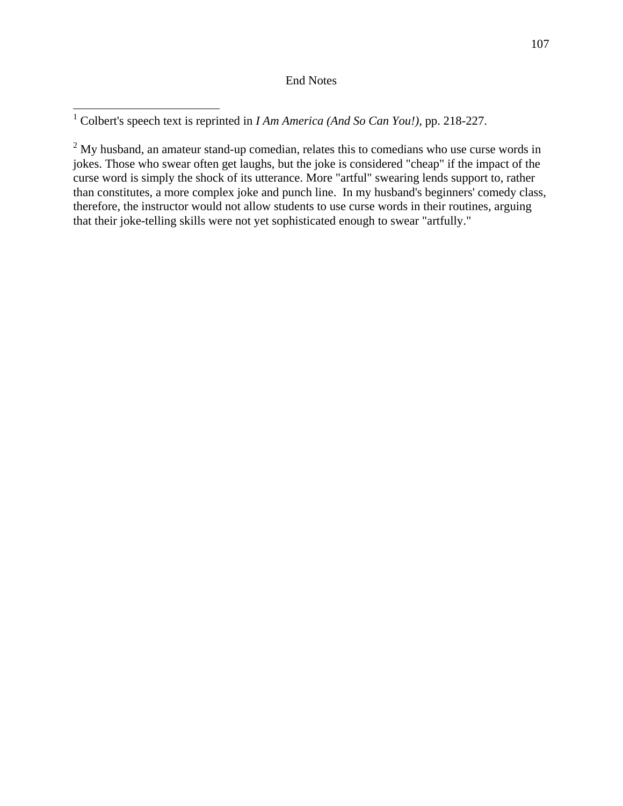$2^{2}$  My husband, an amateur stand-up comedian, relates this to comedians who use curse words in jokes. Those who swear often get laughs, but the joke is considered "cheap" if the impact of the curse word is simply the shock of its utterance. More "artful" swearing lends support to, rather than constitutes, a more complex joke and punch line. In my husband's beginners' comedy class, therefore, the instructor would not allow students to use curse words in their routines, arguing that their joke-telling skills were not yet sophisticated enough to swear "artfully."

 1 Colbert's speech text is reprinted in *I Am America (And So Can You!),* pp. 218-227.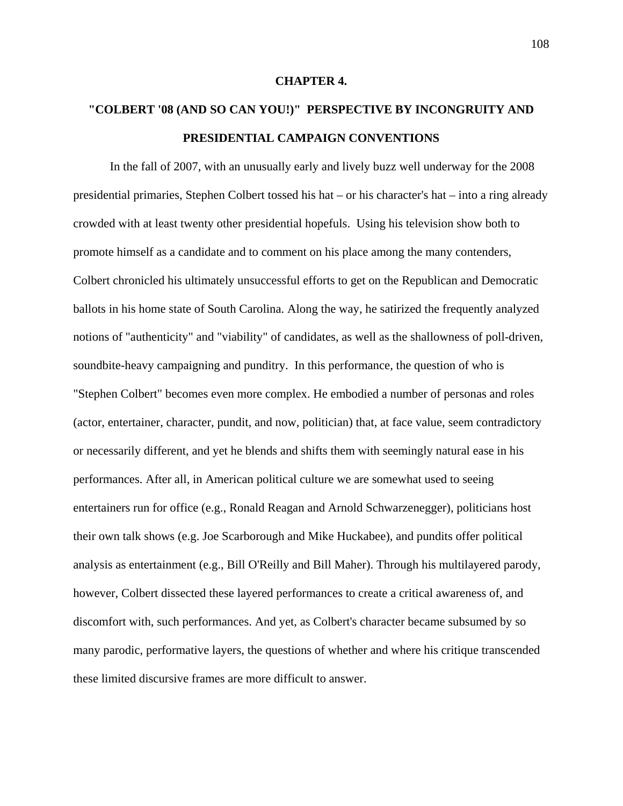#### **CHAPTER 4.**

# **"COLBERT '08 (AND SO CAN YOU!)" PERSPECTIVE BY INCONGRUITY AND PRESIDENTIAL CAMPAIGN CONVENTIONS**

In the fall of 2007, with an unusually early and lively buzz well underway for the 2008 presidential primaries, Stephen Colbert tossed his hat – or his character's hat – into a ring already crowded with at least twenty other presidential hopefuls. Using his television show both to promote himself as a candidate and to comment on his place among the many contenders, Colbert chronicled his ultimately unsuccessful efforts to get on the Republican and Democratic ballots in his home state of South Carolina. Along the way, he satirized the frequently analyzed notions of "authenticity" and "viability" of candidates, as well as the shallowness of poll-driven, soundbite-heavy campaigning and punditry. In this performance, the question of who is "Stephen Colbert" becomes even more complex. He embodied a number of personas and roles (actor, entertainer, character, pundit, and now, politician) that, at face value, seem contradictory or necessarily different, and yet he blends and shifts them with seemingly natural ease in his performances. After all, in American political culture we are somewhat used to seeing entertainers run for office (e.g., Ronald Reagan and Arnold Schwarzenegger), politicians host their own talk shows (e.g. Joe Scarborough and Mike Huckabee), and pundits offer political analysis as entertainment (e.g., Bill O'Reilly and Bill Maher). Through his multilayered parody, however, Colbert dissected these layered performances to create a critical awareness of, and discomfort with, such performances. And yet, as Colbert's character became subsumed by so many parodic, performative layers, the questions of whether and where his critique transcended these limited discursive frames are more difficult to answer.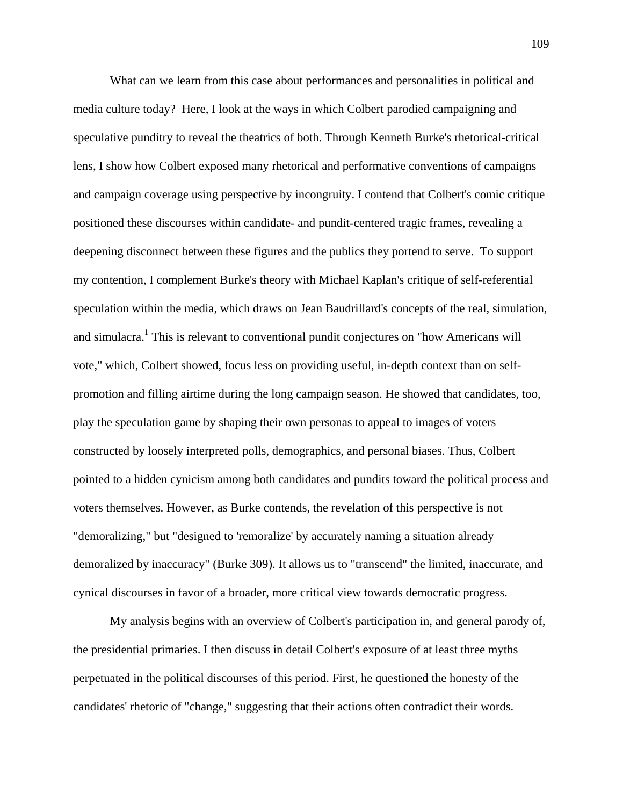What can we learn from this case about performances and personalities in political and media culture today? Here, I look at the ways in which Colbert parodied campaigning and speculative punditry to reveal the theatrics of both. Through Kenneth Burke's rhetorical-critical lens, I show how Colbert exposed many rhetorical and performative conventions of campaigns and campaign coverage using perspective by incongruity. I contend that Colbert's comic critique positioned these discourses within candidate- and pundit-centered tragic frames, revealing a deepening disconnect between these figures and the publics they portend to serve. To support my contention, I complement Burke's theory with Michael Kaplan's critique of self-referential speculation within the media, which draws on Jean Baudrillard's concepts of the real, simulation, and simulacra.<sup>1</sup> This is relevant to conventional pundit conjectures on "how Americans will vote," which, Colbert showed, focus less on providing useful, in-depth context than on selfpromotion and filling airtime during the long campaign season. He showed that candidates, too, play the speculation game by shaping their own personas to appeal to images of voters constructed by loosely interpreted polls, demographics, and personal biases. Thus, Colbert pointed to a hidden cynicism among both candidates and pundits toward the political process and voters themselves. However, as Burke contends, the revelation of this perspective is not "demoralizing," but "designed to 'remoralize' by accurately naming a situation already demoralized by inaccuracy" (Burke 309). It allows us to "transcend" the limited, inaccurate, and cynical discourses in favor of a broader, more critical view towards democratic progress.

My analysis begins with an overview of Colbert's participation in, and general parody of, the presidential primaries. I then discuss in detail Colbert's exposure of at least three myths perpetuated in the political discourses of this period. First, he questioned the honesty of the candidates' rhetoric of "change," suggesting that their actions often contradict their words.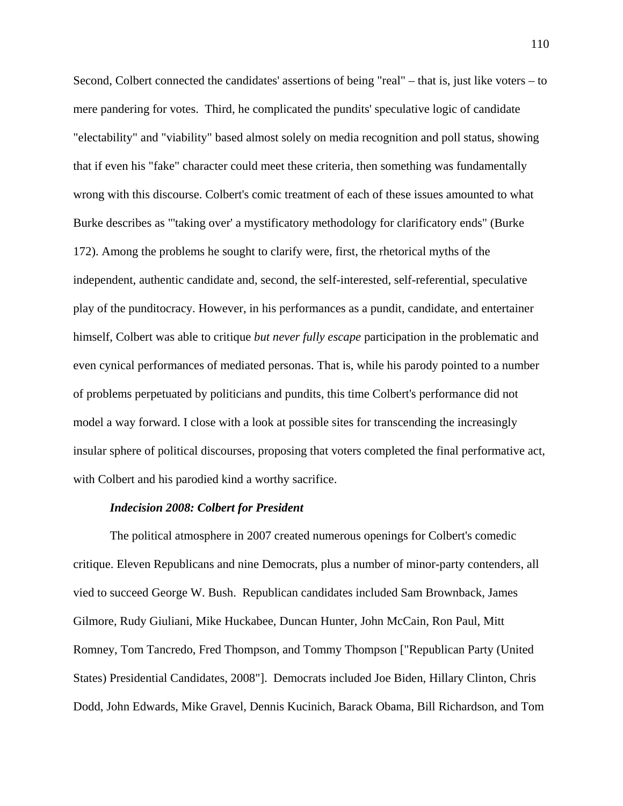Second, Colbert connected the candidates' assertions of being "real" – that is, just like voters – to mere pandering for votes. Third, he complicated the pundits' speculative logic of candidate "electability" and "viability" based almost solely on media recognition and poll status, showing that if even his "fake" character could meet these criteria, then something was fundamentally wrong with this discourse. Colbert's comic treatment of each of these issues amounted to what Burke describes as "'taking over' a mystificatory methodology for clarificatory ends" (Burke 172). Among the problems he sought to clarify were, first, the rhetorical myths of the independent, authentic candidate and, second, the self-interested, self-referential, speculative play of the punditocracy. However, in his performances as a pundit, candidate, and entertainer himself, Colbert was able to critique *but never fully escape* participation in the problematic and even cynical performances of mediated personas. That is, while his parody pointed to a number of problems perpetuated by politicians and pundits, this time Colbert's performance did not model a way forward. I close with a look at possible sites for transcending the increasingly insular sphere of political discourses, proposing that voters completed the final performative act, with Colbert and his parodied kind a worthy sacrifice.

#### *Indecision 2008: Colbert for President*

The political atmosphere in 2007 created numerous openings for Colbert's comedic critique. Eleven Republicans and nine Democrats, plus a number of minor-party contenders, all vied to succeed George W. Bush. Republican candidates included Sam Brownback, James Gilmore, Rudy Giuliani, Mike Huckabee, Duncan Hunter, John McCain, Ron Paul, Mitt Romney, Tom Tancredo, Fred Thompson, and Tommy Thompson ["Republican Party (United States) Presidential Candidates, 2008"]. Democrats included Joe Biden, Hillary Clinton, Chris Dodd, John Edwards, Mike Gravel, Dennis Kucinich, Barack Obama, Bill Richardson, and Tom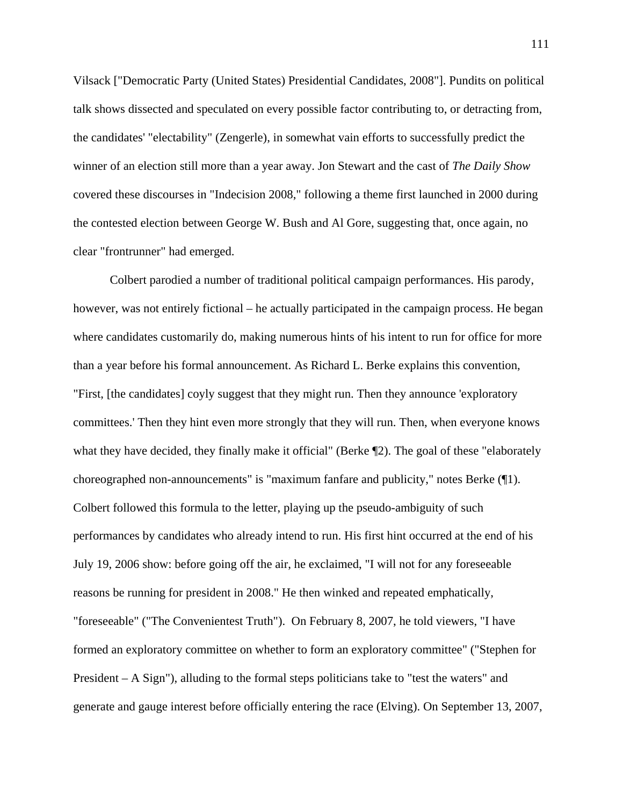Vilsack ["Democratic Party (United States) Presidential Candidates, 2008"]. Pundits on political talk shows dissected and speculated on every possible factor contributing to, or detracting from, the candidates' "electability" (Zengerle), in somewhat vain efforts to successfully predict the winner of an election still more than a year away. Jon Stewart and the cast of *The Daily Show* covered these discourses in "Indecision 2008," following a theme first launched in 2000 during the contested election between George W. Bush and Al Gore, suggesting that, once again, no clear "frontrunner" had emerged.

Colbert parodied a number of traditional political campaign performances. His parody, however, was not entirely fictional – he actually participated in the campaign process. He began where candidates customarily do, making numerous hints of his intent to run for office for more than a year before his formal announcement. As Richard L. Berke explains this convention, "First, [the candidates] coyly suggest that they might run. Then they announce 'exploratory committees.' Then they hint even more strongly that they will run. Then, when everyone knows what they have decided, they finally make it official" (Berke [2). The goal of these "elaborately choreographed non-announcements" is "maximum fanfare and publicity," notes Berke (¶1). Colbert followed this formula to the letter, playing up the pseudo-ambiguity of such performances by candidates who already intend to run. His first hint occurred at the end of his July 19, 2006 show: before going off the air, he exclaimed, "I will not for any foreseeable reasons be running for president in 2008." He then winked and repeated emphatically, "foreseeable" ("The Convenientest Truth"). On February 8, 2007, he told viewers, "I have formed an exploratory committee on whether to form an exploratory committee" ("Stephen for President – A Sign"), alluding to the formal steps politicians take to "test the waters" and generate and gauge interest before officially entering the race (Elving). On September 13, 2007,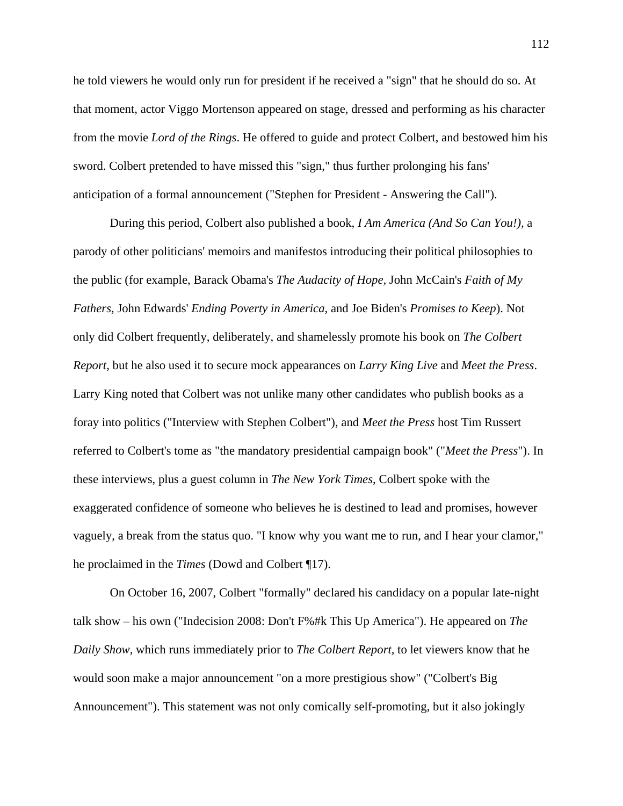he told viewers he would only run for president if he received a "sign" that he should do so. At that moment, actor Viggo Mortenson appeared on stage, dressed and performing as his character from the movie *Lord of the Rings*. He offered to guide and protect Colbert, and bestowed him his sword. Colbert pretended to have missed this "sign," thus further prolonging his fans' anticipation of a formal announcement ("Stephen for President - Answering the Call").

During this period, Colbert also published a book, *I Am America (And So Can You!),* a parody of other politicians' memoirs and manifestos introducing their political philosophies to the public (for example, Barack Obama's *The Audacity of Hope,* John McCain's *Faith of My Fathers,* John Edwards' *Ending Poverty in America,* and Joe Biden's *Promises to Keep*). Not only did Colbert frequently, deliberately, and shamelessly promote his book on *The Colbert Report,* but he also used it to secure mock appearances on *Larry King Live* and *Meet the Press*. Larry King noted that Colbert was not unlike many other candidates who publish books as a foray into politics ("Interview with Stephen Colbert"), and *Meet the Press* host Tim Russert referred to Colbert's tome as "the mandatory presidential campaign book" ("*Meet the Press*"). In these interviews, plus a guest column in *The New York Times*, Colbert spoke with the exaggerated confidence of someone who believes he is destined to lead and promises, however vaguely, a break from the status quo. "I know why you want me to run, and I hear your clamor," he proclaimed in the *Times* (Dowd and Colbert ¶17).

On October 16, 2007, Colbert "formally" declared his candidacy on a popular late-night talk show – his own ("Indecision 2008: Don't F%#k This Up America"). He appeared on *The Daily Show,* which runs immediately prior to *The Colbert Report,* to let viewers know that he would soon make a major announcement "on a more prestigious show" ("Colbert's Big Announcement"). This statement was not only comically self-promoting, but it also jokingly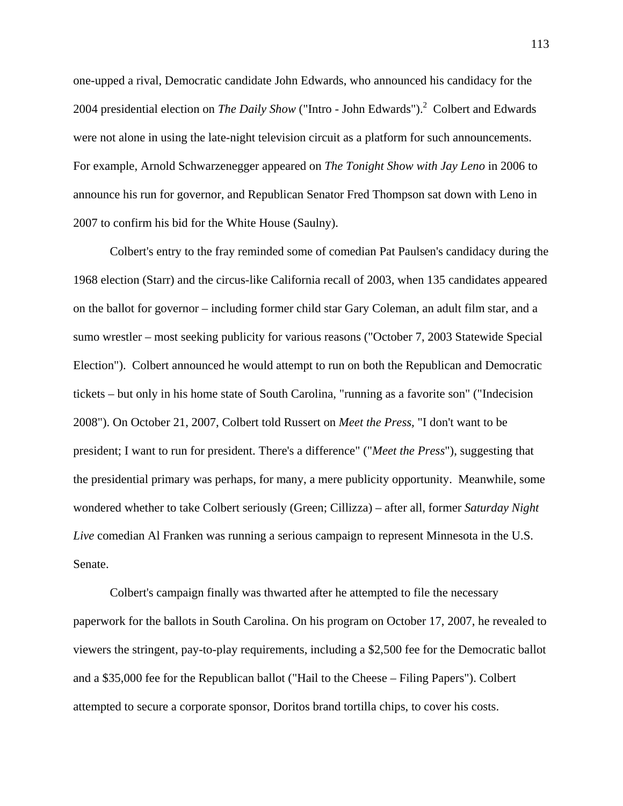one-upped a rival, Democratic candidate John Edwards, who announced his candidacy for the 2004 presidential election on *The Daily Show* ("Intro - John Edwards").<sup>2</sup> Colbert and Edwards were not alone in using the late-night television circuit as a platform for such announcements. For example, Arnold Schwarzenegger appeared on *The Tonight Show with Jay Leno* in 2006 to announce his run for governor, and Republican Senator Fred Thompson sat down with Leno in 2007 to confirm his bid for the White House (Saulny).

Colbert's entry to the fray reminded some of comedian Pat Paulsen's candidacy during the 1968 election (Starr) and the circus-like California recall of 2003, when 135 candidates appeared on the ballot for governor – including former child star Gary Coleman, an adult film star, and a sumo wrestler – most seeking publicity for various reasons ("October 7, 2003 Statewide Special Election"). Colbert announced he would attempt to run on both the Republican and Democratic tickets – but only in his home state of South Carolina, "running as a favorite son" ("Indecision 2008"). On October 21, 2007, Colbert told Russert on *Meet the Press,* "I don't want to be president; I want to run for president. There's a difference" ("*Meet the Press*"), suggesting that the presidential primary was perhaps, for many, a mere publicity opportunity. Meanwhile, some wondered whether to take Colbert seriously (Green; Cillizza) – after all, former *Saturday Night Live* comedian Al Franken was running a serious campaign to represent Minnesota in the U.S. Senate.

Colbert's campaign finally was thwarted after he attempted to file the necessary paperwork for the ballots in South Carolina. On his program on October 17, 2007, he revealed to viewers the stringent, pay-to-play requirements, including a \$2,500 fee for the Democratic ballot and a \$35,000 fee for the Republican ballot ("Hail to the Cheese – Filing Papers"). Colbert attempted to secure a corporate sponsor, Doritos brand tortilla chips, to cover his costs.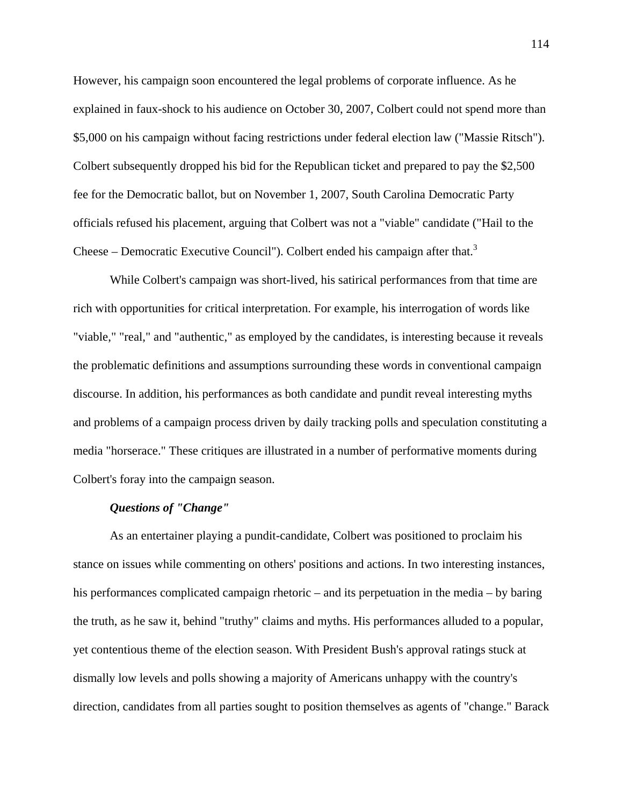However, his campaign soon encountered the legal problems of corporate influence. As he explained in faux-shock to his audience on October 30, 2007, Colbert could not spend more than \$5,000 on his campaign without facing restrictions under federal election law ("Massie Ritsch"). Colbert subsequently dropped his bid for the Republican ticket and prepared to pay the \$2,500 fee for the Democratic ballot, but on November 1, 2007, South Carolina Democratic Party officials refused his placement, arguing that Colbert was not a "viable" candidate ("Hail to the Cheese – Democratic Executive Council"). Colbert ended his campaign after that.<sup>3</sup>

 While Colbert's campaign was short-lived, his satirical performances from that time are rich with opportunities for critical interpretation. For example, his interrogation of words like "viable," "real," and "authentic," as employed by the candidates, is interesting because it reveals the problematic definitions and assumptions surrounding these words in conventional campaign discourse. In addition, his performances as both candidate and pundit reveal interesting myths and problems of a campaign process driven by daily tracking polls and speculation constituting a media "horserace." These critiques are illustrated in a number of performative moments during Colbert's foray into the campaign season.

## *Questions of "Change"*

As an entertainer playing a pundit-candidate, Colbert was positioned to proclaim his stance on issues while commenting on others' positions and actions. In two interesting instances, his performances complicated campaign rhetoric – and its perpetuation in the media – by baring the truth, as he saw it, behind "truthy" claims and myths. His performances alluded to a popular, yet contentious theme of the election season. With President Bush's approval ratings stuck at dismally low levels and polls showing a majority of Americans unhappy with the country's direction, candidates from all parties sought to position themselves as agents of "change." Barack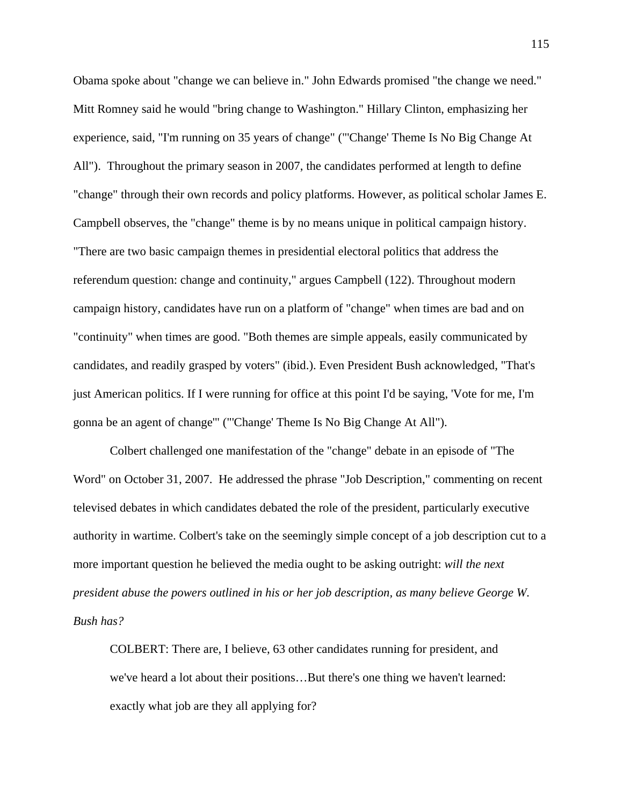Obama spoke about "change we can believe in." John Edwards promised "the change we need." Mitt Romney said he would "bring change to Washington." Hillary Clinton, emphasizing her experience, said, "I'm running on 35 years of change" ("'Change' Theme Is No Big Change At All"). Throughout the primary season in 2007, the candidates performed at length to define "change" through their own records and policy platforms. However, as political scholar James E. Campbell observes, the "change" theme is by no means unique in political campaign history. "There are two basic campaign themes in presidential electoral politics that address the referendum question: change and continuity," argues Campbell (122). Throughout modern campaign history, candidates have run on a platform of "change" when times are bad and on "continuity" when times are good. "Both themes are simple appeals, easily communicated by candidates, and readily grasped by voters" (ibid.). Even President Bush acknowledged, "That's just American politics. If I were running for office at this point I'd be saying, 'Vote for me, I'm gonna be an agent of change'" ("'Change' Theme Is No Big Change At All").

Colbert challenged one manifestation of the "change" debate in an episode of "The Word" on October 31, 2007. He addressed the phrase "Job Description," commenting on recent televised debates in which candidates debated the role of the president, particularly executive authority in wartime. Colbert's take on the seemingly simple concept of a job description cut to a more important question he believed the media ought to be asking outright: *will the next president abuse the powers outlined in his or her job description, as many believe George W. Bush has?* 

COLBERT: There are, I believe, 63 other candidates running for president, and we've heard a lot about their positions…But there's one thing we haven't learned: exactly what job are they all applying for?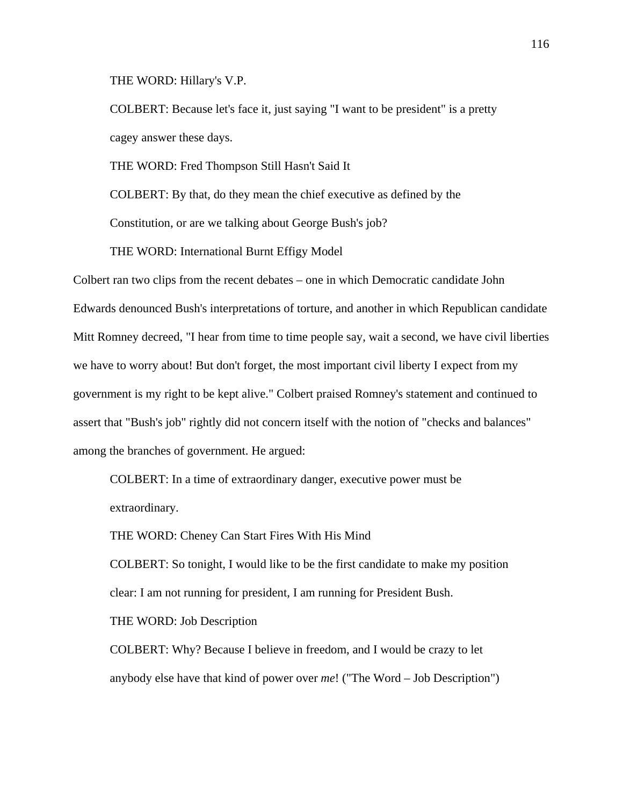THE WORD: Hillary's V.P.

COLBERT: Because let's face it, just saying "I want to be president" is a pretty cagey answer these days.

THE WORD: Fred Thompson Still Hasn't Said It

COLBERT: By that, do they mean the chief executive as defined by the

Constitution, or are we talking about George Bush's job?

THE WORD: International Burnt Effigy Model

Colbert ran two clips from the recent debates – one in which Democratic candidate John Edwards denounced Bush's interpretations of torture, and another in which Republican candidate Mitt Romney decreed, "I hear from time to time people say, wait a second, we have civil liberties we have to worry about! But don't forget, the most important civil liberty I expect from my government is my right to be kept alive." Colbert praised Romney's statement and continued to assert that "Bush's job" rightly did not concern itself with the notion of "checks and balances" among the branches of government. He argued:

COLBERT: In a time of extraordinary danger, executive power must be extraordinary.

THE WORD: Cheney Can Start Fires With His Mind

COLBERT: So tonight, I would like to be the first candidate to make my position clear: I am not running for president, I am running for President Bush.

THE WORD: Job Description

COLBERT: Why? Because I believe in freedom, and I would be crazy to let anybody else have that kind of power over *me*! ("The Word – Job Description")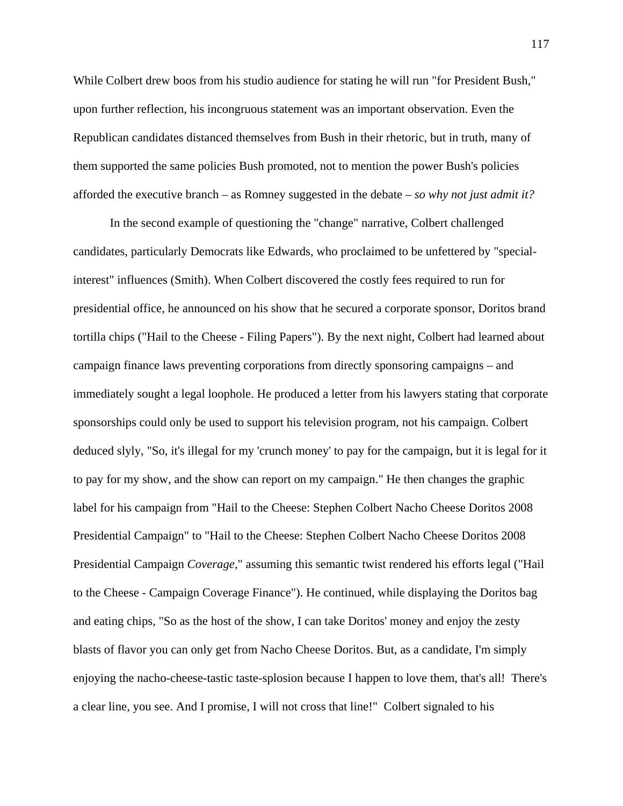While Colbert drew boos from his studio audience for stating he will run "for President Bush," upon further reflection, his incongruous statement was an important observation. Even the Republican candidates distanced themselves from Bush in their rhetoric, but in truth, many of them supported the same policies Bush promoted, not to mention the power Bush's policies afforded the executive branch – as Romney suggested in the debate – *so why not just admit it?* 

In the second example of questioning the "change" narrative, Colbert challenged candidates, particularly Democrats like Edwards, who proclaimed to be unfettered by "specialinterest" influences (Smith). When Colbert discovered the costly fees required to run for presidential office, he announced on his show that he secured a corporate sponsor, Doritos brand tortilla chips ("Hail to the Cheese - Filing Papers"). By the next night, Colbert had learned about campaign finance laws preventing corporations from directly sponsoring campaigns – and immediately sought a legal loophole. He produced a letter from his lawyers stating that corporate sponsorships could only be used to support his television program, not his campaign. Colbert deduced slyly, "So, it's illegal for my 'crunch money' to pay for the campaign, but it is legal for it to pay for my show, and the show can report on my campaign." He then changes the graphic label for his campaign from "Hail to the Cheese: Stephen Colbert Nacho Cheese Doritos 2008 Presidential Campaign" to "Hail to the Cheese: Stephen Colbert Nacho Cheese Doritos 2008 Presidential Campaign *Coverage,*" assuming this semantic twist rendered his efforts legal ("Hail to the Cheese - Campaign Coverage Finance"). He continued, while displaying the Doritos bag and eating chips, "So as the host of the show, I can take Doritos' money and enjoy the zesty blasts of flavor you can only get from Nacho Cheese Doritos. But, as a candidate, I'm simply enjoying the nacho-cheese-tastic taste-splosion because I happen to love them, that's all! There's a clear line, you see. And I promise, I will not cross that line!" Colbert signaled to his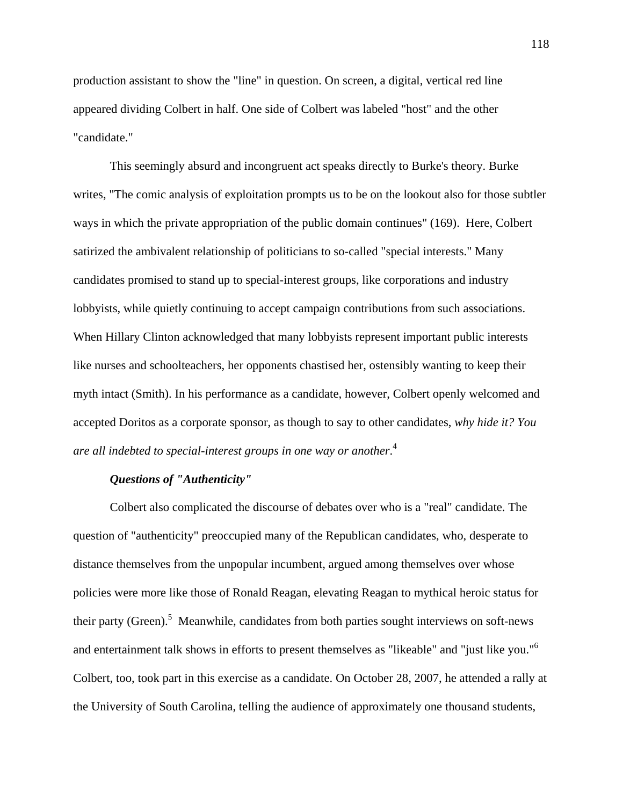production assistant to show the "line" in question. On screen, a digital, vertical red line appeared dividing Colbert in half. One side of Colbert was labeled "host" and the other "candidate."

This seemingly absurd and incongruent act speaks directly to Burke's theory. Burke writes, "The comic analysis of exploitation prompts us to be on the lookout also for those subtler ways in which the private appropriation of the public domain continues" (169). Here, Colbert satirized the ambivalent relationship of politicians to so-called "special interests." Many candidates promised to stand up to special-interest groups, like corporations and industry lobbyists, while quietly continuing to accept campaign contributions from such associations. When Hillary Clinton acknowledged that many lobbyists represent important public interests like nurses and schoolteachers, her opponents chastised her, ostensibly wanting to keep their myth intact (Smith). In his performance as a candidate, however, Colbert openly welcomed and accepted Doritos as a corporate sponsor, as though to say to other candidates, *why hide it? You are all indebted to special-interest groups in one way or another*. 4

#### *Questions of "Authenticity"*

Colbert also complicated the discourse of debates over who is a "real" candidate. The question of "authenticity" preoccupied many of the Republican candidates, who, desperate to distance themselves from the unpopular incumbent, argued among themselves over whose policies were more like those of Ronald Reagan, elevating Reagan to mythical heroic status for their party (Green).<sup>5</sup> Meanwhile, candidates from both parties sought interviews on soft-news and entertainment talk shows in efforts to present themselves as "likeable" and "just like you."<sup>6</sup> Colbert, too, took part in this exercise as a candidate. On October 28, 2007, he attended a rally at the University of South Carolina, telling the audience of approximately one thousand students,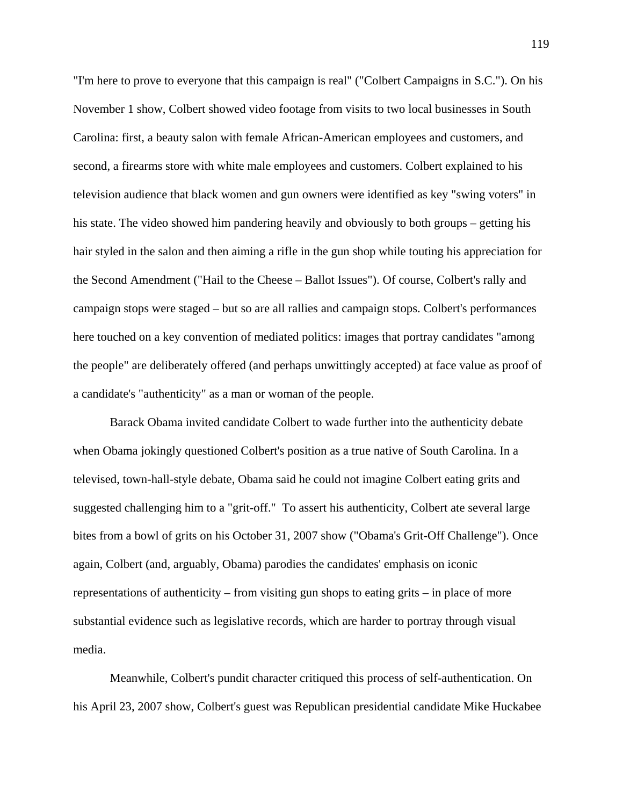"I'm here to prove to everyone that this campaign is real" ("Colbert Campaigns in S.C."). On his November 1 show, Colbert showed video footage from visits to two local businesses in South Carolina: first, a beauty salon with female African-American employees and customers, and second, a firearms store with white male employees and customers. Colbert explained to his television audience that black women and gun owners were identified as key "swing voters" in his state. The video showed him pandering heavily and obviously to both groups – getting his hair styled in the salon and then aiming a rifle in the gun shop while touting his appreciation for the Second Amendment ("Hail to the Cheese – Ballot Issues"). Of course, Colbert's rally and campaign stops were staged – but so are all rallies and campaign stops. Colbert's performances here touched on a key convention of mediated politics: images that portray candidates "among the people" are deliberately offered (and perhaps unwittingly accepted) at face value as proof of a candidate's "authenticity" as a man or woman of the people.

Barack Obama invited candidate Colbert to wade further into the authenticity debate when Obama jokingly questioned Colbert's position as a true native of South Carolina. In a televised, town-hall-style debate, Obama said he could not imagine Colbert eating grits and suggested challenging him to a "grit-off." To assert his authenticity, Colbert ate several large bites from a bowl of grits on his October 31, 2007 show ("Obama's Grit-Off Challenge"). Once again, Colbert (and, arguably, Obama) parodies the candidates' emphasis on iconic representations of authenticity – from visiting gun shops to eating grits – in place of more substantial evidence such as legislative records, which are harder to portray through visual media.

Meanwhile, Colbert's pundit character critiqued this process of self-authentication. On his April 23, 2007 show, Colbert's guest was Republican presidential candidate Mike Huckabee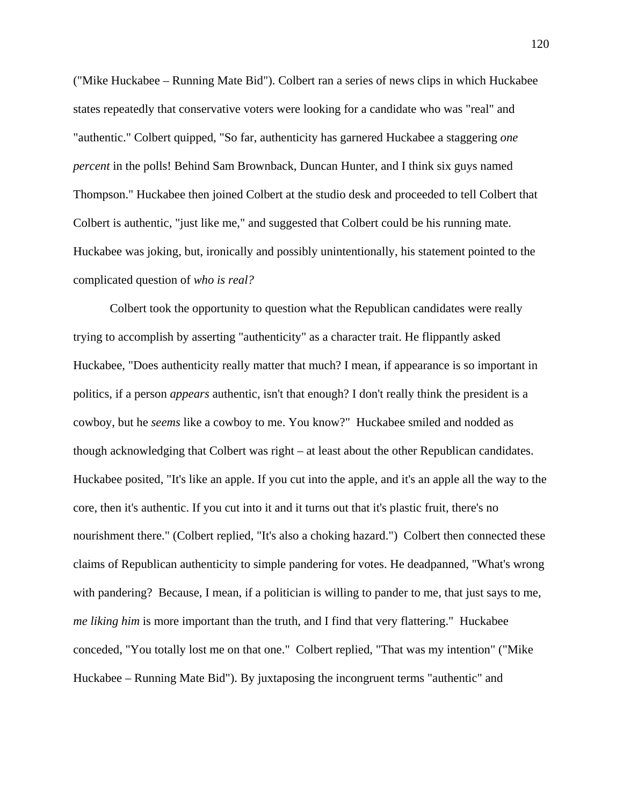("Mike Huckabee – Running Mate Bid"). Colbert ran a series of news clips in which Huckabee states repeatedly that conservative voters were looking for a candidate who was "real" and "authentic." Colbert quipped, "So far, authenticity has garnered Huckabee a staggering *one percent* in the polls! Behind Sam Brownback, Duncan Hunter, and I think six guys named Thompson." Huckabee then joined Colbert at the studio desk and proceeded to tell Colbert that Colbert is authentic, "just like me," and suggested that Colbert could be his running mate. Huckabee was joking, but, ironically and possibly unintentionally, his statement pointed to the complicated question of *who is real?* 

Colbert took the opportunity to question what the Republican candidates were really trying to accomplish by asserting "authenticity" as a character trait. He flippantly asked Huckabee, "Does authenticity really matter that much? I mean, if appearance is so important in politics, if a person *appears* authentic, isn't that enough? I don't really think the president is a cowboy, but he *seems* like a cowboy to me. You know?" Huckabee smiled and nodded as though acknowledging that Colbert was right – at least about the other Republican candidates. Huckabee posited, "It's like an apple. If you cut into the apple, and it's an apple all the way to the core, then it's authentic. If you cut into it and it turns out that it's plastic fruit, there's no nourishment there." (Colbert replied, "It's also a choking hazard.") Colbert then connected these claims of Republican authenticity to simple pandering for votes. He deadpanned, "What's wrong with pandering? Because, I mean, if a politician is willing to pander to me, that just says to me, *me liking him* is more important than the truth, and I find that very flattering." Huckabee conceded, "You totally lost me on that one." Colbert replied, "That was my intention" ("Mike Huckabee – Running Mate Bid"). By juxtaposing the incongruent terms "authentic" and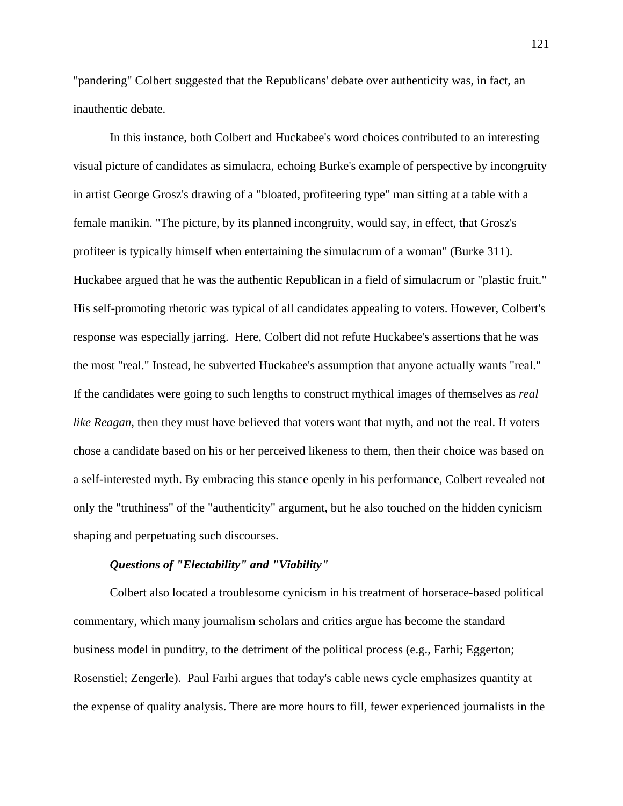"pandering" Colbert suggested that the Republicans' debate over authenticity was, in fact, an inauthentic debate.

In this instance, both Colbert and Huckabee's word choices contributed to an interesting visual picture of candidates as simulacra, echoing Burke's example of perspective by incongruity in artist George Grosz's drawing of a "bloated, profiteering type" man sitting at a table with a female manikin. "The picture, by its planned incongruity, would say, in effect, that Grosz's profiteer is typically himself when entertaining the simulacrum of a woman" (Burke 311). Huckabee argued that he was the authentic Republican in a field of simulacrum or "plastic fruit." His self-promoting rhetoric was typical of all candidates appealing to voters. However, Colbert's response was especially jarring. Here, Colbert did not refute Huckabee's assertions that he was the most "real." Instead, he subverted Huckabee's assumption that anyone actually wants "real." If the candidates were going to such lengths to construct mythical images of themselves as *real like Reagan,* then they must have believed that voters want that myth, and not the real. If voters chose a candidate based on his or her perceived likeness to them, then their choice was based on a self-interested myth. By embracing this stance openly in his performance, Colbert revealed not only the "truthiness" of the "authenticity" argument, but he also touched on the hidden cynicism shaping and perpetuating such discourses.

#### *Questions of "Electability" and "Viability"*

 Colbert also located a troublesome cynicism in his treatment of horserace-based political commentary, which many journalism scholars and critics argue has become the standard business model in punditry, to the detriment of the political process (e.g., Farhi; Eggerton; Rosenstiel; Zengerle). Paul Farhi argues that today's cable news cycle emphasizes quantity at the expense of quality analysis. There are more hours to fill, fewer experienced journalists in the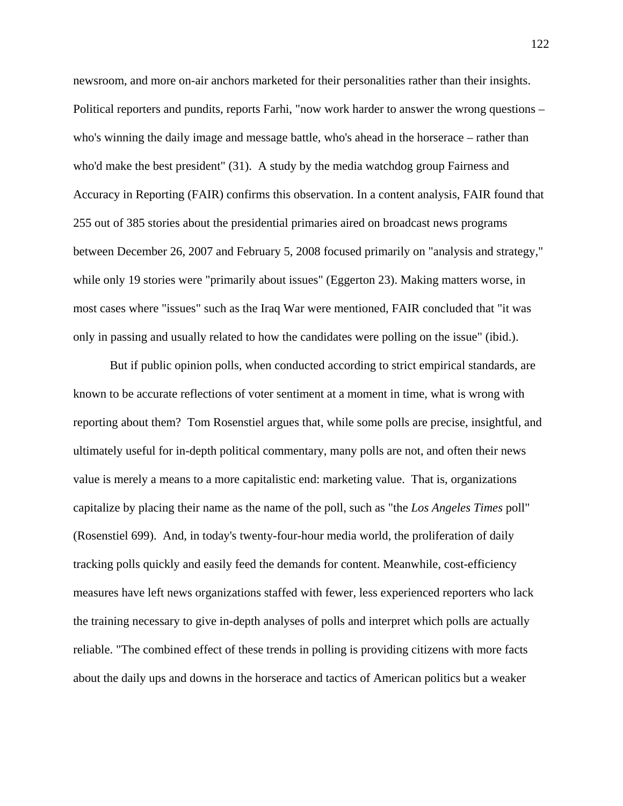newsroom, and more on-air anchors marketed for their personalities rather than their insights. Political reporters and pundits, reports Farhi, "now work harder to answer the wrong questions – who's winning the daily image and message battle, who's ahead in the horserace – rather than who'd make the best president" (31). A study by the media watchdog group Fairness and Accuracy in Reporting (FAIR) confirms this observation. In a content analysis, FAIR found that 255 out of 385 stories about the presidential primaries aired on broadcast news programs between December 26, 2007 and February 5, 2008 focused primarily on "analysis and strategy," while only 19 stories were "primarily about issues" (Eggerton 23). Making matters worse, in most cases where "issues" such as the Iraq War were mentioned, FAIR concluded that "it was only in passing and usually related to how the candidates were polling on the issue" (ibid.).

But if public opinion polls, when conducted according to strict empirical standards, are known to be accurate reflections of voter sentiment at a moment in time, what is wrong with reporting about them? Tom Rosenstiel argues that, while some polls are precise, insightful, and ultimately useful for in-depth political commentary, many polls are not, and often their news value is merely a means to a more capitalistic end: marketing value. That is, organizations capitalize by placing their name as the name of the poll, such as "the *Los Angeles Times* poll" (Rosenstiel 699). And, in today's twenty-four-hour media world, the proliferation of daily tracking polls quickly and easily feed the demands for content. Meanwhile, cost-efficiency measures have left news organizations staffed with fewer, less experienced reporters who lack the training necessary to give in-depth analyses of polls and interpret which polls are actually reliable. "The combined effect of these trends in polling is providing citizens with more facts about the daily ups and downs in the horserace and tactics of American politics but a weaker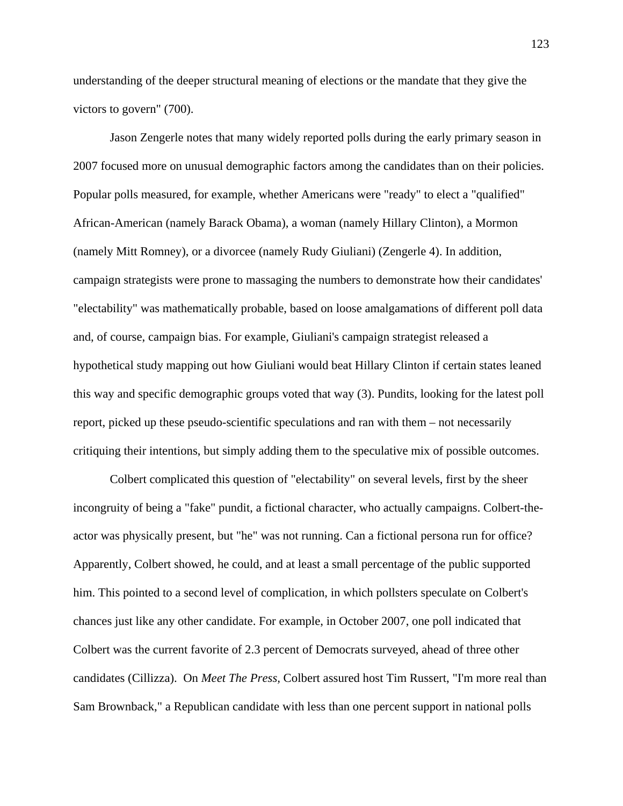understanding of the deeper structural meaning of elections or the mandate that they give the victors to govern" (700).

Jason Zengerle notes that many widely reported polls during the early primary season in 2007 focused more on unusual demographic factors among the candidates than on their policies. Popular polls measured, for example, whether Americans were "ready" to elect a "qualified" African-American (namely Barack Obama), a woman (namely Hillary Clinton), a Mormon (namely Mitt Romney), or a divorcee (namely Rudy Giuliani) (Zengerle 4). In addition, campaign strategists were prone to massaging the numbers to demonstrate how their candidates' "electability" was mathematically probable, based on loose amalgamations of different poll data and, of course, campaign bias. For example, Giuliani's campaign strategist released a hypothetical study mapping out how Giuliani would beat Hillary Clinton if certain states leaned this way and specific demographic groups voted that way (3). Pundits, looking for the latest poll report, picked up these pseudo-scientific speculations and ran with them – not necessarily critiquing their intentions, but simply adding them to the speculative mix of possible outcomes.

Colbert complicated this question of "electability" on several levels, first by the sheer incongruity of being a "fake" pundit, a fictional character, who actually campaigns. Colbert-theactor was physically present, but "he" was not running. Can a fictional persona run for office? Apparently, Colbert showed, he could, and at least a small percentage of the public supported him. This pointed to a second level of complication, in which pollsters speculate on Colbert's chances just like any other candidate. For example, in October 2007, one poll indicated that Colbert was the current favorite of 2.3 percent of Democrats surveyed, ahead of three other candidates (Cillizza). On *Meet The Press,* Colbert assured host Tim Russert, "I'm more real than Sam Brownback," a Republican candidate with less than one percent support in national polls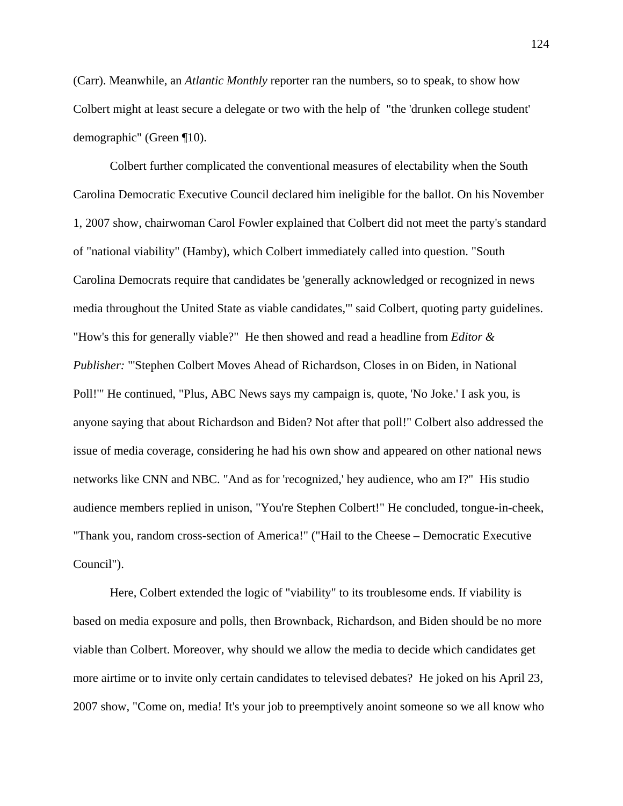(Carr). Meanwhile, an *Atlantic Monthly* reporter ran the numbers, so to speak, to show how Colbert might at least secure a delegate or two with the help of "the 'drunken college student' demographic" (Green ¶10).

Colbert further complicated the conventional measures of electability when the South Carolina Democratic Executive Council declared him ineligible for the ballot. On his November 1, 2007 show, chairwoman Carol Fowler explained that Colbert did not meet the party's standard of "national viability" (Hamby), which Colbert immediately called into question. "South Carolina Democrats require that candidates be 'generally acknowledged or recognized in news media throughout the United State as viable candidates,'" said Colbert, quoting party guidelines. "How's this for generally viable?" He then showed and read a headline from *Editor & Publisher:* "'Stephen Colbert Moves Ahead of Richardson, Closes in on Biden, in National Poll!'" He continued, "Plus, ABC News says my campaign is, quote, 'No Joke.' I ask you, is anyone saying that about Richardson and Biden? Not after that poll!" Colbert also addressed the issue of media coverage, considering he had his own show and appeared on other national news networks like CNN and NBC. "And as for 'recognized,' hey audience, who am I?" His studio audience members replied in unison, "You're Stephen Colbert!" He concluded, tongue-in-cheek, "Thank you, random cross-section of America!" ("Hail to the Cheese – Democratic Executive Council").

Here, Colbert extended the logic of "viability" to its troublesome ends. If viability is based on media exposure and polls, then Brownback, Richardson, and Biden should be no more viable than Colbert. Moreover, why should we allow the media to decide which candidates get more airtime or to invite only certain candidates to televised debates? He joked on his April 23, 2007 show, "Come on, media! It's your job to preemptively anoint someone so we all know who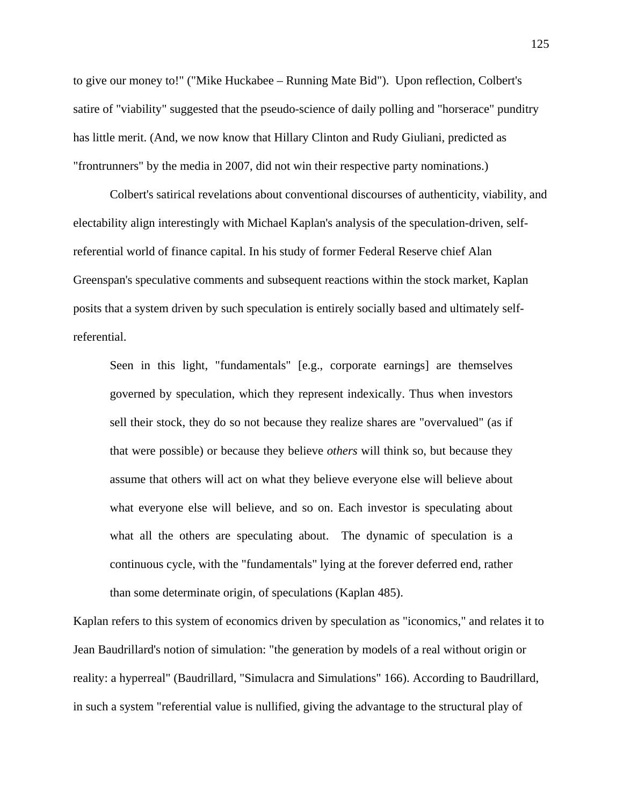to give our money to!" ("Mike Huckabee – Running Mate Bid"). Upon reflection, Colbert's satire of "viability" suggested that the pseudo-science of daily polling and "horserace" punditry has little merit. (And, we now know that Hillary Clinton and Rudy Giuliani, predicted as "frontrunners" by the media in 2007, did not win their respective party nominations.)

Colbert's satirical revelations about conventional discourses of authenticity, viability, and electability align interestingly with Michael Kaplan's analysis of the speculation-driven, selfreferential world of finance capital. In his study of former Federal Reserve chief Alan Greenspan's speculative comments and subsequent reactions within the stock market, Kaplan posits that a system driven by such speculation is entirely socially based and ultimately selfreferential.

Seen in this light, "fundamentals" [e.g., corporate earnings] are themselves governed by speculation, which they represent indexically. Thus when investors sell their stock, they do so not because they realize shares are "overvalued" (as if that were possible) or because they believe *others* will think so, but because they assume that others will act on what they believe everyone else will believe about what everyone else will believe, and so on. Each investor is speculating about what all the others are speculating about. The dynamic of speculation is a continuous cycle, with the "fundamentals" lying at the forever deferred end, rather than some determinate origin, of speculations (Kaplan 485).

Kaplan refers to this system of economics driven by speculation as "iconomics," and relates it to Jean Baudrillard's notion of simulation: "the generation by models of a real without origin or reality: a hyperreal" (Baudrillard, "Simulacra and Simulations" 166). According to Baudrillard, in such a system "referential value is nullified, giving the advantage to the structural play of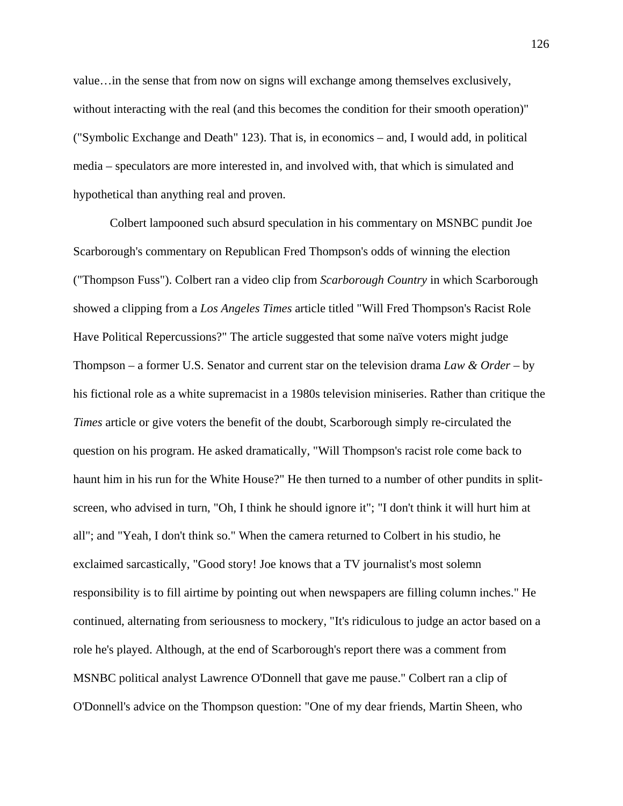value…in the sense that from now on signs will exchange among themselves exclusively, without interacting with the real (and this becomes the condition for their smooth operation)" ("Symbolic Exchange and Death" 123). That is, in economics – and, I would add, in political media – speculators are more interested in, and involved with, that which is simulated and hypothetical than anything real and proven.

 Colbert lampooned such absurd speculation in his commentary on MSNBC pundit Joe Scarborough's commentary on Republican Fred Thompson's odds of winning the election ("Thompson Fuss"). Colbert ran a video clip from *Scarborough Country* in which Scarborough showed a clipping from a *Los Angeles Times* article titled "Will Fred Thompson's Racist Role Have Political Repercussions?" The article suggested that some naïve voters might judge Thompson – a former U.S. Senator and current star on the television drama *Law & Order –* by his fictional role as a white supremacist in a 1980s television miniseries. Rather than critique the *Times* article or give voters the benefit of the doubt, Scarborough simply re-circulated the question on his program. He asked dramatically, "Will Thompson's racist role come back to haunt him in his run for the White House?" He then turned to a number of other pundits in splitscreen, who advised in turn, "Oh, I think he should ignore it"; "I don't think it will hurt him at all"; and "Yeah, I don't think so." When the camera returned to Colbert in his studio, he exclaimed sarcastically, "Good story! Joe knows that a TV journalist's most solemn responsibility is to fill airtime by pointing out when newspapers are filling column inches." He continued, alternating from seriousness to mockery, "It's ridiculous to judge an actor based on a role he's played. Although, at the end of Scarborough's report there was a comment from MSNBC political analyst Lawrence O'Donnell that gave me pause." Colbert ran a clip of O'Donnell's advice on the Thompson question: "One of my dear friends, Martin Sheen, who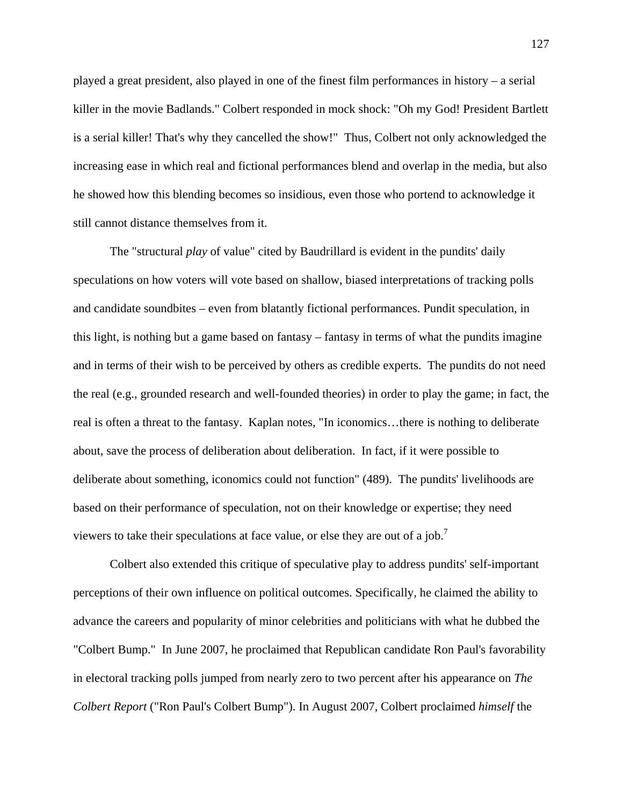played a great president, also played in one of the finest film performances in history – a serial killer in the movie Badlands." Colbert responded in mock shock: "Oh my God! President Bartlett is a serial killer! That's why they cancelled the show!" Thus, Colbert not only acknowledged the increasing ease in which real and fictional performances blend and overlap in the media, but also he showed how this blending becomes so insidious, even those who portend to acknowledge it still cannot distance themselves from it.

The "structural *play* of value" cited by Baudrillard is evident in the pundits' daily speculations on how voters will vote based on shallow, biased interpretations of tracking polls and candidate soundbites – even from blatantly fictional performances. Pundit speculation, in this light, is nothing but a game based on fantasy – fantasy in terms of what the pundits imagine and in terms of their wish to be perceived by others as credible experts. The pundits do not need the real (e.g., grounded research and well-founded theories) in order to play the game; in fact, the real is often a threat to the fantasy. Kaplan notes, "In iconomics…there is nothing to deliberate about, save the process of deliberation about deliberation. In fact, if it were possible to deliberate about something, iconomics could not function" (489). The pundits' livelihoods are based on their performance of speculation, not on their knowledge or expertise; they need viewers to take their speculations at face value, or else they are out of a job.<sup>7</sup>

Colbert also extended this critique of speculative play to address pundits' self-important perceptions of their own influence on political outcomes. Specifically, he claimed the ability to advance the careers and popularity of minor celebrities and politicians with what he dubbed the "Colbert Bump." In June 2007, he proclaimed that Republican candidate Ron Paul's favorability in electoral tracking polls jumped from nearly zero to two percent after his appearance on *The Colbert Report* ("Ron Paul's Colbert Bump"). In August 2007, Colbert proclaimed *himself* the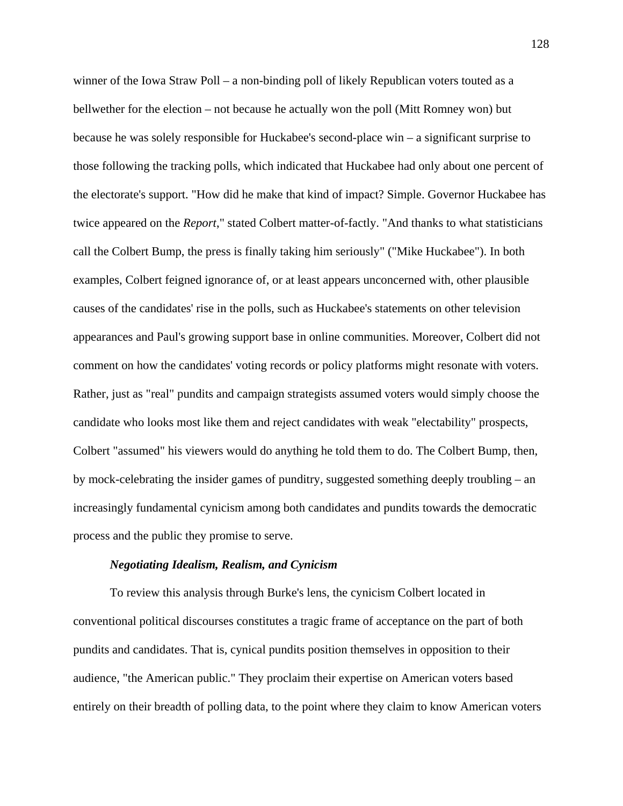winner of the Iowa Straw Poll – a non-binding poll of likely Republican voters touted as a bellwether for the election – not because he actually won the poll (Mitt Romney won) but because he was solely responsible for Huckabee's second-place win – a significant surprise to those following the tracking polls, which indicated that Huckabee had only about one percent of the electorate's support. "How did he make that kind of impact? Simple. Governor Huckabee has twice appeared on the *Report*," stated Colbert matter-of-factly. "And thanks to what statisticians call the Colbert Bump, the press is finally taking him seriously" ("Mike Huckabee"). In both examples, Colbert feigned ignorance of, or at least appears unconcerned with, other plausible causes of the candidates' rise in the polls, such as Huckabee's statements on other television appearances and Paul's growing support base in online communities. Moreover, Colbert did not comment on how the candidates' voting records or policy platforms might resonate with voters. Rather, just as "real" pundits and campaign strategists assumed voters would simply choose the candidate who looks most like them and reject candidates with weak "electability" prospects, Colbert "assumed" his viewers would do anything he told them to do. The Colbert Bump, then, by mock-celebrating the insider games of punditry, suggested something deeply troubling – an increasingly fundamental cynicism among both candidates and pundits towards the democratic process and the public they promise to serve.

## *Negotiating Idealism, Realism, and Cynicism*

To review this analysis through Burke's lens, the cynicism Colbert located in conventional political discourses constitutes a tragic frame of acceptance on the part of both pundits and candidates. That is, cynical pundits position themselves in opposition to their audience, "the American public." They proclaim their expertise on American voters based entirely on their breadth of polling data, to the point where they claim to know American voters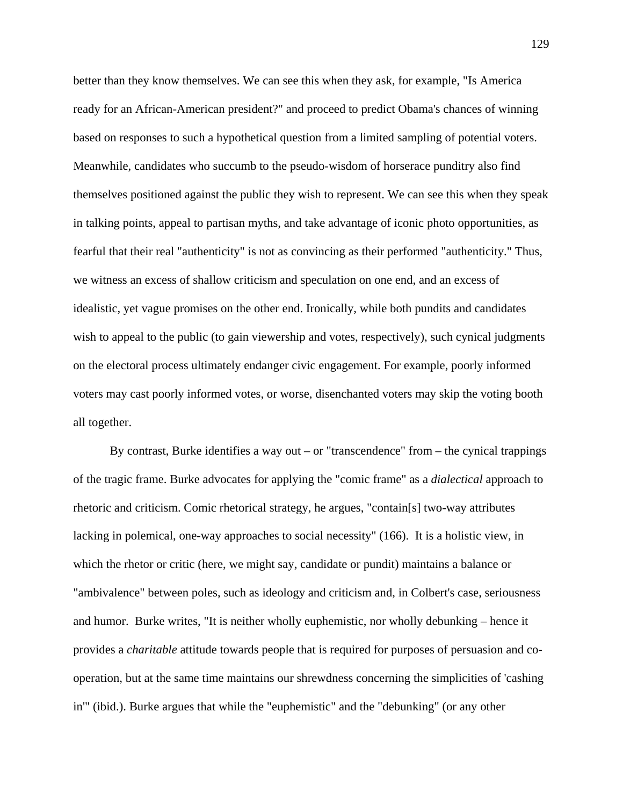better than they know themselves. We can see this when they ask, for example, "Is America ready for an African-American president?" and proceed to predict Obama's chances of winning based on responses to such a hypothetical question from a limited sampling of potential voters. Meanwhile, candidates who succumb to the pseudo-wisdom of horserace punditry also find themselves positioned against the public they wish to represent. We can see this when they speak in talking points, appeal to partisan myths, and take advantage of iconic photo opportunities, as fearful that their real "authenticity" is not as convincing as their performed "authenticity." Thus, we witness an excess of shallow criticism and speculation on one end, and an excess of idealistic, yet vague promises on the other end. Ironically, while both pundits and candidates wish to appeal to the public (to gain viewership and votes, respectively), such cynical judgments on the electoral process ultimately endanger civic engagement. For example, poorly informed voters may cast poorly informed votes, or worse, disenchanted voters may skip the voting booth all together.

By contrast, Burke identifies a way out – or "transcendence" from – the cynical trappings of the tragic frame. Burke advocates for applying the "comic frame" as a *dialectical* approach to rhetoric and criticism. Comic rhetorical strategy, he argues, "contain[s] two-way attributes lacking in polemical, one-way approaches to social necessity" (166). It is a holistic view, in which the rhetor or critic (here, we might say, candidate or pundit) maintains a balance or "ambivalence" between poles, such as ideology and criticism and, in Colbert's case, seriousness and humor. Burke writes, "It is neither wholly euphemistic, nor wholly debunking – hence it provides a *charitable* attitude towards people that is required for purposes of persuasion and cooperation, but at the same time maintains our shrewdness concerning the simplicities of 'cashing in'" (ibid.). Burke argues that while the "euphemistic" and the "debunking" (or any other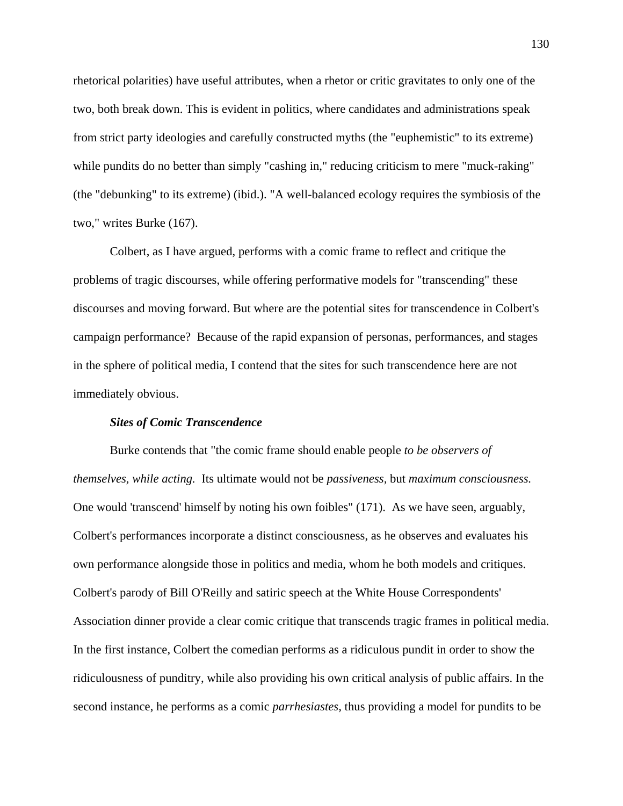rhetorical polarities) have useful attributes, when a rhetor or critic gravitates to only one of the two, both break down. This is evident in politics, where candidates and administrations speak from strict party ideologies and carefully constructed myths (the "euphemistic" to its extreme) while pundits do no better than simply "cashing in," reducing criticism to mere "muck-raking" (the "debunking" to its extreme) (ibid.). "A well-balanced ecology requires the symbiosis of the two," writes Burke (167).

Colbert, as I have argued, performs with a comic frame to reflect and critique the problems of tragic discourses, while offering performative models for "transcending" these discourses and moving forward. But where are the potential sites for transcendence in Colbert's campaign performance? Because of the rapid expansion of personas, performances, and stages in the sphere of political media, I contend that the sites for such transcendence here are not immediately obvious.

### *Sites of Comic Transcendence*

Burke contends that "the comic frame should enable people *to be observers of themselves, while acting.* Its ultimate would not be *passiveness,* but *maximum consciousness.* One would 'transcend' himself by noting his own foibles" (171). As we have seen, arguably, Colbert's performances incorporate a distinct consciousness, as he observes and evaluates his own performance alongside those in politics and media, whom he both models and critiques. Colbert's parody of Bill O'Reilly and satiric speech at the White House Correspondents' Association dinner provide a clear comic critique that transcends tragic frames in political media. In the first instance, Colbert the comedian performs as a ridiculous pundit in order to show the ridiculousness of punditry, while also providing his own critical analysis of public affairs. In the second instance, he performs as a comic *parrhesiastes,* thus providing a model for pundits to be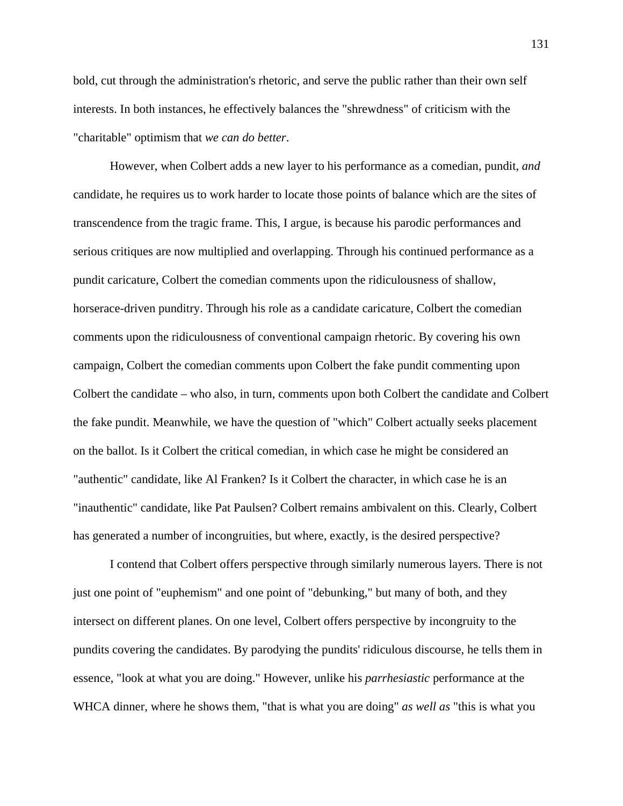bold, cut through the administration's rhetoric, and serve the public rather than their own self interests. In both instances, he effectively balances the "shrewdness" of criticism with the "charitable" optimism that *we can do better*.

However, when Colbert adds a new layer to his performance as a comedian, pundit, *and*  candidate, he requires us to work harder to locate those points of balance which are the sites of transcendence from the tragic frame. This, I argue, is because his parodic performances and serious critiques are now multiplied and overlapping. Through his continued performance as a pundit caricature, Colbert the comedian comments upon the ridiculousness of shallow, horserace-driven punditry. Through his role as a candidate caricature, Colbert the comedian comments upon the ridiculousness of conventional campaign rhetoric. By covering his own campaign, Colbert the comedian comments upon Colbert the fake pundit commenting upon Colbert the candidate – who also, in turn, comments upon both Colbert the candidate and Colbert the fake pundit. Meanwhile, we have the question of "which" Colbert actually seeks placement on the ballot. Is it Colbert the critical comedian, in which case he might be considered an "authentic" candidate, like Al Franken? Is it Colbert the character, in which case he is an "inauthentic" candidate, like Pat Paulsen? Colbert remains ambivalent on this. Clearly, Colbert has generated a number of incongruities, but where, exactly, is the desired perspective?

I contend that Colbert offers perspective through similarly numerous layers. There is not just one point of "euphemism" and one point of "debunking," but many of both, and they intersect on different planes. On one level, Colbert offers perspective by incongruity to the pundits covering the candidates. By parodying the pundits' ridiculous discourse, he tells them in essence, "look at what you are doing." However, unlike his *parrhesiastic* performance at the WHCA dinner, where he shows them, "that is what you are doing" *as well as* "this is what you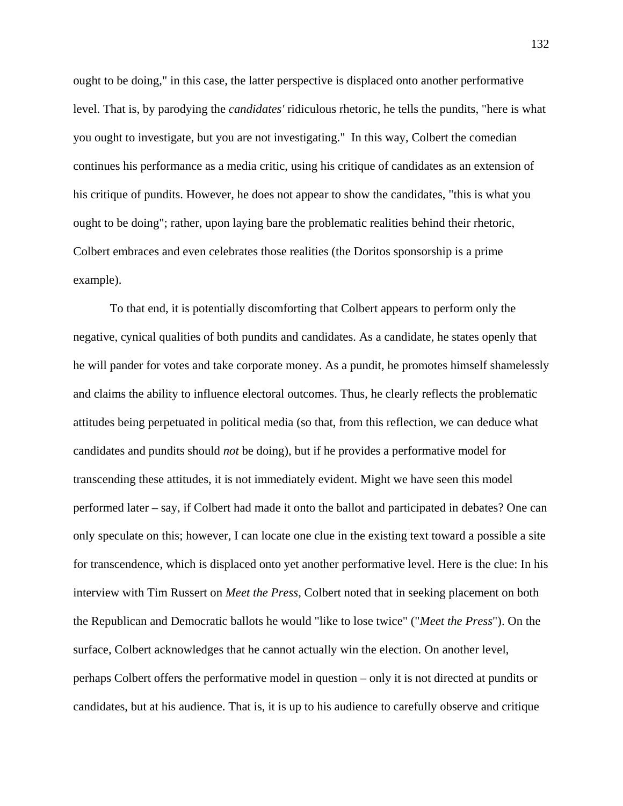ought to be doing," in this case, the latter perspective is displaced onto another performative level. That is, by parodying the *candidates'* ridiculous rhetoric, he tells the pundits, "here is what you ought to investigate, but you are not investigating." In this way, Colbert the comedian continues his performance as a media critic, using his critique of candidates as an extension of his critique of pundits. However, he does not appear to show the candidates, "this is what you ought to be doing"; rather, upon laying bare the problematic realities behind their rhetoric, Colbert embraces and even celebrates those realities (the Doritos sponsorship is a prime example).

To that end, it is potentially discomforting that Colbert appears to perform only the negative, cynical qualities of both pundits and candidates. As a candidate, he states openly that he will pander for votes and take corporate money. As a pundit, he promotes himself shamelessly and claims the ability to influence electoral outcomes. Thus, he clearly reflects the problematic attitudes being perpetuated in political media (so that, from this reflection, we can deduce what candidates and pundits should *not* be doing), but if he provides a performative model for transcending these attitudes, it is not immediately evident. Might we have seen this model performed later – say, if Colbert had made it onto the ballot and participated in debates? One can only speculate on this; however, I can locate one clue in the existing text toward a possible a site for transcendence, which is displaced onto yet another performative level. Here is the clue: In his interview with Tim Russert on *Meet the Press,* Colbert noted that in seeking placement on both the Republican and Democratic ballots he would "like to lose twice" ("*Meet the Press*"). On the surface, Colbert acknowledges that he cannot actually win the election. On another level, perhaps Colbert offers the performative model in question – only it is not directed at pundits or candidates, but at his audience. That is, it is up to his audience to carefully observe and critique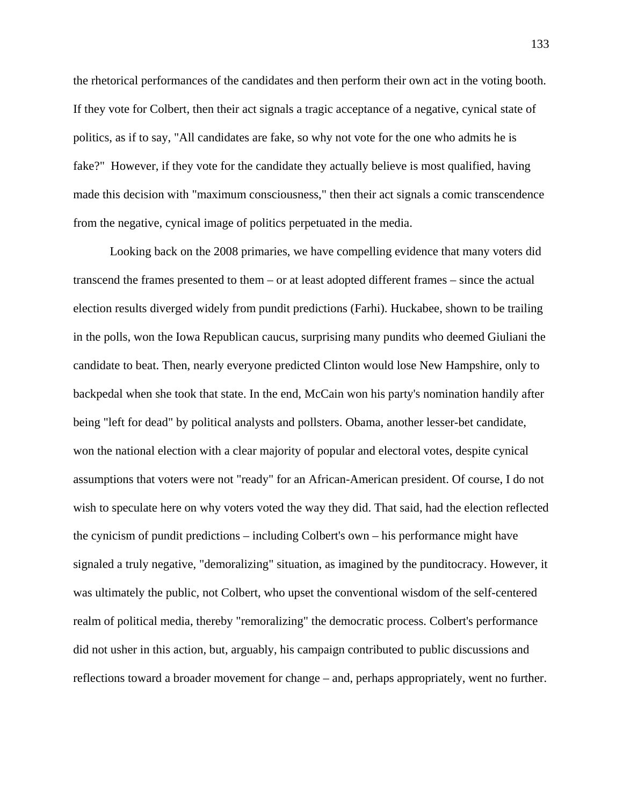the rhetorical performances of the candidates and then perform their own act in the voting booth. If they vote for Colbert, then their act signals a tragic acceptance of a negative, cynical state of politics, as if to say, "All candidates are fake, so why not vote for the one who admits he is fake?" However, if they vote for the candidate they actually believe is most qualified, having made this decision with "maximum consciousness," then their act signals a comic transcendence from the negative, cynical image of politics perpetuated in the media.

Looking back on the 2008 primaries, we have compelling evidence that many voters did transcend the frames presented to them – or at least adopted different frames – since the actual election results diverged widely from pundit predictions (Farhi). Huckabee, shown to be trailing in the polls, won the Iowa Republican caucus, surprising many pundits who deemed Giuliani the candidate to beat. Then, nearly everyone predicted Clinton would lose New Hampshire, only to backpedal when she took that state. In the end, McCain won his party's nomination handily after being "left for dead" by political analysts and pollsters. Obama, another lesser-bet candidate, won the national election with a clear majority of popular and electoral votes, despite cynical assumptions that voters were not "ready" for an African-American president. Of course, I do not wish to speculate here on why voters voted the way they did. That said, had the election reflected the cynicism of pundit predictions – including Colbert's own – his performance might have signaled a truly negative, "demoralizing" situation, as imagined by the punditocracy. However, it was ultimately the public, not Colbert, who upset the conventional wisdom of the self-centered realm of political media, thereby "remoralizing" the democratic process. Colbert's performance did not usher in this action, but, arguably, his campaign contributed to public discussions and reflections toward a broader movement for change – and, perhaps appropriately, went no further.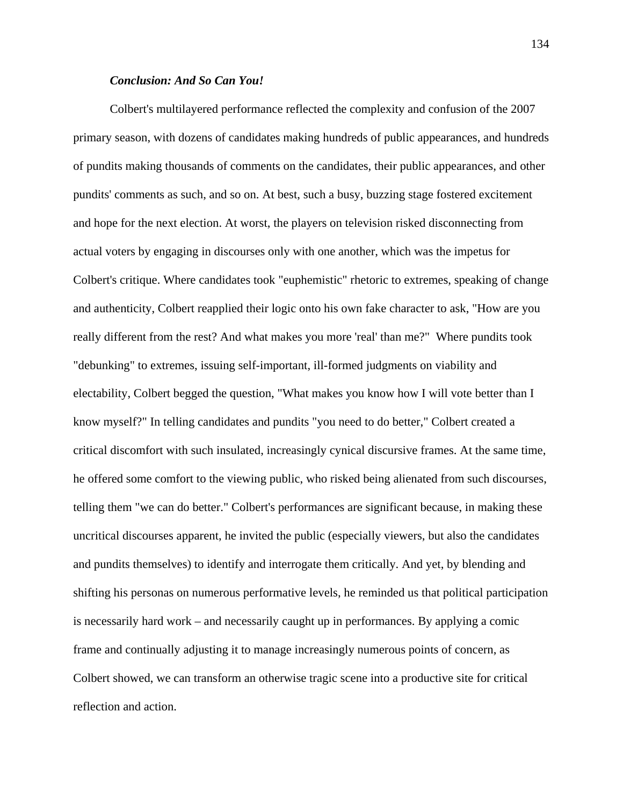## *Conclusion: And So Can You!*

Colbert's multilayered performance reflected the complexity and confusion of the 2007 primary season, with dozens of candidates making hundreds of public appearances, and hundreds of pundits making thousands of comments on the candidates, their public appearances, and other pundits' comments as such, and so on. At best, such a busy, buzzing stage fostered excitement and hope for the next election. At worst, the players on television risked disconnecting from actual voters by engaging in discourses only with one another, which was the impetus for Colbert's critique. Where candidates took "euphemistic" rhetoric to extremes, speaking of change and authenticity, Colbert reapplied their logic onto his own fake character to ask, "How are you really different from the rest? And what makes you more 'real' than me?" Where pundits took "debunking" to extremes, issuing self-important, ill-formed judgments on viability and electability, Colbert begged the question, "What makes you know how I will vote better than I know myself?" In telling candidates and pundits "you need to do better," Colbert created a critical discomfort with such insulated, increasingly cynical discursive frames. At the same time, he offered some comfort to the viewing public, who risked being alienated from such discourses, telling them "we can do better." Colbert's performances are significant because, in making these uncritical discourses apparent, he invited the public (especially viewers, but also the candidates and pundits themselves) to identify and interrogate them critically. And yet, by blending and shifting his personas on numerous performative levels, he reminded us that political participation is necessarily hard work – and necessarily caught up in performances. By applying a comic frame and continually adjusting it to manage increasingly numerous points of concern, as Colbert showed, we can transform an otherwise tragic scene into a productive site for critical reflection and action.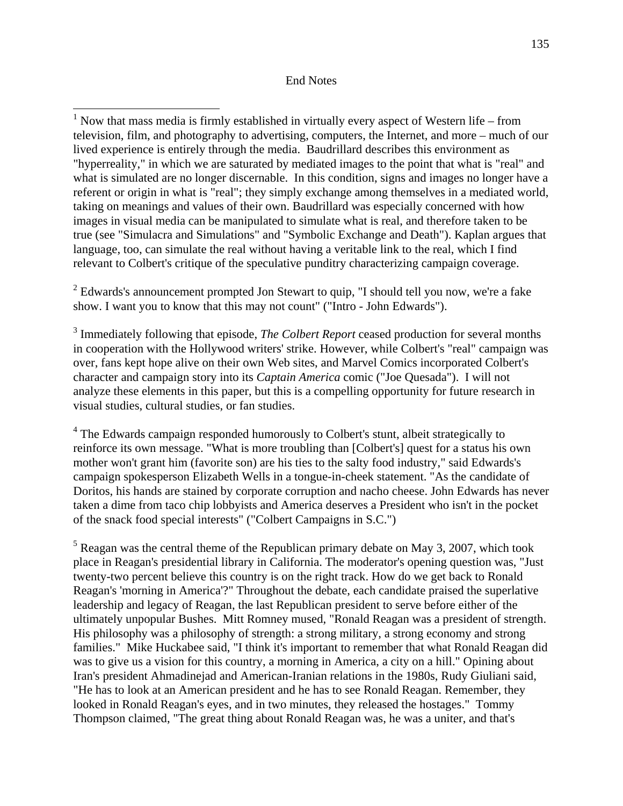## End Notes

 $\overline{a}$ 

 $1$  Now that mass media is firmly established in virtually every aspect of Western life – from television, film, and photography to advertising, computers, the Internet, and more – much of our lived experience is entirely through the media. Baudrillard describes this environment as "hyperreality," in which we are saturated by mediated images to the point that what is "real" and what is simulated are no longer discernable. In this condition, signs and images no longer have a referent or origin in what is "real"; they simply exchange among themselves in a mediated world, taking on meanings and values of their own. Baudrillard was especially concerned with how images in visual media can be manipulated to simulate what is real, and therefore taken to be true (see "Simulacra and Simulations" and "Symbolic Exchange and Death"). Kaplan argues that language, too, can simulate the real without having a veritable link to the real, which I find relevant to Colbert's critique of the speculative punditry characterizing campaign coverage.

 $2$  Edwards's announcement prompted Jon Stewart to quip, "I should tell you now, we're a fake show. I want you to know that this may not count" ("Intro - John Edwards").

3 Immediately following that episode, *The Colbert Report* ceased production for several months in cooperation with the Hollywood writers' strike. However, while Colbert's "real" campaign was over, fans kept hope alive on their own Web sites, and Marvel Comics incorporated Colbert's character and campaign story into its *Captain America* comic ("Joe Quesada"). I will not analyze these elements in this paper, but this is a compelling opportunity for future research in visual studies, cultural studies, or fan studies.

<sup>4</sup> The Edwards campaign responded humorously to Colbert's stunt, albeit strategically to reinforce its own message. "What is more troubling than [Colbert's] quest for a status his own mother won't grant him (favorite son) are his ties to the salty food industry," said Edwards's campaign spokesperson Elizabeth Wells in a tongue-in-cheek statement. "As the candidate of Doritos, his hands are stained by corporate corruption and nacho cheese. John Edwards has never taken a dime from taco chip lobbyists and America deserves a President who isn't in the pocket of the snack food special interests" ("Colbert Campaigns in S.C.")

 $<sup>5</sup>$  Reagan was the central theme of the Republican primary debate on May 3, 2007, which took</sup> place in Reagan's presidential library in California. The moderator's opening question was, "Just twenty-two percent believe this country is on the right track. How do we get back to Ronald Reagan's 'morning in America'?" Throughout the debate, each candidate praised the superlative leadership and legacy of Reagan, the last Republican president to serve before either of the ultimately unpopular Bushes. Mitt Romney mused, "Ronald Reagan was a president of strength. His philosophy was a philosophy of strength: a strong military, a strong economy and strong families." Mike Huckabee said, "I think it's important to remember that what Ronald Reagan did was to give us a vision for this country, a morning in America, a city on a hill." Opining about Iran's president Ahmadinejad and American-Iranian relations in the 1980s, Rudy Giuliani said, "He has to look at an American president and he has to see Ronald Reagan. Remember, they looked in Ronald Reagan's eyes, and in two minutes, they released the hostages." Tommy Thompson claimed, "The great thing about Ronald Reagan was, he was a uniter, and that's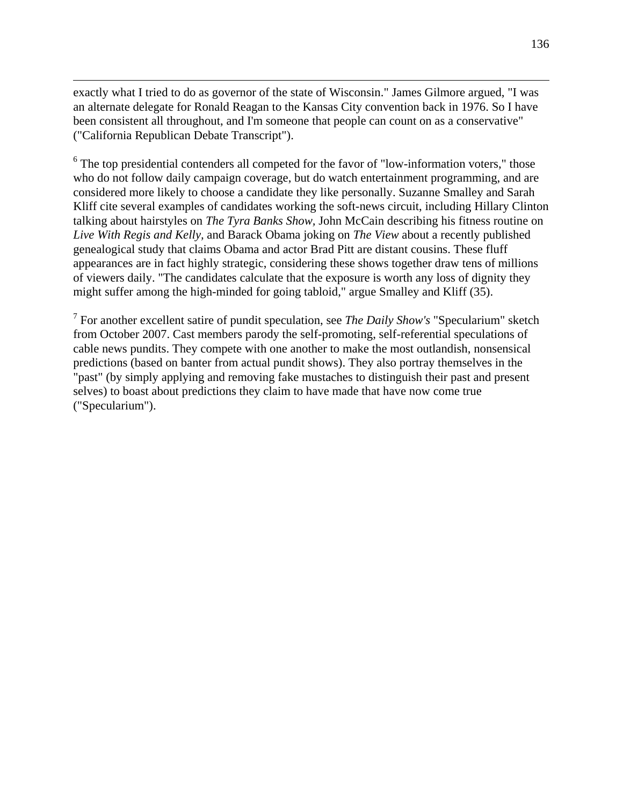exactly what I tried to do as governor of the state of Wisconsin." James Gilmore argued, "I was an alternate delegate for Ronald Reagan to the Kansas City convention back in 1976. So I have been consistent all throughout, and I'm someone that people can count on as a conservative" ("California Republican Debate Transcript").

 $\overline{a}$ 

 $6$  The top presidential contenders all competed for the favor of "low-information voters," those who do not follow daily campaign coverage, but do watch entertainment programming, and are considered more likely to choose a candidate they like personally. Suzanne Smalley and Sarah Kliff cite several examples of candidates working the soft-news circuit, including Hillary Clinton talking about hairstyles on *The Tyra Banks Show,* John McCain describing his fitness routine on *Live With Regis and Kelly,* and Barack Obama joking on *The View* about a recently published genealogical study that claims Obama and actor Brad Pitt are distant cousins. These fluff appearances are in fact highly strategic, considering these shows together draw tens of millions of viewers daily. "The candidates calculate that the exposure is worth any loss of dignity they might suffer among the high-minded for going tabloid," argue Smalley and Kliff (35).

7 For another excellent satire of pundit speculation, see *The Daily Show's* "Specularium" sketch from October 2007. Cast members parody the self-promoting, self-referential speculations of cable news pundits. They compete with one another to make the most outlandish, nonsensical predictions (based on banter from actual pundit shows). They also portray themselves in the "past" (by simply applying and removing fake mustaches to distinguish their past and present selves) to boast about predictions they claim to have made that have now come true ("Specularium").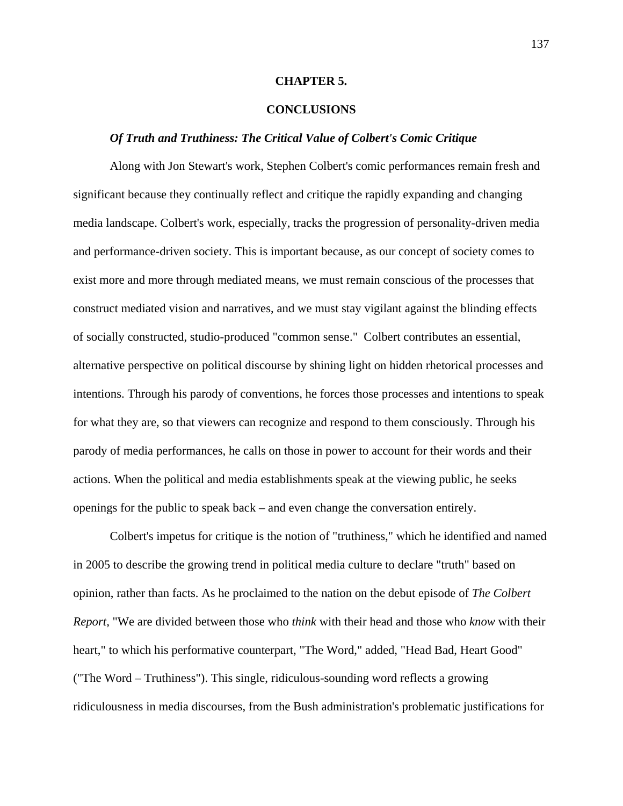### **CHAPTER 5.**

# **CONCLUSIONS**

#### *Of Truth and Truthiness: The Critical Value of Colbert's Comic Critique*

Along with Jon Stewart's work, Stephen Colbert's comic performances remain fresh and significant because they continually reflect and critique the rapidly expanding and changing media landscape. Colbert's work, especially, tracks the progression of personality-driven media and performance-driven society. This is important because, as our concept of society comes to exist more and more through mediated means, we must remain conscious of the processes that construct mediated vision and narratives, and we must stay vigilant against the blinding effects of socially constructed, studio-produced "common sense." Colbert contributes an essential, alternative perspective on political discourse by shining light on hidden rhetorical processes and intentions. Through his parody of conventions, he forces those processes and intentions to speak for what they are, so that viewers can recognize and respond to them consciously. Through his parody of media performances, he calls on those in power to account for their words and their actions. When the political and media establishments speak at the viewing public, he seeks openings for the public to speak back – and even change the conversation entirely.

Colbert's impetus for critique is the notion of "truthiness," which he identified and named in 2005 to describe the growing trend in political media culture to declare "truth" based on opinion, rather than facts. As he proclaimed to the nation on the debut episode of *The Colbert Report,* "We are divided between those who *think* with their head and those who *know* with their heart," to which his performative counterpart, "The Word," added, "Head Bad, Heart Good" ("The Word – Truthiness"). This single, ridiculous-sounding word reflects a growing ridiculousness in media discourses, from the Bush administration's problematic justifications for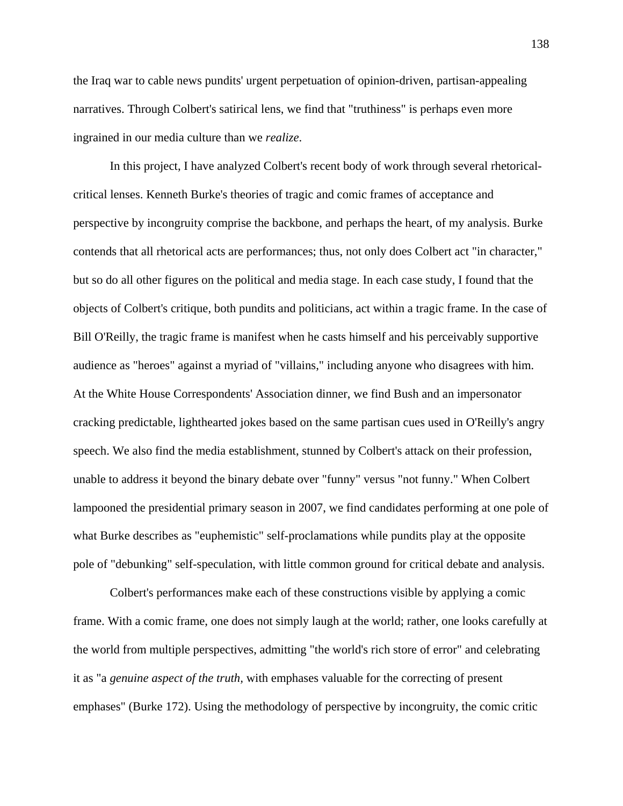the Iraq war to cable news pundits' urgent perpetuation of opinion-driven, partisan-appealing narratives. Through Colbert's satirical lens, we find that "truthiness" is perhaps even more ingrained in our media culture than we *realize*.

In this project, I have analyzed Colbert's recent body of work through several rhetoricalcritical lenses. Kenneth Burke's theories of tragic and comic frames of acceptance and perspective by incongruity comprise the backbone, and perhaps the heart, of my analysis. Burke contends that all rhetorical acts are performances; thus, not only does Colbert act "in character," but so do all other figures on the political and media stage. In each case study, I found that the objects of Colbert's critique, both pundits and politicians, act within a tragic frame. In the case of Bill O'Reilly, the tragic frame is manifest when he casts himself and his perceivably supportive audience as "heroes" against a myriad of "villains," including anyone who disagrees with him. At the White House Correspondents' Association dinner, we find Bush and an impersonator cracking predictable, lighthearted jokes based on the same partisan cues used in O'Reilly's angry speech. We also find the media establishment, stunned by Colbert's attack on their profession, unable to address it beyond the binary debate over "funny" versus "not funny." When Colbert lampooned the presidential primary season in 2007, we find candidates performing at one pole of what Burke describes as "euphemistic" self-proclamations while pundits play at the opposite pole of "debunking" self-speculation, with little common ground for critical debate and analysis.

Colbert's performances make each of these constructions visible by applying a comic frame. With a comic frame, one does not simply laugh at the world; rather, one looks carefully at the world from multiple perspectives, admitting "the world's rich store of error" and celebrating it as "a *genuine aspect of the truth,* with emphases valuable for the correcting of present emphases" (Burke 172). Using the methodology of perspective by incongruity, the comic critic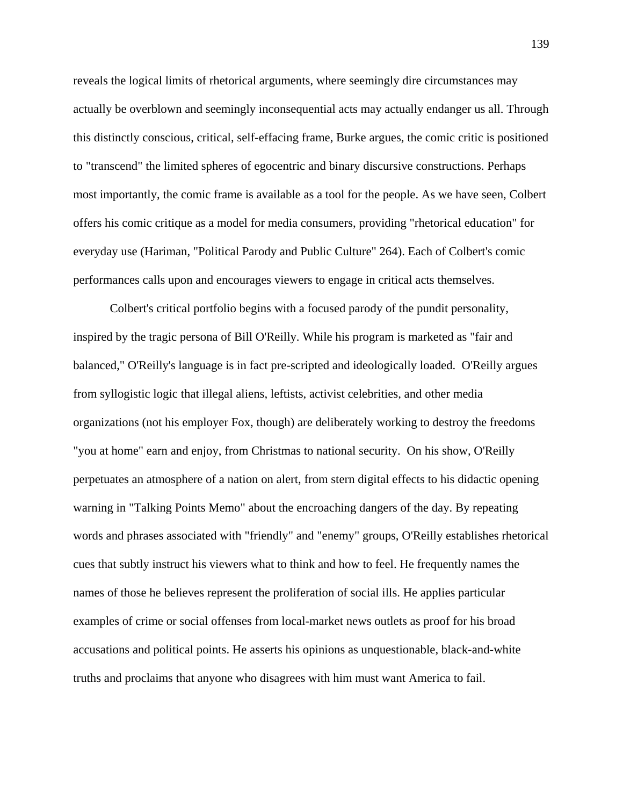reveals the logical limits of rhetorical arguments, where seemingly dire circumstances may actually be overblown and seemingly inconsequential acts may actually endanger us all. Through this distinctly conscious, critical, self-effacing frame, Burke argues, the comic critic is positioned to "transcend" the limited spheres of egocentric and binary discursive constructions. Perhaps most importantly, the comic frame is available as a tool for the people. As we have seen, Colbert offers his comic critique as a model for media consumers, providing "rhetorical education" for everyday use (Hariman, "Political Parody and Public Culture" 264). Each of Colbert's comic performances calls upon and encourages viewers to engage in critical acts themselves.

Colbert's critical portfolio begins with a focused parody of the pundit personality, inspired by the tragic persona of Bill O'Reilly. While his program is marketed as "fair and balanced," O'Reilly's language is in fact pre-scripted and ideologically loaded. O'Reilly argues from syllogistic logic that illegal aliens, leftists, activist celebrities, and other media organizations (not his employer Fox, though) are deliberately working to destroy the freedoms "you at home" earn and enjoy, from Christmas to national security. On his show, O'Reilly perpetuates an atmosphere of a nation on alert, from stern digital effects to his didactic opening warning in "Talking Points Memo" about the encroaching dangers of the day. By repeating words and phrases associated with "friendly" and "enemy" groups, O'Reilly establishes rhetorical cues that subtly instruct his viewers what to think and how to feel. He frequently names the names of those he believes represent the proliferation of social ills. He applies particular examples of crime or social offenses from local-market news outlets as proof for his broad accusations and political points. He asserts his opinions as unquestionable, black-and-white truths and proclaims that anyone who disagrees with him must want America to fail.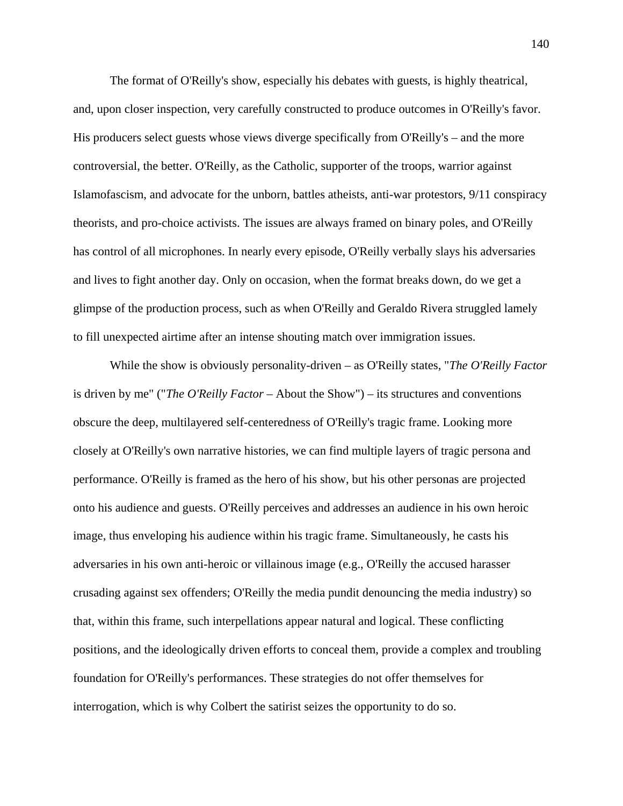The format of O'Reilly's show, especially his debates with guests, is highly theatrical, and, upon closer inspection, very carefully constructed to produce outcomes in O'Reilly's favor. His producers select guests whose views diverge specifically from O'Reilly's – and the more controversial, the better. O'Reilly, as the Catholic, supporter of the troops, warrior against Islamofascism, and advocate for the unborn, battles atheists, anti-war protestors, 9/11 conspiracy theorists, and pro-choice activists. The issues are always framed on binary poles, and O'Reilly has control of all microphones. In nearly every episode, O'Reilly verbally slays his adversaries and lives to fight another day. Only on occasion, when the format breaks down, do we get a glimpse of the production process, such as when O'Reilly and Geraldo Rivera struggled lamely to fill unexpected airtime after an intense shouting match over immigration issues.

While the show is obviously personality-driven – as O'Reilly states, "*The O'Reilly Factor* is driven by me" ("*The O'Reilly Factor* – About the Show") – its structures and conventions obscure the deep, multilayered self-centeredness of O'Reilly's tragic frame. Looking more closely at O'Reilly's own narrative histories, we can find multiple layers of tragic persona and performance. O'Reilly is framed as the hero of his show, but his other personas are projected onto his audience and guests. O'Reilly perceives and addresses an audience in his own heroic image, thus enveloping his audience within his tragic frame. Simultaneously, he casts his adversaries in his own anti-heroic or villainous image (e.g., O'Reilly the accused harasser crusading against sex offenders; O'Reilly the media pundit denouncing the media industry) so that, within this frame, such interpellations appear natural and logical. These conflicting positions, and the ideologically driven efforts to conceal them, provide a complex and troubling foundation for O'Reilly's performances. These strategies do not offer themselves for interrogation, which is why Colbert the satirist seizes the opportunity to do so.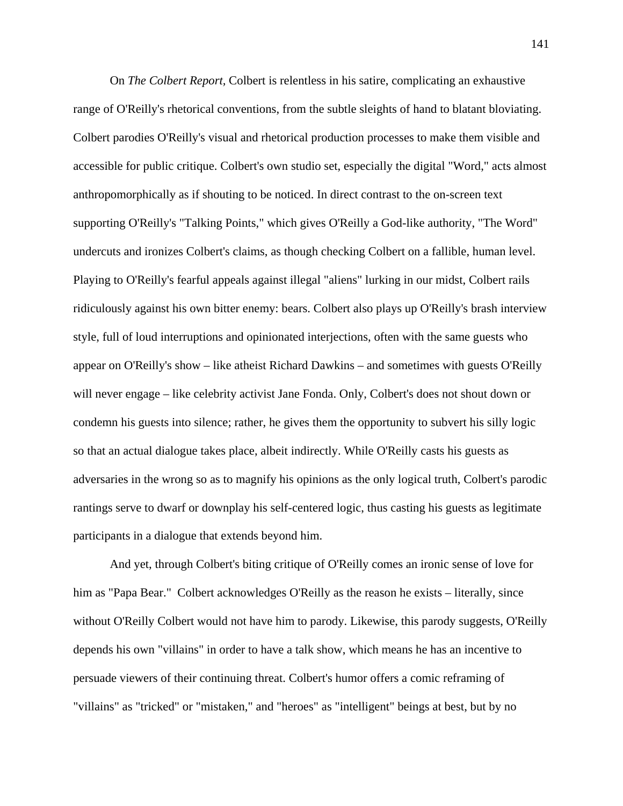On *The Colbert Report,* Colbert is relentless in his satire, complicating an exhaustive range of O'Reilly's rhetorical conventions, from the subtle sleights of hand to blatant bloviating. Colbert parodies O'Reilly's visual and rhetorical production processes to make them visible and accessible for public critique. Colbert's own studio set, especially the digital "Word," acts almost anthropomorphically as if shouting to be noticed. In direct contrast to the on-screen text supporting O'Reilly's "Talking Points," which gives O'Reilly a God-like authority, "The Word" undercuts and ironizes Colbert's claims, as though checking Colbert on a fallible, human level. Playing to O'Reilly's fearful appeals against illegal "aliens" lurking in our midst, Colbert rails ridiculously against his own bitter enemy: bears. Colbert also plays up O'Reilly's brash interview style, full of loud interruptions and opinionated interjections, often with the same guests who appear on O'Reilly's show – like atheist Richard Dawkins – and sometimes with guests O'Reilly will never engage – like celebrity activist Jane Fonda. Only, Colbert's does not shout down or condemn his guests into silence; rather, he gives them the opportunity to subvert his silly logic so that an actual dialogue takes place, albeit indirectly. While O'Reilly casts his guests as adversaries in the wrong so as to magnify his opinions as the only logical truth, Colbert's parodic rantings serve to dwarf or downplay his self-centered logic, thus casting his guests as legitimate participants in a dialogue that extends beyond him.

And yet, through Colbert's biting critique of O'Reilly comes an ironic sense of love for him as "Papa Bear." Colbert acknowledges O'Reilly as the reason he exists – literally, since without O'Reilly Colbert would not have him to parody. Likewise, this parody suggests, O'Reilly depends his own "villains" in order to have a talk show, which means he has an incentive to persuade viewers of their continuing threat. Colbert's humor offers a comic reframing of "villains" as "tricked" or "mistaken," and "heroes" as "intelligent" beings at best, but by no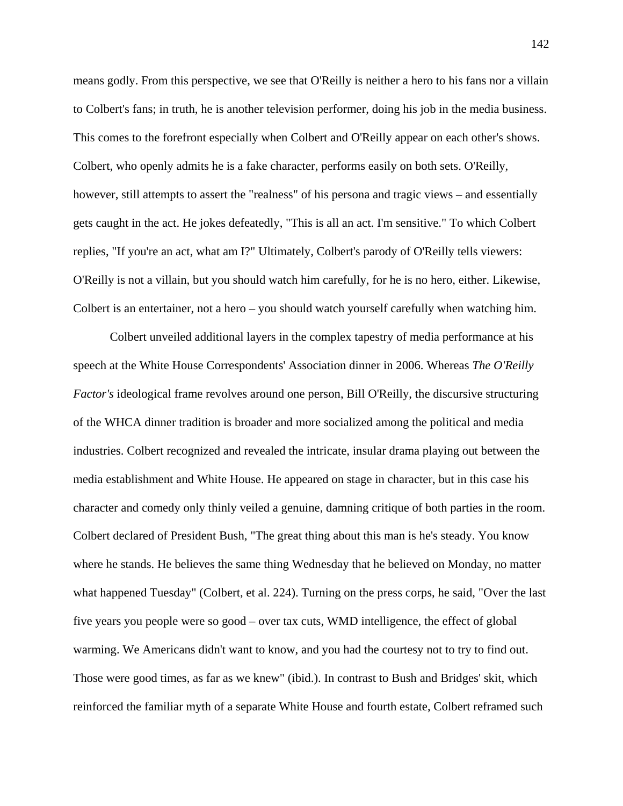means godly. From this perspective, we see that O'Reilly is neither a hero to his fans nor a villain to Colbert's fans; in truth, he is another television performer, doing his job in the media business. This comes to the forefront especially when Colbert and O'Reilly appear on each other's shows. Colbert, who openly admits he is a fake character, performs easily on both sets. O'Reilly, however, still attempts to assert the "realness" of his persona and tragic views – and essentially gets caught in the act. He jokes defeatedly, "This is all an act. I'm sensitive." To which Colbert replies, "If you're an act, what am I?" Ultimately, Colbert's parody of O'Reilly tells viewers: O'Reilly is not a villain, but you should watch him carefully, for he is no hero, either. Likewise, Colbert is an entertainer, not a hero – you should watch yourself carefully when watching him.

Colbert unveiled additional layers in the complex tapestry of media performance at his speech at the White House Correspondents' Association dinner in 2006. Whereas *The O'Reilly Factor's* ideological frame revolves around one person, Bill O'Reilly, the discursive structuring of the WHCA dinner tradition is broader and more socialized among the political and media industries. Colbert recognized and revealed the intricate, insular drama playing out between the media establishment and White House. He appeared on stage in character, but in this case his character and comedy only thinly veiled a genuine, damning critique of both parties in the room. Colbert declared of President Bush, "The great thing about this man is he's steady. You know where he stands. He believes the same thing Wednesday that he believed on Monday, no matter what happened Tuesday" (Colbert, et al. 224). Turning on the press corps, he said, "Over the last five years you people were so good – over tax cuts, WMD intelligence, the effect of global warming. We Americans didn't want to know, and you had the courtesy not to try to find out. Those were good times, as far as we knew" (ibid.). In contrast to Bush and Bridges' skit, which reinforced the familiar myth of a separate White House and fourth estate, Colbert reframed such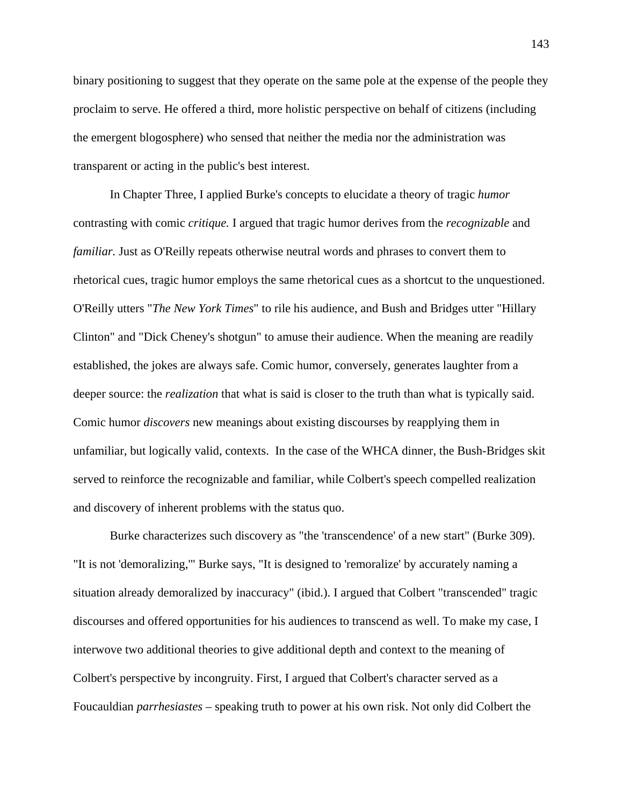binary positioning to suggest that they operate on the same pole at the expense of the people they proclaim to serve. He offered a third, more holistic perspective on behalf of citizens (including the emergent blogosphere) who sensed that neither the media nor the administration was transparent or acting in the public's best interest.

In Chapter Three, I applied Burke's concepts to elucidate a theory of tragic *humor*  contrasting with comic *critique.* I argued that tragic humor derives from the *recognizable* and *familiar.* Just as O'Reilly repeats otherwise neutral words and phrases to convert them to rhetorical cues, tragic humor employs the same rhetorical cues as a shortcut to the unquestioned. O'Reilly utters "*The New York Times*" to rile his audience, and Bush and Bridges utter "Hillary Clinton" and "Dick Cheney's shotgun" to amuse their audience. When the meaning are readily established, the jokes are always safe. Comic humor, conversely, generates laughter from a deeper source: the *realization* that what is said is closer to the truth than what is typically said. Comic humor *discovers* new meanings about existing discourses by reapplying them in unfamiliar, but logically valid, contexts. In the case of the WHCA dinner, the Bush-Bridges skit served to reinforce the recognizable and familiar, while Colbert's speech compelled realization and discovery of inherent problems with the status quo.

Burke characterizes such discovery as "the 'transcendence' of a new start" (Burke 309). "It is not 'demoralizing,'" Burke says, "It is designed to 'remoralize' by accurately naming a situation already demoralized by inaccuracy" (ibid.). I argued that Colbert "transcended" tragic discourses and offered opportunities for his audiences to transcend as well. To make my case, I interwove two additional theories to give additional depth and context to the meaning of Colbert's perspective by incongruity. First, I argued that Colbert's character served as a Foucauldian *parrhesiastes* – speaking truth to power at his own risk. Not only did Colbert the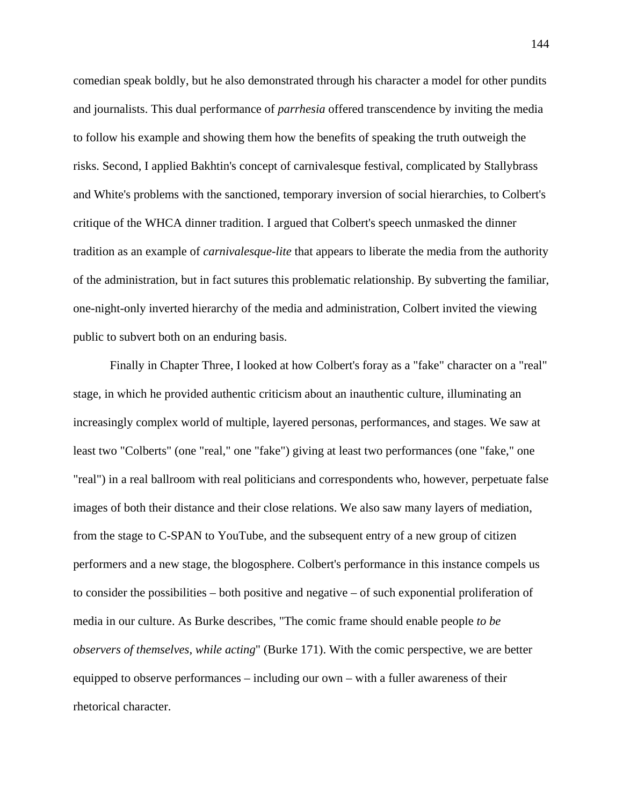comedian speak boldly, but he also demonstrated through his character a model for other pundits and journalists. This dual performance of *parrhesia* offered transcendence by inviting the media to follow his example and showing them how the benefits of speaking the truth outweigh the risks. Second, I applied Bakhtin's concept of carnivalesque festival, complicated by Stallybrass and White's problems with the sanctioned, temporary inversion of social hierarchies, to Colbert's critique of the WHCA dinner tradition. I argued that Colbert's speech unmasked the dinner tradition as an example of *carnivalesque-lite* that appears to liberate the media from the authority of the administration, but in fact sutures this problematic relationship. By subverting the familiar, one-night-only inverted hierarchy of the media and administration, Colbert invited the viewing public to subvert both on an enduring basis.

Finally in Chapter Three, I looked at how Colbert's foray as a "fake" character on a "real" stage, in which he provided authentic criticism about an inauthentic culture, illuminating an increasingly complex world of multiple, layered personas, performances, and stages. We saw at least two "Colberts" (one "real," one "fake") giving at least two performances (one "fake," one "real") in a real ballroom with real politicians and correspondents who, however, perpetuate false images of both their distance and their close relations. We also saw many layers of mediation, from the stage to C-SPAN to YouTube, and the subsequent entry of a new group of citizen performers and a new stage, the blogosphere. Colbert's performance in this instance compels us to consider the possibilities – both positive and negative – of such exponential proliferation of media in our culture. As Burke describes, "The comic frame should enable people *to be observers of themselves, while acting*" (Burke 171). With the comic perspective, we are better equipped to observe performances – including our own – with a fuller awareness of their rhetorical character.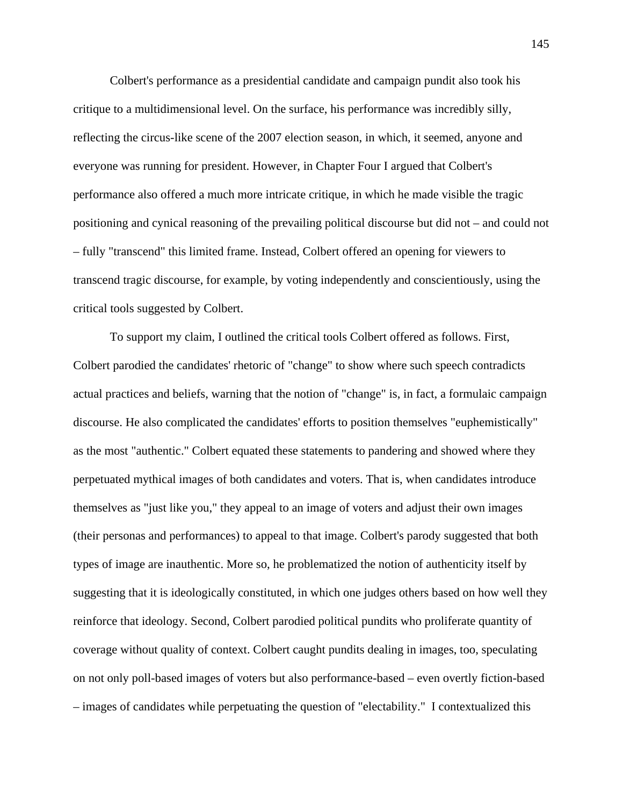Colbert's performance as a presidential candidate and campaign pundit also took his critique to a multidimensional level. On the surface, his performance was incredibly silly, reflecting the circus-like scene of the 2007 election season, in which, it seemed, anyone and everyone was running for president. However, in Chapter Four I argued that Colbert's performance also offered a much more intricate critique, in which he made visible the tragic positioning and cynical reasoning of the prevailing political discourse but did not – and could not – fully "transcend" this limited frame. Instead, Colbert offered an opening for viewers to transcend tragic discourse, for example, by voting independently and conscientiously, using the critical tools suggested by Colbert.

 To support my claim, I outlined the critical tools Colbert offered as follows. First, Colbert parodied the candidates' rhetoric of "change" to show where such speech contradicts actual practices and beliefs, warning that the notion of "change" is, in fact, a formulaic campaign discourse. He also complicated the candidates' efforts to position themselves "euphemistically" as the most "authentic." Colbert equated these statements to pandering and showed where they perpetuated mythical images of both candidates and voters. That is, when candidates introduce themselves as "just like you," they appeal to an image of voters and adjust their own images (their personas and performances) to appeal to that image. Colbert's parody suggested that both types of image are inauthentic. More so, he problematized the notion of authenticity itself by suggesting that it is ideologically constituted, in which one judges others based on how well they reinforce that ideology. Second, Colbert parodied political pundits who proliferate quantity of coverage without quality of context. Colbert caught pundits dealing in images, too, speculating on not only poll-based images of voters but also performance-based – even overtly fiction-based – images of candidates while perpetuating the question of "electability." I contextualized this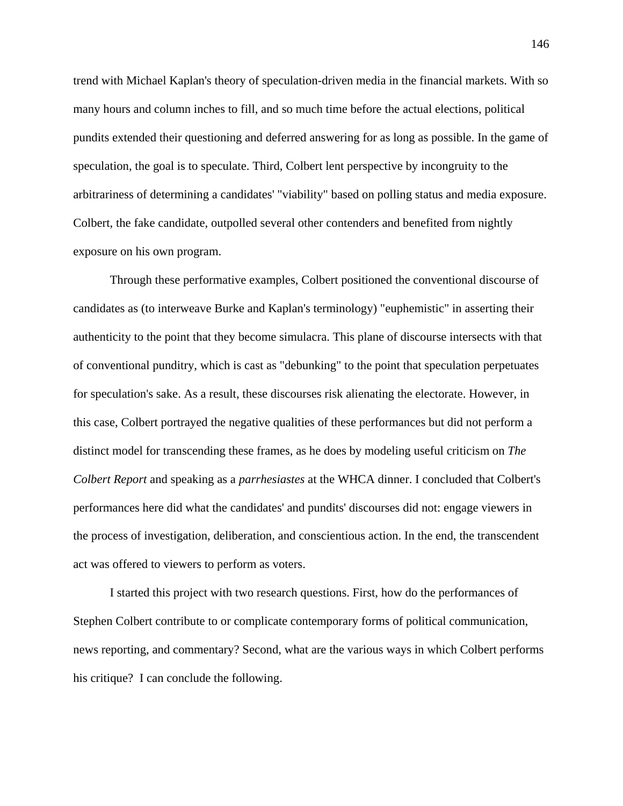trend with Michael Kaplan's theory of speculation-driven media in the financial markets. With so many hours and column inches to fill, and so much time before the actual elections, political pundits extended their questioning and deferred answering for as long as possible. In the game of speculation, the goal is to speculate. Third, Colbert lent perspective by incongruity to the arbitrariness of determining a candidates' "viability" based on polling status and media exposure. Colbert, the fake candidate, outpolled several other contenders and benefited from nightly exposure on his own program.

 Through these performative examples, Colbert positioned the conventional discourse of candidates as (to interweave Burke and Kaplan's terminology) "euphemistic" in asserting their authenticity to the point that they become simulacra. This plane of discourse intersects with that of conventional punditry, which is cast as "debunking" to the point that speculation perpetuates for speculation's sake. As a result, these discourses risk alienating the electorate. However, in this case, Colbert portrayed the negative qualities of these performances but did not perform a distinct model for transcending these frames, as he does by modeling useful criticism on *The Colbert Report* and speaking as a *parrhesiastes* at the WHCA dinner. I concluded that Colbert's performances here did what the candidates' and pundits' discourses did not: engage viewers in the process of investigation, deliberation, and conscientious action. In the end, the transcendent act was offered to viewers to perform as voters.

 I started this project with two research questions. First, how do the performances of Stephen Colbert contribute to or complicate contemporary forms of political communication, news reporting, and commentary? Second, what are the various ways in which Colbert performs his critique? I can conclude the following.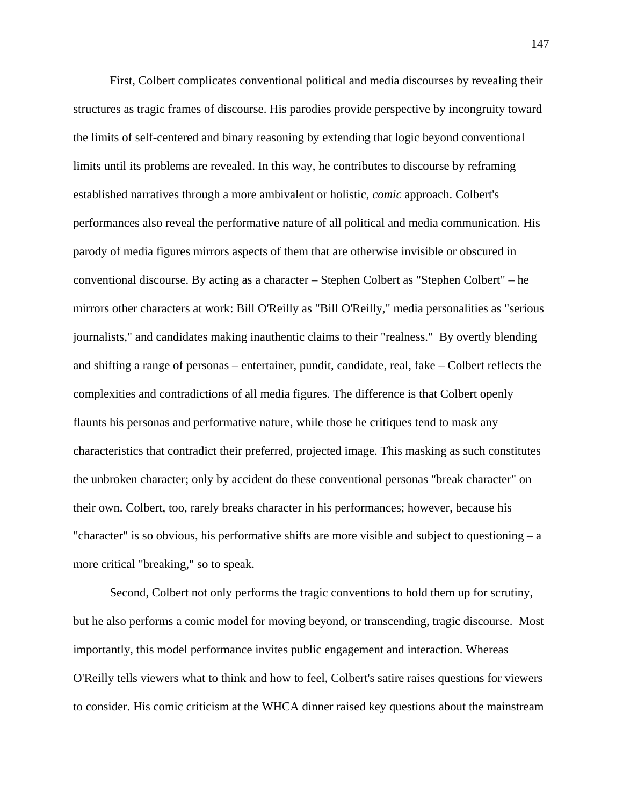First, Colbert complicates conventional political and media discourses by revealing their structures as tragic frames of discourse. His parodies provide perspective by incongruity toward the limits of self-centered and binary reasoning by extending that logic beyond conventional limits until its problems are revealed. In this way, he contributes to discourse by reframing established narratives through a more ambivalent or holistic, *comic* approach. Colbert's performances also reveal the performative nature of all political and media communication. His parody of media figures mirrors aspects of them that are otherwise invisible or obscured in conventional discourse. By acting as a character – Stephen Colbert as "Stephen Colbert" – he mirrors other characters at work: Bill O'Reilly as "Bill O'Reilly," media personalities as "serious journalists," and candidates making inauthentic claims to their "realness." By overtly blending and shifting a range of personas – entertainer, pundit, candidate, real, fake – Colbert reflects the complexities and contradictions of all media figures. The difference is that Colbert openly flaunts his personas and performative nature, while those he critiques tend to mask any characteristics that contradict their preferred, projected image. This masking as such constitutes the unbroken character; only by accident do these conventional personas "break character" on their own. Colbert, too, rarely breaks character in his performances; however, because his "character" is so obvious, his performative shifts are more visible and subject to questioning  $-a$ more critical "breaking," so to speak.

Second, Colbert not only performs the tragic conventions to hold them up for scrutiny, but he also performs a comic model for moving beyond, or transcending, tragic discourse. Most importantly, this model performance invites public engagement and interaction. Whereas O'Reilly tells viewers what to think and how to feel, Colbert's satire raises questions for viewers to consider. His comic criticism at the WHCA dinner raised key questions about the mainstream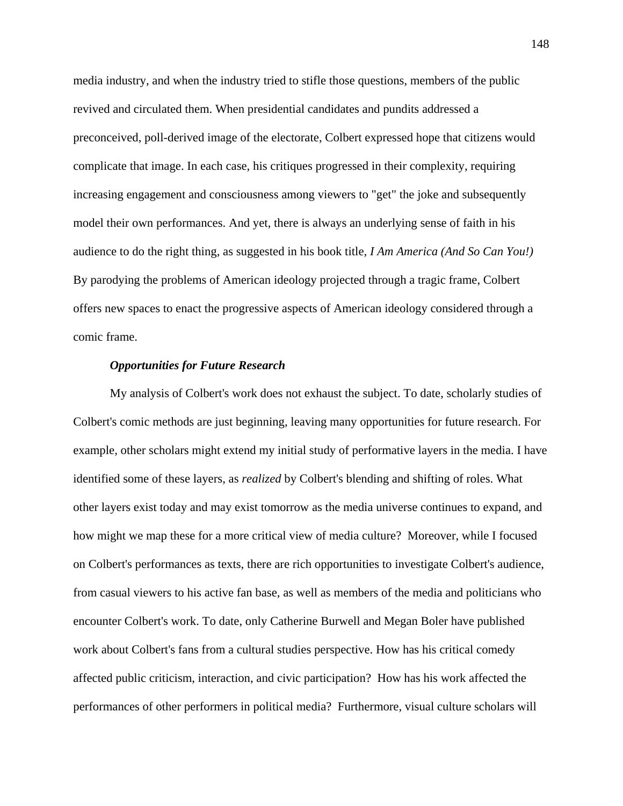media industry, and when the industry tried to stifle those questions, members of the public revived and circulated them. When presidential candidates and pundits addressed a preconceived, poll-derived image of the electorate, Colbert expressed hope that citizens would complicate that image. In each case, his critiques progressed in their complexity, requiring increasing engagement and consciousness among viewers to "get" the joke and subsequently model their own performances. And yet, there is always an underlying sense of faith in his audience to do the right thing, as suggested in his book title, *I Am America (And So Can You!)* By parodying the problems of American ideology projected through a tragic frame, Colbert offers new spaces to enact the progressive aspects of American ideology considered through a comic frame.

## *Opportunities for Future Research*

My analysis of Colbert's work does not exhaust the subject. To date, scholarly studies of Colbert's comic methods are just beginning, leaving many opportunities for future research. For example, other scholars might extend my initial study of performative layers in the media. I have identified some of these layers, as *realized* by Colbert's blending and shifting of roles. What other layers exist today and may exist tomorrow as the media universe continues to expand, and how might we map these for a more critical view of media culture? Moreover, while I focused on Colbert's performances as texts, there are rich opportunities to investigate Colbert's audience, from casual viewers to his active fan base, as well as members of the media and politicians who encounter Colbert's work. To date, only Catherine Burwell and Megan Boler have published work about Colbert's fans from a cultural studies perspective. How has his critical comedy affected public criticism, interaction, and civic participation? How has his work affected the performances of other performers in political media? Furthermore, visual culture scholars will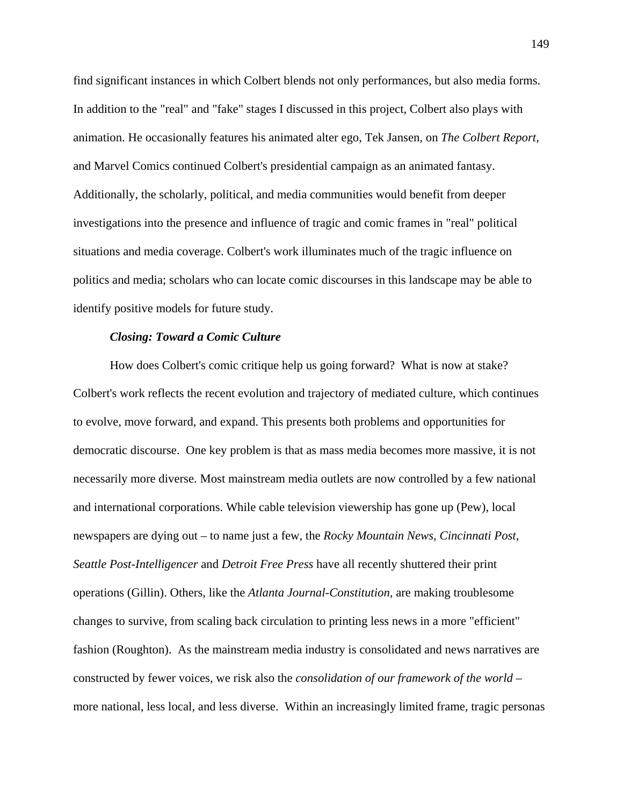find significant instances in which Colbert blends not only performances, but also media forms. In addition to the "real" and "fake" stages I discussed in this project, Colbert also plays with animation. He occasionally features his animated alter ego, Tek Jansen, on *The Colbert Report,* and Marvel Comics continued Colbert's presidential campaign as an animated fantasy. Additionally, the scholarly, political, and media communities would benefit from deeper investigations into the presence and influence of tragic and comic frames in "real" political situations and media coverage. Colbert's work illuminates much of the tragic influence on politics and media; scholars who can locate comic discourses in this landscape may be able to identify positive models for future study.

## *Closing: Toward a Comic Culture*

 How does Colbert's comic critique help us going forward? What is now at stake? Colbert's work reflects the recent evolution and trajectory of mediated culture, which continues to evolve, move forward, and expand. This presents both problems and opportunities for democratic discourse. One key problem is that as mass media becomes more massive, it is not necessarily more diverse. Most mainstream media outlets are now controlled by a few national and international corporations. While cable television viewership has gone up (Pew), local newspapers are dying out – to name just a few, the *Rocky Mountain News, Cincinnati Post, Seattle Post-Intelligencer* and *Detroit Free Press* have all recently shuttered their print operations (Gillin). Others, like the *Atlanta Journal-Constitution,* are making troublesome changes to survive, from scaling back circulation to printing less news in a more "efficient" fashion (Roughton). As the mainstream media industry is consolidated and news narratives are constructed by fewer voices, we risk also the *consolidation of our framework of the world* – more national, less local, and less diverse. Within an increasingly limited frame, tragic personas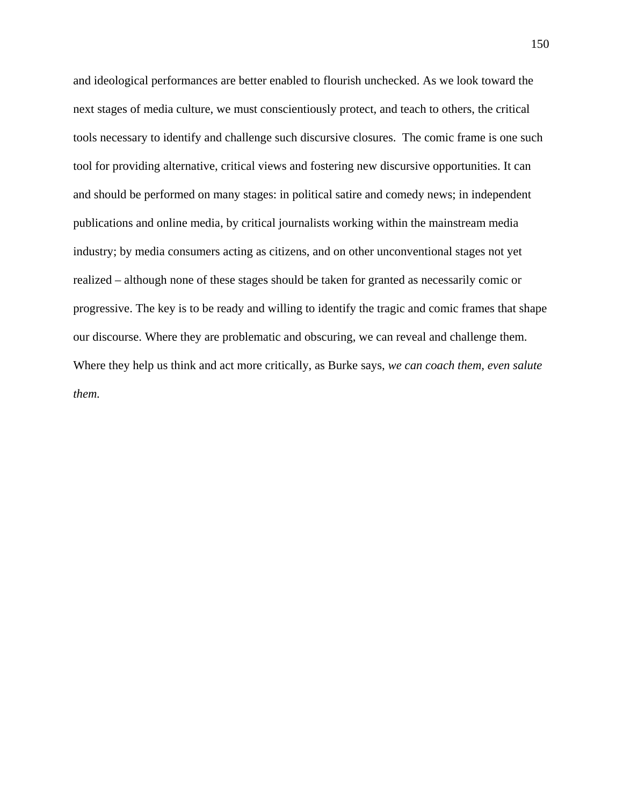and ideological performances are better enabled to flourish unchecked. As we look toward the next stages of media culture, we must conscientiously protect, and teach to others, the critical tools necessary to identify and challenge such discursive closures. The comic frame is one such tool for providing alternative, critical views and fostering new discursive opportunities. It can and should be performed on many stages: in political satire and comedy news; in independent publications and online media, by critical journalists working within the mainstream media industry; by media consumers acting as citizens, and on other unconventional stages not yet realized – although none of these stages should be taken for granted as necessarily comic or progressive. The key is to be ready and willing to identify the tragic and comic frames that shape our discourse. Where they are problematic and obscuring, we can reveal and challenge them. Where they help us think and act more critically, as Burke says, *we can coach them, even salute them.*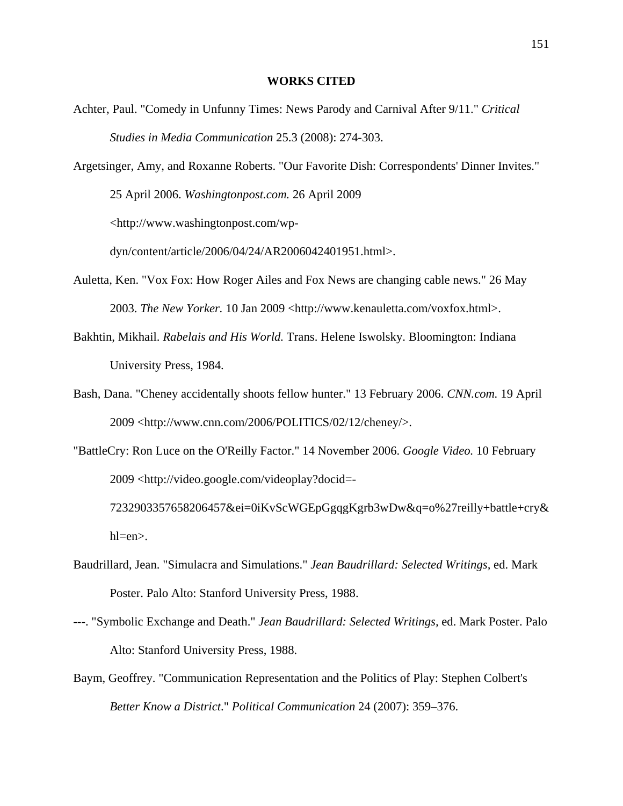#### **WORKS CITED**

- Achter, Paul. "Comedy in Unfunny Times: News Parody and Carnival After 9/11." *Critical Studies in Media Communication* 25.3 (2008): 274-303.
- Argetsinger, Amy, and Roxanne Roberts. "Our Favorite Dish: Correspondents' Dinner Invites."

25 April 2006. *Washingtonpost.com.* 26 April 2009

<http://www.washingtonpost.com/wp-

dyn/content/article/2006/04/24/AR2006042401951.html>.

- Auletta, Ken. "Vox Fox: How Roger Ailes and Fox News are changing cable news." 26 May 2003. *The New Yorker.* 10 Jan 2009 <http://www.kenauletta.com/voxfox.html>.
- Bakhtin, Mikhail. *Rabelais and His World.* Trans. Helene Iswolsky. Bloomington: Indiana University Press, 1984.
- Bash, Dana. "Cheney accidentally shoots fellow hunter." 13 February 2006. *CNN.com.* 19 April 2009 <http://www.cnn.com/2006/POLITICS/02/12/cheney/>.
- "BattleCry: Ron Luce on the O'Reilly Factor." 14 November 2006. *Google Video.* 10 February 2009 <http://video.google.com/videoplay?docid=-

7232903357658206457&ei=0iKvScWGEpGgqgKgrb3wDw&q=o%27reilly+battle+cry& hl=en>.

- Baudrillard, Jean. "Simulacra and Simulations." *Jean Baudrillard: Selected Writings,* ed. Mark Poster. Palo Alto: Stanford University Press, 1988.
- ---. "Symbolic Exchange and Death." *Jean Baudrillard: Selected Writings,* ed. Mark Poster. Palo Alto: Stanford University Press, 1988.
- Baym, Geoffrey. "Communication Representation and the Politics of Play: Stephen Colbert's *Better Know a District*." *Political Communication* 24 (2007): 359–376.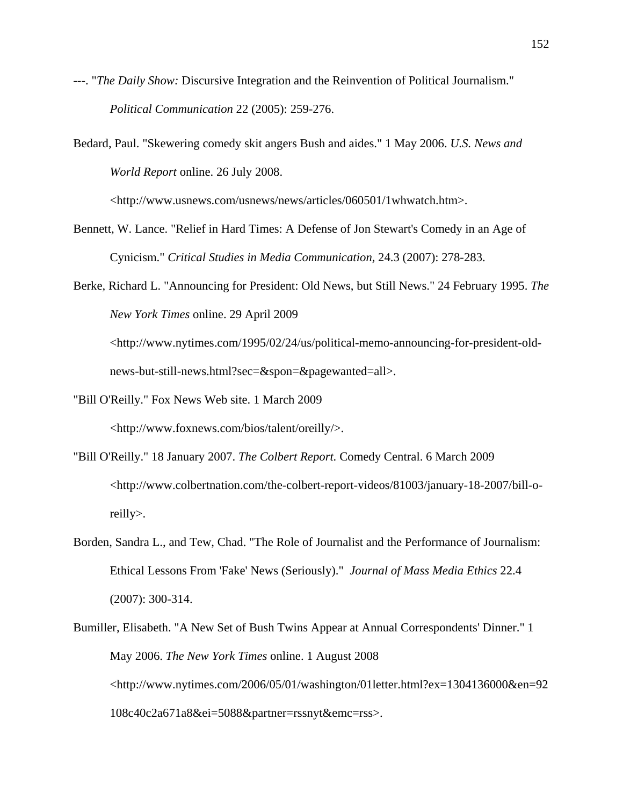- ---. "*The Daily Show:* Discursive Integration and the Reinvention of Political Journalism." *Political Communication* 22 (2005): 259-276.
- Bedard, Paul. "Skewering comedy skit angers Bush and aides." 1 May 2006. *U.S. News and World Report* online. 26 July 2008.

<http://www.usnews.com/usnews/news/articles/060501/1whwatch.htm>.

- Bennett, W. Lance. "Relief in Hard Times: A Defense of Jon Stewart's Comedy in an Age of Cynicism." *Critical Studies in Media Communication,* 24.3 (2007): 278-283.
- Berke, Richard L. "Announcing for President: Old News, but Still News." 24 February 1995. *The New York Times* online. 29 April 2009

<http://www.nytimes.com/1995/02/24/us/political-memo-announcing-for-president-oldnews-but-still-news.html?sec=&spon=&pagewanted=all>.

- "Bill O'Reilly." Fox News Web site. 1 March 2009 <http://www.foxnews.com/bios/talent/oreilly/>.
- "Bill O'Reilly." 18 January 2007. *The Colbert Report.* Comedy Central. 6 March 2009 <http://www.colbertnation.com/the-colbert-report-videos/81003/january-18-2007/bill-oreilly>.
- Borden, Sandra L., and Tew, Chad. "The Role of Journalist and the Performance of Journalism: Ethical Lessons From 'Fake' News (Seriously)." *Journal of Mass Media Ethics* 22.4 (2007): 300-314.
- Bumiller, Elisabeth. "A New Set of Bush Twins Appear at Annual Correspondents' Dinner." 1 May 2006. *The New York Times* online. 1 August 2008 <http://www.nytimes.com/2006/05/01/washington/01letter.html?ex=1304136000&en=92 108c40c2a671a8&ei=5088&partner=rssnyt&emc=rss>.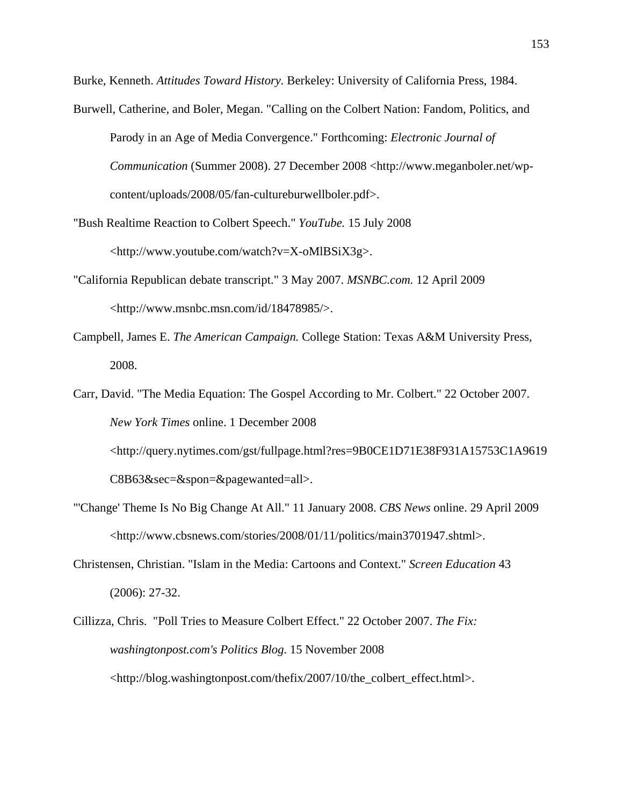Burke, Kenneth. *Attitudes Toward History.* Berkeley: University of California Press, 1984.

- Burwell, Catherine, and Boler, Megan. "Calling on the Colbert Nation: Fandom, Politics, and Parody in an Age of Media Convergence." Forthcoming: *Electronic Journal of Communication* (Summer 2008). 27 December 2008 <http://www.meganboler.net/wpcontent/uploads/2008/05/fan-cultureburwellboler.pdf>.
- "Bush Realtime Reaction to Colbert Speech." *YouTube.* 15 July 2008 <http://www.youtube.com/watch?v=X-oMlBSiX3g>.
- "California Republican debate transcript." 3 May 2007. *MSNBC.com.* 12 April 2009 <http://www.msnbc.msn.com/id/18478985/>.
- Campbell, James E. *The American Campaign.* College Station: Texas A&M University Press, 2008.
- Carr, David. "The Media Equation: The Gospel According to Mr. Colbert." 22 October 2007. *New York Times* online. 1 December 2008 <http://query.nytimes.com/gst/fullpage.html?res=9B0CE1D71E38F931A15753C1A9619 C8B63&sec=&spon=&pagewanted=all>.
- "'Change' Theme Is No Big Change At All." 11 January 2008. *CBS News* online. 29 April 2009 <http://www.cbsnews.com/stories/2008/01/11/politics/main3701947.shtml>.
- Christensen, Christian. "Islam in the Media: Cartoons and Context." *Screen Education* 43 (2006): 27-32.
- Cillizza, Chris. "Poll Tries to Measure Colbert Effect." 22 October 2007. *The Fix: washingtonpost.com's Politics Blog.* 15 November 2008 <http://blog.washingtonpost.com/thefix/2007/10/the\_colbert\_effect.html>.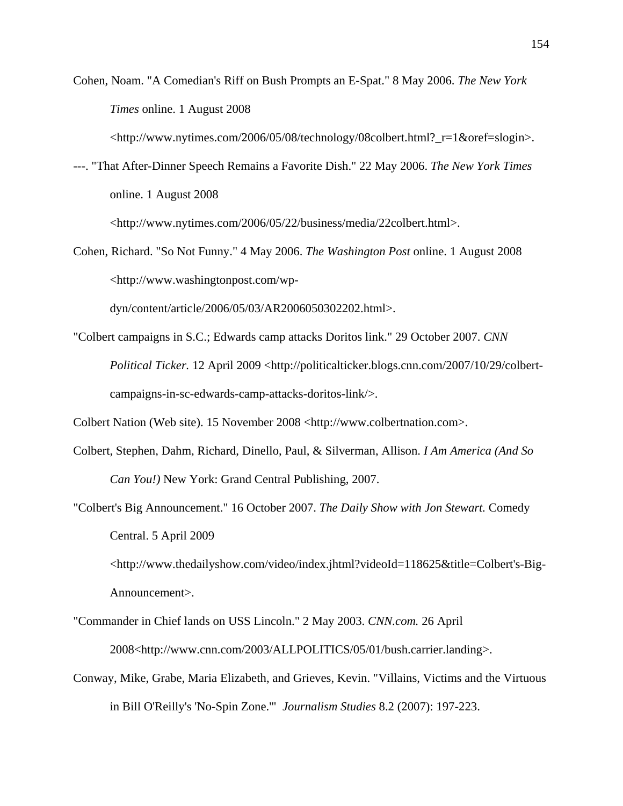Cohen, Noam. "A Comedian's Riff on Bush Prompts an E-Spat." 8 May 2006. *The New York Times* online. 1 August 2008

<http://www.nytimes.com/2006/05/08/technology/08colbert.html?\_r=1&oref=slogin>.

---. "That After-Dinner Speech Remains a Favorite Dish." 22 May 2006. *The New York Times*  online. 1 August 2008

<http://www.nytimes.com/2006/05/22/business/media/22colbert.html>.

Cohen, Richard. "So Not Funny." 4 May 2006. *The Washington Post* online. 1 August 2008 <http://www.washingtonpost.com/wp-

dyn/content/article/2006/05/03/AR2006050302202.html>.

"Colbert campaigns in S.C.; Edwards camp attacks Doritos link." 29 October 2007. *CNN Political Ticker.* 12 April 2009 <http://politicalticker.blogs.cnn.com/2007/10/29/colbertcampaigns-in-sc-edwards-camp-attacks-doritos-link/>.

Colbert Nation (Web site). 15 November 2008 <http://www.colbertnation.com>.

- Colbert, Stephen, Dahm, Richard, Dinello, Paul, & Silverman, Allison. *I Am America (And So Can You!)* New York: Grand Central Publishing, 2007.
- "Colbert's Big Announcement." 16 October 2007. *The Daily Show with Jon Stewart.* Comedy Central. 5 April 2009

<http://www.thedailyshow.com/video/index.jhtml?videoId=118625&title=Colbert's-Big-Announcement>.

"Commander in Chief lands on USS Lincoln." 2 May 2003. *CNN.com.* 26 April 2008<http://www.cnn.com/2003/ALLPOLITICS/05/01/bush.carrier.landing>.

Conway, Mike, Grabe, Maria Elizabeth, and Grieves, Kevin. "Villains, Victims and the Virtuous in Bill O'Reilly's 'No-Spin Zone.'" *Journalism Studies* 8.2 (2007): 197-223.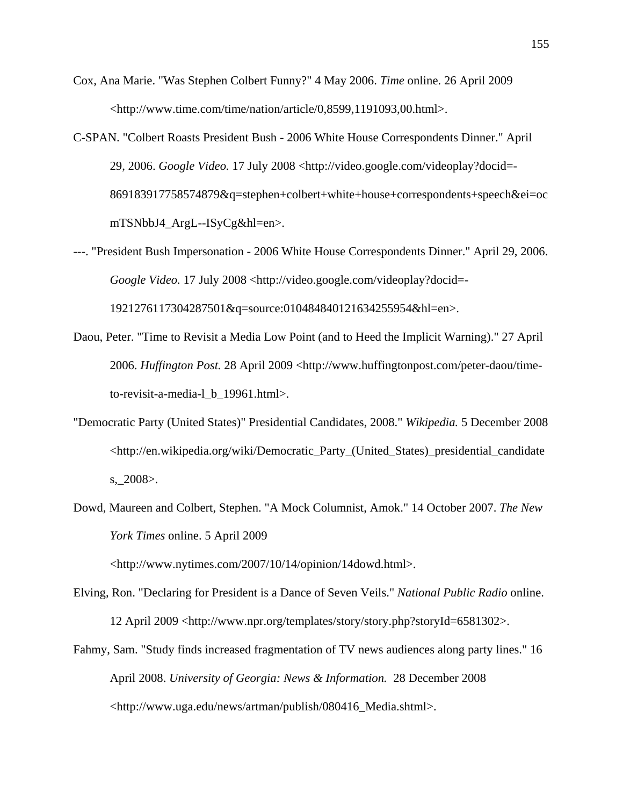- Cox, Ana Marie. "Was Stephen Colbert Funny?" 4 May 2006. *Time* online. 26 April 2009 <http://www.time.com/time/nation/article/0,8599,1191093,00.html>.
- C-SPAN. "Colbert Roasts President Bush 2006 White House Correspondents Dinner." April 29, 2006. *Google Video.* 17 July 2008 <http://video.google.com/videoplay?docid=- 869183917758574879&q=stephen+colbert+white+house+correspondents+speech&ei=oc mTSNbbJ4\_ArgL--ISyCg&hl=en>.
- ---. "President Bush Impersonation 2006 White House Correspondents Dinner." April 29, 2006. *Google Video.* 17 July 2008 <http://video.google.com/videoplay?docid=- 1921276117304287501&q=source:010484840121634255954&hl=en>.
- Daou, Peter. "Time to Revisit a Media Low Point (and to Heed the Implicit Warning)." 27 April 2006. *Huffington Post.* 28 April 2009 <http://www.huffingtonpost.com/peter-daou/timeto-revisit-a-media-l\_b\_19961.html>.
- "Democratic Party (United States)" Presidential Candidates, 2008." *Wikipedia.* 5 December 2008 <http://en.wikipedia.org/wiki/Democratic\_Party\_(United\_States)\_presidential\_candidate s,\_2008>.
- Dowd, Maureen and Colbert, Stephen. "A Mock Columnist, Amok." 14 October 2007. *The New York Times* online. 5 April 2009

<http://www.nytimes.com/2007/10/14/opinion/14dowd.html>.

- Elving, Ron. "Declaring for President is a Dance of Seven Veils." *National Public Radio* online. 12 April 2009 <http://www.npr.org/templates/story/story.php?storyId=6581302>.
- Fahmy, Sam. "Study finds increased fragmentation of TV news audiences along party lines." 16 April 2008. *University of Georgia: News & Information.* 28 December 2008 <http://www.uga.edu/news/artman/publish/080416\_Media.shtml>.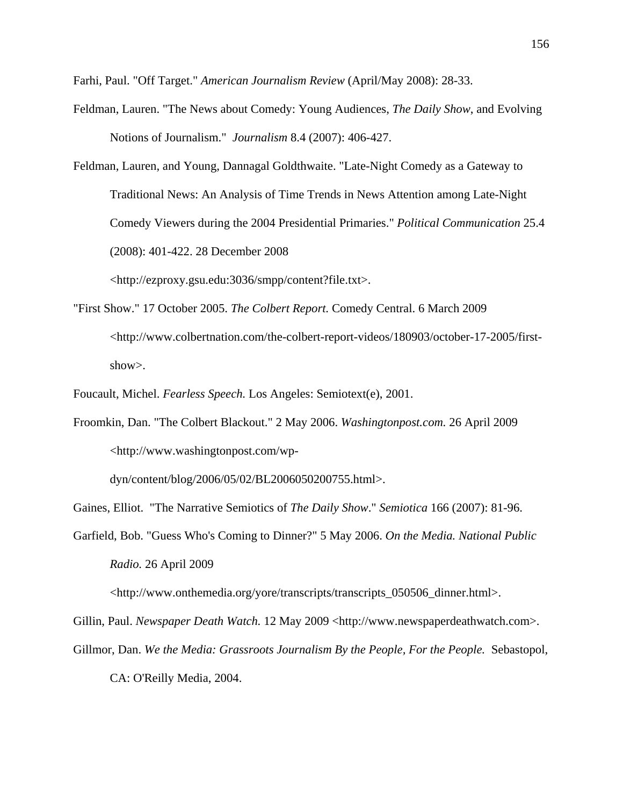Farhi, Paul. "Off Target." *American Journalism Review* (April/May 2008): 28-33.

- Feldman, Lauren. "The News about Comedy: Young Audiences, *The Daily Show*, and Evolving Notions of Journalism." *Journalism* 8.4 (2007): 406-427.
- Feldman, Lauren, and Young, Dannagal Goldthwaite. "Late-Night Comedy as a Gateway to Traditional News: An Analysis of Time Trends in News Attention among Late-Night Comedy Viewers during the 2004 Presidential Primaries." *Political Communication* 25.4 (2008): 401-422. 28 December 2008 <http://ezproxy.gsu.edu:3036/smpp/content?file.txt>.
	-
- "First Show." 17 October 2005. *The Colbert Report.* Comedy Central. 6 March 2009 <http://www.colbertnation.com/the-colbert-report-videos/180903/october-17-2005/firstshow>.
- Foucault, Michel. *Fearless Speech.* Los Angeles: Semiotext(e), 2001.
- Froomkin, Dan. "The Colbert Blackout." 2 May 2006. *Washingtonpost.com.* 26 April 2009 <http://www.washingtonpost.com/wp-

dyn/content/blog/2006/05/02/BL2006050200755.html>.

- Gaines, Elliot. "The Narrative Semiotics of *The Daily Show*." *Semiotica* 166 (2007): 81-96.
- Garfield, Bob. "Guess Who's Coming to Dinner?" 5 May 2006. *On the Media. National Public Radio.* 26 April 2009

<http://www.onthemedia.org/yore/transcripts/transcripts\_050506\_dinner.html>.

Gillin, Paul. *Newspaper Death Watch.* 12 May 2009 <http://www.newspaperdeathwatch.com>.

Gillmor, Dan. *We the Media: Grassroots Journalism By the People, For the People.* Sebastopol, CA: O'Reilly Media, 2004.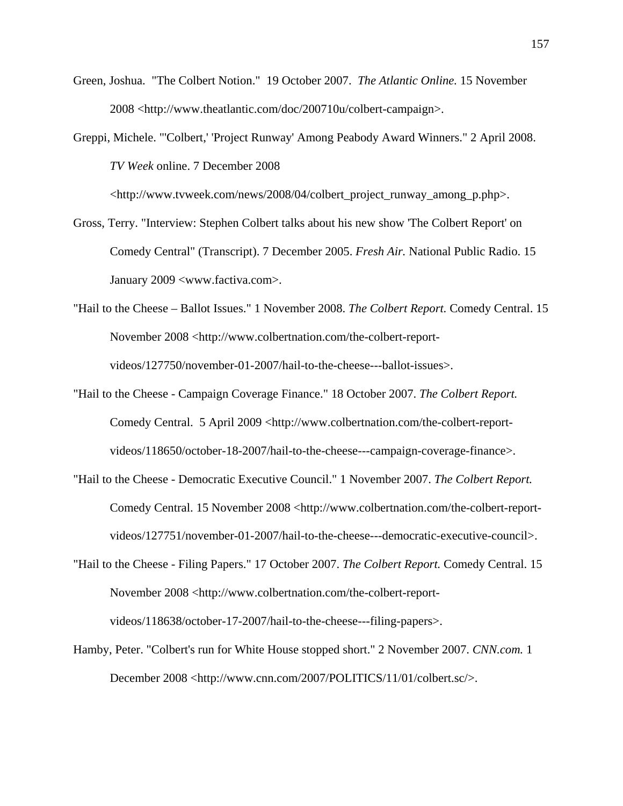- Green, Joshua. "The Colbert Notion." 19 October 2007. *The Atlantic Online.* 15 November 2008 <http://www.theatlantic.com/doc/200710u/colbert-campaign>.
- Greppi, Michele. "'Colbert,' 'Project Runway' Among Peabody Award Winners." 2 April 2008. *TV Week* online. 7 December 2008

<http://www.tvweek.com/news/2008/04/colbert\_project\_runway\_among\_p.php>.

- Gross, Terry. "Interview: Stephen Colbert talks about his new show 'The Colbert Report' on Comedy Central" (Transcript). 7 December 2005. *Fresh Air.* National Public Radio. 15 January 2009 <www.factiva.com>.
- "Hail to the Cheese Ballot Issues." 1 November 2008. *The Colbert Report.* Comedy Central. 15 November 2008 <http://www.colbertnation.com/the-colbert-reportvideos/127750/november-01-2007/hail-to-the-cheese---ballot-issues>.
- "Hail to the Cheese Campaign Coverage Finance." 18 October 2007. *The Colbert Report.* Comedy Central. 5 April 2009 <http://www.colbertnation.com/the-colbert-reportvideos/118650/october-18-2007/hail-to-the-cheese---campaign-coverage-finance>.
- "Hail to the Cheese Democratic Executive Council." 1 November 2007. *The Colbert Report.*  Comedy Central. 15 November 2008 <http://www.colbertnation.com/the-colbert-reportvideos/127751/november-01-2007/hail-to-the-cheese---democratic-executive-council>.
- "Hail to the Cheese Filing Papers." 17 October 2007. *The Colbert Report.* Comedy Central. 15 November 2008 <http://www.colbertnation.com/the-colbert-reportvideos/118638/october-17-2007/hail-to-the-cheese---filing-papers>.
- Hamby, Peter. "Colbert's run for White House stopped short." 2 November 2007. *CNN.com.* 1 December 2008 <http://www.cnn.com/2007/POLITICS/11/01/colbert.sc/>.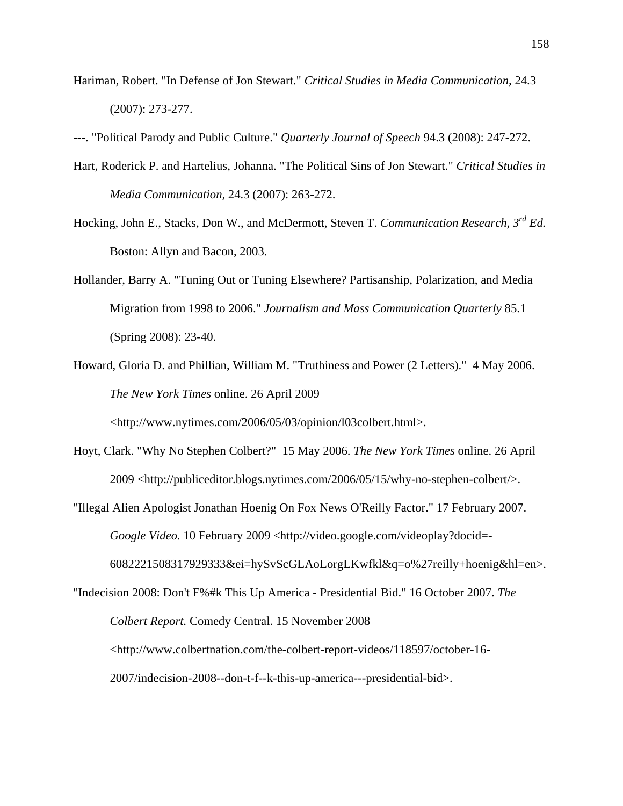- Hariman, Robert. "In Defense of Jon Stewart." *Critical Studies in Media Communication,* 24.3 (2007): 273-277.
- ---. "Political Parody and Public Culture." *Quarterly Journal of Speech* 94.3 (2008): 247-272.
- Hart, Roderick P. and Hartelius, Johanna. "The Political Sins of Jon Stewart." *Critical Studies in Media Communication,* 24.3 (2007): 263-272.
- Hocking, John E., Stacks, Don W., and McDermott, Steven T. *Communication Research, 3rd Ed.* Boston: Allyn and Bacon, 2003.
- Hollander, Barry A. "Tuning Out or Tuning Elsewhere? Partisanship, Polarization, and Media Migration from 1998 to 2006." *Journalism and Mass Communication Quarterly* 85.1 (Spring 2008): 23-40.
- Howard, Gloria D. and Phillian, William M. "Truthiness and Power (2 Letters)." 4 May 2006. *The New York Times* online. 26 April 2009

<http://www.nytimes.com/2006/05/03/opinion/l03colbert.html>.

- Hoyt, Clark. "Why No Stephen Colbert?" 15 May 2006. *The New York Times* online. 26 April 2009 <http://publiceditor.blogs.nytimes.com/2006/05/15/why-no-stephen-colbert/>.
- "Illegal Alien Apologist Jonathan Hoenig On Fox News O'Reilly Factor." 17 February 2007. *Google Video.* 10 February 2009 <http://video.google.com/videoplay?docid=- 6082221508317929333&ei=hySvScGLAoLorgLKwfkl&q=o%27reilly+hoenig&hl=en>.
- "Indecision 2008: Don't F%#k This Up America Presidential Bid." 16 October 2007. *The Colbert Report.* Comedy Central. 15 November 2008 <http://www.colbertnation.com/the-colbert-report-videos/118597/october-16- 2007/indecision-2008--don-t-f--k-this-up-america---presidential-bid>.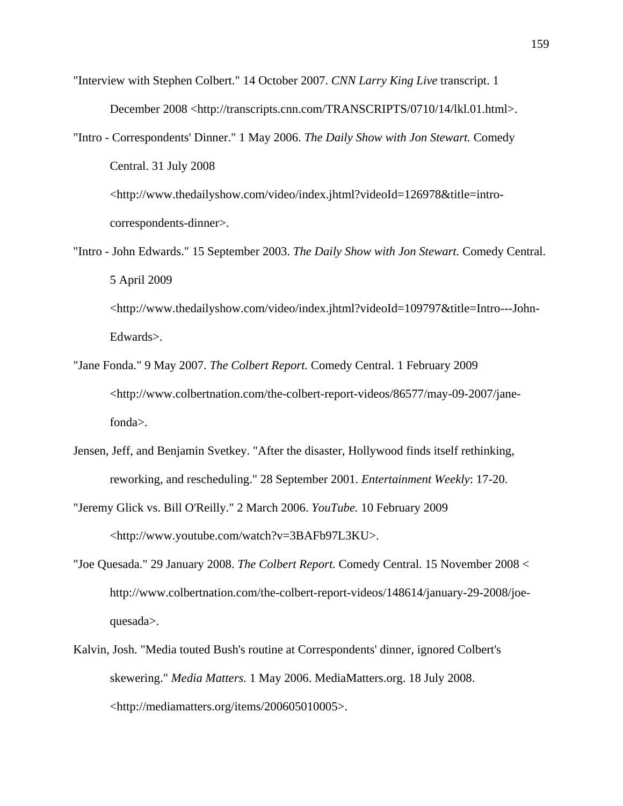- "Interview with Stephen Colbert." 14 October 2007. *CNN Larry King Live* transcript. 1 December 2008 <http://transcripts.cnn.com/TRANSCRIPTS/0710/14/lkl.01.html>.
- "Intro Correspondents' Dinner." 1 May 2006. *The Daily Show with Jon Stewart.* Comedy Central. 31 July 2008 <http://www.thedailyshow.com/video/index.jhtml?videoId=126978&title=intro-
- "Intro John Edwards." 15 September 2003. *The Daily Show with Jon Stewart.* Comedy Central. 5 April 2009 <http://www.thedailyshow.com/video/index.jhtml?videoId=109797&title=Intro---John-

Edwards>.

correspondents-dinner>.

- "Jane Fonda." 9 May 2007. *The Colbert Report.* Comedy Central. 1 February 2009 <http://www.colbertnation.com/the-colbert-report-videos/86577/may-09-2007/janefonda>.
- Jensen, Jeff, and Benjamin Svetkey. "After the disaster, Hollywood finds itself rethinking, reworking, and rescheduling." 28 September 2001. *Entertainment Weekly*: 17-20.
- "Jeremy Glick vs. Bill O'Reilly." 2 March 2006. *YouTube.* 10 February 2009 <http://www.youtube.com/watch?v=3BAFb97L3KU>.
- "Joe Quesada." 29 January 2008. *The Colbert Report.* Comedy Central. 15 November 2008 < http://www.colbertnation.com/the-colbert-report-videos/148614/january-29-2008/joequesada>.
- Kalvin, Josh. "Media touted Bush's routine at Correspondents' dinner, ignored Colbert's skewering." *Media Matters.* 1 May 2006. MediaMatters.org. 18 July 2008. <http://mediamatters.org/items/200605010005>.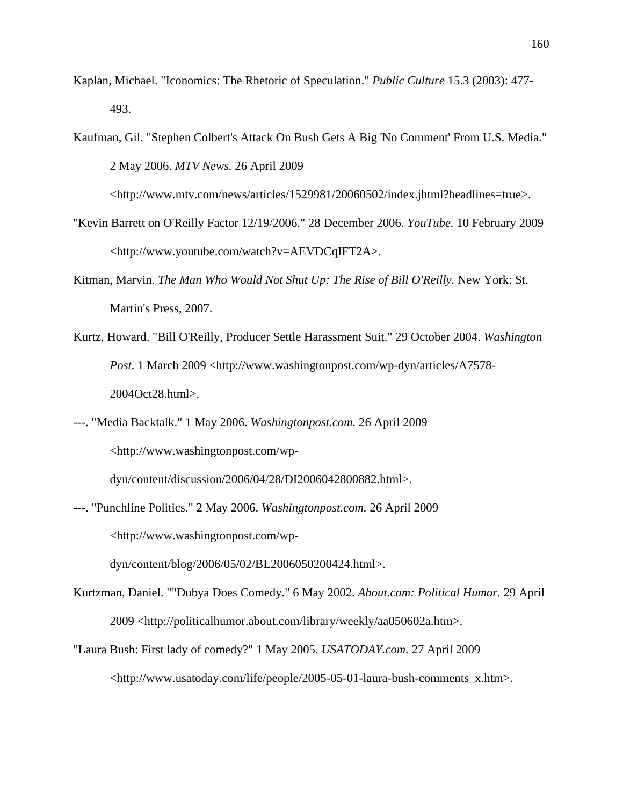- Kaplan, Michael. "Iconomics: The Rhetoric of Speculation." *Public Culture* 15.3 (2003): 477- 493.
- Kaufman, Gil. "Stephen Colbert's Attack On Bush Gets A Big 'No Comment' From U.S. Media." 2 May 2006. *MTV News.* 26 April 2009

<http://www.mtv.com/news/articles/1529981/20060502/index.jhtml?headlines=true>.

- "Kevin Barrett on O'Reilly Factor 12/19/2006." 28 December 2006. *YouTube.* 10 February 2009 <http://www.youtube.com/watch?v=AEVDCqIFT2A>.
- Kitman, Marvin. *The Man Who Would Not Shut Up: The Rise of Bill O'Reilly.* New York: St. Martin's Press, 2007.
- Kurtz, Howard. "Bill O'Reilly, Producer Settle Harassment Suit." 29 October 2004. *Washington*  Post. 1 March 2009 <http://www.washingtonpost.com/wp-dyn/articles/A7578-2004Oct28.html>.
- ---. "Media Backtalk." 1 May 2006. *Washingtonpost.com.* 26 April 2009 <http://www.washingtonpost.com/wp-

dyn/content/discussion/2006/04/28/DI2006042800882.html>.

---. "Punchline Politics." 2 May 2006. *Washingtonpost.com.* 26 April 2009 <http://www.washingtonpost.com/wp-

dyn/content/blog/2006/05/02/BL2006050200424.html>.

- Kurtzman, Daniel. ""Dubya Does Comedy." 6 May 2002. *About.com: Political Humor.* 29 April 2009 <http://politicalhumor.about.com/library/weekly/aa050602a.htm>.
- "Laura Bush: First lady of comedy?" 1 May 2005. *USATODAY.com.* 27 April 2009 <http://www.usatoday.com/life/people/2005-05-01-laura-bush-comments\_x.htm>.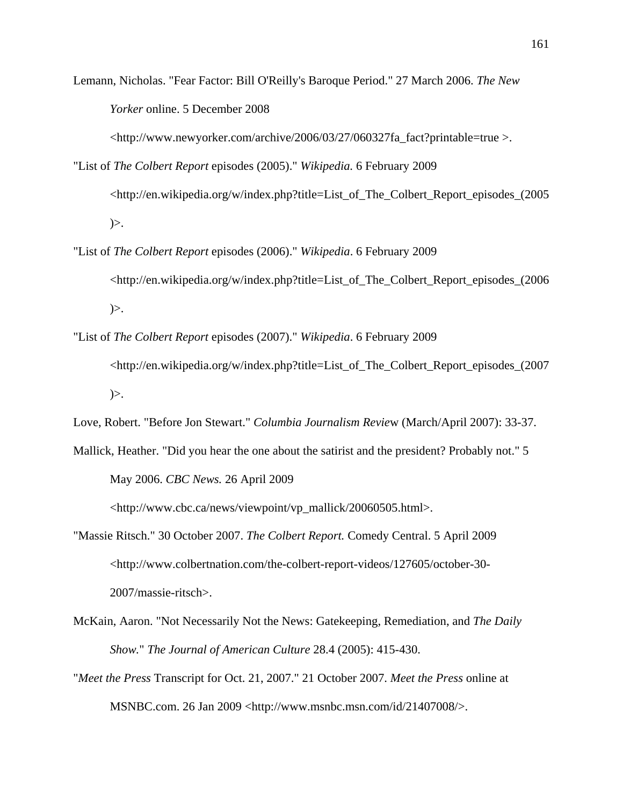Lemann, Nicholas. "Fear Factor: Bill O'Reilly's Baroque Period." 27 March 2006. *The New Yorker* online. 5 December 2008

<http://www.newyorker.com/archive/2006/03/27/060327fa\_fact?printable=true >.

- "List of *The Colbert Report* episodes (2005)." *Wikipedia.* 6 February 2009 <http://en.wikipedia.org/w/index.php?title=List\_of\_The\_Colbert\_Report\_episodes\_(2005  $\geq$ .
- "List of *The Colbert Report* episodes (2006)." *Wikipedia*. 6 February 2009 <http://en.wikipedia.org/w/index.php?title=List\_of\_The\_Colbert\_Report\_episodes\_(2006  $\geq$ .
- "List of *The Colbert Report* episodes (2007)." *Wikipedia*. 6 February 2009 <http://en.wikipedia.org/w/index.php?title=List\_of\_The\_Colbert\_Report\_episodes\_(2007  $\geq$ .

Love, Robert. "Before Jon Stewart." *Columbia Journalism Revie*w (March/April 2007): 33-37.

- Mallick, Heather. "Did you hear the one about the satirist and the president? Probably not." 5 May 2006. *CBC News.* 26 April 2009 <http://www.cbc.ca/news/viewpoint/vp\_mallick/20060505.html>.
- "Massie Ritsch." 30 October 2007. *The Colbert Report.* Comedy Central. 5 April 2009 <http://www.colbertnation.com/the-colbert-report-videos/127605/october-30- 2007/massie-ritsch>.
- McKain, Aaron. "Not Necessarily Not the News: Gatekeeping, Remediation, and *The Daily Show.*" *The Journal of American Culture* 28.4 (2005): 415-430.
- "*Meet the Press* Transcript for Oct. 21, 2007." 21 October 2007. *Meet the Press* online at MSNBC.com. 26 Jan 2009 <http://www.msnbc.msn.com/id/21407008/>.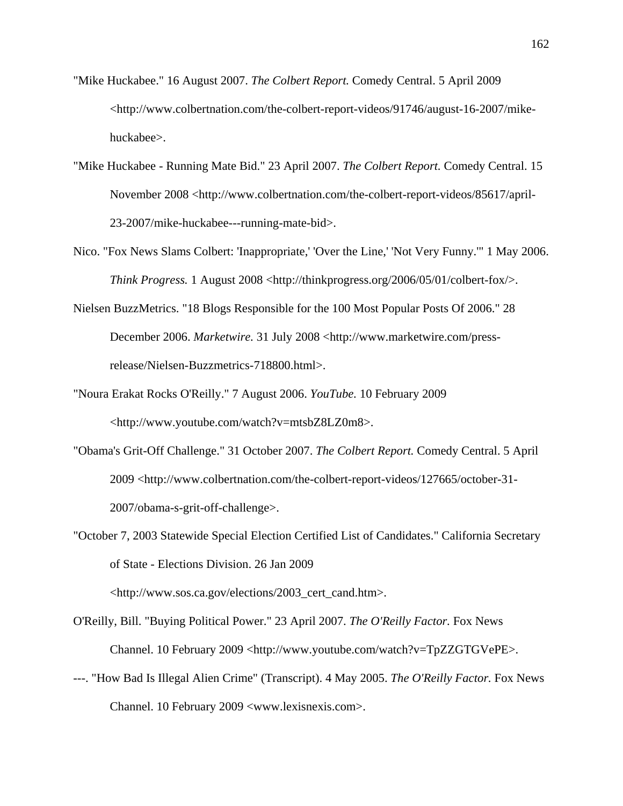- "Mike Huckabee." 16 August 2007. *The Colbert Report.* Comedy Central. 5 April 2009 <http://www.colbertnation.com/the-colbert-report-videos/91746/august-16-2007/mikehuckabee>.
- "Mike Huckabee Running Mate Bid." 23 April 2007. *The Colbert Report.* Comedy Central. 15 November 2008 <http://www.colbertnation.com/the-colbert-report-videos/85617/april-23-2007/mike-huckabee---running-mate-bid>.
- Nico. "Fox News Slams Colbert: 'Inappropriate,' 'Over the Line,' 'Not Very Funny.'" 1 May 2006. *Think Progress.* 1 August 2008 <http://thinkprogress.org/2006/05/01/colbert-fox/>.
- Nielsen BuzzMetrics. "18 Blogs Responsible for the 100 Most Popular Posts Of 2006." 28 December 2006. *Marketwire.* 31 July 2008 <http://www.marketwire.com/pressrelease/Nielsen-Buzzmetrics-718800.html>.
- "Noura Erakat Rocks O'Reilly." 7 August 2006. *YouTube.* 10 February 2009 <http://www.youtube.com/watch?v=mtsbZ8LZ0m8>.
- "Obama's Grit-Off Challenge." 31 October 2007. *The Colbert Report.* Comedy Central. 5 April 2009 <http://www.colbertnation.com/the-colbert-report-videos/127665/october-31- 2007/obama-s-grit-off-challenge>.
- "October 7, 2003 Statewide Special Election Certified List of Candidates." California Secretary of State - Elections Division. 26 Jan 2009

<http://www.sos.ca.gov/elections/2003\_cert\_cand.htm>.

- O'Reilly, Bill. "Buying Political Power." 23 April 2007. *The O'Reilly Factor.* Fox News Channel. 10 February 2009 <http://www.youtube.com/watch?v=TpZZGTGVePE>.
- ---. "How Bad Is Illegal Alien Crime" (Transcript). 4 May 2005. *The O'Reilly Factor.* Fox News Channel. 10 February 2009 <www.lexisnexis.com>.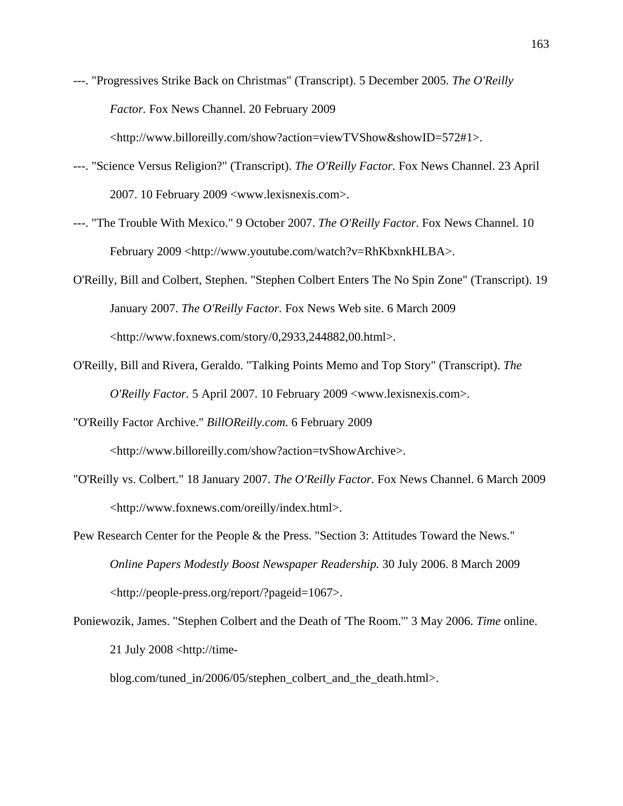- ---. "Progressives Strike Back on Christmas" (Transcript). 5 December 2005. *The O'Reilly Factor.* Fox News Channel. 20 February 2009 <http://www.billoreilly.com/show?action=viewTVShow&showID=572#1>.
- ---. "Science Versus Religion?" (Transcript). *The O'Reilly Factor.* Fox News Channel. 23 April 2007. 10 February 2009 <www.lexisnexis.com>.
- ---. "The Trouble With Mexico." 9 October 2007. *The O'Reilly Factor*. Fox News Channel. 10 February 2009 <http://www.youtube.com/watch?v=RhKbxnkHLBA>.
- O'Reilly, Bill and Colbert, Stephen. "Stephen Colbert Enters The No Spin Zone" (Transcript). 19 January 2007. *The O'Reilly Factor.* Fox News Web site. 6 March 2009 <http://www.foxnews.com/story/0,2933,244882,00.html>.
- O'Reilly, Bill and Rivera, Geraldo. "Talking Points Memo and Top Story" (Transcript). *The O'Reilly Factor.* 5 April 2007. 10 February 2009 <www.lexisnexis.com>.

"O'Reilly Factor Archive." *BillOReilly.com*. 6 February 2009

<http://www.billoreilly.com/show?action=tvShowArchive>.

- "O'Reilly vs. Colbert." 18 January 2007. *The O'Reilly Factor.* Fox News Channel. 6 March 2009 <http://www.foxnews.com/oreilly/index.html>.
- Pew Research Center for the People & the Press. "Section 3: Attitudes Toward the News." *Online Papers Modestly Boost Newspaper Readership.* 30 July 2006. 8 March 2009 <http://people-press.org/report/?pageid=1067>.
- Poniewozik, James. "Stephen Colbert and the Death of 'The Room.'" 3 May 2006. *Time* online. 21 July 2008 <http://time-

blog.com/tuned\_in/2006/05/stephen\_colbert\_and\_the\_death.html>.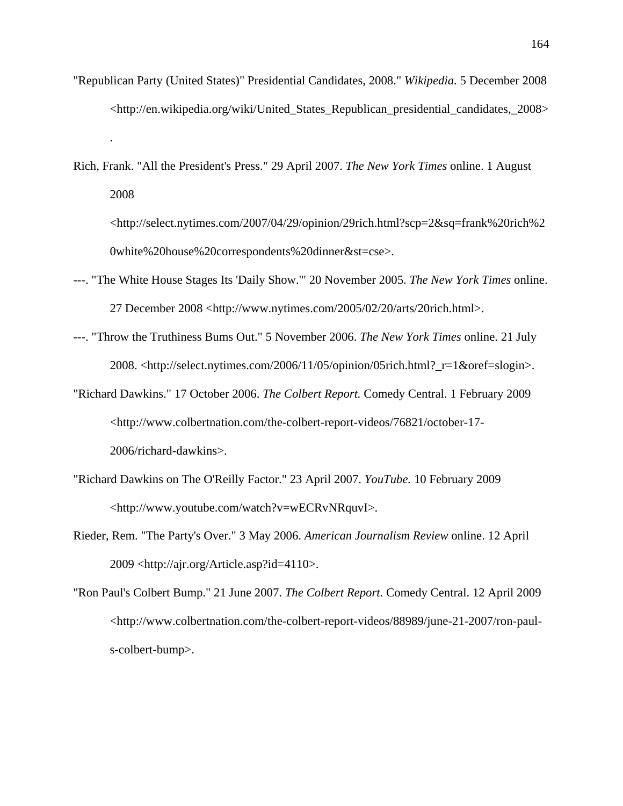- "Republican Party (United States)" Presidential Candidates, 2008." *Wikipedia.* 5 December 2008 <http://en.wikipedia.org/wiki/United\_States\_Republican\_presidential\_candidates,\_2008>
- Rich, Frank. "All the President's Press." 29 April 2007. *The New York Times* online. 1 August 2008

.

<http://select.nytimes.com/2007/04/29/opinion/29rich.html?scp=2&sq=frank%20rich%2 0white%20house%20correspondents%20dinner&st=cse>.

- ---. "The White House Stages Its 'Daily Show.'" 20 November 2005. *The New York Times* online. 27 December 2008 <http://www.nytimes.com/2005/02/20/arts/20rich.html>.
- ---. "Throw the Truthiness Bums Out." 5 November 2006. *The New York Times* online. 21 July 2008. <http://select.nytimes.com/2006/11/05/opinion/05rich.html?\_r=1&oref=slogin>.
- "Richard Dawkins." 17 October 2006. *The Colbert Report.* Comedy Central. 1 February 2009 <http://www.colbertnation.com/the-colbert-report-videos/76821/october-17- 2006/richard-dawkins>.
- "Richard Dawkins on The O'Reilly Factor." 23 April 2007. *YouTube.* 10 February 2009 <http://www.youtube.com/watch?v=wECRvNRquvI>.
- Rieder, Rem. "The Party's Over." 3 May 2006. *American Journalism Review* online. 12 April 2009 <http://ajr.org/Article.asp?id=4110>.

"Ron Paul's Colbert Bump." 21 June 2007. *The Colbert Report.* Comedy Central. 12 April 2009 <http://www.colbertnation.com/the-colbert-report-videos/88989/june-21-2007/ron-pauls-colbert-bump>.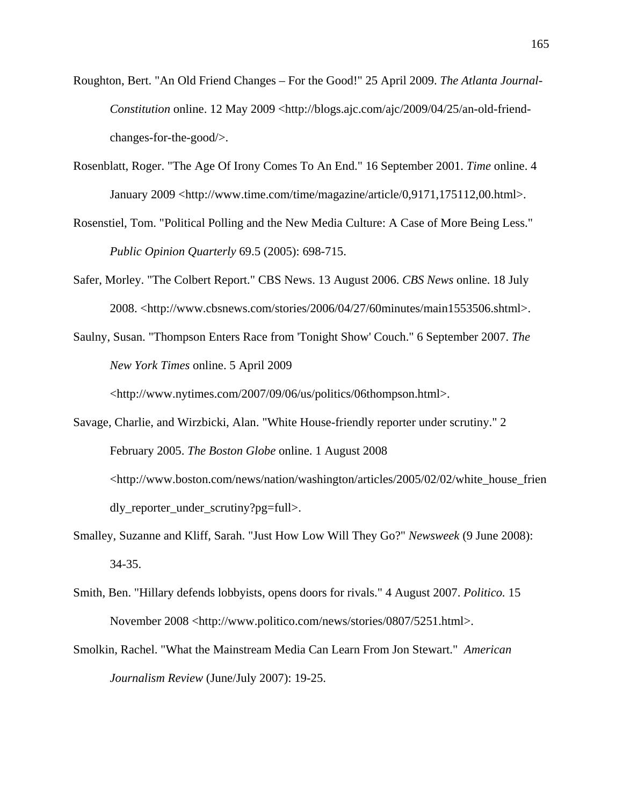- Roughton, Bert. "An Old Friend Changes For the Good!" 25 April 2009. *The Atlanta Journal-Constitution* online. 12 May 2009 <http://blogs.ajc.com/ajc/2009/04/25/an-old-friendchanges-for-the-good/>.
- Rosenblatt, Roger. "The Age Of Irony Comes To An End." 16 September 2001. *Time* online. 4 January 2009 <http://www.time.com/time/magazine/article/0,9171,175112,00.html>.
- Rosenstiel, Tom. "Political Polling and the New Media Culture: A Case of More Being Less." *Public Opinion Quarterly* 69.5 (2005): 698-715.
- Safer, Morley. "The Colbert Report." CBS News. 13 August 2006. *CBS News* online. 18 July 2008. <http://www.cbsnews.com/stories/2006/04/27/60minutes/main1553506.shtml>.
- Saulny, Susan. "Thompson Enters Race from 'Tonight Show' Couch." 6 September 2007. *The New York Times* online. 5 April 2009 <http://www.nytimes.com/2007/09/06/us/politics/06thompson.html>.

Savage, Charlie, and Wirzbicki, Alan. "White House-friendly reporter under scrutiny." 2 February 2005. *The Boston Globe* online. 1 August 2008 <http://www.boston.com/news/nation/washington/articles/2005/02/02/white\_house\_frien dly\_reporter\_under\_scrutiny?pg=full>.

- Smalley, Suzanne and Kliff, Sarah. "Just How Low Will They Go?" *Newsweek* (9 June 2008): 34-35.
- Smith, Ben. "Hillary defends lobbyists, opens doors for rivals." 4 August 2007. *Politico.* 15 November 2008 <http://www.politico.com/news/stories/0807/5251.html>.
- Smolkin, Rachel. "What the Mainstream Media Can Learn From Jon Stewart." *American Journalism Review* (June/July 2007): 19-25.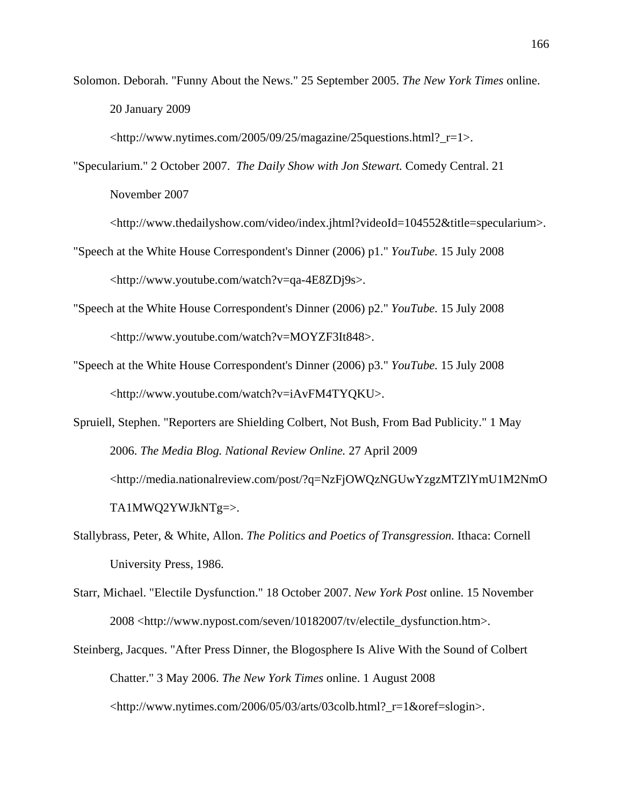Solomon. Deborah. "Funny About the News." 25 September 2005. *The New York Times* online. 20 January 2009

<http://www.nytimes.com/2005/09/25/magazine/25questions.html?\_r=1>.

"Specularium." 2 October 2007. *The Daily Show with Jon Stewart.* Comedy Central. 21 November 2007

<http://www.thedailyshow.com/video/index.jhtml?videoId=104552&title=specularium>.

- "Speech at the White House Correspondent's Dinner (2006) p1." *YouTube.* 15 July 2008 <http://www.youtube.com/watch?v=qa-4E8ZDj9s>.
- "Speech at the White House Correspondent's Dinner (2006) p2." *YouTube.* 15 July 2008 <http://www.youtube.com/watch?v=MOYZF3It848>.
- "Speech at the White House Correspondent's Dinner (2006) p3." *YouTube.* 15 July 2008 <http://www.youtube.com/watch?v=iAvFM4TYQKU>.
- Spruiell, Stephen. "Reporters are Shielding Colbert, Not Bush, From Bad Publicity." 1 May 2006. *The Media Blog. National Review Online.* 27 April 2009 <http://media.nationalreview.com/post/?q=NzFjOWQzNGUwYzgzMTZlYmU1M2NmO TA1MWQ2YWJkNTg=>.
- Stallybrass, Peter, & White, Allon. *The Politics and Poetics of Transgression.* Ithaca: Cornell University Press, 1986.
- Starr, Michael. "Electile Dysfunction." 18 October 2007. *New York Post* online. 15 November 2008 <http://www.nypost.com/seven/10182007/tv/electile\_dysfunction.htm>.
- Steinberg, Jacques. "After Press Dinner, the Blogosphere Is Alive With the Sound of Colbert Chatter." 3 May 2006. *The New York Times* online. 1 August 2008 <http://www.nytimes.com/2006/05/03/arts/03colb.html?\_r=1&oref=slogin>.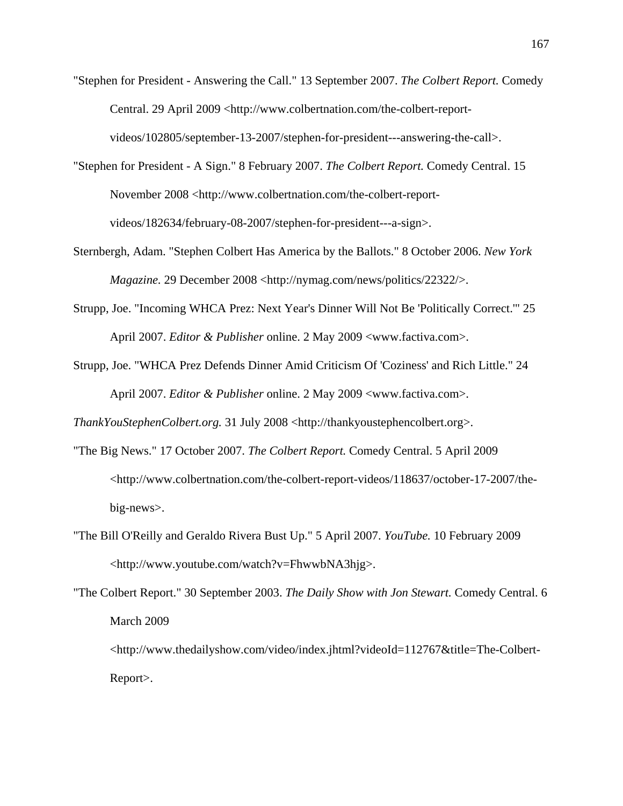- "Stephen for President Answering the Call." 13 September 2007. *The Colbert Report.* Comedy Central. 29 April 2009 <http://www.colbertnation.com/the-colbert-reportvideos/102805/september-13-2007/stephen-for-president---answering-the-call>.
- "Stephen for President A Sign." 8 February 2007. *The Colbert Report.* Comedy Central. 15 November 2008 <http://www.colbertnation.com/the-colbert-reportvideos/182634/february-08-2007/stephen-for-president---a-sign>.
- Sternbergh, Adam. "Stephen Colbert Has America by the Ballots." 8 October 2006. *New York Magazine.* 29 December 2008 <http://nymag.com/news/politics/22322/>.
- Strupp, Joe. "Incoming WHCA Prez: Next Year's Dinner Will Not Be 'Politically Correct.'" 25 April 2007. *Editor & Publisher* online. 2 May 2009 <www.factiva.com>.
- Strupp, Joe. "WHCA Prez Defends Dinner Amid Criticism Of 'Coziness' and Rich Little." 24 April 2007. *Editor & Publisher* online. 2 May 2009 <www.factiva.com>.

*ThankYouStephenColbert.org.* 31 July 2008 <http://thankyoustephencolbert.org>.

- "The Big News." 17 October 2007. *The Colbert Report.* Comedy Central. 5 April 2009 <http://www.colbertnation.com/the-colbert-report-videos/118637/october-17-2007/thebig-news>.
- "The Bill O'Reilly and Geraldo Rivera Bust Up." 5 April 2007. *YouTube.* 10 February 2009 <http://www.youtube.com/watch?v=FhwwbNA3hjg>.

"The Colbert Report." 30 September 2003. *The Daily Show with Jon Stewart.* Comedy Central. 6 March 2009

<http://www.thedailyshow.com/video/index.jhtml?videoId=112767&title=The-Colbert-Report>.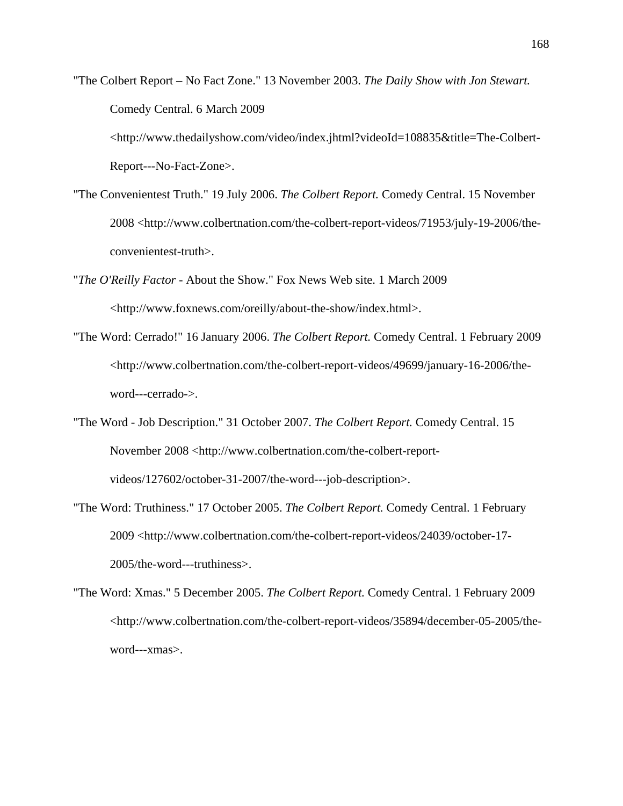- "The Colbert Report No Fact Zone." 13 November 2003. *The Daily Show with Jon Stewart.* Comedy Central. 6 March 2009 <http://www.thedailyshow.com/video/index.jhtml?videoId=108835&title=The-Colbert-Report---No-Fact-Zone>.
- "The Convenientest Truth." 19 July 2006. *The Colbert Report.* Comedy Central. 15 November 2008 <http://www.colbertnation.com/the-colbert-report-videos/71953/july-19-2006/theconvenientest-truth>.
- "*The O'Reilly Factor* About the Show." Fox News Web site. 1 March 2009 <http://www.foxnews.com/oreilly/about-the-show/index.html>.
- "The Word: Cerrado!" 16 January 2006. *The Colbert Report.* Comedy Central. 1 February 2009 <http://www.colbertnation.com/the-colbert-report-videos/49699/january-16-2006/theword---cerrado->.
- "The Word Job Description." 31 October 2007. *The Colbert Report.* Comedy Central. 15 November 2008 <http://www.colbertnation.com/the-colbert-reportvideos/127602/october-31-2007/the-word---job-description>.
- "The Word: Truthiness." 17 October 2005. *The Colbert Report.* Comedy Central. 1 February 2009 <http://www.colbertnation.com/the-colbert-report-videos/24039/october-17- 2005/the-word---truthiness>.
- "The Word: Xmas." 5 December 2005. *The Colbert Report.* Comedy Central. 1 February 2009 <http://www.colbertnation.com/the-colbert-report-videos/35894/december-05-2005/theword---xmas>.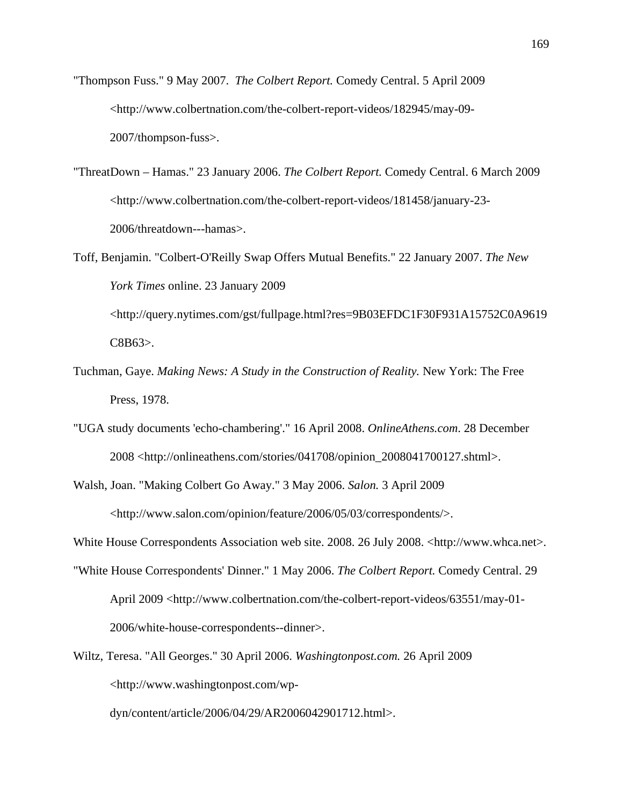- "Thompson Fuss." 9 May 2007. *The Colbert Report.* Comedy Central. 5 April 2009 <http://www.colbertnation.com/the-colbert-report-videos/182945/may-09- 2007/thompson-fuss>.
- "ThreatDown Hamas." 23 January 2006. *The Colbert Report.* Comedy Central. 6 March 2009 <http://www.colbertnation.com/the-colbert-report-videos/181458/january-23- 2006/threatdown---hamas>.
- Toff, Benjamin. "Colbert-O'Reilly Swap Offers Mutual Benefits." 22 January 2007. *The New York Times* online. 23 January 2009 <http://query.nytimes.com/gst/fullpage.html?res=9B03EFDC1F30F931A15752C0A9619 C8B63>.
- Tuchman, Gaye. *Making News: A Study in the Construction of Reality.* New York: The Free Press, 1978.
- "UGA study documents 'echo-chambering'." 16 April 2008. *OnlineAthens.com*. 28 December 2008 <http://onlineathens.com/stories/041708/opinion\_2008041700127.shtml>.
- Walsh, Joan. "Making Colbert Go Away." 3 May 2006. *Salon.* 3 April 2009 <http://www.salon.com/opinion/feature/2006/05/03/correspondents/>.
- White House Correspondents Association web site. 2008. 26 July 2008. <http://www.whca.net>.
- "White House Correspondents' Dinner." 1 May 2006. *The Colbert Report.* Comedy Central. 29 April 2009 <http://www.colbertnation.com/the-colbert-report-videos/63551/may-01- 2006/white-house-correspondents--dinner>.
- Wiltz, Teresa. "All Georges." 30 April 2006. *Washingtonpost.com.* 26 April 2009 <http://www.washingtonpost.com/wp-

dyn/content/article/2006/04/29/AR2006042901712.html>.